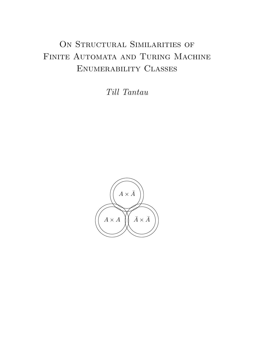# ON STRUCTURAL SIMILARITIES OF Finite Automata and Turing Machine Enumerability Classes

Till Tantau

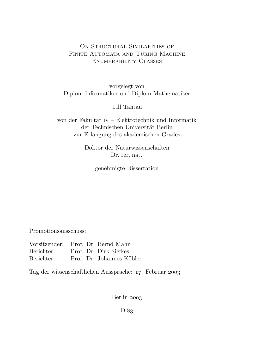## On Structural Similarities of Finite Automata and Turing Machine Enumerability Classes

vorgelegt von Diplom-Informatiker und Diplom-Mathematiker

Till Tantau

von der Fakultät  $IV - Elektrotechnik$  und Informatik der Technischen Universität Berlin zur Erlangung des akademischen Grades

> Doktor der Naturwissenschaften  $-$  Dr. rer. nat.  $-$

> > genehmigte Dissertation

Promotionsausschuss:

|            | Vorsitzender: Prof. Dr. Bernd Mahr |
|------------|------------------------------------|
| Berichter: | Prof. Dr. Dirk Siefkes             |
| Berichter: | Prof. Dr. Johannes Köbler          |

Tag der wissenschaftlichen Aussprache: 17. Februar 2003

Berlin 2003

D 83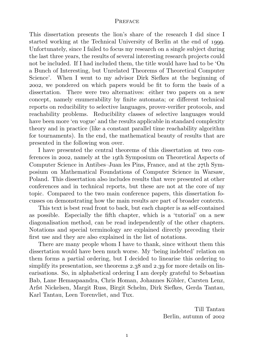#### **PREFACE**

<span id="page-2-0"></span>This dissertation presents the lion's share of the research I did since I started working at the Technical University of Berlin at the end of 1999. Unfortunately, since I failed to focus my research on a single subject during the last three years, the results of several interesting research projects could not be included. If I had included them, the title would have had to be 'On a Bunch of Interesting, but Unrelated Theorems of Theoretical Computer Science'. When I went to my advisor Dirk Siefkes at the beginning of , we pondered on which papers would be fit to form the basis of a dissertation. There were two alternatives: either two papers on a new concept, namely enumerability by finite automata; or different technical reports on reducibility to selective languages, prover-verifier protocols, and reachability problems. Reducibility classes of selective languages would have been more 'en vogue' and the results applicable in standard complexity theory and in practice (like a constant parallel time reachability algorithm for tournaments). In the end, the mathematical beauty of results that are presented in the following won over.

I have presented the central theorems of this dissertation at two conferences in 2002, namely at the 10th Symposium on Theoretical Aspects of Computer Science in Antibes–Juan les Pins, France, and at the 27th Symposium on Mathematical Foundations of Computer Science in Warsaw, Poland. This dissertation also includes results that were presented at other conferences and in technical reports, but these are not at the core of my topic. Compared to the two main conference papers, this dissertation focusses on demonstrating how the main results are part of broader contexts.

This text is best read front to back, but each chapter is as self-contained as possible. Especially the fifth chapter, which is a 'tutorial' on a new diagonalisation method, can be read independently of the other chapters. Notations and special terminology are explained directly preceding their first use and they are also explained in the list of notations.

There are many people whom I have to thank, since without them this dissertation would have been much worse. My 'being indebted' relation on them forms a partial ordering, but I decided to linearise this ordering to simplify its presentation, see theorems  $2.38$  and  $2.39$  for more details on linearisations. So, in alphabetical ordering I am deeply grateful to Sebastian Bab, Lane Hemaspaandra, Chris Homan, Johannes Köbler, Carsten Lenz, Arfst Nickelsen, Margit Russ, Birgit Schelm, Dirk Siefkes, Gerda Tantau, Karl Tantau, Leen Torenvliet, and Tux.

> Till Tantau Berlin, autumn of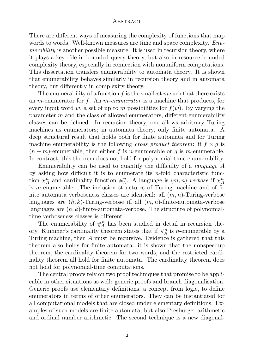#### **ABSTRACT**

<span id="page-3-0"></span>There are different ways of measuring the complexity of functions that map words to words. Well-known measures are time and space complexity. Enumerability is another possible measure. It is used in recursion theory, where it plays a key rôle in bounded query theory, but also in resource-bounded complexity theory, especially in connection with nonuniform computations. This dissertation transfers enumerability to automata theory. It is shown that enumerability behaves similarly in recursion theory and in automata theory, but differently in complexity theory.

The enumerability of a function  $f$  is the smallest  $m$  such that there exists an *m*-enumerator for f. An *m-enumerator* is a machine that produces, for every input word w, a set of up to m possibilities for  $f(w)$ . By varying the parameter  $m$  and the class of allowed enumerators, different enumerability classes can be defined. In recursion theory, one allows arbitrary Turing machines as enumerators; in automata theory, only finite automata. A deep structural result that holds both for finite automata and for Turing machine enumerability is the following cross product theorem: if  $f \times g$  is  $(n + m)$ -enumerable, then either f is n-enumerable or g is m-enumerable. In contrast, this theorem does not hold for polynomial-time enumerability.

Enumerability can be used to quantify the difficulty of a language A by asking how difficult it is to enumerate its  $n$ -fold characteristic function  $\chi_A^n$  and cardinality function  $\#_A^n$ . A language is  $(m, n)$ -verbose if  $\chi_A^n$ is m-enumerable. The inclusion structures of Turing machine and of finite automata verboseness classes are identical: all  $(m, n)$ -Turing-verbose languages are  $(h, k)$ -Turing-verbose iff all  $(m, n)$ -finite-automata-verbose languages are  $(h, k)$ -finite-automata-verbose. The structure of polynomialtime verboseness classes is different.

The enumerability of  $#^n_A$  has been studied in detail in recursion theory. Kummer's cardinality theorem states that if  $\#_{A}^{n}$  is *n*-enumerable by a Turing machine, then A must be recursive. Evidence is gathered that this theorem also holds for finite automata: it is shown that the nonspeedup theorem, the cardinality theorem for two words, and the restricted cardinality theorem all hold for finite automata. The cardinality theorem does not hold for polynomial-time computations.

The central proofs rely on two proof techniques that promise to be applicable in other situations as well: generic proofs and branch diagonalisation. Generic proofs use elementary definitions, a concept from logic, to define enumerators in terms of other enumerators. They can be instantiated for all computational models that are closed under elementary definitions. Examples of such models are finite automata, but also Presburger arithmetic and ordinal number arithmetic. The second technique is a new diagonal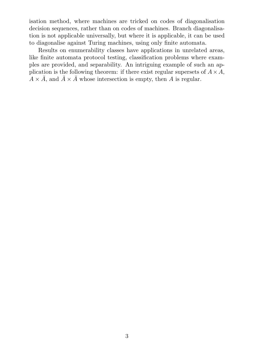isation method, where machines are tricked on codes of diagonalisation decision sequences, rather than on codes of machines. Branch diagonalisation is not applicable universally, but where it is applicable, it can be used to diagonalise against Turing machines, using only finite automata.

Results on enumerability classes have applications in unrelated areas, like finite automata protocol testing, classification problems where examples are provided, and separability. An intriguing example of such an application is the following theorem: if there exist regular supersets of  $A \times A$ ,  $A \times \overline{A}$ , and  $\overline{A} \times \overline{A}$  whose intersection is empty, then A is regular.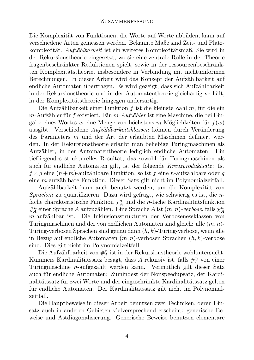<span id="page-5-0"></span>Die Komplexität von Funktionen, die Worte auf Worte abbilden, kann auf verschiedene Arten gemessen werden. Bekannte Maße sind Zeit- und Platzkomplexität. Aufzählbarkeit ist ein weiteres Komplexitätsmaß. Sie wird in der Rekursionstheorie eingesetzt, wo sie eine zentrale Rolle in der Theorie fragenbeschränkter Reduktionen spielt, sowie in der ressourcenbeschränkten Komplexitätstheorie, insbesondere in Verbindung mit nichtuniformen Berechnungen. In dieser Arbeit wird das Konzept der Aufzählbarkeit auf endliche Automaten übertragen. Es wird gezeigt, dass sich Aufzählbarkeit in der Rekursionstheorie und in der Automatentheorie gleichartig verhält, in der Komplexitätstheorie hingegen andersartig.

Die Aufzählbarkeit einer Funktion  $f$  ist die kleinste Zahl  $m$ , für die ein  $m$ -Aufzähler für f existiert. Ein  $m$ -Aufzähler ist eine Maschine, die bei Eingabe eines Wortes w eine Menge von höchstens m Möglichkeiten für  $f(w)$ ausgibt. Verschiedene Aufzählbarkeitsklassen können durch Veränderung des Parameters m und der Art der erlaubten Maschinen definiert werden. In der Rekursionstheorie erlaubt man beliebige Turingmaschinen als Aufz¨ahler, in der Automatentheorie lediglich endliche Automaten. Ein tiefliegendes strukturelles Resultat, das sowohl für Turingmaschinen als auch für endliche Automaten gilt, ist der folgende Kreuzproduktsatz: Ist  $f \times g$  eine  $(n+m)$ -aufzählbare Funktion, so ist f eine n-aufzählbare oder g eine m-aufzählbare Funktion. Dieser Satz gilt nicht im Polynomialzeitfall.

Aufzählbarkeit kann auch benutzt werden, um die Komplexität von Sprachen zu quantifizieren. Dazu wird gefragt, wie schwierig es ist, die nfache charakteristische Funktion $\chi_A^n$ und die $n\text{-}$ fache Kardinalitätsfunktion  $\#^{n}_{A}$ einer Sprache A aufzuzählen. Eine Sprache A ist  $(m,n)$ -verbose, falls  $\chi^n_{A}$ m-aufz¨ahlbar ist. Die Inklusionsstrukturen der Verbosenessklassen von Turingmaschinen und der von endlichen Automaten sind gleich: alle  $(m, n)$ -Turing-verbosen Sprachen sind genau dann  $(h, k)$ -Turing-verbose, wenn alle in Bezug auf endliche Automaten  $(m, n)$ -verbosen Sprachen  $(h, k)$ -verbose sind. Dies gilt nicht im Polynomialzeitfall.

Die Aufzählbarkeit von  $\#^{n}_{A}$  ist in der Rekursionstheorie wohluntersucht. Kummers Kardinalitätssatz besagt, dass $A$ rekursiv ist, falls  $\#^{n}_{A}$ von einer Turingmaschine n-aufgezählt werden kann. Vermutlich gilt dieser Satz auch für endliche Automaten: Zumindest der Nonspeedupsatz, der Kardinalitätssatz für zwei Worte und der eingeschränkte Kardinalitätssatz gelten für endliche Automaten. Der Kardinalitätssatz gilt nicht im Polynomialzeitfall.

Die Hauptbeweise in dieser Arbeit benutzen zwei Techniken, deren Einsatz auch in anderen Gebieten vielversprechend erscheint: generische Beweise und Astdiagonalisierung. Generische Beweise benutzen elementare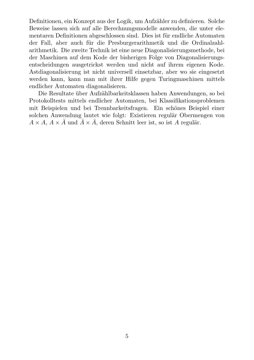Definitionen, ein Konzept aus der Logik, um Aufzähler zu definieren. Solche Beweise lassen sich auf alle Berechnungsmodelle anwenden, die unter elementaren Definitionen abgeschlossen sind. Dies ist für endliche Automaten der Fall, aber auch für die Presburgerarithmetik und die Ordinalzahlarithmetik. Die zweite Technik ist eine neue Diagonalisierungsmethode, bei der Maschinen auf dem Kode der bisherigen Folge von Diagonalisierungsentscheidungen ausgetrickst werden und nicht auf ihrem eigenen Kode. Astdiagonalisierung ist nicht universell einsetzbar, aber wo sie eingesetzt werden kann, kann man mit ihrer Hilfe gegen Turingmaschinen mittels endlicher Automaten diagonalisieren.

Die Resultate über Aufzählbarkeitsklassen haben Anwendungen, so bei Protokolltests mittels endlicher Automaten, bei Klassifikationsproblemen mit Beispielen und bei Trennbarkeitsfragen. Ein schönes Beispiel einer solchen Anwendung lautet wie folgt: Existieren regulär Obermengen von  $A \times A$ ,  $A \times \overline{A}$  und  $\overline{A} \times \overline{A}$ , deren Schnitt leer ist, so ist A regulär.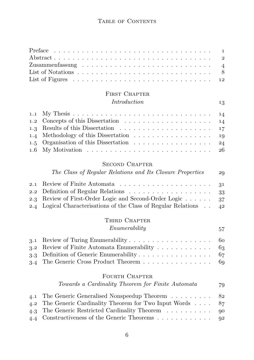## Table of Contents

## FIRST CHAPTER

## [Introduction](#page-14-0)

## SECOND CHAPTER

| The Class of Regular Relations and Its Closure Properties            | 29 |
|----------------------------------------------------------------------|----|
|                                                                      |    |
|                                                                      |    |
| 2.3 Review of First-Order Logic and Second-Order Logic 37            |    |
| 2.4 Logical Characterisations of the Class of Regular Relations . 42 |    |

## THIRD CHAPTER

## [Enumerability](#page-58-0)

| 3.4 The Generic Cross Product Theorem 69 |  |  |  |  |  |  |
|------------------------------------------|--|--|--|--|--|--|

## FOURTH CHAPTER

| Towards a Cardinality Theorem for Finite Automata                   | 79 |
|---------------------------------------------------------------------|----|
| 4.1 The Generic Generalised Nonspeedup Theorem 82                   |    |
| 4.2 The Generic Cardinality Theorem for Two Input Words $\ldots$ 87 |    |
| 4.3 The Generic Restricted Cardinality Theorem 90                   |    |
| 4.4 Constructiveness of the Generic Theorems 92                     |    |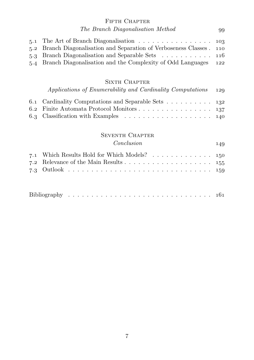## FIFTH CHAPTER [The Branch Diagonalisation Method](#page-100-0)

| 5.1 The Art of Branch Diagonalisation $\ldots \ldots \ldots \ldots \ldots \ldots$ 103 |  |
|---------------------------------------------------------------------------------------|--|
| 5.2 Branch Diagonalisation and Separation of Verboseness Classes . 110                |  |
|                                                                                       |  |
| 5.4 Branch Diagonalisation and the Complexity of Odd Languages 122                    |  |

### [Sixth Chapter](#page-130-0)

| Applications of Enumerability and Cardinality Computations 129 |  |
|----------------------------------------------------------------|--|
| 6.1 Cardinality Computations and Separable Sets 132            |  |
|                                                                |  |
|                                                                |  |

## SEVENTH CHAPTER

| Conclusion                                   | 149 |
|----------------------------------------------|-----|
| 7.1 Which Results Hold for Which Models? 150 |     |
|                                              |     |
|                                              |     |

|--|--|--|--|--|--|--|--|--|--|--|--|--|--|--|--|--|--|--|--|--|--|--|--|--|--|--|--|--|--|--|--|--|--|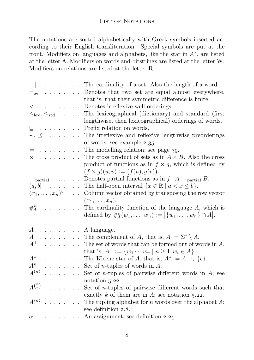### LIST OF NOTATIONS

<span id="page-9-0"></span>The notations are sorted alphabetically with Greek symbols inserted according to their English transliteration. Special symbols are put at the front. Modifiers on languages and alphabets, like the star in  $A^*$ , are listed at the letter A. Modifiers on words and bitstrings are listed at the letter W. Modifiers on relations are listed at the letter R.

| .                                                                                                                                                                                                                                       | The cardinality of a set. Also the length of a word.                    |
|-----------------------------------------------------------------------------------------------------------------------------------------------------------------------------------------------------------------------------------------|-------------------------------------------------------------------------|
| $=_\text{ae}$                                                                                                                                                                                                                           | Denotes that two set are equal almost everywhere,                       |
|                                                                                                                                                                                                                                         | that is, that their symmetric difference is finite.                     |
| $\sim$ 100 km and 100 km and 100 km and 100 km and 100 km and 100 km and 100 km and 100 km and 100 km and 100 km and 100 km and 100 km and 100 km and 100 km and 100 km and 100 km and 100 km and 100 km and 100 km and 100 km<br>$\lt$ | Denotes irreflexive well-orderings.                                     |
| $\leq_{\text{lex}}, \leq_{\text{std}} \dots$ .                                                                                                                                                                                          | The lexicographical (dictionary) and standard (first                    |
|                                                                                                                                                                                                                                         | lengthwise, then lexicographical) orderings of words.                   |
| $\sim$<br>⊑                                                                                                                                                                                                                             | Prefix relation on words.                                               |
| $\prec, \preceq$                                                                                                                                                                                                                        | The irreflexive and reflexive lengthwise preorderings                   |
|                                                                                                                                                                                                                                         | of words; see example 2.35.                                             |
| ⊨                                                                                                                                                                                                                                       | The modelling relation; see page 39.                                    |
| $\times$                                                                                                                                                                                                                                | The cross product of sets as in $A \times B$ . Also the cross           |
|                                                                                                                                                                                                                                         | product of functions as in $f \times g$ , which is defined by           |
|                                                                                                                                                                                                                                         | $(f \times g)(u, v) := (f(u), g(v)).$                                   |
| $\rightarrow$ partial $\cdots \cdots$                                                                                                                                                                                                   | Denotes partial functions as in $f: A \rightarrow_{partial} B$ .        |
| $(a,b]$                                                                                                                                                                                                                                 | The half-open interval $\{x \in \mathbb{R} \mid a < x \leq b\}.$        |
| $(x_1,\ldots,x_n)^t \ldots$                                                                                                                                                                                                             | Column vector obtained by transposing the row vector                    |
|                                                                                                                                                                                                                                         | $(x_1,\ldots,x_n).$                                                     |
| .<br>$#_A^n$                                                                                                                                                                                                                            | The cardinality function of the language $A$ , which is                 |
|                                                                                                                                                                                                                                         | defined by $\#_A^n(w_1, \ldots, w_n) :=  \{w_1, \ldots, w_n\} \cap A .$ |
|                                                                                                                                                                                                                                         |                                                                         |
| A                                                                                                                                                                                                                                       | A language.                                                             |
| $\bar{A}$                                                                                                                                                                                                                               | The complement of A, that is, $\overline{A} := \Sigma^* \setminus A$ .  |
| $A^+$<br>a de la calcada de                                                                                                                                                                                                             | The set of words that can be formed out of words in $A$ ,               |
|                                                                                                                                                                                                                                         | that is, $A^+ := \{w_1 \cdots w_n \mid n \ge 1, w_i \in A\}.$           |
| $A^*$                                                                                                                                                                                                                                   | The Kleene star of A, that is, $A^* := A^+ \cup \{\epsilon\}.$          |
| $A^n$<br>.                                                                                                                                                                                                                              | Set of <i>n</i> -tuples of words in $A$ .                               |
| $A^{(n)}$                                                                                                                                                                                                                               | Set of <i>n</i> -tuples of pairwise different words in $A$ ; see        |
|                                                                                                                                                                                                                                         | notation 5.22.                                                          |
| $A^{\binom{n}{k}}$<br>.                                                                                                                                                                                                                 | Set of <i>n</i> -tuples of pairwise different words such that           |
|                                                                                                                                                                                                                                         | exactly $k$ of them are in $A$ ; see notation 5.22.                     |
| $A^{\langle n \rangle}$<br>.                                                                                                                                                                                                            | The tupling alphabet for $n$ words over the alphabet $A$ ;              |
|                                                                                                                                                                                                                                         | see definition 2.8.                                                     |
| .<br>$\alpha$                                                                                                                                                                                                                           | An assignment; see definition 2.24.                                     |
|                                                                                                                                                                                                                                         |                                                                         |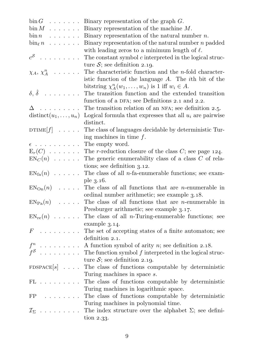| $\mathrm{bin}\, G$<br>.                                                        | Binary representation of the graph $G$ .                         |
|--------------------------------------------------------------------------------|------------------------------------------------------------------|
| $\dim M$<br>.                                                                  | Binary representation of the machine $M$ .                       |
| $\sin n$<br>.                                                                  | Binary representation of the natural number $n$ .                |
| $\lim_{\ell} n$<br>.                                                           | Binary representation of the natural number $n$ padded           |
|                                                                                | with leading zeros to a minimum length of $\ell$ .               |
| $c^{\mathcal{S}}$                                                              | The constant symbol $c$ interpreted in the logical struc-        |
|                                                                                | ture $S$ ; see definition 2.19.                                  |
| $\chi_A, \chi_A^n$<br>and a state of the                                       | The characteristic function and the $n$ -fold character-         |
|                                                                                | istic function of the language $A$ . The <i>i</i> th bit of the  |
|                                                                                | bitstring $\chi_A^n(w_1,\ldots,w_n)$ is 1 iff $w_i \in A$ .      |
| $\delta$ , $\hat{\delta}$<br>.                                                 | The transition function and the extended transition              |
|                                                                                | function of a DFA; see Definitions 2.1 and 2.2.                  |
| Δ<br>.                                                                         | The transition relation of an NFA; see definition 2.5.           |
| distinct $(u_1,\ldots,u_n)$                                                    | Logical formula that expresses that all $u_i$ are pairwise       |
|                                                                                | distinct.                                                        |
| $DTIME[f] \dots \dots$                                                         | The class of languages decidable by deterministic Tur-           |
|                                                                                | ing machines in time $f$ .                                       |
| $\epsilon$                                                                     | The empty word.                                                  |
| $E_r(C)$                                                                       | The <i>r</i> -reduction closure of the class $C$ ; see page 124. |
| $EN_C(n) \ldots \ldots$                                                        | The generic enumerability class of a class $C$ of rela-          |
|                                                                                | tions; see definition 3.12.                                      |
| $ENfa(n)$                                                                      | The class of all $n$ -fa-enumerable functions; see exam-         |
|                                                                                | ple 3.16.                                                        |
| $EN_{\text{On}}(n) \quad . \quad . \quad .$                                    | The class of all functions that are $n$ -enumerable in           |
|                                                                                | ordinal number arithmetic; see example 3.18.                     |
| $EN_{Pa}(n)$<br>$\mathbf{1}$ . $\mathbf{1}$ . $\mathbf{1}$                     | The class of all functions that are $n$ -enumerable in           |
|                                                                                | Presburger arithmetic; see example 3.17.                         |
| $EN_{re}(n)$                                                                   | The class of all $n$ -Turing-enumerable functions; see           |
|                                                                                | example 3.14.                                                    |
| F<br>$\mathcal{L}$ , and $\mathcal{L}$ , and $\mathcal{L}$ , and $\mathcal{L}$ | The set of accepting states of a finite automaton; see           |
|                                                                                | definition 2.1.                                                  |
| .                                                                              | A function symbol of arity $n$ ; see definition 2.18.            |
| $\mathbb{R}^2$ . The set of the set of $\mathbb{R}^2$                          | The function symbol $f$ interpreted in the logical struc-        |
|                                                                                | ture $S$ ; see definition 2.19.                                  |
| $\texttt{FDSPACE}[s] \dots$ .                                                  | The class of functions computable by deterministic               |
|                                                                                | Turing machines in space s.                                      |
| $FL \ldots \ldots$                                                             | The class of functions computable by deterministic               |
|                                                                                | Turing machines in logarithmic space.                            |
| FP<br>.<br>$\sim$ $\sim$ $\sim$ $\sim$                                         | The class of functions computable by deterministic               |
|                                                                                | Turing machines in polynomial time.                              |
| $\mathcal{I}_{\Sigma}$                                                         | The index structure over the alphabet $\Sigma$ ; see defini-     |
|                                                                                | tion $2.33$ .                                                    |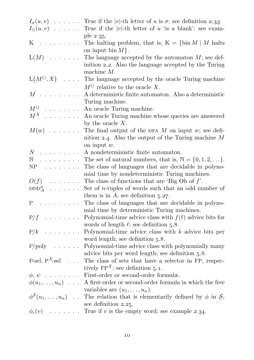| $I_{\sigma}(u,v)$                                                                                     | True if the  v -th letter of u is $\sigma$ ; see definition 2.33.                                                                   |
|-------------------------------------------------------------------------------------------------------|-------------------------------------------------------------------------------------------------------------------------------------|
| $I_{\square}(u,v)$<br>$\mathbb{Z}^2$ , $\mathbb{Z}^2$ , $\mathbb{Z}^2$                                | True if the  v -th letter of $u$ 'is a blank'; see exam-                                                                            |
| Κ<br>.                                                                                                | ple 2.35.<br>The halting problem, that is, $K = \{\sin M \mid M \text{ halts}\}$<br>on input bin $M$ .                              |
| $L(M) \cdot \cdot \cdot \cdot \cdot \cdot$                                                            | The language accepted by the automaton $M$ ; see def-<br>inition 2.2. Also the language accepted by the Turing<br>machine $M$ .     |
| $L(M^{\{1\}}, X) \quad . \quad . \quad .$                                                             | The language accepted by the oracle Turing machine<br>$M^{()}$ relative to the oracle X.                                            |
| $M$ .                                                                                                 | A deterministic finite automaton. Also a deterministic<br>Turing machine.                                                           |
| $M^{()}$<br>.                                                                                         | An oracle Turing machine.                                                                                                           |
| $M^X$<br>.                                                                                            | An oracle Turing machine whose queries are answered                                                                                 |
|                                                                                                       | by the oracle $X$ .                                                                                                                 |
| $M(w)$                                                                                                | The final output of the DFA $M$ on input $w$ ; see defi-<br>nition 2.4. Also the output of the Turing machine $M$<br>on input $w$ . |
| $N_{-}$<br>$\overline{a}$ and $\overline{a}$ and $\overline{a}$ and $\overline{a}$ and $\overline{a}$ | A nondeterministic finite automaton.                                                                                                |
| Ν<br>.                                                                                                | The set of natural numbers, that is, $\mathbb{N} = \{0, 1, 2, \ldots\}.$                                                            |
| NΡ<br>.                                                                                               | The class of languages that are decidable in polyno-<br>mial time by nondeterministic Turing machines.                              |
| O(f)<br>.                                                                                             | The class of functions that are 'Big Oh of $f$ '.                                                                                   |
| $\mathrm{ODD}_A^n$                                                                                    | Set of $n$ -tuples of words such that an odd number of<br>them is in $A$ ; see definition 5.27.                                     |
| Ρ<br>a dia anala ana                                                                                  | The class of languages that are decidable in polyno-<br>mial time by deterministic Turing machines.                                 |
| P/f<br>.                                                                                              | Polynomial-time advice class with $f(\ell)$ advice bits for<br>words of length $\ell$ ; see definition 5.8.                         |
| P/k<br>.                                                                                              | Polynomial-time advice class with $k$ advice bits per<br>word length; see definition 5.8.                                           |
| P/poly                                                                                                | Polynomial-time advice class with polynomially many<br>advice bits per word length; see definition 5.8.                             |
| P-sel, $P^X$ -sel                                                                                     | The class of sets that have a selector in FP, respec-<br>tively $\text{FP}^X$ ; see definition 5.1.                                 |
| $\phi, \psi$                                                                                          | First-order or second-order formulæ.                                                                                                |
| $\phi(u_1,\ldots,u_n)$                                                                                | A first-order or second-order formula in which the free<br>variables are $(u_1, \ldots, u_n)$ .                                     |
| $\phi^{\mathcal{S}}(u_1,\ldots,u_n)$ .                                                                | The relation that is elementarily defined by $\phi$ in S;                                                                           |
|                                                                                                       | see definition 2.25.                                                                                                                |
| $\phi_{\epsilon}(v)$<br>and a straight and                                                            | True if $v$ is the empty word; see example 2.34.                                                                                    |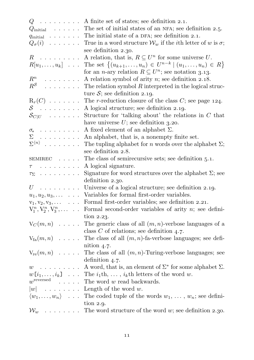| $Q$                                                   | A finite set of states; see definition 2.1.                                           |
|-------------------------------------------------------|---------------------------------------------------------------------------------------|
| $Qinitial$                                            | The set of initial states of an NFA; see definition 2.5.                              |
| $q_{\text{initial}} \rightarrow \cdots \cdots$        | The initial state of a DFA; see definition 2.1.                                       |
| $Q_{\sigma}(i)$                                       | True in a word structure $\mathcal{W}_w$ if the <i>i</i> th letter of w is $\sigma$ ; |
|                                                       | see definition 2.30.                                                                  |
| a provincia de<br>R                                   | A relation, that is, $R \subseteq U^n$ for some universe U.                           |
| $R[u_1,\ldots,u_k]$                                   | The set $\{(u_{k+1},,u_n) \in U^{n-k}   (u_1,,u_n) \in R\}$                           |
|                                                       | for an <i>n</i> -ary relation $R \subseteq U^n$ ; see notation 3.13.                  |
| $R^n$<br>.                                            | A relation symbol of arity $n$ ; see definition 2.18.                                 |
| $R^{\mathcal{S}}$<br>.                                | The relation symbol $R$ interpreted in the logical struc-                             |
|                                                       | ture $S$ ; see definition 2.19.                                                       |
| $R_r(C)$                                              | The <i>r</i> -reduction closure of the class $C$ ; see page 124.                      |
| S                                                     | A logical structure; see definition 2.19.                                             |
| $\mathcal{S}_{C U}$                                   | Structure for 'talking about' the relations in $C$ that                               |
|                                                       | have universe $U$ ; see definition 3.20.                                              |
| $\sigma_*$                                            | A fixed element of an alphabet $\Sigma$ .                                             |
| $\Sigma$                                              | An alphabet, that is, a nonempty finite set.                                          |
| $\Sigma^{\langle n \rangle}$                          | The tupling alphabet for <i>n</i> words over the alphabet $\Sigma$ ;                  |
|                                                       | see definition 2.8.                                                                   |
| SEMIREC                                               | The class of semirecursive sets; see definition $5.1$ .                               |
| $\tau$                                                | A logical signature.                                                                  |
| $\tau_{\Sigma}$                                       | Signature for word structures over the alphabet $\Sigma$ ; see                        |
|                                                       | definition 2.30.                                                                      |
| $U$                                                   | Universe of a logical structure; see definition 2.19.                                 |
| $u_1, u_2, u_3, \ldots$                               | Variables for formal first-order variables.                                           |
| $v_1, v_2, v_3, \ldots$                               | Formal first-order variables; see definition 2.21.                                    |
| $V_1^n, V_2^n, V_3^n, \ldots$ .                       | Formal second-order variables of arity $n$ ; see defini-                              |
|                                                       | tion $2.23$ .                                                                         |
| $V_C(m,n)$                                            | The generic class of all $(m, n)$ -verbose languages of a                             |
|                                                       | class $C$ of relations; see definition 4.7.                                           |
| $V_{fa}(m,n)$                                         | The class of all $(m, n)$ -fa-verbose languages; see defi-                            |
|                                                       | nition $4.7$ .                                                                        |
| $V_{\rm re}(m,n)$                                     | The class of all $(m, n)$ -Turing-verbose languages; see                              |
|                                                       | definition $4.7$ .                                                                    |
| $w$                                                   | A word, that is, an element of $\Sigma^*$ for some alphabet $\Sigma$ .                |
| $w[i_1, \ldots, i_k] \ldots$<br>$w^{\text{reversed}}$ | The $i_1$ th, , $i_k$ th letters of the word w.                                       |
|                                                       | The word $w$ read backwards.                                                          |
| $ w $                                                 | Length of the word $w$ .                                                              |
| $\langle w_1,\ldots,w_n\rangle$                       | The coded tuple of the words $w_1, \ldots, w_n$ ; see defini-                         |
|                                                       | tion $2.9$ .                                                                          |
| $\mathcal{W}_{w}$                                     | The word structure of the word $w$ ; see definition 2.30.                             |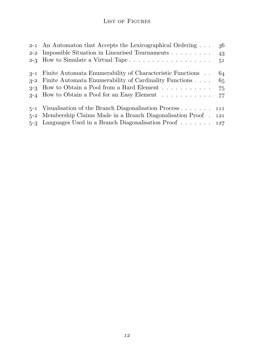## List of Figures

<span id="page-13-0"></span>

| 2-1 An Automaton that Accepts the Lexicographical Ordering           | 36 |
|----------------------------------------------------------------------|----|
| 2-2 Impossible Situation in Linearised Tournaments $\dots \dots$     | 43 |
|                                                                      | 51 |
| 3-1 Finite Automata Enumerability of Characteristic Functions        | 64 |
| 3-2 Finite Automata Enumerability of Cardinality Functions           | 65 |
|                                                                      | 75 |
| $3-4$ How to Obtain a Pool for an Easy Element                       | 77 |
| 5-1 Visualisation of the Branch Diagonalisation Process $\ldots$ 111 |    |
| 5-2 Membership Claims Made in a Branch Diagonalisation Proof. 121    |    |
| 5-3 Languages Used in a Branch Diagonalisation Proof 127             |    |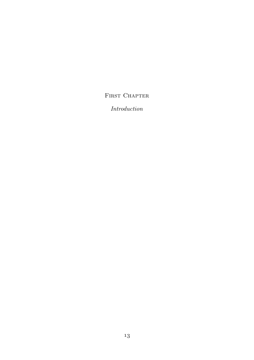## <span id="page-14-0"></span>FIRST CHAPTER

Introduction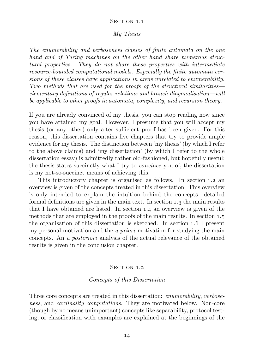#### SECTION 1 1

#### My Thesis

<span id="page-15-0"></span>The enumerability and verboseness classes of finite automata on the one hand and of Turing machines on the other hand share numerous structural properties. They do not share these properties with intermediate resource-bounded computational models. Especially the finite automata versions of these classes have applications in areas unrelated to enumerability. Two methods that are used for the proofs of the structural similarities elementary definitions of regular relations and branch diagonalisation—will be applicable to other proofs in automata, complexity, and recursion theory.

If you are already convinced of my thesis, you can stop reading now since you have attained my goal. However, I presume that you will accept my thesis (or any other) only after sufficient proof has been given. For this reason, this dissertation contains five chapters that try to provide ample evidence for my thesis. The distinction between 'my thesis' (by which I refer to the above claims) and 'my dissertation' (by which I refer to the whole dissertation essay) is admittedly rather old-fashioned, but hopefully useful: the thesis states succinctly what I try to convince you of, the dissertation is my not-so-succinct means of achieving this.

This introductory chapter is organised as follows. In [section](#page-15-1) 1.2 and overview is given of the concepts treated in this dissertation. This overview is only intended to explain the intuition behind the concepts—detailed formal definitions are given in the main text. In [section](#page-18-1)  $1.3$  the main results that I have obtained are listed. In [section](#page-20-1)  $1.4$  an overview is given of the methods that are employed in the proofs of the main results. In [section](#page-25-1)  $1.5$ the organisation of this dissertation is sketched. In [section](#page-27-1)  $1.6$  I present my personal motivation and the a priori motivation for studying the main concepts. An a posteriori analysis of the actual relevance of the obtained results is given in the conclusion chapter.

#### SECTION 1.2

#### Concepts of this Dissertation

<span id="page-15-1"></span>Three core concepts are treated in this dissertation: enumerability, verboseness, and cardinality computations. They are motivated below. Non-core (though by no means unimportant) concepts like separability, protocol testing, or classification with examples are explained at the beginnings of the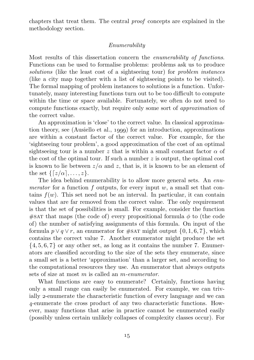chapters that treat them. The central proof concepts are explained in the methodology section.

### Enumerability

Most results of this dissertation concern the enumerability of functions. Functions can be used to formalise problems: problems ask us to produce solutions (like the least cost of a sightseeing tour) for problem instances (like a city map together with a list of sightseeing points to be visited). The formal mapping of problem instances to solutions is a function. Unfortunately, many interesting functions turn out to be too difficult to compute within the time or space available. Fortunately, we often do not need to compute functions exactly, but require only some sort of approximation of the correct value.

An approximation is 'close' to the correct value. In classical approxima-tiontheory, see ([Ausiello et al.,](#page-162-1) 1999) for an introduction, approximations are within a constant factor of the correct value. For example, for the 'sightseeing tour problem', a good approximation of the cost of an optimal sightseeing tour is a number z that is within a small constant factor  $\alpha$  of the cost of the optimal tour. If such a number  $z$  is output, the optimal cost is known to lie between  $z/\alpha$  and z, that is, it is known to be an element of the set  $\{z/\alpha\}, \ldots, z$ .

The idea behind enumerability is to allow more general sets. An enumerator for a function f outputs, for every input  $w$ , a small set that contains  $f(w)$ . This set need not be an interval. In particular, it can contain values that are far removed from the correct value. The only requirement is that the set of possibilities is small. For example, consider the function #SAT that maps (the code of) every propositional formula  $\phi$  to (the code of) the number of satisfying assignments of this formula. On input of the formula  $p \vee q \vee r$ , an enumerator for #SAT might output  $\{0, 1, 6, 7\}$ , which contains the correct value 7. Another enumerator might produce the set  $\{4, 5, 6, 7\}$  or any other set, as long as it contains the number 7. Enumerators are classified according to the size of the sets they enumerate, since a small set is a better 'approximation' than a larger set, and according to the computational resources they use. An enumerator that always outputs sets of size at most m is called an m-enumerator.

What functions are easy to enumerate? Certainly, functions having only a small range can easily be enumerated. For example, we can trivially 2-enumerate the characteristic function of every language and we can -enumerate the cross product of any two characteristic functions. However, many functions that arise in practice cannot be enumerated easily (possibly unless certain unlikely collapses of complexity classes occur). For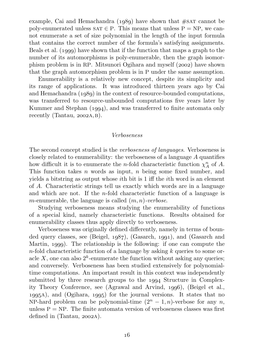example. Cai and Hemachandra  $(1089)$  have shown that #SAT cannot be poly-enumerated unless sat  $\in$  P. This means that unless P = NP, we cannot enumerate a set of size polynomial in the length of the input formula that contains the correct number of the formula's satisfying assignments. Beals et al.  $(1999)$  have shown that if the function that maps a graph to the number of its automorphisms is poly-enumerable, then the graph isomorphism problem is in RP. Mitsunori Ogihara and myself  $(2002)$  have shown that the graph automorphism problem is in P under the same assumption.

Enumerability is a relatively new concept, despite its simplicity and its range of applications. It was introduced thirteen years ago by [Cai](#page-163-0) and Hemachandra  $(1989)$  in the context of resource-bounded computations, was transferred to resource-unbounded computations five years later by Kummer and Stephan  $(1994)$ , and was transferred to finite automata only recently([Tantau,](#page-170-0)  $2002A,B$ ).

#### Verboseness

The second concept studied is the verboseness of languages. Verboseness is closely related to enumerability: the verboseness of a language  $A$  quantifies how difficult it is to enumerate the *n*-fold characteristic function  $\chi_A^n$  of A. This function takes n words as input, n being some fixed number, and yields a bitstring as output whose ith bit is 1 iff the ith word is an element of A. Characteristic strings tell us exactly which words are in a language and which are not. If the n-fold characteristic function of a language is m-enumerable, the language is called  $(m, n)$ -verbose.

Studying verboseness means studying the enumerability of functions of a special kind, namely characteristic functions. Results obtained for enumerability classes thus apply directly to verboseness.

Verboseness was originally defined differently, namely in terms of boun-dedquery classes, see ([Beigel,](#page-162-3)  $1987$ ), [\(Gasarch,](#page-164-0)  $1991$ ), and [\(Gasarch and](#page-164-1) [Martin,](#page-164-1)  $1999$ ). The relationship is the following: if one can compute the  $n$ -fold characteristic function of a language by asking  $k$  queries to some oracle X, one can also  $2^k$ -enumerate the function without asking any queries; and conversely. Verboseness has been studied extensively for polynomialtime computations. An important result in this context was independently submitted by three research groups to the 1994 Structure in Complex-ity Theory Conference, see [\(Agrawal and Arvind,](#page-162-4) $1996$ ), ([Beigel et al.,](#page-163-1)  $1995A$ , and [\(Ogihara,](#page-168-1)  $1995$ ) for the journal versions. It states that no NP-hard problem can be polynomial-time  $(2<sup>n</sup> - 1, n)$ -verbose for any n, unless  $P = NP$ . The finite automata version of verboseness classes was first defined in [\(Tantau,](#page-170-0)  $2002A$ ).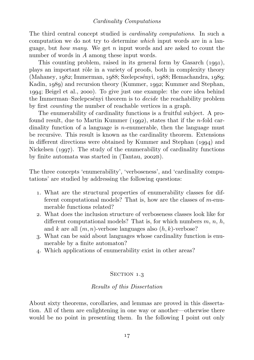<span id="page-18-0"></span>The third central concept studied is cardinality computations. In such a computation we do not try to determine which input words are in a language, but *how many*. We get *n* input words and are asked to count the number of words in A among these input words.

This counting problem, raised in its general form by Gasarch  $(1991)$ , plays an important rôle in a variety of proofs, both in complexity theory [\(Mahaney,](#page-167-1)  $1982$ ; [Immerman,](#page-166-0)  $1988$ ; Szelepcsényi,  $1988$ ; [Hemachandra,](#page-165-0)  $1989$ ; [Kadin,](#page-166-1) 1989) and recursion theory [\(Kummer,](#page-166-2) 1992; [Kummer and Stephan,](#page-167-0) ; [Beigel et al.,](#page-163-2) ). To give just one example: the core idea behind the Immerman–Szelepcsényi theorem is to *decide* the reachability problem by first counting the number of reachable vertices in a graph.

The enumerability of cardinality functions is a fruitful subject. A profound result, due to Martin Kummer  $(1992)$ , states that if the *n*-fold cardinality function of a language is n-enumerable, then the language must be recursive. This result is known as the cardinality theorem. Extensions in different directions were obtained by Kummer and Stephan  $(1994)$  and Nickelsen  $(1997)$ . The study of the enumerability of cardinality functions byfinite automata was started in ([Tantau,](#page-170-1) 2002B).

The three concepts 'enumerability', 'verboseness', and 'cardinality computations' are studied by addressing the following questions:

- . What are the structural properties of enumerability classes for different computational models? That is, how are the classes of m-enumerable functions related?
- . What does the inclusion structure of verboseness classes look like for different computational models? That is, for which numbers  $m, n, h$ , and k are all  $(m, n)$ -verbose languages also  $(h, k)$ -verbose?
- . What can be said about languages whose cardinality function is enumerable by a finite automaton?
- . Which applications of enumerability exist in other areas?

### SECTION 1.3

### Results of this Dissertation

<span id="page-18-1"></span>About sixty theorems, corollaries, and lemmas are proved in this dissertation. All of them are enlightening in one way or another—otherwise there would be no point in presenting them. In the following I point out only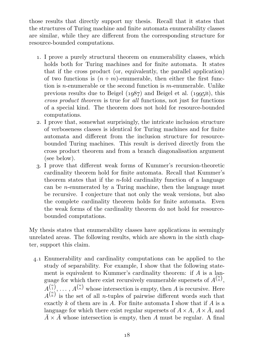those results that directly support my thesis. Recall that it states that the structures of Turing machine and finite automata enumerability classes are similar, while they are different from the corresponding structure for resource-bounded computations.

- . I prove a purely structural theorem on enumerability classes, which holds both for Turing machines and for finite automata. It states that if the cross product (or, equivalently, the parallel application) of two functions is  $(n+m)$ -enumerable, then either the first function is *n*-enumerable or the second function is *m*-enumerable. Unlike previous results due to Beigel  $(1987)$  and Beigel et al.  $(1995B)$ , this cross product theorem is true for all functions, not just for functions of a special kind. The theorem does not hold for resource-bounded computations.
- . I prove that, somewhat surprisingly, the intricate inclusion structure of verboseness classes is identical for Turing machines and for finite automata and different from the inclusion structure for resourcebounded Turing machines. This result is derived directly from the cross product theorem and from a branch diagonalisation argument (see below).
- . I prove that different weak forms of Kummer's recursion-theoretic cardinality theorem hold for finite automata. Recall that Kummer's theorem states that if the  $n$ -fold cardinality function of a language can be n-enumerated by a Turing machine, then the language must be recursive. I conjecture that not only the weak versions, but also the complete cardinality theorem holds for finite automata. Even the weak forms of the cardinality theorem do not hold for resourcebounded computations.

My thesis states that enumerability classes have applications in seemingly unrelated areas. The following results, which are shown in the sixth chapter, support this claim.

. Enumerability and cardinality computations can be applied to the study of separability. For example, I show that the following statement is equivalent to Kummer's cardinality theorem: if A is a language for which there exist recursively enumerable supersets of  $A^{(n)}$ ,  $A^{(n)}_{1}, \ldots, A^{(n)}_{n}$  whose intersection is empty, then A is recursive. Here  $A^{(n)}$  is the set of all *n*-tuples of pairwise different words such that exactly  $k$  of them are in  $A$ . For finite automata I show that if  $A$  is a language for which there exist regular supersets of  $A \times A$ ,  $A \times \overline{A}$ , and  $\overline{A} \times \overline{A}$  whose intersection is empty, then A must be regular. A final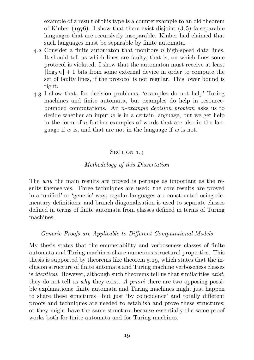<span id="page-20-0"></span>example of a result of this type is a counterexample to an old theorem of [Kinber \(](#page-166-3) $1976$ ): I show that there exist disjoint  $(3, 5)$ -fa-separable languages that are recursively inseparable. Kinber had claimed that such languages must be separable by finite automata.

- 4.2 Consider a finite automaton that monitors  $n$  high-speed data lines. It should tell us which lines are faulty, that is, on which lines some protocol is violated. I show that the automaton must receive at least  $\log_2 n + 1$  bits from some external device in order to compute the set of faulty lines, if the protocol is not regular. This lower bound is tight.
- . I show that, for decision problems, 'examples do not help' Turing machines and finite automata, but examples do help in resourcebounded computations. An n-example decision problem asks us to decide whether an input  $w$  is in a certain language, but we get help in the form of  $n$  further examples of words that are also in the language if  $w$  is, and that are not in the language if  $w$  is not.

### SECTION 1.4

### Methodology of this Dissertation

<span id="page-20-1"></span>The way the main results are proved is perhaps as important as the results themselves. Three techniques are used: the core results are proved in a 'unified' or 'generic' way; regular languages are constructed using elementary definitions; and branch diagonalisation is used to separate classes defined in terms of finite automata from classes defined in terms of Turing machines.

### Generic Proofs are Applicable to Different Computational Models

My thesis states that the enumerability and verboseness classes of finite automata and Turing machines share numerous structural properties. This thesis is supported by [theorem](#page-116-0)s like theorem  $5.19$ , which states that the inclusion structure of finite automata and Turing machine verboseness classes is identical. However, although such theorems tell us that similarities exist, they do not tell us why they exist. A priori there are two opposing possible explanations: finite automata and Turing machines might just happen to share these structures—but just 'by coincidence' and totally different proofs and techniques are needed to establish and prove these structures; or they might have the same structure because essentially the same proof works both for finite automata and for Turing machines.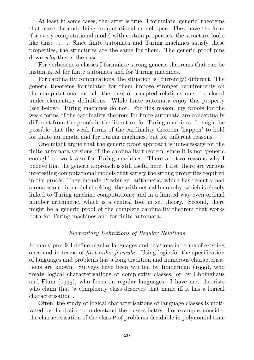At least in some cases, the latter is true. I formulate 'generic' theorems that leave the underlying computational model open. They have the form 'for every computational model with certain properties, the structure looks like this: ...'. Since finite automata and Turing machines satisfy these properties, the structures are the same for them. The generic proof pins down why this is the case.

For verboseness classes I formulate strong generic theorems that can be instantiated for finite automata and for Turing machines.

For cardinality computations, the situation is (currently) different. The generic theorems formulated for them impose stronger requirements on the computational model: the class of accepted relations must be closed under elementary definitions. While finite automata enjoy this property (see below), Turing machines do not. For this reason, my proofs for the weak forms of the cardinality theorem for finite automata are conceptually different from the proofs in the literature for Turing machines. It might be possible that the weak forms of the cardinality theorem 'happen' to hold for finite automata and for Turing machines, but for different reasons.

One might argue that the generic proof approach is unnecessary for the finite automata versions of the cardinality theorem, since it is not 'generic enough' to work also for Turing machines. There are two reasons why I believe that the generic approach is still useful here. First, there are various interesting computational models that satisfy the strong properties required in the proofs. They include Presburger arithmetic, which has recently had a renaissance in model checking; the arithmetical hierarchy, which is closely linked to Turing machine computations; and in a limited way even ordinal number arithmetic, which is a central tool in set theory. Second, there might be a generic proof of the complete cardinality theorem that works both for Turing machines and for finite automata.

### Elementary Definitions of Regular Relations

In many proofs I define regular languages and relations in terms of existing ones and in terms of first-order formulæ. Using logic for the specification of languages and problems has a long tradition and numerous characterisations are known. Surveys have been written by Immerman  $(1999)$ , who treats logical characterisations of complexity classes, or by [Ebbinghaus](#page-164-2) and Flum  $(1995)$ , who focus on regular languages. I have met theorists who claim that 'a complexity class deserves that name iff it has a logical characterisation'.

Often, the study of logical characterisations of language classes is motivated by the desire to understand the classes better. For example, consider the characterisation of the class P of problems decidable in polynomial time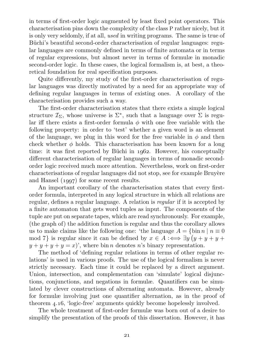in terms of first-order logic augmented by least fixed point operators. This characterisation pins down the complexity of the class P rather nicely, but it is only very seldomly, if at all, used in writing programs. The same is true of Büchi's beautiful second-order characterisation of regular languages: regular languages are commonly defined in terms of finite automata or in terms of regular expressions, but almost never in terms of formulæ in monadic second-order logic. In these cases, the logical formalism is, at best, a theoretical foundation for real specification purposes.

Quite differently, my study of the first-order characterisation of regular languages was directly motivated by a need for an appropriate way of defining regular languages in terms of existing ones. A corollary of the characterisation provides such a way.

The first-order characterisation states that there exists a simple logical structure  $\mathcal{I}_{\Sigma}$ , whose universe is  $\Sigma^*$ , such that a language over  $\Sigma$  is regular iff there exists a first-order formula  $\phi$  with one free variable with the following property: in order to 'test' whether a given word is an element of the language, we plug in this word for the free variable in  $\phi$  and then check whether  $\phi$  holds. This characterisation has been known for a long time: it was first reported by Büchi in 1962. However, his conceptually different characterisation of regular languages in terms of monadic secondorder logic received much more attention. Nevertheless, work on first-order characterisations of regular languages did not stop, see for example Bruyère and Hansel  $(1997)$  for some recent results.

An important corollary of the characterisation states that every firstorder formula, interpreted in any logical structure in which all relations are regular, defines a regular language. A relation is regular if it is accepted by a finite automaton that gets word tuples as input. The components of the tuple are put on separate tapes, which are read synchronously. For example, (the graph of) the addition function is regular and thus the corollary allows us to make claims like the following one: 'the language  $A = \{\sin n \mid n \equiv 0\}$ mod 7} is regular since it can be defined by  $x \in A : \iff \exists y \ (y + y + y + z)$  $y + y + y + y = x$ , where bin *n* denotes *n*'s binary representation.

The method of 'defining regular relations in terms of other regular relations' is used in various proofs. The use of the logical formalism is never strictly necessary. Each time it could be replaced by a direct argument. Union, intersection, and complementation can 'simulate' logical disjunctions, conjunctions, and negations in formulæ. Quantifiers can be simulated by clever constructions of alternating automata. However, already for formulæ involving just one quantifier alternation, as in the proof of [theorem](#page-88-1) 4.16, 'logic-free' arguments quickly become hopelessly involved.

The whole treatment of first-order formulæ was born out of a desire to simplify the presentation of the proofs of this dissertation. However, it has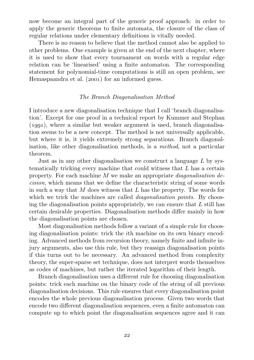now become an integral part of the generic proof approach: in order to apply the generic theorems to finite automata, the closure of the class of regular relations under elementary definitions is vitally needed.

There is no reason to believe that the method cannot also be applied to other problems. One example is given at the end of the next chapter, where it is used to show that every tournament on words with a regular edge relation can be 'linearised' using a finite automaton. The corresponding statement for polynomial-time computations is still an open problem, see Hemaspaandra et al.  $(2001)$  for an informed guess.

#### The Branch Diagonalisation Method

I introduce a new diagonalisation technique that I call 'branch diagonalisation'. Except for one proof in a technical report by [Kummer and Stephan](#page-167-3)  $(1991)$ , where a similar but weaker argument is used, branch diagonalisation seems to be a new concept. The method is not universally applicable, but where it is, it yields extremely strong separations. Branch diagonalisation, like other diagonalisation methods, is a method, not a particular theorem.

Just as in any other diagonalisation we construct a language  $L$  by systematically tricking every machine that could witness that L has a certain property. For each machine  $M$  we make an appropriate *diagonalisation de*cision, which means that we define the characteristic string of some words in such a way that  $M$  does witness that  $L$  has the property. The words for which we trick the machines are called *diagonalisation points*. By choosing the diagonalisation points appropriately, we can ensure that  $L$  still has certain desirable properties. Diagonalisation methods differ mainly in how the diagonalisation points are chosen.

Most diagonalisation methods follow a variant of a simple rule for choosing diagonalisation points: trick the ith machine on its own binary encoding. Advanced methods from recursion theory, namely finite and infinite injury arguments, also use this rule, but they reassign diagonalisation points if this turns out to be necessary. An advanced method from complexity theory, the super-sparse set technique, does not interpret words themselves as codes of machines, but rather the iterated logarithm of their length.

Branch diagonalisation uses a different rule for choosing diagonalisation points: trick each machine on the binary code of the string of all previous diagonalisation decisions. This rule ensures that every diagonalisation point encodes the whole previous diagonalisation process. Given two words that encode two different diagonalisation sequences, even a finite automaton can compute up to which point the diagonalisation sequences agree and it can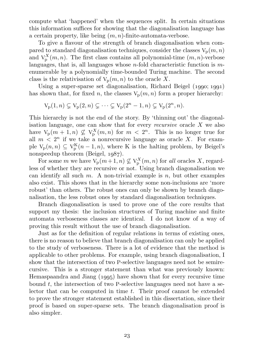compute what 'happened' when the sequences split. In certain situations this information suffices for showing that the diagonalisation language has a certain property, like being  $(m, n)$ -finite-automata-verbose.

To give a flavour of the strength of branch diagonalisation when compared to standard diagonalisation techniques, consider the classes  $V_p(m, n)$ and  $V_{p}^{X}(m, n)$ . The first class contains all polynomial-time  $(m, n)$ -verbose languages, that is, all languages whose  $n$ -fold characteristic function is  $m$ enumerable by a polynomially time-bounded Turing machine. The second class is the relativisation of  $V_p(m, n)$  to the oracle X.

Using a super-sparse set diagonalisation, Richard Beigel  $(1990; 1991)$ has shown that, for fixed n, the classes  $V_p(m, n)$  form a proper hierarchy:

$$
V_p(1,n) \subsetneq V_p(2,n) \subsetneq \cdots \subsetneq V_p(2^n-1,n) \subsetneq V_p(2^n,n).
$$

This hierarchy is not the end of the story. By 'thinning out' the diagonalisation language, one can show that for every *recursive* oracle  $X$  we also have  $V_p(m + 1, n) \nsubseteq V_p^X(m, n)$  for  $m < 2^n$ . This is no longer true for all  $m < 2^n$  if we take a nonrecursive language as oracle X. For example  $V_p(n,n) \subseteq V_p^K(n-1,n)$ , where K is the halting problem, by Beigel's nonspeedup theorem [\(Beigel,](#page-162-3)  $1087$ ).

For some m we have  $V_p(m+1,n) \nsubseteq V_p^X(m,n)$  for all oracles X, regardless of whether they are recursive or not. Using branch diagonalisation we can identify all such  $m$ . A non-trivial example is  $n$ , but other examples also exist. This shows that in the hierarchy some non-inclusions are 'more robust' than others. The robust ones can only be shown by branch diagonalisation, the less robust ones by standard diagonalisation techniques.

Branch diagonalisation is used to prove one of the core results that support my thesis: the inclusion structures of Turing machine and finite automata verboseness classes are identical. I do not know of a way of proving this result without the use of branch diagonalisation.

Just as for the definition of regular relations in terms of existing ones, there is no reason to believe that branch diagonalisation can only be applied to the study of verboseness. There is a lot of evidence that the method is applicable to other problems. For example, using branch diagonalisation, I show that the intersection of two P-selective languages need not be semirecursive. This is a stronger statement than what was previously known: Hemaspaandra and Jiang  $(1995)$  have shown that for every recursive time bound t, the intersection of two P-selective languages need not have a selector that can be computed in time t. Their proof cannot be extended to prove the stronger statement established in this dissertation, since their proof is based on super-sparse sets. The branch diagonalisation proof is also simpler.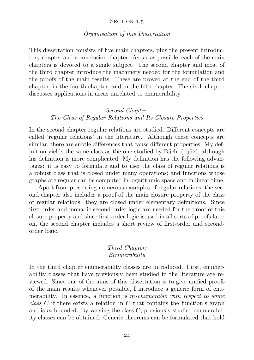#### SECTION 1.5

#### Organisation of this Dissertation

<span id="page-25-1"></span><span id="page-25-0"></span>This dissertation consists of five main chapters, plus the present introductory chapter and a conclusion chapter. As far as possible, each of the main chapters is devoted to a single subject. The second chapter and most of the third chapter introduce the machinery needed for the formulation and the proofs of the main results. These are proved at the end of the third chapter, in the fourth chapter, and in the fifth chapter. The sixth chapter discusses applications in areas unrelated to enumerability.

### Second Chapter: The Class of Regular Relations and Its Closure Properties

In the second chapter regular relations are studied. Different concepts are called 'regular relations' in the literature. Although these concepts are similar, there are subtle differences that cause different properties. My definition yields the same class as the one studied by Büchi  $(1062)$ , although his definition is more complicated. My definition has the following advantages: it is easy to formulate and to use; the class of regular relations is a robust class that is closed under many operations; and functions whose graphs are regular can be computed in logarithmic space and in linear time.

Apart from presenting numerous examples of regular relations, the second chapter also includes a proof of the main closure property of the class of regular relations: they are closed under elementary definitions. Since first-order and monadic second-order logic are needed for the proof of this closure property and since first-order logic is used in all sorts of proofs later on, the second chapter includes a short review of first-order and secondorder logic.

### Third Chapter: Enumerability

In the third chapter enumerability classes are introduced. First, enumerability classes that have previously been studied in the literature are reviewed. Since one of the aims of this dissertation is to give unified proofs of the main results whenever possible, I introduce a generic form of enumerability. In essence, a function is m-enumerable with respect to some class  $C$  if there exists a relation in  $C$  that contains the function's graph and is m-bounded. By varying the class  $C$ , previously studied enumerability classes can be obtained. Generic theorems can be formulated that hold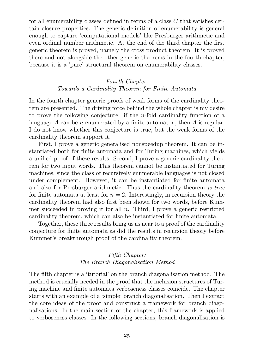for all enumerability classes defined in terms of a class C that satisfies certain closure properties. The generic definition of enumerability is general enough to capture 'computational models' like Presburger arithmetic and even ordinal number arithmetic. At the end of the third chapter the first generic theorem is proved, namely the cross product theorem. It is proved there and not alongside the other generic theorems in the fourth chapter, because it is a 'pure' structural theorem on enumerability classes.

### Fourth Chapter: Towards a Cardinality Theorem for Finite Automata

In the fourth chapter generic proofs of weak forms of the cardinality theorem are presented. The driving force behind the whole chapter is my desire to prove the following conjecture: if the n-fold cardinality function of a language A can be n-enumerated by a finite automaton, then A is regular. I do not know whether this conjecture is true, but the weak forms of the cardinality theorem support it.

First, I prove a generic generalised nonspeedup theorem. It can be instantiated both for finite automata and for Turing machines, which yields a unified proof of these results. Second, I prove a generic cardinality theorem for two input words. This theorem cannot be instantiated for Turing machines, since the class of recursively enumerable languages is not closed under complement. However, it can be instantiated for finite automata and also for Presburger arithmetic. Thus the cardinality theorem is true for finite automata at least for  $n = 2$ . Interestingly, in recursion theory the cardinality theorem had also first been shown for two words, before Kummer succeeded in proving it for all  $n$ . Third, I prove a generic restricted cardinality theorem, which can also be instantiated for finite automata.

Together, these three results bring us as near to a proof of the cardinality conjecture for finite automata as did the results in recursion theory before Kummer's breakthrough proof of the cardinality theorem.

### Fifth Chapter: The Branch Diagonalisation Method

The fifth chapter is a 'tutorial' on the branch diagonalisation method. The method is crucially needed in the proof that the inclusion structures of Turing machine and finite automata verboseness classes coincide. The chapter starts with an example of a 'simple' branch diagonalisation. Then I extract the core ideas of the proof and construct a framework for branch diagonalisations. In the main section of the chapter, this framework is applied to verboseness classes. In the following sections, branch diagonalisation is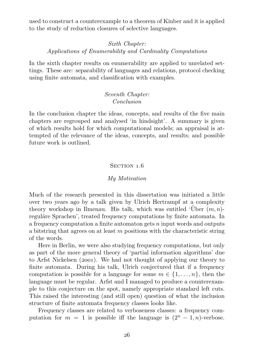<span id="page-27-0"></span>used to construct a counterexample to a theorem of Kinber and it is applied to the study of reduction closures of selective languages.

## Sixth Chapter: Applications of Enumerability and Cardinality Computations

In the sixth chapter results on enumerability are applied to unrelated settings. These are: separability of languages and relations, protocol checking using finite automata, and classification with examples.

### Seventh Chapter: Conclusion

In the conclusion chapter the ideas, concepts, and results of the five main chapters are regrouped and analysed 'in hindsight'. A summary is given of which results hold for which computational models; an appraisal is attempted of the relevance of the ideas, concepts, and results; and possible future work is outlined.

#### SECTION 1.6

#### My Motivation

<span id="page-27-1"></span>Much of the research presented in this dissertation was initiated a little over two years ago by a talk given by Ulrich Hertrampf at a complexity theory workshop in Ilmenau. His talk, which was entitled 'Über  $(m, n)$ reguläre Sprachen', treated frequency computations by finite automata. In a frequency computation a finite automaton gets  $n$  input words and outputs a bitstring that agrees on at least  $m$  positions with the characteristic string of the words.

Here in Berlin, we were also studying frequency computations, but only as part of the more general theory of 'partial information algorithms' due to Arfst Nickelsen  $(2001)$ . We had not thought of applying our theory to finite automata. During his talk, Ulrich conjectured that if a frequency computation is possible for a language for some  $m \in \{1, \ldots, n\}$ , then the language must be regular. Arfst and I managed to produce a counterexample to this conjecture on the spot, namely appropriate standard left cuts. This raised the interesting (and still open) question of what the inclusion structure of finite automata frequency classes looks like.

Frequency classes are related to verboseness classes: a frequency computation for  $m = 1$  is possible iff the language is  $(2<sup>n</sup> - 1, n)$ -verbose.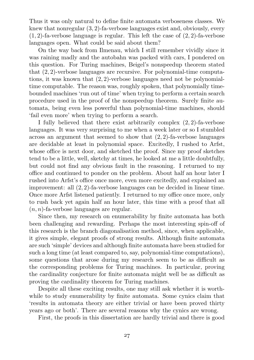Thus it was only natural to define finite automata verboseness classes. We knew that nonregular (3, 2)-fa-verbose languages exist and, obviously, every  $(1, 2)$ -fa-verbose language is regular. This left the case of  $(2, 2)$ -fa-verbose languages open. What could be said about them?

On the way back from Ilmenau, which I still remember vividly since it was raining madly and the autobahn was packed with cars, I pondered on this question. For Turing machines, Beigel's nonspeedup theorem stated that (2, 2)-verbose languages are recursive. For polynomial-time computations, it was known that (2, 2)-verbose languages need not be polynomialtime computable. The reason was, roughly spoken, that polynomially timebounded machines 'run out of time' when trying to perform a certain search procedure used in the proof of the nonspeedup theorem. Surely finite automata, being even less powerful than polynomial-time machines, should 'fail even more' when trying to perform a search.

I fully believed that there exist arbitrarily complex (2, 2)-fa-verbose languages. It was very surprising to me when a week later or so I stumbled across an argument that seemed to show that  $(2, 2)$ -fa-verbose languages are decidable at least in polynomial space. Excitedly, I rushed to Arfst, whose office is next door, and sketched the proof. Since my proof sketches tend to be a little, well, sketchy at times, he looked at me a little doubtfully, but could not find any obvious fault in the reasoning. I returned to my office and continued to ponder on the problem. About half an hour later I rushed into Arfst's office once more, even more excitedly, and explained an improvement: all (2, 2)-fa-verbose languages can be decided in linear time. Once more Arfst listened patiently. I returned to my office once more, only to rush back yet again half an hour later, this time with a proof that all  $(n, n)$ -fa-verbose languages are regular.

Since then, my research on enumerability by finite automata has both been challenging and rewarding. Perhaps the most interesting spin-off of this research is the branch diagonalisation method, since, when applicable, it gives simple, elegant proofs of strong results. Although finite automata are such 'simple' devices and although finite automata have been studied for such a long time (at least compared to, say, polynomial-time computations), some questions that arose during my research seem to be as difficult as the corresponding problems for Turing machines. In particular, proving the cardinality conjecture for finite automata might well be as difficult as proving the cardinality theorem for Turing machines.

Despite all these exciting results, one may still ask whether it is worthwhile to study enumerability by finite automata. Some cynics claim that 'results in automata theory are either trivial or have been proved thirty years ago or both'. There are several reasons why the cynics are wrong.

First, the proofs in this dissertation are hardly trivial and there is good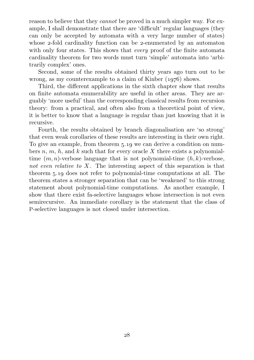reason to believe that they *cannot* be proved in a much simpler way. For example, I shall demonstrate that there are 'difficult' regular languages (they can only be accepted by automata with a very large number of states) whose 2-fold cardinality function can be 2-enumerated by an automaton with only four states. This shows that *every* proof of the finite automata cardinality theorem for two words must turn 'simple' automata into 'arbitrarily complex' ones.

Second, some of the results obtained thirty years ago turn out to be wrong, as my counterexample to a claim of Kinber  $(1976)$  shows.

Third, the different applications in the sixth chapter show that results on finite automata enumerability are useful in other areas. They are arguably 'more useful' than the corresponding classical results from recursion theory: from a practical, and often also from a theoretical point of view, it is better to know that a language is regular than just knowing that it is recursive.

Fourth, the results obtained by branch diagonalisation are 'so strong' that even weak corollaries of these results are interesting in their own right. To give an example, from [theorem](#page-116-0)  $5.19$  we can derive a condition on numbers n, m, h, and k such that for every oracle X there exists a polynomialtime  $(m, n)$ -verbose language that is not polynomial-time  $(h, k)$ -verbose, not even relative to X. The interesting aspect of this separation is that [theorem](#page-116-0) 5.19 does not refer to polynomial-time computations at all. The theorem states a stronger separation that can be 'weakened' to this strong statement about polynomial-time computations. As another example, I show that there exist fa-selective languages whose intersection is not even semirecursive. An immediate corollary is the statement that the class of P-selective languages is not closed under intersection.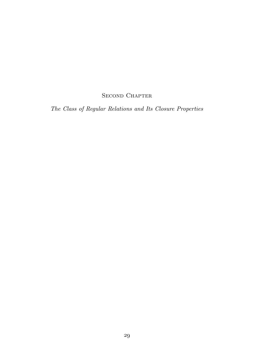## SECOND CHAPTER

<span id="page-30-0"></span>The Class of Regular Relations and Its Closure Properties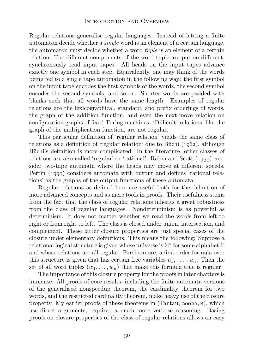Regular relations generalise regular languages. Instead of letting a finite automaton decide whether a single word is an element of a certain language, the automaton must decide whether a word tuple is an element of a certain relation. The different components of the word tuple are put on different, synchronously read input tapes. All heads on the input tapes advance exactly one symbol in each step. Equivalently, one may think of the words being fed to a single tape automaton in the following way: the first symbol on the input tape encodes the first symbols of the words, the second symbol encodes the second symbols, and so on. Shorter words are padded with blanks such that all words have the same length. Examples of regular relations are the lexicographical, standard, and prefix orderings of words, the graph of the addition function, and even the next-move relation on configuration graphs of fixed Turing machines. 'Difficult' relations, like the graph of the multiplication function, are not regular.

This particular definition of 'regular relation' yields the same class of relations as a definition of 'regular relation' due to Büchi  $(1062)$ , although Büchi's definition is more complicated. In the literature, other classes of relations are also called 'regular' or 'rational'. Rabin and Scott  $(1959)$  consider two-tape automata where the heads may move at different speeds. [Perrin \(](#page-168-2)1990) considers automata with output and defines 'rational relations' as the graphs of the output functions of these automata.

Regular relations as defined here are useful both for the definition of more advanced concepts and as mere tools in proofs. Their usefulness stems from the fact that the class of regular relations inherits a great robustness from the class of regular languages. Nondeterminism is as powerful as determinism. It does not matter whether we read the words from left to right or from right to left. The class is closed under union, intersection, and complement. These latter closure properties are just special cases of the closure under elementary definitions. This means the following: Suppose a relational logical structure is given whose universe is  $\Sigma^*$  for some alphabet  $\Sigma$ and whose relations are all regular. Furthermore, a first-order formula over this structure is given that has certain free variables  $u_1, \ldots, u_n$ . Then the set of all word tuples  $(w_1, \ldots, w_n)$  that make this formula true is regular.

The importance of this closure property for the proofs in later chapters is immense. All proofs of core results, including the finite automata versions of the generalised nonspeedup theorem, the cardinality theorem for two words, and the restricted cardinality theorem, make heavy use of the closure property.My earlier proofs of these theorems in  $(Tantau, 2002A, B)$  $(Tantau, 2002A, B)$  $(Tantau, 2002A, B)$ , which use direct arguments, required a much more verbose reasoning. Basing proofs on closure properties of the class of regular relations allows an easy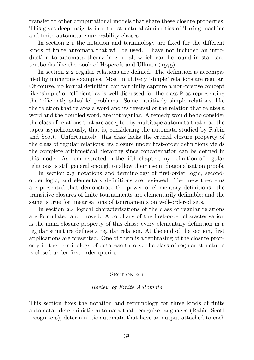<span id="page-32-0"></span>transfer to other computational models that share these closure properties. This gives deep insights into the structural similarities of Turing machine and finite automata enumerability classes.

In [section](#page-32-1)  $2.1$  the notation and terminology are fixed for the different kinds of finite automata that will be used. I have not included an introduction to automata theory in general, which can be found in standard textbooks like the book of Hopcroft and Ullman  $(1979)$ .

In [section](#page-34-1) 2.2 regular relations are defined. The definition is accompanied by numerous examples. Most intuitively 'simple' relations are regular. Of course, no formal definition can faithfully capture a non-precise concept like 'simple' or 'efficient' as is well-discussed for the class P as representing the 'efficiently solvable' problems. Some intuitively simple relations, like the relation that relates a word and its reversal or the relation that relates a word and the doubled word, are not regular. A remedy would be to consider the class of relations that are accepted by multitape automata that read the tapes asynchronously, that is, considering the automata studied by [Rabin](#page-169-0) [and Scott.](#page-169-0) Unfortunately, this class lacks the crucial closure property of the class of regular relations: its closure under first-order definitions yields the complete arithmetical hierarchy since concatenation can be defined in this model. As demonstrated in the fifth chapter, my definition of regular relations is still general enough to allow their use in diagonalisation proofs.

In [section](#page-38-1) 2.3 notations and terminology of first-order logic, secondorder logic, and elementary definitions are reviewed. Two new theorems are presented that demonstrate the power of elementary definitions: the transitive closures of finite tournaments are elementarily definable; and the same is true for linearisations of tournaments on well-ordered sets.

In [section](#page-43-1) 2.4 logical characterisations of the class of regular relations are formulated and proved. A corollary of the first-order characterisation is the main closure property of this class: every elementary definition in a regular structure defines a regular relation. At the end of the section, first applications are presented. One of them is a rephrasing of the closure property in the terminology of database theory: the class of regular structures is closed under first-order queries.

#### SECTION 2.1

### Review of Finite Automata

<span id="page-32-1"></span>This section fixes the notation and terminology for three kinds of finite automata: deterministic automata that recognise languages (Rabin–Scott recognisers), deterministic automata that have an output attached to each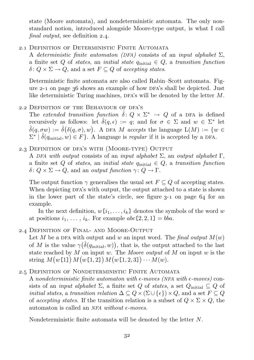state (Moore automata), and nondeterministic automata. The only nonstandard notion, introduced alongside Moore-type output, is what I call final output, see [definition](#page-33-3)  $2.4$ .

. Definition of Deterministic Finite Automata

<span id="page-33-0"></span>A deterministic finite automaton (DFA) consists of an input alphabet  $\Sigma$ , a finite set Q of states, an initial state  $q_{initial} \in Q$ , a transition function  $\delta: Q \times \Sigma \to Q$ , and a set  $F \subseteq Q$  of accepting states.

Deterministic finite automata are also called Rabin–Scott automata. [Fig](#page-37-1)[ure](#page-37-1) 2-1 on [page](#page-37-1) 36 shows an example of how DFA's shall be depicted. Just like deterministic Turing machines,  $DFA's$  will be denoted by the letter  $M$ .

. Definition of the Behaviour of dfa's

<span id="page-33-1"></span>The extended transition function  $\hat{\delta}$ :  $Q \times \Sigma^* \rightarrow Q$  of a DFA is defined recursively as follows: let  $\hat{\delta}(q, \epsilon) := q$ ; and for  $\sigma \in \Sigma$  and  $w \in \Sigma^*$  let  $\hat{\delta}(q, \sigma w) := \hat{\delta}(\delta(q, \sigma), w)$ . A DFA M accepts the language  $L(M) := \{w \in$  $\Sigma^*$   $|\hat{\delta}(q_{\text{initial}}, w) \in F$ . A language is *regular* if it is accepted by a DFA.

. Definition of dfa's with (Moore-type) Output

A DFA with output consists of an input alphabet  $\Sigma$ , an output alphabet  $\Gamma$ , a finite set Q of states, an initial state  $q_{initial} \in Q$ , a transition function  $\delta: Q \times \Sigma \to Q$ , and an *output function*  $\gamma: Q \to \Gamma$ .

The output function  $\gamma$  generalises the usual set  $F \subseteq Q$  of accepting states. When depicting DFA's with output, the output attached to a state is shown in the lower part of the state's circle, see [figure](#page-65-1)  $3-1$  on [page](#page-65-1)  $64$  for an example.

In the next definition,  $w[i_1, \ldots, i_k]$  denotes the symbols of the word w at positions  $i_1, \ldots, i_k$ . For example  $abc[2, 2, 1] = bba$ .

. Definition of Final- and Moore-Output

<span id="page-33-3"></span>Let M be a DFA with output and w an input word. The final output  $M(w)$ of M is the value  $\gamma(\hat{\delta}(q_{\text{initial}}, w))$ , that is, the output attached to the last state reached by  $M$  on input  $w$ . The Moore output of  $M$  on input  $w$  is the string  $M(w[1]) M(w[1,2]) M(w[1,2,3]) \cdots M(w)$ .

### . Definition of Nondeterministic Finite Automata

<span id="page-33-2"></span>A nondeterministic finite automaton with  $\epsilon$ -moves (NFA with  $\epsilon$ -moves) consists of an *input alphabet*  $\Sigma$ , a finite set Q of *states*, a set  $Q$ <sub>initial</sub>  $\subseteq Q$  of *initial states, a transition relation*  $\Delta \subseteq Q \times (\Sigma \cup {\{\epsilon\}}) \times Q$ , and a set  $F \subseteq Q$ of accepting states. If the transition relation is a subset of  $Q \times \Sigma \times Q$ , the automaton is called an NFA without  $\epsilon$ -moves.

Nondeterministic finite automata will be denoted by the letter N.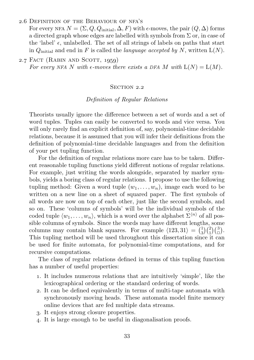#### . Definition of the Behaviour of nfa's

<span id="page-34-0"></span>For every NFA  $N = (\Sigma, Q, Q_{initial}, \Delta, F)$  with  $\epsilon$ -moves, the pair  $(Q, \Delta)$  forms a directed graph whose edges are labelled with symbols from  $\Sigma$  or, in case of the 'label'  $\epsilon$ , unlabelled. The set of all strings of labels on paths that start in  $Q_{initial}$  and end in F is called the *language accepted by* N, written  $L(N)$ .

2.7FACT (RABIN AND SCOTT,  $1959$ ) For every NFA N with  $\epsilon$ -moves there exists a DFA M with  $L(N) = L(M)$ .

#### SECTION 2.2

#### Definition of Regular Relations

<span id="page-34-1"></span>Theorists usually ignore the difference between a set of words and a set of word tuples. Tuples can easily be converted to words and vice versa. You will only rarely find an explicit definition of, say, polynomial-time decidable relations, because it is assumed that you will infer their definitions from the definition of polynomial-time decidable languages and from the definition of your pet tupling function.

For the definition of regular relations more care has to be taken. Different reasonable tupling functions yield different notions of regular relations. For example, just writing the words alongside, separated by marker symbols, yields a boring class of regular relations. I propose to use the following tupling method: Given a word tuple  $(w_1, \ldots, w_n)$ , image each word to be written on a new line on a sheet of squared paper. The first symbols of all words are now on top of each other, just like the second symbols, and so on. These 'columns of symbols' will be the individual symbols of the coded tuple  $\langle w_1, \ldots, w_n \rangle$ , which is a word over the alphabet  $\Sigma^{n}$  of all possible columns of symbols. Since the words may have different lengths, some columns may contain blank squares. For example  $\langle 123, 31 \rangle = \binom{1}{3} \binom{2}{1} \binom{3}{0}$ . This tupling method will be used throughout this dissertation since it can be used for finite automata, for polynomial-time computations, and for recursive computations.

The class of regular relations defined in terms of this tupling function has a number of useful properties:

- . It includes numerous relations that are intuitively 'simple', like the lexicographical ordering or the standard ordering of words.
- . It can be defined equivalently in terms of multi-tape automata with synchronously moving heads. These automata model finite memory online devices that are fed multiple data streams.
- . It enjoys strong closure properties.
- . It is large enough to be useful in diagonalisation proofs.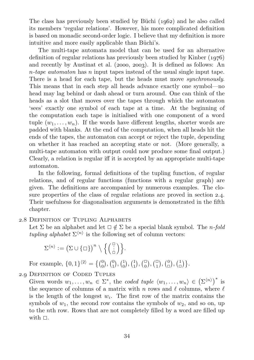The class has previously been studied by Büchi  $(1062)$  and he also called its members 'regular relations'. However, his more complicated definition is based on monadic second-order logic. I believe that my definition is more intuitive and more easily applicable than Büchi's.

The multi-tape automata model that can be used for an alternative definition of regular relations has previously been studied by Kinber  $(1976)$ and recently by Austinat et al.  $(2000, 2003)$ . It is defined as follows: An  $n$ -tape automaton has n input tapes instead of the usual single input tape. There is a head for each tape, but the heads must move *synchronously*. This means that in each step all heads advance exactly one symbol—no head may lag behind or dash ahead or turn around. One can think of the heads as a slot that moves over the tapes through which the automaton 'sees' exactly one symbol of each tape at a time. At the beginning of the computation each tape is initialised with one component of a word tuple  $(w_1, \ldots, w_n)$ . If the words have different lengths, shorter words are padded with blanks. At the end of the computation, when all heads hit the ends of the tapes, the automaton can accept or reject the tuple, depending on whether it has reached an accepting state or not. (More generally, a multi-tape automaton with output could now produce some final output.) Clearly, a relation is regular iff it is accepted by an appropriate multi-tape automaton.

In the following, formal definitions of the tupling function, of regular relations, and of regular functions (functions with a regular graph) are given. The definitions are accompanied by numerous examples. The closure properties of the class of regular relations are proved in [section](#page-43-1)  $2.4$ . Their usefulness for diagonalisation arguments is demonstrated in the fifth chapter.

#### 2.8 DEFINITION OF TUPLING ALPHABETS

<span id="page-35-0"></span>Let  $\Sigma$  be an alphabet and let  $\square \notin \Sigma$  be a special blank symbol. The *n-fold* tupling alphabet  $\Sigma^{(n)}$  is the following set of column vectors:

$$
\Sigma^{\langle n \rangle} := \left( \Sigma \cup \{ \Box \} \right)^n \setminus \left\{ \left( \begin{smallmatrix} \Box \\ \vdots \\ \Box \end{smallmatrix} \right) \right\}.
$$

For example,  $\{0,1\}^{\langle 2 \rangle} = \{ \binom{0}{0}, \binom{0}{1}, \binom{1}{0}, \binom{1}{1}, \binom{\Box}{0}, \binom{\Box}{1}, \binom{\Box}{0}, \binom{1}{1}, \binom{\Box}{\Box} \}$ .

### . Definition of Coded Tuples

<span id="page-35-1"></span>Given words  $w_1, \ldots, w_n \in \Sigma^*$ , the coded tuple  $\langle w_1, \ldots, w_n \rangle \in (\Sigma^{\langle n \rangle})^*$  is the sequence of columns of a matrix with n rows and  $\ell$  columns, where  $\ell$ is the length of the longest  $w_i$ . The first row of the matrix contains the symbols of  $w_1$ , the second row contains the symbols of  $w_2$ , and so on, up to the nth row. Rows that are not completely filled by a word are filled up with  $\Box$ .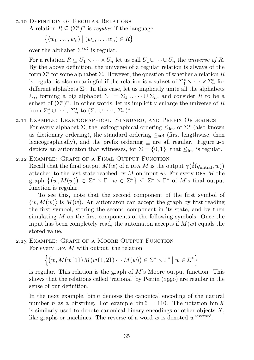2.10 DEFINITION OF REGULAR RELATIONS

A relation  $R \subseteq (\Sigma^*)^n$  is *regular* if the language

 $\{(w_1,\ldots,w_n) \mid (w_1,\ldots,w_n) \in R\}$ 

over the alphabet  $\Sigma^{\langle n \rangle}$  is regular.

For a relation  $R \subseteq U_1 \times \cdots \times U_n$  let us call  $U_1 \cup \cdots \cup U_n$  the *universe of R*. By the above definition, the universe of a regular relation is always of the form  $\Sigma^*$  for some alphabet  $\Sigma$ . However, the question of whether a relation R is regular is also meaningful if the relation is a subset of  $\Sigma_1^* \times \cdots \times \Sigma_n^*$  for different alphabets  $\Sigma_i$ . In this case, let us implicitly unite all the alphabets  $\Sigma_i$ , forming a big alphabet  $\Sigma := \Sigma_1 \cup \cdots \cup \Sigma_n$ , and consider R to be a subset of  $(\Sigma^*)^n$ . In other words, let us implicitly enlarge the universe of R from  $\Sigma_1^* \cup \cdots \cup \Sigma_n^*$  to  $(\Sigma_1 \cup \cdots \cup \Sigma_n)^*$ .

- . Example: Lexicographical, Standard, and Prefix Orderings For every alphabet  $\Sigma$ , the lexicographical ordering  $\leq_{\text{lex}}$  of  $\Sigma^*$  (also known as dictionary ordering), the standard ordering  $\leq_{\text{std}}$  (first lengthwise, then lexicographically), and the prefix ordering  $\Box$  are all regular. [Figure](#page-37-0) 2-1 depicts an automaton that witnesses, for  $\Sigma = \{0, 1\}$ , that  $\leq_{\text{lex}}$  is regular.
- <span id="page-36-0"></span>. Example: Graph of a Final Output Function Recall that the final output  $M(w)$  of a DFA  $M$  is the output  $\gamma\big(\hat{\delta}(q_{\text{initial}},w)\big)$ attached to the last state reached by  $M$  on input  $w$ . For every DFA  $M$  the graph  $\{(w, M(w)) \in \Sigma^* \times \Gamma \mid w \in \Sigma^* \} \subseteq \Sigma^* \times \Gamma^*$  of M's final output function is regular.

To see this, note that the second component of the first symbol of  $\langle w, M(w) \rangle$  is  $M(w)$ . An automaton can accept the graph by first reading the first symbol, storing the second component in its state, and by then simulating  $M$  on the first components of the following symbols. Once the input has been completely read, the automaton accepts if  $M(w)$  equals the stored value.

. Example: Graph of a Moore Output Function For every DFA  $M$  with output, the relation

<span id="page-36-1"></span>
$$
\{(w, M(w\texttt{[1]})M(w\texttt{[1,2]})\cdots M(w)) \in \Sigma^* \times \Gamma^* \mid w \in \Sigma^*\}
$$

is regular. This relation is the graph of  $M$ 's Moore output function. This shows that the relations called 'rational' by Perrin  $(1990)$  are regular in the sense of our definition.

In the next example,  $\sin n$  denotes the canonical encoding of the natural number n as a bitstring. For example bin  $6 = 110$ . The notation bin X is similarly used to denote canonical binary encodings of other objects  $X$ , like graphs or machines. The reverse of a word  $w$  is denoted  $w^{\text{reversed}}$ .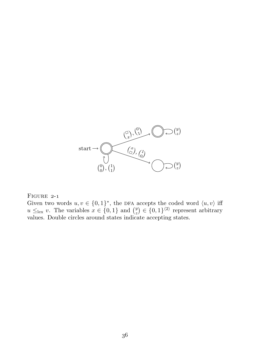

 $FIGURE 2-1$ 

<span id="page-37-0"></span>Given two words  $u, v \in \{0, 1\}^*$ , the DFA accepts the coded word  $\langle u, v \rangle$  iff  $u \leq_{\text{lex}} v$ . The variables  $x \in \{0,1\}$  and  $\binom{y}{z} \in \{0,1\}^{\langle 2 \rangle}$  represent arbitrary values. Double circles around states indicate accepting states.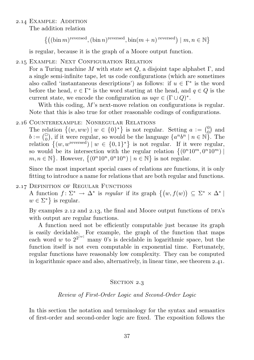2.14 EXAMPLE: ADDITION

The addition relation

 $\{((\text{bin } m)^{\text{reversed}},(\text{bin } n)^{\text{reversed}},\text{bin}(m+n)^{\text{reversed}}) \mid m,n \in \mathbb{N}\}\$ 

is regular, because it is the graph of a Moore output function.

# 2.15 EXAMPLE: NEXT CONFIGURATION RELATION

For a Turing machine M with state set Q, a disjoint tape alphabet  $\Gamma$ , and a single semi-infinite tape, let us code configurations (which are sometimes also called 'instantaneous descriptions') as follows: if  $u \in \Gamma^*$  is the word before the head,  $v \in \Gamma^*$  is the word starting at the head, and  $q \in Q$  is the current state, we encode the configuration as  $uqv \in (\Gamma \cup Q)^*$ .

With this coding, M's next-move relation on configurations is regular. Note that this is also true for other reasonable codings of configurations.

# . Counterexample: Nonregular Relations

The relation  $\{(w,ww) \mid w \in \{0\}^*\}$  is not regular. Setting  $a := \begin{pmatrix} 0 \\ 0 \end{pmatrix}$  and  $b := \begin{pmatrix} 0 \\ 0 \end{pmatrix}$ , if it were regular, so would be the language  $\{a^n b^n \mid n \in \mathbb{N}\}\.$  The relation  $\{(w, w^{\text{reversed}}) | w \in \{0,1\}^*\}$  is not regular. If it were regular, so would be its intersection with the regular relation  $\{(0^n10^m, 0^n10^m)\}\$  $m, n \in \mathbb{N}$ . However,  $\{(0^n 10^n, 0^n 10^n) \mid n \in \mathbb{N}\}\)$  is not regular.

Since the most important special cases of relations are functions, it is only fitting to introduce a name for relations that are both regular and functions.

# 2.17 DEFINITION OF REGULAR FUNCTIONS

A function  $f: \Sigma^* \to \Delta^*$  is regular if its graph  $\{(w, f(w)) \subseteq \Sigma^* \times \Delta^* \mid$  $w \in \Sigma^*$  is regular.

By examples  $2.12$  and  $2.13$ , the final and Moore output functions of DFA's with output are regular functions.

A function need not be efficiently computable just because its graph is easily decidable. For example, the graph of the function that maps each word w to  $2^{2^{|w|}}$  many 0's is decidable in logarithmic space, but the function itself is not even computable in exponential time. Fortunately, regular functions have reasonably low complexity. They can be computed in logarithmic space and also, alternatively, in linear time, see [theorem](#page-54-0)  $2.41$ .

# SECTION 2.3

## Review of First-Order Logic and Second-Order Logic

In this section the notation and terminology for the syntax and semantics of first-order and second-order logic are fixed. The exposition follows the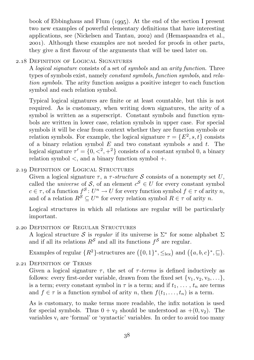book of Ebbinghaus and Flum  $(1995)$ . At the end of the section I present two new examples of powerful elementary definitions that have interesting applications,see ([Nickelsen and Tantau,](#page-168-1) 2002) and [\(Hemaspaandra et al.,](#page-165-0) ). Although these examples are not needed for proofs in other parts, they give a first flavour of the arguments that will be used later on.

# . Definition of Logical Signatures

A logical signature consists of a set of symbols and an arity function. Three types of symbols exist, namely constant symbols, function symbols, and relation symbols. The arity function assigns a positive integer to each function symbol and each relation symbol.

Typical logical signatures are finite or at least countable, but this is not required. As is customary, when writing down signatures, the arity of a symbol is written as a superscript. Constant symbols and function symbols are written in lower case, relation symbols in upper case. For special symbols it will be clear from context whether they are function symbols or relation symbols. For example, the logical signature  $\tau = \{E^2, s, t\}$  consists of a binary relation symbol  $E$  and two constant symbols  $s$  and  $t$ . The logical signature  $\tau' = \{0, \langle 2, +^2 \rangle\}$  consists of a constant symbol 0, a binary relation symbol  $\lt$ , and a binary function symbol  $+$ .

## 2.19 DEFINITION OF LOGICAL STRUCTURES

Given a logical signature  $\tau$ , a  $\tau$ -structure S consists of a nonempty set U, called the *universe* of S, of an element  $c^S \in U$  for every constant symbol  $c \in \tau$ , of a function  $f^{\mathcal{S}}: U^n \to U$  for every function symbol  $f \in \tau$  of arity n, and of a relation  $R^{\mathcal{S}} \subseteq U^n$  for every relation symbol  $R \in \tau$  of arity n.

Logical structures in which all relations are regular will be particularly important.

## 2.20 DEFINITION OF REGULAR STRUCTURES

A logical structure S is regular if its universe is  $\Sigma^*$  for some alphabet  $\Sigma$ and if all its relations  $R^S$  and all its functions  $f^S$  are regular.

Examples of regular  $\{R^2\}$ -structures are  $(\{0,1\}^*, \leq_{\text{lex}})$  and  $(\{a,b,c\}^*, \sqsubseteq)$ .

## . Definition of Terms

Given a logical signature  $\tau$ , the set of  $\tau$ -terms is defined inductively as follows: every first-order variable, drawn from the fixed set  $\{v_1, v_2, v_3, \ldots\}$ , is a term; every constant symbol in  $\tau$  is a term; and if  $t_1, \ldots, t_n$  are terms and  $f \in \tau$  is a function symbol of arity n, then  $f(t_1, \ldots, t_n)$  is a term.

As is customary, to make terms more readable, the infix notation is used for special symbols. Thus  $0 + v_2$  should be understood as  $+(0, v_2)$ . The variables  $v_i$  are 'formal' or 'syntactic' variables. In order to avoid too many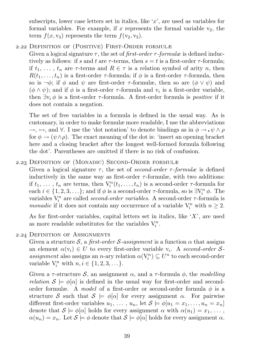subscripts, lower case letters set in italics, like  $x'$ , are used as variables for formal variables. For example, if x represents the formal variable  $v_2$ , the term  $f(x, y_3)$  represents the term  $f(y_2, y_3)$ .

. Definition of (Positive) First-Order formulæ

Given a logical signature  $\tau$ , the set of *first-order*  $\tau$ -*formulæ* is defined inductively as follows: if s and t are  $\tau$ -terms, then  $s = t$  is a first-order  $\tau$ -formula; if  $t_1, \ldots, t_n$  are  $\tau$ -terms and  $R \in \tau$  is a relation symbol of arity n, then  $R(t_1, \ldots, t_n)$  is a first-order  $\tau$ -formula; if  $\phi$  is a first-order  $\tau$ -formula, then so is  $\neg \phi$ ; if  $\phi$  and  $\psi$  are first-order  $\tau$ -formulæ, then so are  $(\phi \vee \psi)$  and  $(\phi \land \psi)$ ; and if  $\phi$  is a first-order  $\tau$ -formula and  $v_i$  is a first-order variable, then  $\exists v_i \phi$  is a first-order  $\tau$ -formula. A first-order formula is *positive* if it does not contain a negation.

The set of free variables in a formula is defined in the usual way. As is customary, in order to make formulæ more readable, I use the abbreviations  $\rightarrow$ ,  $\leftrightarrow$ , and  $\forall$ . I use the 'dot notation' to denote bindings as in  $\phi \rightarrow \psi \wedge \rho$ for  $\phi \to (\psi \wedge \rho)$ . The exact meaning of the dot is: 'insert an opening bracket here and a closing bracket after the longest well-formed formula following the dot'. Parentheses are omitted if there is no risk of confusion.

## . Definition of (Monadic) Second-Order formulæ

Given a logical signature  $\tau$ , the set of second-order  $\tau$ -formulæ is defined inductively in the same way as first-order  $\tau$ -formulæ, with two additions: if  $t_1, \ldots, t_n$  are terms, then  $V_i^n(t_1, \ldots, t_n)$  is a second-order  $\tau$ -formula for each  $i \in \{1, 2, 3, \ldots\}$ ; and if  $\phi$  is a second-order  $\tau$ -formula, so is  $\exists V_i^n \phi$ . The variables  $V_i^n$  are called *second-order variables*. A second-order  $\tau$ -formula is monadic if it does not contain any occurrence of a variable  $V_i^n$  with  $n \geq 2$ .

As for first-order variables, capital letters set in italics, like  $X'$ , are used as more readable substitutes for the variables  $V_i^n$ .

## 2.24 DEFINITION OF ASSIGNMENTS

Given a structure S, a first-order S-assignment is a function  $\alpha$  that assigns an element  $\alpha(v_i) \in U$  to every first-order variable  $v_i$ . A second-order Sassignment also assigns an n-ary relation  $\alpha(V_i^n) \subseteq U^n$  to each second-order variable  $V_i^n$  with  $n, i \in \{1, 2, 3, \ldots\}$ .

Given a  $\tau$ -structure S, an assignment  $\alpha$ , and a  $\tau$ -formula  $\phi$ , the modelling relation  $S \models \phi[\alpha]$  is defined in the usual way for first-order and secondorder formulæ. A model of a first-order or second-order formula  $\phi$  is a structure S such that  $S \models \phi[\alpha]$  for every assignment  $\alpha$ . For pairwise different first-order variables  $u_1, \ldots, u_n$ , let  $S \models \phi[u_1 = x_1, \ldots, u_n = x_n]$ denote that  $S \models \phi[\alpha]$  holds for every assignment  $\alpha$  with  $\alpha(u_1) = x_1, \ldots$ ,  $\alpha(u_n) = x_n$ . Let  $\mathcal{S} \models \phi$  denote that  $\mathcal{S} \models \phi[\alpha]$  holds for every assignment  $\alpha$ .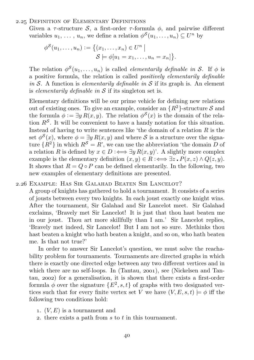### 2.25 DEFINITION OF ELEMENTARY DEFINITIONS

Given a  $\tau$ -structure S, a first-order  $\tau$ -formula  $\phi$ , and pairwise different variables  $u_1, \ldots, u_n$ , we define a relation  $\phi^{\mathcal{S}}(u_1, \ldots, u_n) \subseteq U^n$  by

$$
\phi^{\mathcal{S}}(u_1,\ldots,u_n):=\{(x_1,\ldots,x_n)\in U^n \mid \mathcal{S}\models \phi[u_1=x_1,\ldots,u_n=x_n]\}.
$$

The relation  $\phi^{\mathcal{S}}(u_1,\ldots,u_n)$  is called *elementarily definable in* S. If  $\phi$  is a positive formula, the relation is called positively elementarily definable in S. A function is *elementarily definable in* S if its graph is. An element is elementarily definable in  $S$  if its singleton set is.

Elementary definitions will be our prime vehicle for defining new relations out of existing ones. To give an example, consider an  $\{R^2\}$ -structure S and the formula  $\phi := \exists y R(x, y)$ . The relation  $\phi^{S}(x)$  is the domain of the relation  $R<sup>S</sup>$ . It will be convenient to have a handy notation for this situation. Instead of having to write sentences like 'the domain of a relation  $R$  is the set  $\phi^{\mathcal{S}}(x)$ , where  $\phi = \exists y R(x, y)$  and where S is a structure over the signature  $\{R^2\}$  in which  $R^{\mathcal{S}} = R'$ , we can use the abbreviation 'the domain D of a relation R is defined by  $x \in D$  :  $\Longleftrightarrow \exists y R(x, y)$ . A slightly more complex example is the elementary definition  $(x, y) \in R : \iff \exists z \cdot P(x, z) \wedge Q(z, y)$ . It shows that  $R = Q \circ P$  can be defined elementarily. In the following, two new examples of elementary definitions are presented.

## . Example: Has Sir Galahad Beaten Sir Lancelot?

A group of knights has gathered to hold a tournament. It consists of a series of jousts between every two knights. In each joust exactly one knight wins. After the tournament, Sir Galahad and Sir Lancelot meet. Sir Galahad exclaims, 'Bravely met Sir Lancelot! It is just that thou hast beaten me in our joust. Thou art more skillfully than I am.' Sir Lancelot replies, 'Bravely met indeed, Sir Lancelot! But I am not so sure. Methinks thou hast beaten a knight who hath beaten a knight, and so on, who hath beaten me. Is that not true?'

In order to answer Sir Lancelot's question, we must solve the reachability problem for tournaments. Tournaments are directed graphs in which there is exactly one directed edge between any two different vertices and in which there are no self-loops. In  $(Tantau, 2001)$ , see [\(Nickelsen and Tan](#page-168-1)tau, 2002) for a generalisation, it is shown that there exists a first-order formula  $\phi$  over the signature  $\{E^2, s, t\}$  of graphs with two designated vertices such that for every finite vertex set V we have  $(V, E, s, t) \models \phi$  iff the following two conditions hold:

- 1.  $(V, E)$  is a tournament and
- 2. there exists a path from s to t in this tournament.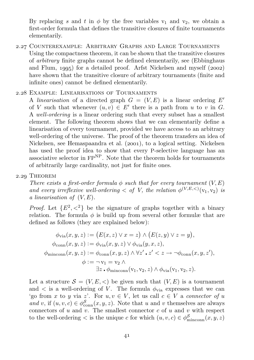By replacing s and t in  $\phi$  by the free variables  $v_1$  and  $v_2$ , we obtain a first-order formula that defines the transitive closures of finite tournaments elementarily.

. Counterexample: Arbitrary Graphs and Large Tournaments Using the compactness theorem, it can be shown that the transitive closures of arbitrary finite graphs cannot be defined elementarily, see [\(Ebbinghaus](#page-164-0) [and Flum,](#page-164-0)  $1995$  for a detailed proof. Arfst Nickelsen and myself  $(2002)$ have shown that the transitive closure of arbitrary tournaments (finite and infinite ones) cannot be defined elementarily.

## . Example: Linearisations of Tournaments

A linearisation of a directed graph  $G = (V, E)$  is a linear ordering E' of V such that whenever  $(u, v) \in E'$  there is a path from u to v in G. A well-ordering is a linear ordering such that every subset has a smallest element. The following theorem shows that we can elementarily define a linearisation of every tournament, provided we have access to an arbitrary well-ordering of the universe. The proof of the theorem transfers an idea of Nickelsen, see [Hemaspaandra et al. \(](#page-165-0)2001), to a logical setting. Nickelsen has used the proof idea to show that every P-selective language has an associative selector in FPNP. Note that the theorem holds for tournaments of arbitrarily large cardinality, not just for finite ones.

## 2.29 THEOREM

<span id="page-42-0"></span>There exists a first-order formula  $\phi$  such that for every tournament  $(V, E)$ and every irreflexive well-ordering  $\langle$  of V, the relation  $\phi^{(V,E,\langle)}(v_1,v_2)$  is a linearisation of  $(V, E)$ .

*Proof.* Let  $\{E^2, \langle E^2 \rangle\}$  be the signature of graphs together with a binary relation. The formula  $\phi$  is build up from several other formulæ that are defined as follows (they are explained below):

$$
\phi_{\text{via}}(x, y, z) := (E(x, z) \lor x = z) \land (E(z, y) \lor z = y),
$$
  
\n
$$
\phi_{\text{conn}}(x, y, z) := \phi_{\text{via}}(x, y, z) \lor \phi_{\text{via}}(y, x, z),
$$
  
\n
$$
\phi_{\text{minconn}}(x, y, z) := \phi_{\text{conn}}(x, y, z) \land \forall z' \cdot z' < z \rightarrow \neg \phi_{\text{conn}}(x, y, z'),
$$
  
\n
$$
\phi := \neg v_1 = v_2 \land
$$
  
\n
$$
\exists z \cdot \phi_{\text{minconn}}(v_1, v_2, z) \land \phi_{\text{via}}(v_1, v_2, z).
$$

Let a structure  $S = (V, E, <)$  be given such that  $(V, E)$  is a tournament and  $\lt$  is a well-ordering of V. The formula  $\phi_{\text{via}}$  expresses that we can 'go from x to y via z'. For  $u, v \in V$ , let us call  $c \in V$  a connector of u and v, if  $(u, v, c) \in \phi_{conn}^{S}(x, y, z)$ . Note that u and v themselves are always connectors of  $u$  and  $v$ . The smallest connector  $c$  of  $u$  and  $v$  with respect to the well-ordering  $\lt$  is the unique c for which  $(u, v, c) \in \phi_{\text{minconn}}^{\mathcal{S}}(x, y, z)$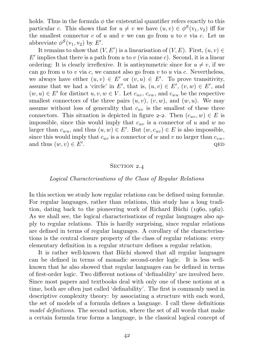holds. Thus in the formula  $\phi$  the existential quantifier refers exactly to this particular c. This shows that for  $u \neq v$  we have  $(u, v) \in \phi^{\mathcal{S}}(v_1, v_2)$  iff for the smallest connector c of u and v we can go from u to v via c. Let us abbreviate  $\phi^{\mathcal{S}}(\mathbf{v}_1, \mathbf{v}_2)$  by  $E'$ .

It remains to show that  $(V, E')$  is a linearisation of  $(V, E)$ . First,  $(u, v) \in$  $E'$  implies that there is a path from u to v (via some c). Second, it is a linear ordering: It is clearly irreflexive. It is antisymmetric since for  $u \neq v$ , if we can go from u to v via c, we cannot also go from v to u via c. Nevertheless, we always have either  $(u, v) \in E'$  or  $(v, u) \in E'$ . To prove transitivity, assume that we had a 'circle' in E', that is,  $(u, v) \in E'$ ,  $(v, w) \in E'$ , and  $(w, u) \in E'$  for distinct  $u, v, w \in V$ . Let  $c_{uv}, c_{vw}$ , and  $c_{wu}$  be the respective smallest connectors of the three pairs  $(u, v)$ ,  $(v, w)$ , and  $(w, u)$ . We may assume without loss of generality that  $c_{uv}$  is the smallest of these three connectors. This situation is depicted in [figure](#page-44-0) 2-2. Then  $(c_{uv}, w) \in E$  is impossible, since this would imply that  $c_{uv}$  is a connector of u and w no larger than  $c_{wu}$ , and thus  $(u, w) \in E'$ . But  $(w, c_{uv}) \in E$  is also impossible, since this would imply that  $c_{uv}$  is a connector of w and v no larger than  $c_{vw}$ , and thus  $(w, v) \in E'.$ . <br>  $\label{eq:QED} \text{QED}$ 

### SECTION 2.4

#### Logical Characterisations of the Class of Regular Relations

In this section we study how regular relations can be defined using formulæ. For regular languages, rather than relations, this study has a long tradition, dating back to the pioneering work of Richard Büchi  $(1960, 1962)$ . As we shall see, the logical characterisations of regular languages also apply to regular relations. This is hardly surprising, since regular relations are defined in terms of regular languages. A corollary of the characterisations is the central closure property of the class of regular relations: every elementary definition in a regular structure defines a regular relation.

It is rather well-known that Büchi showed that all regular languages can be defined in terms of monadic second-order logic. It is less wellknown that he also showed that regular languages can be defined in terms of first-order logic. Two different notions of 'definability' are involved here. Since most papers and textbooks deal with only one of these notions at a time, both are often just called 'definability'. The first is commonly used in descriptive complexity theory: by associating a structure with each word, the set of models of a formula defines a language. I call these definitions model definitions. The second notion, where the set of all words that make a certain formula true forms a language, is the classical logical concept of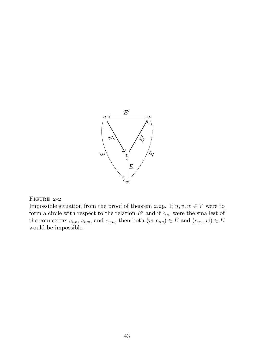

FIGURE 2-2

<span id="page-44-0"></span>Impossible situation from the proof of [theorem](#page-42-0) 2.29. If  $u, v, w \in V$  were to form a circle with respect to the relation  $E'$  and if  $c_{uv}$  were the smallest of the connectors  $c_{uv}, c_{vw}$ , and  $c_{wu}$ , then both  $(w, c_{uv}) \in E$  and  $(c_{uv}, w) \in E$ would be impossible.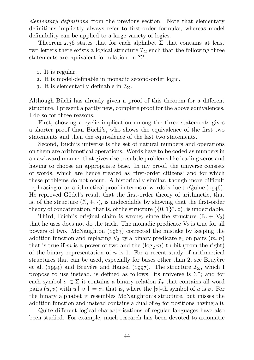elementary definitions from the previous section. Note that elementary definitions implicitly always refer to first-order formulæ, whereas model definability can be applied to a large variety of logics.

[Theorem](#page-47-0) 2.36 states that for each alphabet  $\Sigma$  that contains at least two letters there exists a logical structure  $\mathcal{I}_{\Sigma}$  such that the following three statements are equivalent for relation on  $\Sigma^*$ :

- . It is regular.
- . It is model-definable in monadic second-order logic.
- 3. It is elementarily definable in  $\mathcal{I}_{\Sigma}$ .

Although Büchi has already given a proof of this theorem for a different structure, I present a partly new, complete proof for the above equivalences. I do so for three reasons.

First, showing a cyclic implication among the three statements gives a shorter proof than Büchi's, who shows the equivalence of the first two statements and then the equivalence of the last two statements.

Second, Büchi's universe is the set of natural numbers and operations on them are arithmetical operations. Words have to be coded as numbers in an awkward manner that gives rise to subtle problems like leading zeros and having to choose an appropriate base. In my proof, the universe consists of words, which are hence treated as 'first-order citizens' and for which these problems do not occur. A historically similar, though more difficult rephrasing of an arithmetical proof in terms of words is due to Quine  $(1946)$ . He reproved Gödel's result that the first-order theory of arithmetic, that is, of the structure  $(\mathbb{N}, +, \cdot)$ , is undecidable by showing that the first-order theory of concatenation, that is, of the structure  $(\{0,1\}^*, \circ)$ , is undecidable.

Third, Büchi's original claim is wrong, since the structure  $(N, +, V_2)$ that he uses does not do the trick. The monadic predicate  $V_2$  is true for all powers of two. McNaughton  $(1963)$  corrected the mistake by keeping the addition function and replacing  $V_2$  by a binary predicate  $e_2$  on pairs  $(m, n)$ that is true if m is a power of two and the  $(\log_2 m)$ -th bit (from the right) of the binary representation of  $n$  is 1. For a recent study of arithmetical structures that can be used, especially for bases other than 2, see Bruyère [et al. \(](#page-163-2)1994) and Bruyère and Hansel (1997). The structure  $\mathcal{I}_{\Sigma}$ , which I propose to use instead, is defined as follows: its universe is  $\Sigma^*$ ; and for each symbol  $\sigma \in \Sigma$  it contains a binary relation  $I_{\sigma}$  that contains all word pairs  $(u, v)$  with  $u[|v|] = \sigma$ , that is, where the |v|-th symbol of u is  $\sigma$ . For the binary alphabet it resembles McNaughton's structure, but misses the addition function and instead contains a dual of  $e_2$  for positions having a 0.

Quite different logical characterisations of regular languages have also been studied. For example, much research has been devoted to axiomatic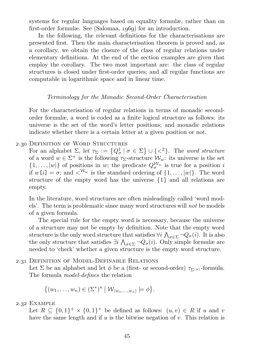systems for regular languages based on equality formulæ, rather than on first-order formulæ. See [\(Salomaa,](#page-169-1) 1969) for an introduction.

In the following, the relevant definitions for the characterisations are presented first. Then the main characterisation theorem is proved and, as a corollary, we obtain the closure of the class of regular relations under elementary definitions. At the end of the section examples are given that employ the corollary. The two most important are: the class of regular structures is closed under first-order queries; and all regular functions are computable in logarithmic space and in linear time.

## Terminology for the Monadic Second-Order Characterisation

For the characterisation of regular relations in terms of monadic secondorder formulæ, a word is coded as a finite logical structure as follows: its universe is the set of the word's letter positions; and monadic relations indicate whether there is a certain letter at a given position or not.

## 2.30 DEFINITION OF WORD STRUCTURES

For an alphabet  $\Sigma$ , let  $\tau_{\Sigma} := \{Q_{\sigma}^1 \mid \sigma \in \Sigma\} \cup \{<^2\}$ . The word structure of a word  $w \in \Sigma^+$  is the following  $\tau_{\Sigma}$ -structure  $\mathcal{W}_w$ : its universe is the set  $\{1,\ldots,|w|\}$  of positions in w; the predicate  $Q_{\sigma}^{\mathcal{W}_w}$  is true for a position i if  $w[i] = \sigma$ ; and  $\langle W_w$  is the standard ordering of  $\{1, \ldots, |w|\}$ . The word structure of the empty word has the universe {1} and all relations are empty.

In the literature, word structures are often misleadingly called 'word models'. The term is problematic since many word structures will not be models of a given formula.

The special rule for the empty word is necessary, because the universe of a structure may not be empty by definition. Note that the empty word structure is the only word structure that satisfies  $\forall i \, \bigwedge_{\sigma \in \Sigma} \neg Q_{\sigma}(i)$ . It is also the only structure that satisfies  $\exists i \bigwedge_{\sigma \in \Sigma} \neg Q_{\sigma}(i)$ . Only simple formulæ are needed to 'check' whether a given structure is the empty word structure.

### . Definition of Model-Definable Relations

Let  $\Sigma$  be an alphabet and let  $\phi$  be a (first- or second-order)  $\tau_{\Sigma^{(n)}}$ -formula. The formula model-defines the relation

$$
\{(w_1,\ldots,w_n)\in (\Sigma^*)^n\mid \mathcal{W}_{\langle w_1,\ldots,w_n\rangle}\models\phi\}.
$$

### 2.32 EXAMPLE

Let  $R \subseteq \{0,1\}^+ \times \{0,1\}^+$  be defined as follows:  $(u, v) \in R$  if u and v have the same length and if u is the bitwise negation of v. This relation is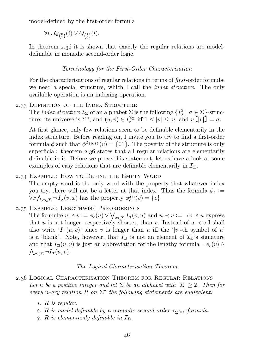model-defined by the first-order formula

 $\forall i \,.\, Q_{\binom{0}{1}}(i) \vee Q_{\binom{1}{0}}(i).$ 

In [theorem](#page-47-0)  $2.36$  it is shown that exactly the regular relations are modeldefinable in monadic second-order logic.

## Terminology for the First-Order Characterisation

For the characterisations of regular relations in terms of first-order formulæ we need a special structure, which I call the *index structure*. The only available operation is an indexing operation.

2.33 DEFINITION OF THE INDEX STRUCTURE

The *index structure*  $\mathcal{I}_{\Sigma}$  of an alphabet  $\Sigma$  is the following  $\{I_{\sigma}^2 \mid \sigma \in \Sigma\}$ -structure: its universe is  $\Sigma^*$ ; and  $(u, v) \in I_{\sigma}^{\mathcal{I}_{\Sigma}}$  iff  $1 \leq |v| \leq |u|$  and  $u[|v|] = \sigma$ .

At first glance, only few relations seem to be definable elementarily in the index structure. Before reading on, I invite you to try to find a first-order formula  $\phi$  such that  $\phi^{\mathcal{I}_{\{0,1\}}}(v) = \{01\}$ . The poverty of the structure is only superficial: [theorem](#page-47-0)  $2.36$  states that all regular relations are elementarily definable in it. Before we prove this statement, let us have a look at some examples of easy relations that are definable elementarily in  $\mathcal{I}_{\Sigma}$ .

## . Example: How to Define the Empty Word

The empty word is the only word with the property that whatever index you try, there will not be a letter at that index. Thus the formula  $\phi_{\epsilon} :=$  $\forall x \bigwedge_{\sigma \in \Sigma} \neg I_{\sigma}(v, x)$  has the property  $\phi_{\epsilon}^{\mathcal{I}_{\Sigma}}(v) = {\epsilon}.$ 

# . Example: Lengthwise Preorderings

The formulæ  $u \preceq v := \phi_{\epsilon}(u) \vee \bigvee_{\sigma \in \Sigma} I_{\sigma}(v, u)$  and  $u \prec v := \neg v \preceq u$  express that u is not longer, respectively shorter, than v. Instead of  $u \prec v$  I shall also write  $I_{\square}(u, v)$  since v is longer than u iff the '|v|-th symbol of u' is a 'blank'. Note, however, that  $I_{\Box}$  is not an element of  $\mathcal{I}_{\Sigma}$ 's signature and that  $I_{\Box}(u, v)$  is just an abbreviation for the lengthy formula  $\neg \phi_{\epsilon}(v) \land$  $\bigwedge_{\sigma \in \Sigma} \neg I_{\sigma}(u, v).$ 

### The Logical Characterisation Theorem

- <span id="page-47-0"></span>. Logical Characterisation Theorem for Regular Relations Let n be a positive integer and let  $\Sigma$  be an alphabet with  $|\Sigma| > 2$ . Then for every n-ary relation  $R$  on  $\Sigma^*$  the following statements are equivalent:
	- <sup>1</sup>. R is regular.
	- 2. R is model-definable by a monadic second-order  $\tau_{\Sigma(n)}$ -formula.
	- 3. R is elementarily definable in  $\mathcal{I}_{\Sigma}$ .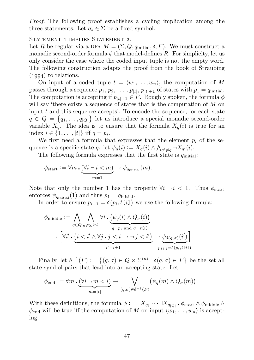Proof. The following proof establishes a cycling implication among the three statements. Let  $\sigma_* \in \Sigma$  be a fixed symbol.

STATEMENT 1 IMPLIES STATEMENT 2.

Let R be regular via a DFA  $M = (\Sigma, Q, q_{initial}, \delta, F)$ . We must construct a monadic second-order formula  $\phi$  that model-defines R. For simplicity, let us only consider the case where the coded input tuple is not the empty word. The following construction adapts the proof from the book of [Straubing](#page-170-1)  $(1004)$  to relations.

On input of a coded tuple  $t = \langle w_1, \ldots, w_n \rangle$ , the computation of M passes through a sequence  $p_1, p_2, \ldots, p_{|t|}, p_{|t|+1}$  of states with  $p_1 = q_{\text{initial}}$ . The computation is accepting if  $p_{|t|+1} \in F$ . Roughly spoken, the formula  $\phi$ will say 'there exists a sequence of states that is the computation of  $M$  on input  $t$  and this sequence accepts'. To encode the sequence, for each state  $q \in Q = \{q_1, \ldots, q_{|Q|}\}\$ let us introduce a special monadic second-order variable  $X_q$ . The idea is to ensure that the formula  $X_q(i)$  is true for an index  $i \in \{1, \ldots, |t|\}$  iff  $q = p_i$ .

We first need a formula that expresses that the element  $p_i$  of the sequence is a specific state q: let  $\psi_q(i) := X_q(i) \wedge \bigwedge_{q' \neq q} \neg X_{q'}(i)$ .

The following formula expresses that the first state is  $q_{initial}$ :

$$
\phi_{\text{start}} := \forall m \cdot \underbrace{(\forall i \, \neg \, i < m)}_{m=1} \rightarrow \psi_{q_{\text{initial}}}(m).
$$

Note that only the number 1 has the property  $\forall i \ \neg i \ < 1$ . Thus  $\phi_{\text{start}}$ enforces  $\psi_{q_{\text{initial}}}(1)$  and thus  $p_1 = q_{\text{initial}}$ .

In order to ensure  $p_{i+1} = \delta(p_i, t[i])$  we use the following formula:

$$
\phi_{\text{middle}} := \bigwedge_{q \in Q} \bigwedge_{\sigma \in \Sigma^{(n)}} \forall i \cdot \underbrace{(\psi_q(i) \land Q_\sigma(i))}_{q = p_i \text{ and } \sigma = t[i]} \n\rightarrow \left[ \forall i' \cdot \underbrace{(i < i' \land \forall j \cdot j < i \rightarrow \neg j < i')}_{i' = i+1} \rightarrow \underbrace{\psi_{\delta(q,\sigma)}(i')}_{p_{i+1} = \delta(p_i, t[i])} \right].
$$

Finally, let  $\delta^{-1}(F) := \{(q, \sigma) \in Q \times \Sigma^{\langle n \rangle} \mid \delta(q, \sigma) \in F\}$  be the set all state-symbol pairs that lead into an accepting state. Let

$$
\phi_{\text{end}} := \forall m \cdot \underbrace{(\forall i \neg m < i)}_{m=|t|} \rightarrow \bigvee_{(q,\sigma) \in \delta^{-1}(F)} (\psi_q(m) \land Q_{\sigma}(m)).
$$

With these definitions, the formula  $\phi := \exists X_{q_1} \cdots \exists X_{q_{|Q|}} \cdot \phi_{\text{start}} \wedge \phi_{\text{middle}} \wedge$  $\phi_{\text{end}}$  will be true iff the computation of M on input  $\langle w_1, \ldots, w_n \rangle$  is accepting.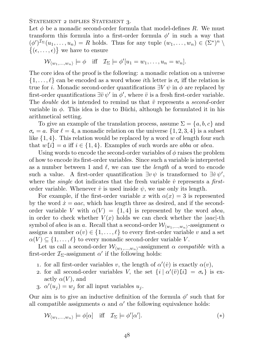STATEMENT 2 IMPLIES STATEMENT 3.

Let  $\phi$  be a monadic second-order formula that model-defines R. We must transform this formula into a first-order formula  $\phi'$  in such a way that  $(\phi')^{\mathcal{I}_{\Sigma}}(u_1,\ldots,u_n)=R$  holds. Thus for any tuple  $(w_1,\ldots,w_n)\in (\Sigma^*)^n\setminus$  $\{(\epsilon, \ldots, \epsilon)\}\$ we have to ensure

$$
\mathcal{W}_{\langle w_1,...,w_n\rangle} \models \phi \quad \text{iff} \quad \mathcal{I}_{\Sigma} \models \phi'[u_1 = w_1, \dots, u_n = w_n].
$$

The core idea of the proof is the following: a monadic relation on a universe  $\{1, \ldots, \ell\}$  can be encoded as a word whose *i*th letter is  $\sigma_*$  iff the relation is true for *i*. Monadic second-order quantifications  $\exists V \psi$  in  $\phi$  are replaced by first-order quantifications  $\exists \ddot{v} \psi'$  in  $\phi'$ , where  $\ddot{v}$  is a fresh first-order variable. The *double* dot is intended to remind us that  $\ddot{v}$  represents a *second*-order variable in  $\phi$ . This idea is due to Büchi, although he formulated it in his arithmetical setting.

To give an example of the translation process, assume  $\Sigma = \{a, b, c\}$  and  $\sigma_* = a$ . For  $\ell = 4$ , a monadic relation on the universe  $\{1, 2, 3, 4\}$  is a subset like  $\{1, 4\}$ . This relation would be replaced by a word w of length four such that  $w[i] = a$  iff  $i \in \{1, 4\}$ . Examples of such words are abba or abca.

Using words to encode the second-order variables of  $\phi$  raises the problem of how to encode its first-order variables. Since such a variable is interpreted as a number between 1 and  $\ell$ , we can use the *length* of a word to encode such a value. A first-order quantification  $\exists v \psi$  is transformed to  $\exists v \psi'$ , where the *single* dot indicates that the fresh variable  $\dot{v}$  represents a *first*order variable. Whenever  $\dot{v}$  is used inside  $\psi$ , we use only its length.

For example, if the first-order variable x with  $\alpha(x) = 3$  is represented by the word  $\dot{x} = aac$ , which has length three as desired, and if the secondorder variable V with  $\alpha(V) = \{1, 4\}$  is represented by the word abca, in order to check whether  $V(x)$  holds we can check whether the  $|aac|$ -th symbol of *abca* is an a. Recall that a second-order  $\mathcal{W}_{\langle w_1,...,w_n\rangle}$ -assignment  $\alpha$ assigns a number  $\alpha(v) \in \{1, \ldots, \ell\}$  to every first-order variable v and a set  $\alpha(V) \subseteq \{1, \ldots, \ell\}$  to every monadic second-order variable V.

Let us call a second-order  $\mathcal{W}_{(w_1,...,w_n)}$ -assignment  $\alpha$  compatible with a first-order  $\mathcal{I}_{\Sigma}$ -assignment  $\alpha'$  if the following holds:

- 1. for all first-order variables v, the length of  $\alpha'(v)$  is exactly  $\alpha(v)$ ,
- 2. for all second-order variables V, the set  $\{i \mid \alpha'(\ddot{v})\}$   $[i] = \sigma_*\}$  is exactly  $\alpha(V)$ , and
- 3.  $\alpha'(u_j) = w_j$  for all input variables  $u_j$ .

Our aim is to give an inductive definition of the formula  $\phi'$  such that for all compatible assignments  $\alpha$  and  $\alpha'$  the following equivalence holds:

$$
\mathcal{W}_{\langle w_1,...,w_n\rangle} \models \phi[\alpha] \quad \text{iff} \quad \mathcal{I}_{\Sigma} \models \phi'[\alpha'].
$$
 (\*)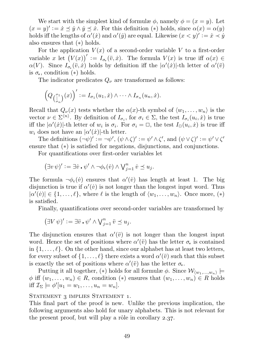We start with the simplest kind of formulæ  $\phi$ , namely  $\phi = (x = y)$ . Let  $(x = y)' := \dot{x} \preceq \dot{y} \wedge \dot{y} \preceq \dot{x}$ . For this definition (\*) holds, since  $\alpha(x) = \alpha(y)$ holds iff the lengths of  $\alpha'(\dot{x})$  and  $\alpha'(\dot{y})$  are equal. Likewise  $(x < y)' := \dot{x} \prec \dot{y}$ also ensures that (∗) holds.

For the application  $V(x)$  of a second-order variable V to a first-order variable x let  $(V(x))' := I_{\sigma_*}(v, x)$ . The formula  $V(x)$  is true iff  $\alpha(x) \in$  $\alpha(V)$ . Since  $I_{\sigma_*}(\vec{v}, \vec{x})$  holds by definition iff the  $|\alpha'(\vec{x})|$ -th letter of  $\alpha'(\vec{v})$ is  $\sigma_{*}$ , condition  $(*)$  holds.

The indicator predicates  $Q_{\nu}$  are transformed as follows:

$$
\left(Q_{\binom{\sigma_1}{\sigma_n}}(x)\right)' := I_{\sigma_1}(u_1,x) \wedge \cdots \wedge I_{\sigma_n}(u_n,x).
$$

Recall that  $Q_{\nu}(x)$  tests whether the  $\alpha(x)$ -th symbol of  $\langle w_1, \ldots, w_n \rangle$  is the vector  $\nu \in \Sigma^{(n)}$ . By definition of  $I_{\sigma_i}$ , for  $\sigma_i \in \Sigma$ , the test  $I_{\sigma_i}(u_i, \dot{x})$  is true iff the  $|\alpha'(x)|$ -th letter of  $w_i$  is  $\sigma_i$ . For  $\sigma_i = \Box$ , the test  $I_{\Box}(u_i, x)$  is true iff  $w_i$  does not have an  $|\alpha'(x)|$ -th letter.

The definitions  $(\neg \psi)' := \neg \psi', (\psi \wedge \zeta)' := \psi' \wedge \zeta', \text{ and } (\psi \vee \zeta)' := \psi' \vee \zeta'$ ensure that (∗) is satisfied for negations, disjunctions, and conjunctions.

For quantifications over first-order variables let

$$
(\exists v \,\psi)' := \exists \dot{v} \cdot \psi' \land \neg \phi_{\epsilon}(\dot{v}) \land \bigvee_{j=1}^{n} \dot{v} \preceq u_j.
$$

The formula  $\neg \phi_{\epsilon}(v)$  ensures that  $\alpha'(v)$  has length at least 1. The big disjunction is true if  $\alpha'(v)$  is not longer than the longest input word. Thus  $|\alpha'(v)| \in \{1, \ldots, \ell\}$ , where  $\ell$  is the length of  $\langle w_1, \ldots, w_n \rangle$ . Once more,  $(*)$ is satisfied.

Finally, quantifications over second-order variables are transformed by

$$
(\exists V \psi)' := \exists \ddot{v} \cdot \psi' \wedge \bigvee_{j=1}^{n} \ddot{v} \preceq u_j.
$$

The disjunction ensures that  $\alpha'(\ddot{v})$  is not longer than the longest input word. Hence the set of positions where  $\alpha'(\ddot{v})$  has the letter  $\sigma_*$  is contained in  $\{1, \ldots, \ell\}$ . On the other hand, since our alphabet has at least two letters, for every subset of  $\{1, \ldots, \ell\}$  there exists a word  $\alpha'(\ddot{v})$  such that this subset is exactly the set of positions where  $\alpha'(\ddot{v})$  has the letter  $\sigma_*$ .

Putting it all together, (\*) holds for all formulæ  $\phi$ . Since  $\mathcal{W}_{(w_1,...,w_n)}$  $\phi$  iff  $(w_1, \ldots, w_n) \in R$ , condition  $(*)$  ensures that  $(w_1, \ldots, w_n) \in R$  holds iff  $\mathcal{I}_{\Sigma} \models \phi'[u_1 = w_1, \ldots, u_n = w_n].$ 

STATEMENT 3 IMPLIES STATEMENT 1.

This final part of the proof is new. Unlike the previous implication, the following arguments also hold for unary alphabets. This is not relevant for the present proof, but will play a rôle in [corollary](#page-53-0)  $2.37$ .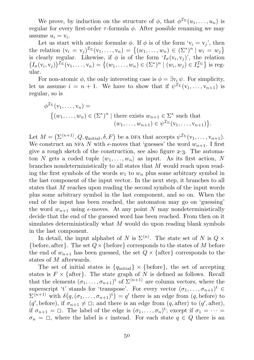We prove, by induction on the structure of  $\phi$ , that  $\phi^{\mathcal{I}_{\Sigma}}(u_1,\ldots,u_n)$  is regular for every first-order  $τ$ -formula  $φ$ . After possible renaming we may assume  $u_i = v_i$ .

Let us start with atomic formulæ  $\phi$ . If  $\phi$  is of the form ' $v_i = v_j$ ', then the relation  $(v_i = v_j)^{\mathcal{I}_{\Sigma}}(v_1, \ldots, v_n) = \{(w_1, \ldots, w_n) \in (\Sigma^*)^n | w_i = w_j\}$ is clearly regular. Likewise, if  $\phi$  is of the form  $I_{\sigma}(v_i, v_j)$ , the relation  $\left(I_{\sigma}(v_i, v_j)\right)^{\mathcal{I}_{\Sigma}}(v_1, \ldots, v_n) = \left\{(w_1, \ldots, w_n) \in (\Sigma^*)^n \mid (w_i, w_j) \in I_{\sigma}^{\mathcal{I}_{\Sigma}}\right\}$  is regular.

For non-atomic  $\phi$ , the only interesting case is  $\phi = \exists v_i \psi$ . For simplicity, let us assume  $i = n + 1$ . We have to show that if  $\psi^{\mathcal{I}_{\Sigma}}(v_1, \ldots, v_{n+1})$  is regular, so is

$$
\phi^{\mathcal{I}_{\Sigma}}(v_1, \dots, v_n) =
$$
\n
$$
\{(w_1, \dots, w_n) \in (\Sigma^*)^n \mid \text{there exists } w_{n+1} \in \Sigma^* \text{ such that } (w_1, \dots, w_{n+1}) \in \psi^{\mathcal{I}_{\Sigma}}(v_1, \dots, v_{n+1})\}.
$$

Let  $M = (\Sigma^{(n+1)}, Q, q_{initial}, \delta, F)$  be a DFA that accepts  $\psi^{\mathcal{I}_{\Sigma}}(v_1, \ldots, v_{n+1}).$ We construct an NFA N with  $\epsilon$ -moves that 'guesses' the word  $w_{n+1}$ . I first give a rough sketch of the construction, see also [figure](#page-52-0)  $2-3$ . The automaton N gets a coded tuple  $\langle w_1, \ldots, w_n \rangle$  as input. As its first action, N branches nondeterministically to all states that M would reach upon reading the first symbols of the words  $w_1$  to  $w_n$  plus some arbitrary symbol in the last component of the input vector. In the next step, it branches to all states that M reaches upon reading the second symbols of the input words plus some arbitrary symbol in the last component, and so on. When the end of the input has been reached, the automaton may go on 'guessing' the word  $w_{n+1}$  using  $\epsilon$ -moves. At any point N may nondeterministically decide that the end of the guessed word has been reached. From then on it simulates deterministically what  $M$  would do upon reading blank symbols in the last component.

In detail, the input alphabet of N is  $\Sigma^{(n)}$ . The state set of N is  $Q \times$ {before, after}. The set  $Q \times$  {before} corresponds to the states of M before the end of  $w_{n+1}$  has been guessed, the set  $Q \times \{\text{after}\}\)$  corresponds to the states of M afterwards.

The set of initial states is  $\{q_{initial}\}\times\{\text{before}\}\$ , the set of accepting states is  $F \times \{\text{after}\}\.$  The state graph of N is defined as follows. Recall that the elements  $(\sigma_1, \ldots, \sigma_{n+1})^t$  of  $\Sigma^{(n+1)}$  are column vectors, where the superscript 't' stands for 'transpose'. For every vector  $(\sigma_1, \ldots, \sigma_{n+1})^t$  $\Sigma^{(n+1)}$  with  $\delta(q, (\sigma_1, \ldots, \sigma_{n+1})^t) = q'$  there is an edge from  $(q, \text{before})$  to  $(q', \text{before})$ , if  $\sigma_{n+1} \neq \Box$ ; and there is an edge from  $(q, \text{after})$  to  $(q', \text{after})$ , if  $\sigma_{n+1} = \Box$ . The label of the edge is  $(\sigma_1, \ldots, \sigma_n)^t$ ; except if  $\sigma_1 = \cdots =$  $\sigma_n = \Box$ , where the label is  $\epsilon$  instead. For each state  $q \in Q$  there is an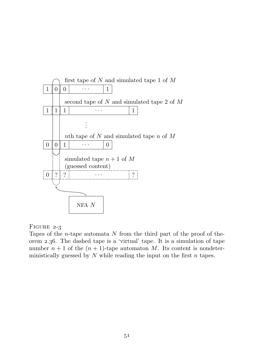

FIGURE  $2-3$ 

<span id="page-52-0"></span>Tapes of the *n*-tape automata  $N$  from the third part of the proof of [the](#page-47-0)[orem](#page-47-0) 2.36. The dashed tape is a 'virtual' tape. It is a simulation of tape number  $n + 1$  of the  $(n + 1)$ -tape automaton M. Its content is nondeterministically guessed by  $N$  while reading the input on the first  $n$  tapes.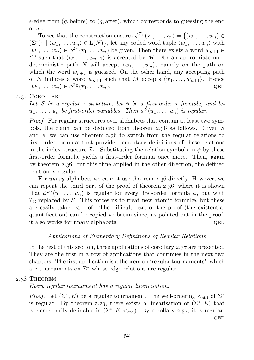$\epsilon$ -edge from  $(q, \text{before})$  to  $(q, \text{after})$ , which corresponds to guessing the end of  $w_{n+1}$ .

To see that the construction ensures  $\phi^{\mathcal{I}_{\Sigma}}(v_1,\ldots,v_n) = \{(w_1,\ldots,w_n) \in$  $(\Sigma^*)^n \mid \langle w_1, \ldots, w_n \rangle \in L(N) \},$  let any coded word tuple  $\langle w_1, \ldots, w_n \rangle$  with  $(w_1, \ldots, w_n) \in \phi^{\mathcal{I}_{\Sigma}}(v_1, \ldots, v_n)$  be given. Then there exists a word  $w_{n+1} \in$  $\Sigma^*$  such that  $\langle w_1, \ldots, w_{n+1} \rangle$  is accepted by M. For an appropriate nondeterministic path N will accept  $\langle w_1, \ldots, w_n \rangle$ , namely on the path on which the word  $w_{n+1}$  is guessed. On the other hand, any accepting path of N induces a word  $w_{n+1}$  such that M accepts  $\langle w_1, \ldots, w_{n+1} \rangle$ . Hence  $(w_1, \ldots, w_n) \in \phi^{\mathcal{I}_{\Sigma}}(v_1, \ldots, v_n).$  QED

## 2.37 COROLLARY

<span id="page-53-0"></span>Let S be a regular  $\tau$ -structure, let  $\phi$  be a first-order  $\tau$ -formula, and let  $u_1, \ldots, u_n$  be first-order variables. Then  $\phi^{\mathcal{S}}(u_1, \ldots, u_n)$  is regular.

Proof. For regular structures over alphabets that contain at least two symbols, the claim can be deduced from [theorem](#page-47-0) 2.36 as follows. Given  $S$ and  $\phi$ , we can use [theorem](#page-47-0) 2.36 to switch from the regular relations to first-order formulæ that provide elementary definitions of these relations in the index structure  $\mathcal{I}_{\Sigma}$ . Substituting the relation symbols in  $\phi$  by these first-order formulæ yields a first-order formula once more. Then, again by [theorem](#page-47-0)  $2.36$ , but this time applied in the other direction, the defined relation is regular.

For *unary* alphabets we cannot use [theorem](#page-47-0) 2.36 directly. However, we can repeat the third part of the proof of [theorem](#page-47-0)  $2.36$ , where it is shown that  $\phi^{\mathcal{I}_{\Sigma}}(u_1,\ldots,u_n)$  is regular for every first-order formula  $\phi$ , but with  $\mathcal{I}_{\Sigma}$  replaced by S. This forces us to treat new atomic formulæ, but these are easily taken care of. The difficult part of the proof (the existential quantification) can be copied verbatim since, as pointed out in the proof, it also works for unary alphabets.  $QED$ 

## Applications of Elementary Definitions of Regular Relations

In the rest of this section, three applications of [corollary](#page-53-0)  $2.37$  are presented. They are the first in a row of applications that continues in the next two chapters. The first application is a theorem on 'regular tournaments', which are tournaments on  $\Sigma^*$  whose edge relations are regular.

### 2.38 THEOREM

Every regular tournament has a regular linearisation.

*Proof.* Let  $(\Sigma^*, E)$  be a regular tournament. The well-ordering  $\lt_{\text{std}}$  of  $\Sigma^*$ is regular. By [theorem](#page-42-0) 2.29, there exists a linearisation of  $(\Sigma^*, E)$  that is elementarily definable in  $(\Sigma^*, E, \leq_{\text{std}})$ . By [corollary](#page-53-0) 2.37, it is regular. QED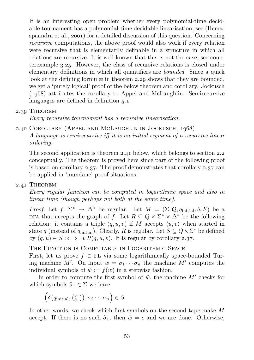It is an interesting open problem whether every polynomial-time decidable tournament has a polynomial-time decidable linearisation, see([Hema](#page-165-0)[spaandra et al.,](#page-165-0)  $2001$  for a detailed discussion of this question. Concerning recursive computations, the above proof would also work if every relation were recursive that is elementarily definable in a structure in which all relations are recursive. It is well-known that this is not the case, see [coun](#page-73-0)[terexample](#page-73-0) 3.25. However, the class of recursive relations is closed under elementary definitions in which all quantifiers are bounded. Since a quick look at the defining formulæ in [theorem](#page-42-0) 2.29 shows that they are bounded, we get a 'purely logical' proof of the below theorem and corollary. [Jockusch](#page-166-0)  $(1968)$  attributes the corollary to Appel and McLaughlin. Semirecursive languages are defined in [definition](#page-105-0)  $5.1$ .

# 2.39 THEOREM

Every recursive tournament has a recursive linearisation.

2.40 COROLLARY (APPEL AND MCLAUGHLIN IN JOCKUSCH, 1968)

A language is semirecursive iff it is an initial segment of a recursive linear ordering.

The second application is [theorem](#page-54-0)  $2.41$  below, which belongs to [section](#page-34-0)  $2.2$ conceptually. The theorem is proved here since part of the following proof is based on [corollary](#page-53-0)  $2.37$ . The proof demonstrates that corollary  $2.37$  can be applied in 'mundane' proof situations.

# 2.41 THEOREM

<span id="page-54-0"></span>Every regular function can be computed in logarithmic space and also in linear time (though perhaps not both at the same time).

*Proof.* Let  $f: \Sigma^* \to \Delta^*$  be regular. Let  $M = (\Sigma, Q, q_{initial}, \delta, F)$  be a DFA that accepts the graph of f. Let  $R \subseteq Q \times \Sigma^* \times \Delta^*$  be the following relation: it contains a triple  $(q, u, v)$  if M accepts  $\langle u, v \rangle$  when started in state q (instead of  $q_{\text{initial}}$ ). Clearly, R is regular. Let  $S \subseteq Q \times \Sigma^*$  be defined by  $(q, u) \in S : \Longleftrightarrow \exists v R(q, u, v)$ . It is regular by [corollary](#page-53-0) 2.37.

THE FUNCTION IS COMPUTABLE IN LOGARITHMIC SPACE First, let us prove  $f \in FL$  via some logarithmically space-bounded Turing machine M'. On input  $w = \sigma_1 \cdots \sigma_n$  the machine M' computes the individual symbols of  $\tilde{w} := f(w)$  in a stepwise fashion.

In order to compute the first symbol of  $\tilde{w}$ , the machine  $M'$  checks for which symbols  $\tilde{\sigma}_1 \in \Sigma$  we have

$$
\left(\delta\big(q_{\text{initial}},\begin{pmatrix} \sigma_1\\ \tilde{\sigma}_1 \end{pmatrix}\big), \sigma_2\cdots\sigma_n\right)\in S.
$$

In other words, we check which first symbols on the second tape make M accept. If there is no such  $\tilde{\sigma}_1$ , then  $\tilde{w} = \epsilon$  and we are done. Otherwise,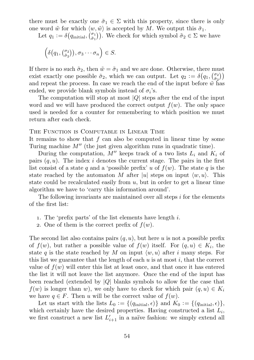there must be exactly one  $\tilde{\sigma}_1 \in \Sigma$  with this property, since there is only one word  $\tilde{w}$  for which  $\langle w, \tilde{w} \rangle$  is accepted by M. We output this  $\tilde{\sigma}_1$ .

Let  $q_1 := \delta(q_{\text{initial}}, \begin{pmatrix} \sigma_1 \\ \sigma_1 \end{pmatrix})$ . We check for which symbol  $\tilde{\sigma}_2 \in \Sigma$  we have

$$
\left(\delta\big(q_1,\begin{pmatrix}\sigma_2\\\tilde{\sigma}_2\end{pmatrix}\big),\sigma_3\cdots\sigma_n\right)\in S.
$$

If there is no such  $\tilde{\sigma}_2$ , then  $\tilde{w} = \tilde{\sigma}_1$  and we are done. Otherwise, there must exist exactly one possible  $\tilde{\sigma}_2$ , which we can output. Let  $q_2 := \delta(q_1, \begin{pmatrix} \sigma_2 \\ \sigma_2 \end{pmatrix})$ and repeat the process. In case we reach the end of the input before  $\tilde{w}$  has ended, we provide blank symbols instead of  $\sigma_i$ 's.

The computation will stop at most  $|Q|$  steps after the end of the input word and we will have produced the correct output  $f(w)$ . The only space used is needed for a counter for remembering to which position we must return after each check.

#### The Function is Computable in Linear Time

It remains to show that  $f$  can also be computed in linear time by some Turing machine  $M''$  (the just given algorithm runs in quadratic time).

During the computation,  $M''$  keeps track of a two lists  $L_i$  and  $K_i$  of pairs  $(q, u)$ . The index i denotes the current stage. The pairs in the first list consist of a state q and a 'possible prefix' u of  $f(w)$ . The state q is the state reached by the automaton M after |u| steps on input  $\langle w, u \rangle$ . This state could be recalculated easily from  $u$ , but in order to get a linear time algorithm we have to 'carry this information around'.

The following invariants are maintained over all steps  $i$  for the elements of the first list:

- . The 'prefix parts' of the list elements have length i.
- 2. One of them is the correct prefix of  $f(w)$ .

The second list also contains pairs  $(q, u)$ , but here u is not a possible prefix of  $f(w)$ , but rather a possible value of  $f(w)$  itself. For  $(q, u) \in K_i$ , the state q is the state reached by M on input  $\langle w, u \rangle$  after i many steps. For this list we guarantee that the length of each  $u$  is at most  $i$ , that the correct value of  $f(w)$  will enter this list at least once, and that once it has entered the list it will not leave the list anymore. Once the end of the input has been reached (extended by  $|Q|$  blanks symbols to allow for the case that  $f(w)$  is longer than w), we only have to check for which pair  $(q, u) \in K_i$ we have  $q \in F$ . Then u will be the correct value of  $f(w)$ .

Let us start with the lists  $L_0 := \{ (q_{\text{initial}}, \epsilon) \}$  and  $K_0 := \{ (q_{\text{initial}}, \epsilon) \},$ which certainly have the desired properties. Having constructed a list  $L_i$ , we first construct a new list  $L'_{i+1}$  in a naïve fashion: we simply extend all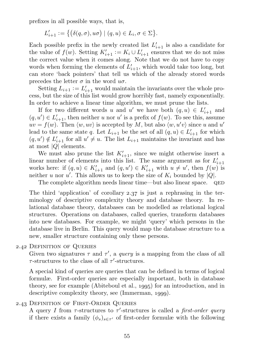prefixes in all possible ways, that is,

$$
L'_{i+1} := \big\{ \big(\delta(q,\sigma),u\sigma\big) \mid (q,u) \in L_i, \sigma \in \Sigma \big\}.
$$

Each possible prefix in the newly created list  $L'_{i+1}$  is also a candidate for the value of  $f(w)$ . Setting  $K'_{i+1} := K_i \cup L'_{i+1}$  ensures that we do not miss the correct value when it comes along. Note that we do not have to copy words when forming the elements of  $L'_{i+1}$ , which would take too long, but can store 'back pointers' that tell us which of the already stored words precedes the letter  $\sigma$  in the word  $u\sigma$ .

Setting  $L_{i+1} := L'_{i+1}$  would maintain the invariants over the whole process, but the size of this list would grow horribly fast, namely exponentially. In order to achieve a linear time algorithm, we must prune the lists.

If for two different words u and u' we have both  $(q, u) \in L'_{i+1}$  and  $(q, u') \in L'_{i+1}$ , then neither u nor u' is a prefix of  $f(w)$ . To see this, assume  $uv = f(w)$ . Then  $\langle w, uv \rangle$  is accepted by M, but also  $\langle w, u'v \rangle$  since u and u' lead to the same state q. Let  $L_{i+1}$  be the set of all  $(q, u) \in L'_{i+1}$  for which  $(q, u') \notin L'_{i+1}$  for all  $u' \neq u$ . The list  $L_{i+1}$  maintains the invariant and has at most |Q| elements.

We must also prune the list  $K'_{i+1}$ , since we might otherwise insert a linear number of elements into this list. The same argument as for  $L'_{i+1}$ works here: if  $(q, u) \in K'_{i+1}$  and  $(q, u') \in K'_{i+1}$  with  $u \neq u'$ , then  $f(w)$  is neither u nor u'. This allows us to keep the size of  $K_i$  bounded by  $|Q|$ .

The complete algorithm needs linear time—but also linear space. QED

The third 'application' of [corollary](#page-53-0)  $2.37$  is just a rephrasing in the terminology of descriptive complexity theory and database theory. In relational database theory, databases can be modelled as relational logical structures. Operations on databases, called queries, transform databases into new databases. For example, we might 'query' which persons in the database live in Berlin. This query would map the database structure to a new, smaller structure containing only these persons.

2.42 DEFINITION OF QUERIES

Given two signatures  $\tau$  and  $\tau'$ , a *query* is a mapping from the class of all  $\tau$ -structures to the class of all  $\tau'$ -structures.

A special kind of queries are queries that can be defined in terms of logical formulæ. First-order queries are especially important, both in database theory, see for example([Abiteboul et al.,](#page-162-0) ) for an introduction, and in descriptivecomplexity theory, see ([Immerman,](#page-166-1) 1999).

## 2.43 DEFINITION OF FIRST-ORDER QUERIES

A query I from  $\tau$ -structures to  $\tau'$ -structures is called a first-order query if there exists a family  $(\phi_s)_{s \in \tau'}$  of first-order formulæ with the following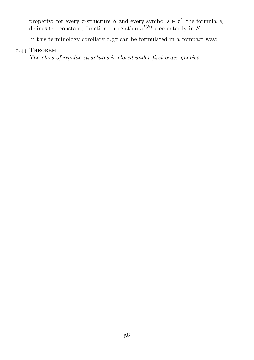property: for every  $\tau$ -structure  $S$  and every symbol  $s \in \tau'$ , the formula  $\phi_s$ defines the constant, function, or relation  $s^{I(\hat{S})}$  elementarily in S.

In this terminology [corollary](#page-53-0)  $2.37$  can be formulated in a compact way:

# 2.44 THEOREM

The class of regular structures is closed under first-order queries.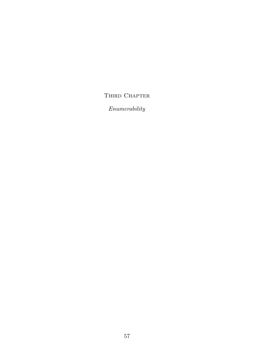# THIRD CHAPTER

Enumerability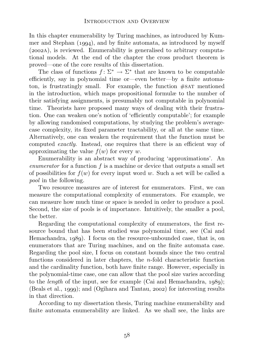In this chapter enumerability by Turing machines, as introduced by [Kum](#page-167-1)mer and Stephan  $(1994)$ , and by finite automata, as introduced by myself  $(2002)$ , is reviewed. Enumerability is generalised to arbitrary computational models. At the end of the chapter the cross product theorem is proved—one of the core results of this dissertation.

The class of functions  $f: \Sigma^* \to \Sigma^*$  that are known to be computable efficiently, say in polynomial time or—even better—by a finite automaton, is frustratingly small. For example, the function #sat mentioned in the introduction, which maps propositional formulæ to the number of their satisfying assignments, is presumably not computable in polynomial time. Theorists have proposed many ways of dealing with their frustration. One can weaken one's notion of 'efficiently computable'; for example by allowing randomised computations, by studying the problem's averagecase complexity, its fixed parameter tractability, or all at the same time. Alternatively, one can weaken the requirement that the function must be computed exactly. Instead, one requires that there is an efficient way of approximating the value  $f(w)$  for every w.

Enumerability is an abstract way of producing 'approximations'. An enumerator for a function  $f$  is a machine or device that outputs a small set of possibilities for  $f(w)$  for every input word w. Such a set will be called a pool in the following.

Two resource measures are of interest for enumerators. First, we can measure the computational complexity of enumerators. For example, we can measure how much time or space is needed in order to produce a pool. Second, the size of pools is of importance. Intuitively, the smaller a pool, the better.

Regarding the computational complexity of enumerators, the first resource bound that has been studied was polynomial time, see([Cai and](#page-163-4) [Hemachandra,](#page-163-4) 1989). I focus on the resource-unbounded case, that is, on enumerators that are Turing machines, and on the finite automata case. Regarding the pool size, I focus on constant bounds since the two central functions considered in later chapters, the n-fold characteristic function and the cardinality function, both have finite range. However, especially in the polynomial-time case, one can allow that the pool size varies according tothe *length* of the input, see for example ([Cai and Hemachandra,](#page-163-4)  $1989$ ); [\(Beals et al.,](#page-162-1)1999); and ([Ogihara and Tantau,](#page-168-2) 2002) for interesting results in that direction.

According to my dissertation thesis, Turing machine enumerability and finite automata enumerability are linked. As we shall see, the links are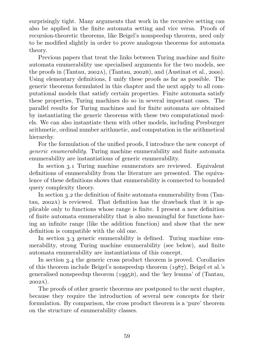surprisingly tight. Many arguments that work in the recursive setting can also be applied in the finite automata setting and vice versa. Proofs of recursion-theoretic theorems, like Beigel's nonspeedup theorem, need only to be modified slightly in order to prove analogous theorems for automata theory.

Previous papers that treat the links between Turing machine and finite automata enumerability use specialised arguments for the two models, see the proofs in [\(Tantau,](#page-170-2)2002A), ([Tantau,](#page-170-3) 2002B), and ([Austinat et al.,](#page-162-2) 2000). Using elementary definitions, I unify these proofs as far as possible. The generic theorems formulated in this chapter and the next apply to all computational models that satisfy certain properties. Finite automata satisfy these properties, Turing machines do so in several important cases. The parallel results for Turing machines and for finite automata are obtained by instantiating the generic theorems with these two computational models. We can also instantiate them with other models, including Presburger arithmetic, ordinal number arithmetic, and computation in the arithmetical hierarchy.

For the formulation of the unified proofs, I introduce the new concept of generic enumerability. Turing machine enumerability and finite automata enumerability are instantiations of generic enumerability.

In [section](#page-61-0) 3.1 Turing machine enumerators are reviewed. Equivalent definitions of enumerability from the literature are presented. The equivalence of these definitions shows that enumerability is connected to bounded query complexity theory.

In [section](#page-64-0) 3.2 the definition of finite automata enumerability from [\(Tan](#page-170-2)tau, 2002A) is reviewed. That definition has the drawback that it is applicable only to functions whose range is finite. I present a new definition of finite automata enumerability that is also meaningful for functions having an infinite range (like the addition function) and show that the new definition is compatible with the old one.

In [section](#page-68-0) 3.3 generic enumerability is defined. Turing machine enumerability, strong Turing machine enumerability (see below), and finite automata enumerability are instantiations of this concept.

In [section](#page-70-0) 3.4 the generic cross product theorem is proved. Corollaries of this theorem include Beigel's nonspeedup theorem  $(1087)$ . Beigel et al.'s generalisednonspeedup theorem  $(1995B)$ , and the 'key lemma' of ([Tantau,](#page-170-2)  $2002A$ ).

The proofs of other generic theorems are postponed to the next chapter, because they require the introduction of several new concepts for their formulation. By comparison, the cross product theorem is a 'pure' theorem on the structure of enumerability classes.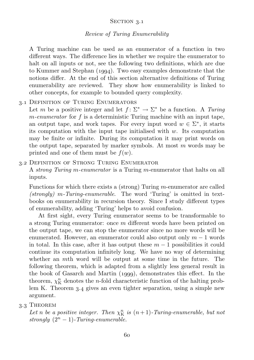### SECTION 3.1

### Review of Turing Enumerability

<span id="page-61-0"></span>A Turing machine can be used as an enumerator of a function in two different ways. The difference lies in whether we require the enumerator to halt on all inputs or not, see the following two definitions, which are due to Kummer and Stephan  $(1994)$ . Two easy examples demonstrate that the notions differ. At the end of this section alternative definitions of Turing enumerability are reviewed. They show how enumerability is linked to other concepts, for example to bounded query complexity.

## . Definition of Turing Enumerators

Let m be a positive integer and let  $f: \Sigma^* \to \Sigma^*$  be a function. A Turing  $m\text{-}enumerator$  for f is a deterministic Turing machine with an input tape, an output tape, and work tapes. For every input word  $w \in \Sigma^*$ , it starts its computation with the input tape initialised with  $w$ . Its computation may be finite or infinite. During its computation it may print words on the output tape, separated by marker symbols. At most  $m$  words may be printed and one of them must be  $f(w)$ .

## 3.2 DEFINITION OF STRONG TURING ENUMERATOR

A strong Turing m-enumerator is a Turing m-enumerator that halts on all inputs.

Functions for which there exists a (strong) Turing m-enumerator are called (strongly) m-Turing-enumerable. The word 'Turing' is omitted in textbooks on enumerability in recursion theory. Since I study different types of enumerability, adding 'Turing' helps to avoid confusion.

At first sight, every Turing enumerator seems to be transformable to a strong Turing enumerator: once m different words have been printed on the output tape, we can stop the enumerator since no more words will be enumerated. However, an enumerator could also output only  $m - 1$  words in total. In this case, after it has output these  $m-1$  possibilities it could continue its computation infinitely long. We have no way of determining whether an mth word will be output at some time in the future. The following theorem, which is adapted from a slightly less general result in the book of Gasarch and Martin  $(1999)$ , demonstrates this effect. In the theorem,  $\chi^{\mathbb{n}}_{\rm K}$  denotes the *n*-fold characteristic function of the halting prob-lem K. [Theorem](#page-62-0) 3.4 gives an even tighter separation, using a simple new argument.

## 3.3 THEOREM

Let n be a positive integer. Then  $\chi_{\rm K}^n$  is  $(n+1)$ -Turing-enumerable, but not strongly  $(2^n - 1)$ -Turing-enumerable.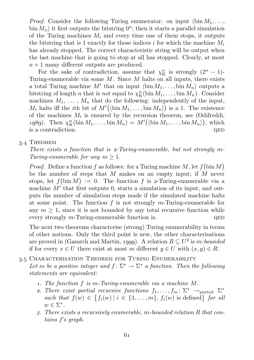*Proof.* Consider the following Turing enumerator: on input  $\{\text{bin } M_1, \ldots, \}$ bin  $M_n$ ) it first outputs the bitstring  $0^n$ ; then it starts a parallel simulation of the Turing machines  $M_i$  and every time one of them stops, it outputs the bitstring that is 1 exactly for those indices i for which the machine  $M_i$ has already stopped. The correct characteristic string will be output when the last machine that is going to stop at all has stopped. Clearly, at most  $n+1$  many different outputs are produced.

For the sake of contradiction, assume that  $\chi_K^n$  is strongly  $(2^n - 1)$ -Turing-enumerable via some  $M$ . Since  $M$  halts on all inputs, there exists a total Turing machine M' that on input  $\langle \mathrm{bin} M_1, \ldots, \mathrm{bin} M_n \rangle$  outputs a bitstring of length *n* that is *not* equal to  $\chi_K^n(\text{bin }M_1, \ldots, \text{bin }M_n)$ . Consider machines  $M_1, \ldots, M_n$  that do the following: independently of the input,  $M_i$  halts iff the *i*th bit of  $M'(\langle \dim M_1, \ldots, \dim M_n \rangle)$  is a 1. The existence of the machines  $M_i$  is ensured by the recursion theorem, see [\(Odifreddi,](#page-168-3) 1989). Then  $\chi_K^n(\text{bin } M_1, \ldots, \text{bin } M_n) = M'(\langle \text{bin } M_1, \ldots, \text{bin } M_n \rangle)$ , which is a contradiction.  $QED$ 

### 3.4 THEOREM

<span id="page-62-0"></span>There exists a function that is  $z$ -Turing-enumerable, but not strongly m-Turing-enumerable for any  $m \geq 1$ .

*Proof.* Define a function f as follows: for a Turing machine M, let  $f(\text{bin }M)$ be the number of steps that M makes on an empty input; if M never stops, let  $f(\text{bin } M) := 0$ . The function f is 2-Turing-enumerable via a machine  $M'$  that first outputs 0, starts a simulation of its input, and outputs the number of simulation steps made if the simulated machine halts at some point. The function  $f$  is not strongly  $m$ -Turing-enumerable for any  $m \geq 1$ , since it is not bounded by any total recursive function while every strongly *m*-Turing-enumerable function is.  $QED$ 

The next two theorems characterise (strong) Turing enumerability in terms of other notions. Only the third point is new, the other characterisations areproved in ([Gasarch and Martin,](#page-164-1) 1999). A relation  $R \subseteq U^2$  is m-bounded if for every  $x \in U$  there exist at most m different  $y \in U$  with  $(x, y) \in R$ .

- <span id="page-62-1"></span>3.5 CHARACTERISATION THEOREM FOR TURING ENUMERABILITY Let m be a positive integer and  $f: \Sigma^* \to \Sigma^*$  a function. Then the following statements are equivalent:
	- <sup>1</sup>. The function f is m-Turing-enumerable via a machine M.
	- 2. There exist partial recursive functions  $f_1, \ldots, f_m \colon \Sigma^* \to_{\text{partial}} \Sigma^*$ such that  $f(w) \in \{f_i(w) | i \in \{1, \ldots, m\}, f_i(w) \text{ is defined}\}\$  for all  $w \in \Sigma^*$ .
	- 3. There exists a recursively enumerable, m-bounded relation R that contains f's graph.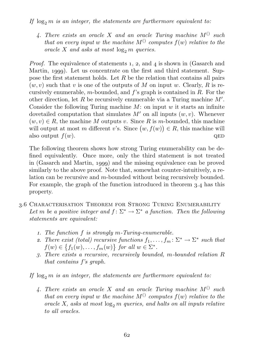If  $\log_2 m$  is an integer, the statements are furthermore equivalent to:

4. There exists an oracle X and an oracle Turing machine  $M^{()}$  such that on every input w the machine  $M^{()}$  computes  $f(w)$  relative to the oracle X and asks at most  $\log_2 m$  queries.

*Proof.*The equivalence of statements 1, 2, and 4 is shown in ([Gasarch and](#page-164-1) [Martin,](#page-164-1) 1999). Let us concentrate on the first and third statement. Suppose the first statement holds. Let  $R$  be the relation that contains all pairs  $(w, v)$  such that v is one of the outputs of M on input w. Clearly, R is recursively enumerable, m-bounded, and  $f$ 's graph is contained in  $R$ . For the other direction, let  $R$  be recursively enumerable via a Turing machine  $M'$ . Consider the following Turing machine  $M$ : on input  $w$  it starts an infinite dovetailed computation that simulates  $M'$  on all inputs  $(w, v)$ . Whenever  $(w, v) \in R$ , the machine M outputs v. Since R is m-bounded, this machine will output at most m different v's. Since  $(w, f(w)) \in R$ , this machine will also output  $f(w)$ . QED

The following theorem shows how strong Turing enumerability can be defined equivalently. Once more, only the third statement is not treated in([Gasarch and Martin,](#page-164-1) 1999) and the missing equivalence can be proved similarly to the above proof. Note that, somewhat counter-intuitively, a relation can be recursive and m-bounded without being recursively bounded. For example, the graph of the function introduced in [theorem](#page-62-0)  $3.4$  has this property.

- <span id="page-63-0"></span>. Characterisation Theorem for Strong Turing Enumerability Let m be a positive integer and  $f: \Sigma^* \to \Sigma^*$  a function. Then the following statements are equivalent:
	- <sup>1</sup>. The function f is strongly m-Turing-enumerable.
	- 2. There exist (total) recursive functions  $f_1, \ldots, f_m \colon \Sigma^* \to \Sigma^*$  such that  $f(w) \in \{f_1(w), \ldots, f_m(w)\}\$  for all  $w \in \Sigma^*$ .
	- 3. There exists a recursive, recursively bounded, m-bounded relation R that contains f's graph.

If  $\log_2 m$  is an integer, the statements are furthermore equivalent to:

4. There exists an oracle X and an oracle Turing machine  $M^{()}$  such that on every input w the machine  $M^{()}$  computes  $f(w)$  relative to the oracle X, asks at most  $\log_2 m$  queries, and halts on all inputs relative to all oracles.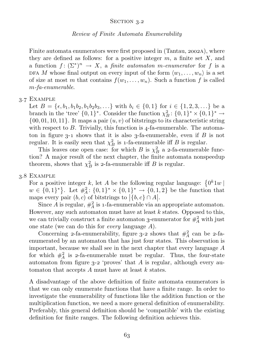### SECTION 3.2

### Review of Finite Automata Enumerability

<span id="page-64-0"></span>Finite automata enumerators were first proposed in [\(Tantau,](#page-170-2) 2002A), where they are defined as follows: for a positive integer  $m$ , a finite set  $X$ , and a function  $f: (\Sigma^*)^n \to X$ , a finite automator m-enumerator for f is a DFA M whose final output on every input of the form  $\langle w_1, \ldots, w_n \rangle$  is a set of size at most m that contains  $f(w_1, \ldots, w_n)$ . Such a function f is called m-fa-enumerable.

### 3.7 EXAMPLE

Let  $B = \{\epsilon, b_1, b_1b_2, b_1b_2b_3, \ldots\}$  with  $b_i \in \{0, 1\}$  for  $i \in \{1, 2, 3, \ldots\}$  be a branch in the 'tree'  $\{0,1\}^*$ . Consider the function  $\chi_B^2$ :  $\{0,1\}^* \times \{0,1\}^* \rightarrow$  $\{00, 01, 10, 11\}$ . It maps a pair  $(u, v)$  of bitstrings to its characteristic string with respect to  $B$ . Trivially, this function is  $\alpha$ -fa-enumerable. The automaton in [figure](#page-65-0)  $3-1$  shows that it is also  $3-4a$ -enumerable, even if B is not regular. It is easily seen that  $\chi_B^2$  is 1-fa-enumerable iff B is regular.

This leaves one open case: for which B is  $\chi_B^2$  a 2-fa-enumerable function? A major result of the next chapter, the finite automata nonspeedup theorem, shows that  $\chi_B^2$  is 2-fa-enumerable iff B is regular.

### . Example

For a positive integer k, let A be the following regular language:  $\{0^k 1w \mid$  $w \in \{0,1\}^*$ . Let  $\#_A^2$ :  $\{0,1\}^* \times \{0,1\}^* \to \{0,1,2\}$  be the function that maps every pair  $(b, c)$  of bitstrings to  $\left| \{b, c\} \cap A \right|$ .

Since A is regular,  $\#_{A}^{2}$  is 1-fa-enumerable via an appropriate automaton. However, any such automaton must have at least  $k$  states. Opposed to this, we can trivially construct a finite automaton 3-enumerator for  $\#^2_A$  with just one state (we can do this for every language A).

Concerning 2-fa-enumerability, [figure](#page-66-0) 3-2 shows that  $\#^2_A$  can be 2-faenumerated by an automaton that has just four states. This observation is important, because we shall see in the next chapter that every language  $A$ for which  $\#$ <sup>2</sup> is 2-fa-enumerable must be regular. Thus, the four-state automaton from [figure](#page-66-0)  $3-2$  'proves' that A is regular, although every automaton that accepts A must have at least k states.

A disadvantage of the above definition of finite automata enumerators is that we can only enumerate functions that have a finite range. In order to investigate the enumerability of functions like the addition function or the multiplication function, we need a more general definition of enumerability. Preferably, this general definition should be 'compatible' with the existing definition for finite ranges. The following definition achieves this.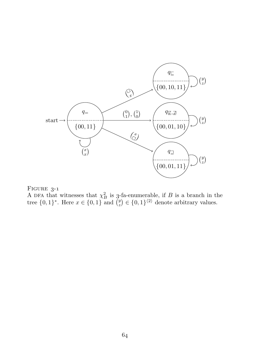



<span id="page-65-0"></span>A DFA that witnesses that  $\chi_B^2$  is 3-fa-enumerable, if B is a branch in the tree  $\{0,1\}^*$ . Here  $x \in \{0,1\}$  and  $\binom{y}{z} \in \{0,1\}^{\langle 2 \rangle}$  denote arbitrary values.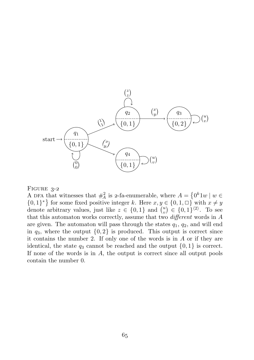

### $FIGURE 3-2$

<span id="page-66-0"></span>A DFA that witnesses that  $#_A^2$  is 2-fa-enumerable, where  $A = \{0^k 1w \mid w \in A\}$  $\{0,1\}^*$  for some fixed positive integer k. Here  $x, y \in \{0,1,\Box\}$  with  $x \neq y$ denote arbitrary values, just like  $z \in \{0,1\}$  and  $\binom{u}{v} \in \{0,1\}^{2}$ . To see that this automaton works correctly, assume that two different words in A are given. The automaton will pass through the states  $q_1, q_2$ , and will end in  $q_3$ , where the output  $\{0, 2\}$  is produced. This output is correct since it contains the number 2. If only one of the words is in A or if they are identical, the state  $q_3$  cannot be reached and the output  $\{0, 1\}$  is correct. If none of the words is in  $A$ , the output is correct since all output pools contain the number 0.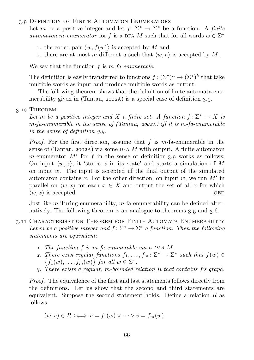## . Definition of Finite Automaton Enumerators

<span id="page-67-0"></span>Let m be a positive integer and let  $f: \Sigma^* \to \Sigma^*$  be a function. A finite automaton m-enumerator for f is a DFA M such that for all words  $w \in \Sigma^*$ 

- 1. the coded pair  $\langle w, f(w) \rangle$  is accepted by M and
- 2. there are at most m different u such that  $\langle w, u \rangle$  is accepted by M.

We say that the function  $f$  is  $m$ - $fa$ -enumerable.

The definition is easily transferred to functions  $f: (\Sigma^*)^n \to (\Sigma^*)^k$  that take multiple words as input and produce multiple words as output.

The following theorem shows that the definition of finite automata enu-merability given in [\(Tantau,](#page-170-2) 2002A) is a special case of [definition](#page-67-0)  $3.9$ .

## 3.10 THEOREM

Let m be a positive integer and X a finite set. A function  $f: \Sigma^* \to X$  is  $m$ -fa-enumerable in the sense of [\(Tantau,](#page-170-2) 2002A) iff it is m-fa-enumerable in the sense of [definition](#page-67-0) 3.9.

*Proof.* For the first direction, assume that f is  $m$ -fa-enumerable in the senseof ([Tantau,](#page-170-2) 2002A) via some DFA M with output. A finite automaton *m*-enumerator  $M'$  for f in the sense of [definition](#page-67-0) 3.9 works as follows: On input  $\langle w, x \rangle$ , it 'stores x in its state' and starts a simulation of M on input w. The input is accepted iff the final output of the simulated automaton contains x. For the other direction, on input w, we run  $M'$  in parallel on  $\langle w, x \rangle$  for each  $x \in X$  and output the set of all x for which  $\langle w, x \rangle$  is accepted.

Just like m-Turing-enumerability, m-fa-enumerability can be defined alternatively. The following theorem is an analogue to theorems  $3.5$  and  $3.6$ .

- <span id="page-67-1"></span>. Characterisation Theorem for Finite Automata Enumerability Let m be a positive integer and  $f: \Sigma^* \to \Sigma^*$  a function. Then the following statements are equivalent:
	- <sup>1</sup>. The function f is m-fa-enumerable via a DFA M.
	- 2. There exist regular functions  $f_1, \ldots, f_m \colon \Sigma^* \to \Sigma^*$  such that  $f(w) \in$  $\{f_1(w), \ldots, f_m(w)\}\$  for all  $w \in \Sigma^*$ .
	- 3. There exists a regular, m-bounded relation R that contains f's graph.

Proof. The equivalence of the first and last statements follows directly from the definitions. Let us show that the second and third statements are equivalent. Suppose the second statement holds. Define a relation  $R$  as follows:

$$
(w,v) \in R \iff v = f_1(w) \lor \dots \lor v = f_m(w).
$$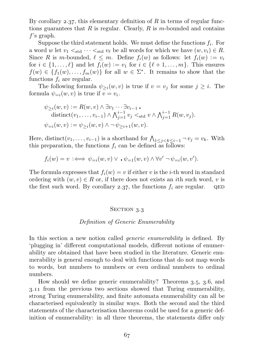By [corollary](#page-53-0) 2.37, this elementary definition of  $R$  in terms of regular functions guarantees that  $R$  is regular. Clearly,  $R$  is m-bounded and contains f's graph.

Suppose the third statement holds. We must define the functions  $f_i$ . For a word w let  $v_1 \leq_{\text{std}} \cdots \leq_{\text{std}} v_\ell$  be all words for which we have  $(w, v_i) \in R$ . Since R is m-bounded,  $\ell \leq m$ . Define  $f_i(w)$  as follows: let  $f_i(w) := v_i$ for  $i \in \{1, \ldots, \ell\}$  and let  $f_i(w) := v_1$  for  $i \in \{\ell + 1, \ldots, m\}$ . This ensures  $f(w) \in \{f_1(w), \ldots, f_m(w)\}\$  for all  $w \in \Sigma^*$ . It remains to show that the functions  $f_i$  are regular.

The following formula  $\psi_{\geq i}(w, v)$  is true if  $v = v_j$  for some  $j \geq i$ . The formula  $\psi_{=i}(w, v)$  is true if  $v = v_i$ .

$$
\psi_{\geq i}(w, v) := R(w, v) \wedge \exists v_1 \cdots \exists v_{i-1} \cdot \text{distinct}(v_1, \ldots, v_{i-1}) \wedge \bigwedge_{j=1}^{i-1} v_j <_{\text{std}} v \wedge \bigwedge_{j=1}^{i-1} R(w, v_j).
$$
\n
$$
\psi_{=i}(w, v) := \psi_{\geq i}(w, v) \wedge \neg \psi_{\geq i+1}(w, v).
$$

Here, distinct $(v_1, \ldots, v_{i-1})$  is a shorthand for  $\bigwedge_{1 \leq j < k \leq i-1} \neg v_j = v_k$ . With this preparation, the functions  $f_i$  can be defined as follows:

$$
f_i(w) = v \; \iff \psi_{=i}(w, v) \vee \cdot \psi_{=1}(w, v) \wedge \forall v' \neg \psi_{=i}(w, v').
$$

The formula expresses that  $f_i(w) = v$  if either v is the *i*-th word in standard ordering with  $(w, v) \in R$  or, if there does not exists an *i*th such word, *v* is the first such word. By [corollary](#page-53-0) 2.37, the functions  $f_i$  are regular. QED

### SECTION 3.3

### Definition of Generic Enumerability

<span id="page-68-0"></span>In this section a new notion called *generic enumerability* is defined. By 'plugging in' different computational models, different notions of enumerability are obtained that have been studied in the literature. Generic enumerability is general enough to deal with functions that do not map words to words, but numbers to numbers or even ordinal numbers to ordinal numbers.

How should we define generic enumerability? Theorems  $3.5, 3.6$ , and . from the previous two sections showed that Turing enumerability, strong Turing enumerability, and finite automata enumerability can all be characterised equivalently in similar ways. Both the second and the third statements of the characterisation theorems could be used for a generic definition of enumerability: in all three theorems, the statements differ only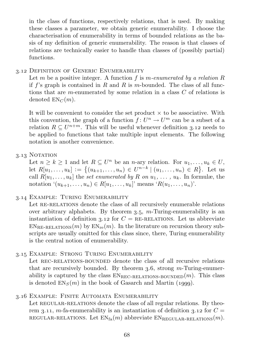in the class of functions, respectively relations, that is used. By making these classes a parameter, we obtain generic enumerability. I choose the characterisation of enumerability in terms of bounded relations as the basis of my definition of generic enumerability. The reason is that classes of relations are technically easier to handle than classes of (possibly partial) functions.

# . Definition of Generic Enumerability

<span id="page-69-0"></span>Let m be a positive integer. A function f is m-enumerated by a relation  $R$ if f's graph is contained in R and R is m-bounded. The class of all functions that are m-enumerated by some relation in a class C of relations is denoted  $EN_C(m)$ .

It will be convenient to consider the set product  $\times$  to be associative. With this convention, the graph of a function  $f: U^n \to U^m$  can be a subset of a relation  $R \subseteq U^{n+m}$ . This will be useful whenever [definition](#page-69-0) 3.12 needs to be applied to functions that take multiple input elements. The following notation is another convenience.

# 3.13 NOTATION

Let  $n \geq k \geq 1$  and let  $R \subseteq U^n$  be an *n*-ary relation. For  $u_1, \ldots, u_k \in U$ , let  $R[u_1, \ldots, u_k] := \{(u_{k+1}, \ldots, u_n) \in U^{n-k} \mid (u_1, \ldots, u_n) \in R\}$ . Let us call  $R[u_1, \ldots, u_k]$  the set enumerated by R on  $u_1, \ldots, u_k$ . In formulæ, the notation  $(u_{k+1},..., u_n) \in R[u_1,..., u_k]$ ' means  $R(u_1,..., u_n)$ '.

# . Example: Turing Enumerability

Let RE-RELATIONS denote the class of all recursively enumerable relations over arbitrary alphabets. By [theorem](#page-62-1)  $3.5$ , m-Turing-enumerability is an instantiation of [definition](#page-69-0) 3.12 for  $C = RE$ -RELATIONS. Let us abbreviate  $EN_{\text{RE-RELATIONS}}(m)$  by  $EN_{\text{re}}(m)$ . In the literature on recursion theory subscripts are usually omitted for this class since, there, Turing enumerability is the central notion of enumerability.

# . Example: Strong Turing Enumerability

Let REC-RELATIONS-BOUNDED denote the class of all recursive relations that are recursively bounded. By [theorem](#page-63-0) 3.6, strong  $m$ -Turing-enumerability is captured by the class  $EN_{REC-RELATIONS-BOUNDED}(m)$ . This class is denoted  $EN_S(m)$  in the book of [Gasarch and Martin \(](#page-164-1)1999).

# . Example: Finite Automata Enumerability

Let REGULAR-RELATIONS denote the class of all regular relations. By [theo](#page-67-1)[rem](#page-67-1) 3.11, m-fa-enumerability is an instantiation of [definition](#page-69-0) 3.12 for  $C =$ REGULAR-RELATIONS. Let  $EN_{fa}(m)$  abbreviate  $EN_{REGULAR-RELATIONS}(m)$ .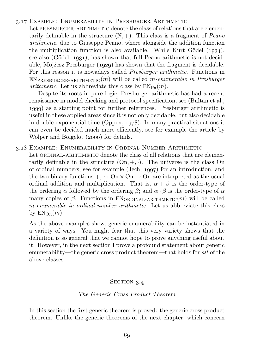## . Example: Enumerability in Presburger Arithmetic

Let PRESBURGER-ARITHMETIC denote the class of relations that are elementarily definable in the structure  $(N, +)$ . This class is a fragment of *Peano* arithmetic, due to Giuseppe Peano, where alongside the addition function the multiplication function is also available. While Kurt Gödel  $(1934)$ , seealso (Gödel,  $1931$ ), has shown that full Peano arithmetic is not decidable, Mojžesz Presburger  $(1929)$  has shown that the fragment is decidable. For this reason it is nowadays called Presburger arithmetic. Functions in  $ENPRESBURGER-ARITHMETIC(m)$  will be called m-enumerable in Presburger *arithmetic*. Let us abbreviate this class by  $EN_{Pa}(m)$ .

Despite its roots in pure logic, Presburger arithmetic has had a recent renaissance in model checking and protocol specification, see([Bultan et al.,](#page-163-6) ) as a starting point for further references. Presburger arithmetic is useful in these applied areas since it is not only decidable, but also decidable in double exponential time  $(Open, 1978)$ . In many practical situations it can even be decided much more efficiently, see for example the article by [Wolper and Boigelot \(](#page-171-0)2000) for details.

. Example: Enumerability in Ordinal Number Arithmetic

Let ORDINAL-ARITHMETIC denote the class of all relations that are elementarily definable in the structure  $(On, +, \cdot)$ . The universe is the class On of ordinal numbers, see for example [\(Jech,](#page-166-2)  $1997$ ) for an introduction, and the two binary functions  $+$ ,  $\cdot$ : On  $\times$  On  $\rightarrow$  On are interpreted as the usual ordinal addition and multiplication. That is,  $\alpha + \beta$  is the order-type of the ordering  $\alpha$  followed by the ordering  $\beta$ ; and  $\alpha \cdot \beta$  is the order-type of  $\alpha$ many copies of  $\beta$ . Functions in EN<sub>ORDINAL-ARITHMETIC</sub> $(m)$  will be called m-enumerable in ordinal number arithmetic. Let us abbreviate this class by  $EN_{\text{On}}(m)$ .

As the above examples show, generic enumerability can be instantiated in a variety of ways. You might fear that this very variety shows that the definition is so general that we cannot hope to prove anything useful about it. However, in the next section I prove a profound statement about generic enumerability—the generic cross product theorem—that holds for all of the above classes.

### SECTION 3.4

## The Generic Cross Product Theorem

<span id="page-70-0"></span>In this section the first generic theorem is proved: the generic cross product theorem. Unlike the generic theorems of the next chapter, which concern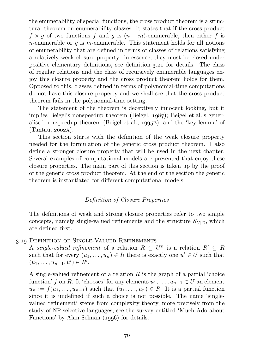the enumerability of special functions, the cross product theorem is a structural theorem on enumerability classes. It states that if the cross product  $f \times q$  of two functions f and q is  $(n + m)$ -enumerable, then either f is *n*-enumerable or  $g$  is *m*-enumerable. This statement holds for all notions of enumerability that are defined in terms of classes of relations satisfying a relatively weak closure property: in essence, they must be closed under positive elementary [definition](#page-72-0)s, see definition  $3.21$  for details. The class of regular relations and the class of recursively enumerable languages enjoy this closure property and the cross product theorem holds for them. Opposed to this, classes defined in terms of polynomial-time computations do not have this closure property and we shall see that the cross product theorem fails in the polynomial-time setting.

The statement of the theorem is deceptively innocent looking, but it implies Beigel's nonspeedup theorem [\(Beigel,](#page-162-3)  $1987$ ); Beigel et al.'s gener-alised nonspeedup theorem [\(Beigel et al.,](#page-163-5) 1995); and the 'key lemma' of  $(Tantau, 2002A).$  $(Tantau, 2002A).$ 

This section starts with the definition of the weak closure property needed for the formulation of the generic cross product theorem. I also define a stronger closure property that will be used in the next chapter. Several examples of computational models are presented that enjoy these closure properties. The main part of this section is taken up by the proof of the generic cross product theorem. At the end of the section the generic theorem is instantiated for different computational models.

## Definition of Closure Properties

The definitions of weak and strong closure properties refer to two simple concepts, namely single-valued refinements and the structure  $\mathcal{S}_{U|C}$ , which are defined first.

### 3.19 DEFINITION OF SINGLE-VALUED REFINEMENTS

A single-valued refinement of a relation  $R \subseteq U^n$  is a relation  $R' \subseteq R$ such that for every  $(u_1, \ldots, u_n) \in R$  there is exactly one  $u' \in U$  such that  $(u_1, \ldots, u_{n-1}, u') \in R'.$ 

A single-valued refinement of a relation  $R$  is the graph of a partial 'choice function' f on R. It 'chooses' for any elements  $u_1, \ldots, u_{n-1} \in U$  an element  $u_n := f(u_1, \ldots, u_{n-1})$  such that  $(u_1, \ldots, u_n) \in R$ . It is a partial function since it is undefined if such a choice is not possible. The name 'singlevalued refinement' stems from complexity theory, more precisely from the study of NP-selective languages, see the survey entitled 'Much Ado about Functions' by Alan [Selman \(](#page-170-4)1996) for details.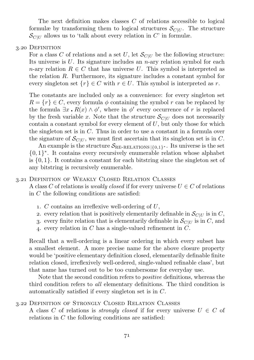The next definition makes classes  $C$  of relations accessible to logical formulæ by transforming them to logical structures  $\mathcal{S}_{ClU}$ . The structure  $\mathcal{S}_{ClU}$  allows us to 'talk about every relation in C' in formulæ.

# 3.20 DEFINITION

<span id="page-72-0"></span>For a class C of relations and a set U, let  $\mathcal{S}_{ClU}$  be the following structure: Its universe is  $U$ . Its signature includes an *n*-ary relation symbol for each n-ary relation  $R \in C$  that has universe U. This symbol is interpreted as the relation R. Furthermore, its signature includes a constant symbol for every singleton set  $\{r\} \in C$  with  $r \in U$ . This symbol is interpreted as r.

The constants are included only as a convenience: for every singleton set  $R = \{r\} \in C$ , every formula  $\phi$  containing the symbol r can be replaced by the formula  $\exists x \cdot R(x) \wedge \phi'$ , where in  $\phi'$  every occurrence of r is replaced by the fresh variable x. Note that the structure  $\mathcal{S}_{ClU}$  does not necessarily contain a constant symbol for every element of  $U$ , but only those for which the singleton set is in C. Thus in order to use a constant in a formula over the signature of  $\mathcal{S}_{ClU}$ , we must first ascertain that its singleton set is in C.

An example is the structure  $S_{\text{RE-RELATIONS} \mid \{0,1\}^*}$ . Its universe is the set {0, 1} ∗ . It contains every recursively enumerable relation whose alphabet is  $\{0, 1\}$ . It contains a constant for each bitstring since the singleton set of any bitstring is recursively enumerable.

# . Definition of Weakly Closed Relation Classes

<span id="page-72-1"></span>A class C of relations is *weakly closed* if for every universe  $U \in C$  of relations in  $C$  the following conditions are satisfied:

- . C contains an irreflexive well-ordering of U,
- 2. every relation that is positively elementarily definable in  $\mathcal{S}_{ClU}$  is in C,
- 3. every finite relation that is elementarily definable in  $\mathcal{S}_{ClU}$  is in C, and
- 4. every relation in C has a single-valued refinement in  $\tilde{C}$ .

Recall that a well-ordering is a linear ordering in which every subset has a smallest element. A more precise name for the above closure property would be 'positive elementary definition closed, elementarily definable finite relation closed, irreflexively well-ordered, single-valued refinable class', but that name has turned out to be too cumbersome for everyday use.

Note that the second condition refers to positive definitions, whereas the third condition refers to all elementary definitions. The third condition is automatically satisfied if every singleton set is in C.

# . Definition of Strongly Closed Relation Classes

A class C of relations is *strongly closed* if for every universe  $U \in C$  of relations in  $C$  the following conditions are satisfied: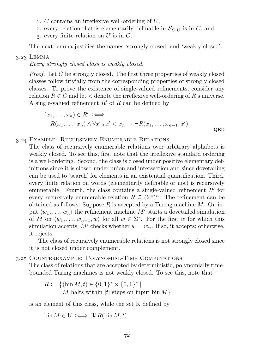- 1.  $C$  contains an irreflexive well-ordering of  $U$ ,
- 2. every relation that is elementarily definable in  $\mathcal{S}_{ClU}$  is in C, and
- 3. every finite relation on  $U$  is in  $C$ .

The next lemma justifies the names 'strongly closed' and 'weakly closed'.

## 3.23 LEMMA

Every strongly closed class is weakly closed.

*Proof.* Let  $C$  be strongly closed. The first three properties of weakly closed classes follow trivially from the corresponding properties of strongly closed classes. To prove the existence of single-valued refinements, consider any relation  $R \in \mathbb{C}$  and let  $\lt$  denote the irreflexive well-ordering of R's universe. A single-valued refinement  $R'$  of R can be defined by

$$
(x_1, \ldots, x_n) \in R' : \iff
$$
  
 
$$
R(x_1, \ldots, x_n) \land \forall x' \cdot x' < x_n \to \neg R(x_1, \ldots, x_{n-1}, x').
$$
 QED

#### . Example: Recursively Enumerable Relations

The class of recursively enumerable relations over arbitrary alphabets is weakly closed. To see this, first note that the irreflexive standard ordering is a well-ordering. Second, the class is closed under positive elementary definitions since it is closed under union and intersection and since dovetailing can be used to 'search' for elements in an existential quantification. Third, every finite relation on words (elementarily definable or not) is recursively enumerable. Fourth, the class contains a single-valued refinement  $R'$  for every recursively enumerable relation  $R \subseteq (\Sigma^*)^n$ . The refinement can be obtained as follows: Suppose  $R$  is accepted by a Turing machine  $M$ . On input  $\langle w_1, \ldots, w_n \rangle$  the refinement machine M' starts a dovetailed simulation of M on  $\langle w_1, \ldots, w_{n-1}, w \rangle$  for all  $w \in \Sigma^*$ . For the first w for which this simulation accepts,  $M'$  checks whether  $w = w_n$ . If so, it accepts; otherwise, it rejects.

The class of recursively enumerable relations is not strongly closed since it is not closed under complement.

#### . Counterexample: Polynomial-Time Computations

The class of relations that are accepted by deterministic, polynomially timebounded Turing machines is not weakly closed. To see this, note that

$$
R := \{ (\text{bin } M, t) \in \{0, 1\}^* \times \{0, 1\}^* \mid M \text{ halts within } |t| \text{ steps on input bin } M \}
$$

is an element of this class, while the set K defined by

 $\text{bin } M \in K : \iff \exists t \, R(\text{bin } M, t)$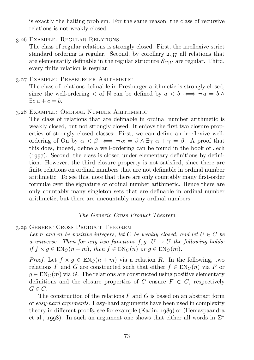is exactly the halting problem. For the same reason, the class of recursive relations is not weakly closed.

# . Example: Regular Relations

The class of regular relations is strongly closed. First, the irreflexive strict standard ordering is regular. Second, by [corollary](#page-53-0) 2.37 all relations that are elementarily definable in the regular structure  $\mathcal{S}_{ClU}$  are regular. Third, every finite relation is regular.

# . Example: Presburger Arithmetic

The class of relations definable in Presburger arithmetic is strongly closed, since the well-ordering  $\lt$  of N can be defined by  $a \lt b : \iff \neg a = b \land \neg b$  $\exists c \ a + c = b$ 

# . Example: Ordinal Number Arithmetic

<span id="page-74-1"></span>The class of relations that are definable in ordinal number arithmetic is weakly closed, but not strongly closed. It enjoys the first two closure properties of strongly closed classes: First, we can define an irreflexive wellordering of On by  $\alpha < \beta : \iff \neg \alpha = \beta \land \exists \gamma \alpha + \gamma = \beta$ . A proof that this does, indeed, define a well-ordering can be found in the book of [Jech](#page-166-0)  $(1997)$ . Second, the class is closed under elementary definitions by definition. However, the third closure property is not satisfied, since there are finite relations on ordinal numbers that are not definable in ordinal number arithmetic. To see this, note that there are only countably many first-order formulæ over the signature of ordinal number arithmetic. Hence there are only countably many singleton sets that are definable in ordinal number arithmetic, but there are uncountably many ordinal numbers.

## The Generic Cross Product Theorem

## . Generic Cross Product Theorem

<span id="page-74-0"></span>Let n and m be positive integers, let C be weakly closed, and let  $U \in C$  be a universe. Then for any two functions  $f, q: U \rightarrow U$  the following holds: if  $f \times q \in EN_C(n+m)$ , then  $f \in EN_C(n)$  or  $q \in EN_C(m)$ .

*Proof.* Let  $f \times q \in EN_C(n+m)$  via a relation R. In the following, two relations F and G are constructed such that either  $f \in EN_C(n)$  via F or  $q \in EN_C(m)$  via G. The relations are constructed using positive elementary definitions and the closure properties of C ensure  $F \in C$ , respectively  $G \in \mathbb{C}$ .

The construction of the relations  $F$  and  $G$  is based on an abstract form of easy-hard arguments. Easy-hard arguments have been used in complexity theoryin different proofs, see for example  $(Kadin, 1989)$  $(Kadin, 1989)$  $(Kadin, 1989)$  or  $(Hemaspaandra$  $(Hemaspaandra$ [et al.,](#page-165-0) 1998). In such an argument one shows that either all words in  $\Sigma^*$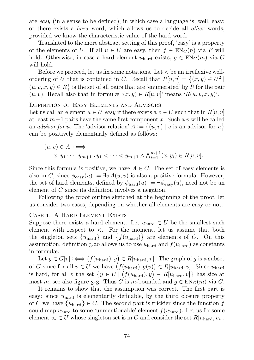are easy (in a sense to be defined), in which case a language is, well, easy; or there exists a hard word, which allows us to decide all other words, provided we know the characteristic value of the hard word.

Translated to the more abstract setting of this proof, 'easy' is a property of the elements of U. If all  $u \in U$  are easy, then  $f \in EN_C(n)$  via F will hold. Otherwise, in case a hard element  $u_{\text{hard}}$  exists,  $g \in EN_C(m)$  via G will hold.

Before we proceed, let us fix some notations. Let < be an irreflexive wellordering of U that is contained in C. Recall that  $R[u, v] = \{(x, y) \in U^2 |$  $(u, v, x, y) \in R$  is the set of all pairs that are 'enumerated' by R for the pair  $(u, v)$ . Recall also that in formulæ  $'(x, y) \in R[u, v]'$  means  $'R(u, v, x, y)'$ .

Definition of Easy Elements and Advisors

Let us call an element  $u \in U$  easy if there exists a  $v \in U$  such that in  $R[u, v]$ at least  $m+1$  pairs have the same first component x. Such a v will be called an *advisor for u*. The 'advisor relation'  $A := \{(u, v) | v$  is an advisor for u can be positively elementarily defined as follows:

$$
(u, v) \in A : \Longleftrightarrow
$$
  

$$
\exists x \exists y_1 \cdots \exists y_{m+1} \cdot y_1 < \cdots < y_{m+1} \wedge \bigwedge_{i=1}^{m+1} (x, y_i) \in R[u, v].
$$

Since this formula is positive, we have  $A \in \mathbb{C}$ . The set of easy elements is also in C, since  $\phi_{\text{easy}}(u) := \exists v A(u, v)$  is also a positive formula. However, the set of hard elements, defined by  $\phi_{\text{hard}}(u) := \neg \phi_{\text{easy}}(u)$ , need not be an element of C since its definition involves a negation.

Following the proof outline sketched at the beginning of the proof, let us consider two cases, depending on whether all elements are easy or not.

## CASE 1: A HARD ELEMENT EXISTS

Suppose there exists a hard element. Let  $u_{\text{hard}} \in U$  be the smallest such element with respect to <. For the moment, let us assume that both the singleton sets  $\{u_{\text{hard}}\}$  and  $\{f(u_{\text{hard}})\}$  are elements of C. On this assumption, [definition](#page-72-0) 3.20 allows us to use  $u_{\text{hard}}$  and  $f(u_{\text{hard}})$  as constants in formulæ.

Let  $y \in G[v] : \iff (f(u_{\text{hard}}), y) \in R[u_{\text{hard}}, v]$ . The graph of g is a subset of G since for all  $v \in U$  we have  $(f(u_{\text{hard}}), g(v)) \in R[u_{\text{hard}}, v]$ . Since  $u_{\text{hard}}$ is hard, for all v the set  $\{y \in U \mid (f(u_{\text{hard}}), y) \in R[u_{\text{hard}}, v]\}\$  has size at most m, see also [figure](#page-76-0) 3-3. Thus G is m-bounded and  $g \in EN_C(m)$  via G.

It remains to show that the assumption was correct. The first part is easy: since  $u_{\text{hard}}$  is elementarily definable, by the third closure property of C we have  $\{u_{\text{hard}}\} \in C$ . The second part is trickier since the function f could map  $u_{\text{hard}}$  to some 'unmentionable' element  $f(u_{\text{hard}})$ . Let us fix some element  $v_* \in U$  whose singleton set is in C and consider the set  $R[u_{\text{hard}}, v_*]$ .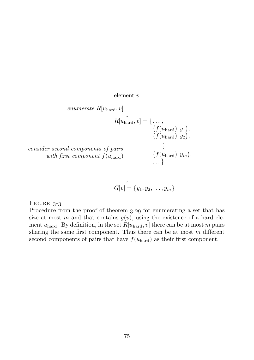element 
$$
v
$$
  
\n*enumerate*  $R[u_{\text{hard}}, v]$   
\n $R[u_{\text{hard}}, v] = \{..., \atop (f(u_{\text{hard}}), y_1), (f(u_{\text{hard}}), y_2),$   
\n*consider second components of pairs*  
\n*with first component*  $f(u_{\text{hard}})$   
\n $G[v] = \{y_1, y_2, ..., y_m\}$   
\n $G[v] = \{y_1, y_2, ..., y_m\}$ 

 $FIGURE 3-3$ 

<span id="page-76-0"></span>Procedure from the proof of [theorem](#page-74-0) 3.29 for enumerating a set that has size at most m and that contains  $g(v)$ , using the existence of a hard element  $u_{\text{hard}}$ . By definition, in the set  $R[u_{\text{hard}}, v]$  there can be at most m pairs sharing the same first component. Thus there can be at most  $m$  different second components of pairs that have  $f(u_{\text{hard}})$  as their first component.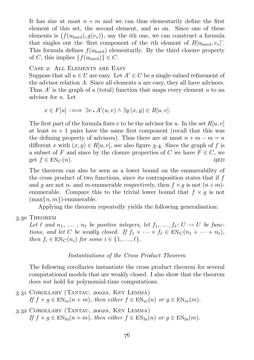It has size at most  $n + m$  and we can thus elementarily define the first element of this set, the second element, and so on. Since one of these elements is  $(f(u_{\text{hard}}), g(v_{\ast}))$ , say the *i*th one, we can construct a formula that singles out the 'first component of the *i*th element of  $R[u_{\text{hard}}, v_*]'$ . This formula defines  $f(u_{\text{hard}})$  elementarily. By the third closure property of C, this implies  $\{f(u_{\text{hard}})\}\in C$ .

CASE 2: ALL ELEMENTS ARE EASY

Suppose that all  $u \in U$  are easy. Let  $A' \in C$  be a single-valued refinement of the advisor relation A. Since all elements u are easy, they all have advisors. Thus  $A'$  is the graph of a (total) function that maps every element  $u$  to an advisor for  $u$ . Let

$$
x \in F[u] : \iff \exists v \cdot A'(u, v) \land \exists y (x, y) \in R[u, v].
$$

The first part of the formula fixes v to be the advisor for u. In the set  $R[u, v]$ at least  $m + 1$  pairs have the same first component (recall that this was the defining property of advisors). Thus there are at most  $n + m - m = n$ different x with  $(x, y) \in R[u, v]$ , see also [figure](#page-78-0) 3-4. Since the graph of f is a subset of F and since by the closure properties of C we have  $F \in C$ , we get  $f \in EN_C(n)$ . QED

The theorem can also be seen as a lower bound on the enumerability of the cross product of two functions, since its contraposition states that if  $f$ and q are not  $n$ - and m-enumerable respectively, then  $f \times q$  is not  $(n+m)$ enumerable. Compare this to the trivial lower bound that  $f \times g$  is not  $(\max\{n, m\})$ -enumerable.

Applying the theorem repeatedly yields the following generalisation:

3.30 THEOREM

Let  $\ell$  and  $n_1, \ldots, n_\ell$  be positive integers, let  $f_1, \ldots, f_\ell : U \to U$  be functions, and let C be weakly closed. If  $f_1 \times \cdots \times f_\ell \in EN_C (n_1 + \cdots + n_\ell)$ , then  $f_i \in EN_C(n_i)$  for some  $i \in \{1, \ldots, \ell\}.$ 

## Instantiations of the Cross Product Theorem

The following corollaries instantiate the cross product theorem for several computational models that are weakly closed. I also show that the theorem does not hold for polynomial-time computations.

3.31 COROLLARY (TANTAU, 2002A, KEY LEMMA)  
\nIf 
$$
f \times g \in EN_{re}(n+m)
$$
, then either  $f \in EN_{re}(n)$  or  $g \in EN_{re}(m)$ .

3.32 COROLLARY (TANTAU, 2002A, KEY LEMMA) If  $f \times g \in EN_{fa}(n+m)$ , then either  $f \in EN_{fa}(n)$  or  $g \in EN_{fa}(m)$ .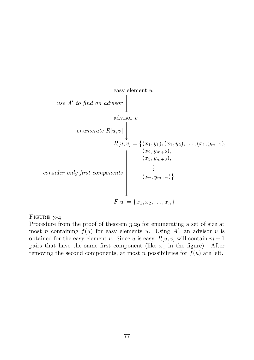easy element 
$$
u
$$

\nuse  $A'$  to find an advisor

\nadvisor  $v$ 

\nenumerate  $R[u, v]$ 

\n
$$
R[u, v] = \{(x_1, y_1), (x_1, y_2), \ldots, (x_1, y_{m+1}), (x_2, y_{m+2}), (x_3, y_{m+3}), (x_3, y_{m+3}), (x_n, y_{m+n})\}
$$
\nconsider only first components

\n
$$
\begin{bmatrix}\n x_1, y_1, x_2, \ldots, x_n\n\end{bmatrix}
$$

FIGURE  $3-4$ 

<span id="page-78-0"></span>Procedure from the proof of [theorem](#page-74-0) 3.29 for enumerating a set of size at most *n* containing  $f(u)$  for easy elements *u*. Using  $A'$ , an advisor *v* is obtained for the easy element u. Since u is easy,  $R[u, v]$  will contain  $m + 1$ pairs that have the same first component (like  $x_1$  in the figure). After removing the second components, at most n possibilities for  $f(u)$  are left.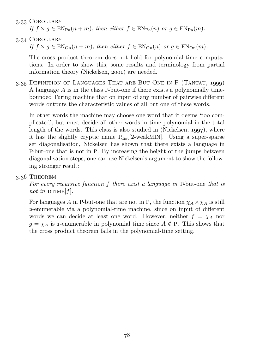# 3.33 COROLLARY

If  $f \times g \in \mathrm{EN}_{\mathrm{Pa}}(n+m)$ , then either  $f \in \mathrm{EN}_{\mathrm{Pa}}(n)$  or  $g \in \mathrm{EN}_{\mathrm{Pa}}(m)$ .

3.34 COROLLARY If  $f \times g \in EN_{\text{On}}(n+m)$ , then either  $f \in EN_{\text{On}}(n)$  or  $g \in EN_{\text{On}}(m)$ .

The cross product theorem does not hold for polynomial-time computations. In order to show this, some results and terminology from partial information theory [\(Nickelsen,](#page-167-0) 2001) are needed.

3.35DEFINITION OF LANGUAGES THAT ARE BUT ONE IN  $P$  (TANTAU, 1999) A language A is in the class P-but-one if there exists a polynomially timebounded Turing machine that on input of any number of pairwise different words outputs the characteristic values of all but one of these words.

In other words the machine may choose one word that it deems 'too complicated', but must decide all other words in time polynomial in the total lengthof the words. This class is also studied in ([Nickelsen,](#page-167-1)  $1997$ ), where it has the slightly cryptic name  $P_{dist}[2$ -weakMIN. Using a super-sparse set diagonalisation, Nickelsen has shown that there exists a language in P-but-one that is not in P. By increasing the height of the jumps between diagonalisation steps, one can use Nickelsen's argument to show the following stronger result:

# 3.36 THEOREM

For every recursive function f there exist a language in P-but-one that is not in DTIME[ $f$ ].

For languages A in P-but-one that are not in P, the function  $\chi_A \times \chi_A$  is still -enumerable via a polynomial-time machine, since on input of different words we can decide at least one word. However, neither  $f = \chi_A$  nor  $g = \chi_A$  is 1-enumerable in polynomial time since  $A \notin P$ . This shows that the cross product theorem fails in the polynomial-time setting.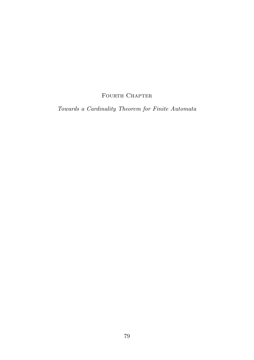# FOURTH CHAPTER

Towards a Cardinality Theorem for Finite Automata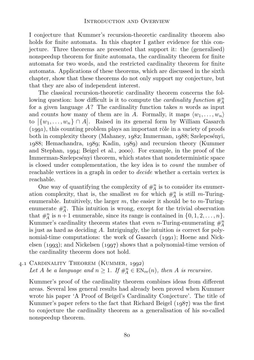I conjecture that Kummer's recursion-theoretic cardinality theorem also holds for finite automata. In this chapter I gather evidence for this conjecture. Three theorems are presented that support it: the (generalised) nonspeedup theorem for finite automata, the cardinality theorem for finite automata for two words, and the restricted cardinality theorem for finite automata. Applications of these theorems, which are discussed in the sixth chapter, show that these theorems do not only support my conjecture, but that they are also of independent interest.

The classical recursion-theoretic cardinality theorem concerns the following question: how difficult is it to compute the *cardinality function*  $\#_{A}^{n}$ for a given language  $A$ ? The cardinality function takes n words as input and counts how many of them are in A. Formally, it maps  $\langle w_1, \ldots, w_n \rangle$ to  $|\{w_1, \ldots, w_n\} \cap A|$ . Raised in its general form by William [Gasarch](#page-164-0)  $(1991)$ , this counting problem plays an important rôle in a variety of proofs bothin complexity theory ([Mahaney,](#page-167-2)  $1982$ ; [Immerman,](#page-166-2)  $1988$ ; Szelepcsényi,  $1988$ ; [Hemachandra,](#page-165-1)  $1989$ ; [Kadin,](#page-166-1)  $1989$ ) and recursion theory [\(Kummer](#page-167-3) [and Stephan,](#page-167-3)  $1994$ ; [Beigel et al.,](#page-163-0) 2000). For example, in the proof of the Immerman-Szelepcsényi theorem, which states that nondeterministic space is closed under complementation, the key idea is to count the number of reachable vertices in a graph in order to decide whether a certain vertex is reachable.

One way of quantifying the complexity of  $\#_{A}^{n}$  is to consider its enumeration complexity, that is, the smallest m for which  $#_A^n$  is still m-Turingenumerable. Intuitively, the larger  $m$ , the easier it should be to  $m$ -Turingenumerate  $\#_{A}^{n}$ . This intuition is wrong, except for the trivial observation that  $\#_{A}^{n}$  is  $n+1$  enumerable, since its range is contained in  $\{0, 1, 2, \ldots, n\}$ . Kummer's cardinality theorem states that even n-Turing-enumerating  $\#_A^n$ is just as hard as deciding A. Intriguingly, the intuition is correct for polynomial-time computations: the work of Gasarch  $(1991)$ ; [Hoene and Nick](#page-165-2)elsen  $(1993)$ ; and Nickelsen  $(1997)$  shows that a polynomial-time version of the cardinality theorem does not hold.

4.1 CARDINALITY THEOREM (KUMMER, 1992) Let A be a language and  $n \geq 1$ . If  $\#_{A}^{n} \in EN_{re}(n)$ , then A is recursive.

<span id="page-81-0"></span>Kummer's proof of the cardinality theorem combines ideas from different areas. Several less general results had already been proved when Kummer wrote his paper 'A Proof of Beigel's Cardinality Conjecture'. The title of Kummer's paper refers to the fact that Richard Beigel  $(1987)$  was the first to conjecture the cardinality theorem as a generalisation of his so-called nonspeedup theorem.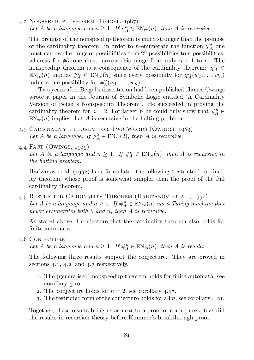4.2NONSPEEDUP THEOREM (BEIGEL, 1987) Let A be a language and  $n \geq 1$ . If  $\chi_A^n \in EN_{\text{re}}(n)$ , then A is recursive.

<span id="page-82-1"></span>The premise of the nonspeedup theorem is much stronger than the premise of the cardinality theorem: in order to *n*-enumerate the function  $\chi_A^n$  one must narrow the range of possibilities from  $2<sup>n</sup>$  possibilities to n possibilities, whereas for  $#_A^n$  one must narrow this range from only  $n + 1$  to n. The nonspeedup theorem is a consequence of the cardinality theorem:  $\chi_A^n$   $\in$  $EN_{re}(n)$  implies  $\#_A^n \in EN_{re}(n)$  since every possibility for  $\chi_A^n(w_1, \ldots, w_n)$ induces one possibility for  $#_A^n(w_1, \ldots, w_n)$ .

Two years after Beigel's dissertation had been published, James [Owings](#page-168-0) wrote a paper in the Journal of Symbolic Logic entitled 'A Cardinality Version of Beigel's Nonspeedup Theorem'. He succeeded in proving the cardinality theorem for  $n = 2$ . For larger n he could only show that  $\#_{A}^{n} \in$  $EN_{\text{re}}(n)$  implies that A is recursive in the halting problem.

- 4.3 CARDINALITY THEOREM FOR TWO WORDS (OWINGS, 1989) Let A be a language. If  $\#_{A}^{2} \in EN_{re}(2)$ , then A is recursive.
- 4.4FACT (OWINGS,  $1989$ ) Let A be a language and  $n \geq 1$ . If  $\#_{A}^{n} \in EN_{re}(n)$ , then A is recursive in the halting problem.

Harizanov et al.  $(1992)$  have formulated the following 'restricted' cardinality theorem, whose proof is somewhat simpler than the proof of the full cardinality theorem.

4.5RESTRICTED CARDINALITY THEOREM (HARIZANOV ET AL., 1992) Let A be a language and  $n \geq 1$ . If  $\#_{A}^{n} \in EN_{re}(n)$  via a Turing machine that never enumerates both 0 and n, then A is recursive.

As stated above, I conjecture that the cardinality theorem also holds for finite automata.

# 4.6 CONJECTURE

<span id="page-82-0"></span>Let A be a language and  $n \geq 1$ . If  $\#_{A}^{n} \in EN_{fa}(n)$ , then A is regular.

The following three results support the conjecture. They are proved in sections  $4.1$ ,  $4.2$ , and  $4.3$  respectively.

- . The (generalised) nonspeedup theorem holds for finite automata, see [corollary](#page-85-0) 4.10.
- 2. The conjecture holds for  $n = 2$ , see [corollary](#page-91-1) 4.17.
- 3. The restricted form of the conjecture holds for all  $n$ , see [corollary](#page-93-0) 4.21.

Together, these results bring us as near to a proof of [conjecture](#page-82-0)  $4.6$  as did the results in recursion theory before Kummer's breakthrough proof.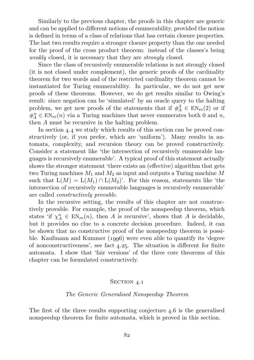Similarly to the previous chapter, the proofs in this chapter are generic and can be applied to different notions of enumerability, provided the notion is defined in terms of a class of relations that has certain closure properties. The last two results require a stronger closure property than the one needed for the proof of the cross product theorem: instead of the classes's being weakly closed, it is necessary that they are strongly closed.

Since the class of recursively enumerable relations is not strongly closed (it is not closed under complement), the generic proofs of the cardinality theorem for two words and of the restricted cardinality theorem cannot be instantiated for Turing enumerability. In particular, we do not get new proofs of these theorems. However, we do get results similar to Owing's result: since negation can be 'simulated' by an oracle query to the halting problem, we get new proofs of the statements that if  $\#_{\mathcal{A}}^2 \in EN_{re}(2)$  or if  $#_{A}^{n} \in EN_{re}(n)$  via a Turing machines that never enumerates both 0 and n, then A must be recursive in the halting problem.

In [section](#page-93-1)  $4.4$  we study which results of this section can be proved constructively (or, if you prefer, which are 'uniform'). Many results in automata, complexity, and recursion theory can be proved constructively. Consider a statement like 'the intersection of recursively enumerable languages is recursively enumerable'. A typical proof of this statement actually shows the stronger statement 'there exists an (effective) algorithm that gets two Turing machines  $M_1$  and  $M_2$  as input and outputs a Turing machine  $M$ such that  $L(M) = L(M_1) \cap L(M_2)$ . For this reason, statements like 'the intersection of recursively enumerable languages is recursively enumerable' are called constructively provable.

In the recursive setting, the results of this chapter are not constructively provable. For example, the proof of the nonspeedup theorem, which states 'if  $\chi_A^n \in EN_{re}(n)$ , then A is recursive', shows that A is decidable, but it provides no clue to a concrete decision procedure. Indeed, it can be shown that no constructive proof of the nonspeedup theorem is possible. Kaufmann and Kummer  $(1996)$  were even able to quantify its 'degree of nonconstructiveness', see [fact](#page-95-0)  $4.25$ . The situation is different for finite automata. I show that 'fair versions' of the three core theorems of this chapter can be formulated constructively.

## SECTION 4.1

#### The Generic Generalised Nonspeedup Theorem

<span id="page-83-0"></span>The first of the three results supporting [conjecture](#page-82-0)  $4.6$  is the generalised nonspeedup theorem for finite automata, which is proved in this section.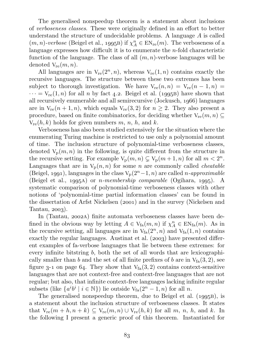The generalised nonspeedup theorem is a statement about inclusions of verboseness classes. These were originally defined in an effort to better understand the structure of undecidable problems. A language  $A$  is called  $(m,n)\mbox{-}verpose$  [\(Beigel et al.,](#page-163-1) 1995B) if<br>  $\chi_A^n\in \mbox{EN}_{\rm re}(m).$  The verboseness of a language expresses how difficult it is to enumerate the  $n$ -fold characteristic function of the language. The class of all  $(m, n)$ -verbose languages will be denoted  $V_{re}(m, n)$ .

All languages are in  $V_{re}(2^{n}, n)$ , whereas  $V_{re}(1, n)$  contains exactly the recursive languages. The structure between these two extremes has been subject to thorough investigation. We have  $V_{re}(n, n) = V_{re}(n - 1, n) =$  $\cdots = V_{\text{re}}(1, n)$  for all n by [fact](#page-82-1) 4.2. [Beigel et al. \(](#page-163-1)1995B) have shown that all recursively enumerable and all semirecursive [\(Jockusch,](#page-166-5) 1966) languages are in  $V_{re}(n+1, n)$ , which equals  $V_{re}(3, 2)$  for  $n > 2$ . They also present a procedure, based on finite combinatorics, for deciding whether  $V_{re}(m, n) \subset$  $V_{re}(h, k)$  holds for given numbers m, n, h, and k.

Verboseness has also been studied extensively for the situation where the enumerating Turing machine is restricted to use only a polynomial amount of time. The inclusion structure of polynomial-time verboseness classes, denoted  $V_p(m, n)$  in the following, is quite different from the structure in the recursive setting. For example  $V_p(m, n) \subsetneq V_p(m + 1, n)$  for all  $m < 2^n$ . Languages that are in  $V_p(n,n)$  for some n are commonly called *cheatable* [\(Beigel,](#page-162-1) 1991), languages in the class  $V_p(2^n-1, n)$  are called *n*-approximable [\(Beigel et al.,](#page-163-2) 1995A) or *n-membership comparable* ([Ogihara,](#page-168-1) 1995). A systematic comparison of polynomial-time verboseness classes with other notions of 'polynomial-time partial information classes' can be found in the dissertation of Arfst [Nickelsen \(](#page-167-0)2001)and in the survey ([Nickelsen and](#page-168-2) [Tantau,](#page-168-2)  $2003$ ).

In [\(Tantau,](#page-170-0) 2002A) finite automata verboseness classes have been defined in the obvious way by letting  $A \in V_{fa}(m, n)$  if  $\chi_A^n \in EN_{fa}(m)$ . As in the recursive setting, all languages are in  $V_{fa}(2^n, n)$  and  $V_{fa}(1, n)$  contains exactly the regular languages. Austinat et al.  $(2003)$  have presented different examples of fa-verbose languages that lie between these extremes: for every infinite bitstring  $b$ , both the set of all words that are lexicographically smaller than b and the set of all finite prefixes of b are in  $V_{fa}(3, 2)$ , see [figure](#page-65-0) 3-1 on [page](#page-65-0) 64. They show that  $V_{fa}(3, 2)$  contains context-sensitive languages that are not context-free and context-free languages that are not regular; but also, that infinite context-free languages lacking infinite regular subsets (like  $\{a^i b^i \mid i \in \mathbb{N}\}\)$  lie outside  $V_{fa}(2^n - 1, n)$  for all n.

The generalised nonspeedup theorem, due to Beigel et al.  $(1995B)$ , is a statement about the inclusion structure of verboseness classes. It states that  $V_{re}(m + h, n + k) \subseteq V_{re}(m, n) \cup V_{re}(h, k)$  for all m, n, h, and k. In the following I present a generic proof of this theorem. Instantiated for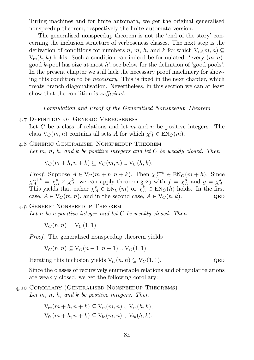Turing machines and for finite automata, we get the original generalised nonspeedup theorem, respectively the finite automata version.

The generalised nonspeedup theorem is not the 'end of the story' concerning the inclusion structure of verboseness classes. The next step is the derivation of conditions for numbers n, m, h, and k for which  $V_{re}(m, n) \subseteq$  $V_{re}(h, k)$  holds. Such a condition can indeed be formulated: 'every  $(m, n)$ good  $k$ -pool has size at most  $h'$ , see below for the definition of 'good pools'. In the present chapter we still lack the necessary proof machinery for showing this condition to be *necessary*. This is fixed in the next chapter, which treats branch diagonalisation. Nevertheless, in this section we can at least show that the condition is *sufficient*.

Formulation and Proof of the Generalised Nonspeedup Theorem

4.7 DEFINITION OF GENERIC VERBOSENESS

Let  $C$  be a class of relations and let  $m$  and  $n$  be positive integers. The class  $V_C(m, n)$  contains all sets A for which  $\chi_A^n \in EN_C(m)$ .

<span id="page-85-1"></span>. Generic Generalised Nonspeedup Theorem Let  $m, n, h$ , and  $k$  be positive integers and let  $C$  be weakly closed. Then

$$
V_C(m+h, n+k) \subseteq V_C(m, n) \cup V_C(h, k).
$$

*Proof.* Suppose  $A \in V_C(m+h, n+k)$ . Then  $\chi_A^{n+k} \in EN_C(m+h)$ . Since  $\chi_A^{n+k} = \chi_A^n \times \chi_A^k$ , we can apply [theorem](#page-74-0) 3.29 with  $f = \chi_A^n$  and  $g = \chi_A^k$ . This yields that either  $\chi_A^n \in EN_C(m)$  or  $\chi_A^k \in EN_C(h)$  holds. In the first case,  $A \in V_C(m, n)$ , and in the second case,  $A \in V_C(h, k)$ . QED

. Generic Nonspeedup Theorem

<span id="page-85-2"></span>Let  $n$  be a positive integer and let  $C$  be weakly closed. Then

$$
V_C(n, n) = V_C(1, 1).
$$

Proof. The generalised nonspeedup theorem yields

$$
V_C(n, n) \subseteq V_C(n-1, n-1) \cup V_C(1, 1).
$$

Iterating this inclusion yields  $V_C(n, n) \subseteq V_C(1, 1)$ . QED

Since the classes of recursively enumerable relations and of regular relations are weakly closed, we get the following corollary:

. Corollary (Generalised Nonspeedup Theorems) Let  $m, n, h,$  and  $k$  be positive integers. Then

<span id="page-85-0"></span>
$$
V_{re}(m+h, n+k) \subseteq V_{re}(m, n) \cup V_{re}(h, k),
$$
  

$$
V_{fa}(m+h, n+k) \subseteq V_{fa}(m, n) \cup V_{fa}(h, k).
$$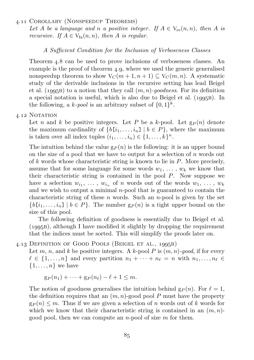### . Corollary (Nonspeedup Theorems)

Let A be a language and n a positive integer. If  $A \in V_{re}(n, n)$ , then A is recursive. If  $A \in V_{fa}(n, n)$ , then A is regular.

## A Sufficient Condition for the Inclusion of Verboseness Classes

[Theorem](#page-85-1) 4.8 can be used to prove inclusions of verboseness classes. An example is the proof of [theorem](#page-85-2)  $4.9$ , where we used the generic generalised nonspeedup theorem to show  $V_C(m+1, n+1) \subseteq V_C(m, n)$ . A systematic study of the derivable inclusions in the recursive setting has lead [Beigel](#page-163-1) [et al. \(](#page-163-1)1995B) to a notion that they call  $(m, n)$ -goodness. For its definition a special notation is useful, which is also due to Beigel et al.  $(1995B)$ . In the following, a k-pool is an arbitrary subset of  $\{0,1\}^k$ .

#### 4.12 NOTATION

Let n and k be positive integers. Let P be a k-pool. Let  $g_P(n)$  denote the maximum cardinality of  $\{b[i_1, \ldots, i_n] \mid b \in P\}$ , where the maximum is taken over all index tuples  $(i_1, \ldots, i_n) \in \{1, \ldots, k\}^n$ .

The intuition behind the value  $g_P(n)$  is the following: it is an upper bound on the size of a pool that we have to output for a selection of  $n$  words out of  $k$  words whose characteristic string is known to lie in  $P$ . More precisely, assume that for some language for some words  $w_1, \ldots, w_k$  we know that their characteristic string is contained in the pool  $P$ . Now suppose we have a selection  $w_{i_1}, \ldots, w_{i_n}$  of n words out of the words  $w_1, \ldots, w_k$ and we wish to output a minimal  $n$ -pool that is guaranteed to contain the characteristic string of these n words. Such an n-pool is given by the set  $\{b[i_1,\ldots,i_n] \mid b \in P\}$ . The number  $g_P(n)$  is a tight upper bound on the size of this pool.

The following definition of goodness is essentially due to [Beigel et al.](#page-163-1)  $(1995B)$ , although I have modified it slightly by dropping the requirement that the indices must be sorted. This will simplify the proofs later on.

## 4.13DEFINITION OF GOOD POOLS (BEIGEL ET AL., 1995B)

Let m, n, and k be positive integers. A k-pool P is  $(m, n)$ -good, if for every  $\ell \in \{1, \ldots, n\}$  and every partition  $n_1 + \cdots + n_\ell = n$  with  $n_1, \ldots, n_\ell \in$  $\{1, \ldots, n\}$  we have

 $g_P (n_1) + \cdots + g_P (n_\ell) - \ell + 1 \leq m$ .

The notion of goodness generalises the intuition behind  $g_P(n)$ . For  $\ell = 1$ , the definition requires that an  $(m, n)$ -good pool P must have the property  $g_P (n) \leq m$ . Thus if we are given a selection of n words out of k words for which we know that their characteristic string is contained in an  $(m, n)$ good pool, then we can compute an *n*-pool of size  $m$  for them.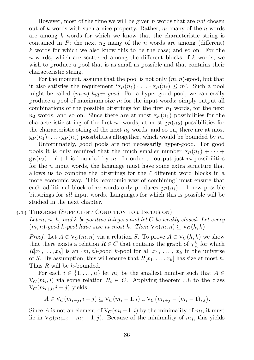However, most of the time we will be given n words that are not chosen out of k words with such a nice property. Rather,  $n_1$  many of the n words are among  $k$  words for which we know that the characteristic string is contained in P; the next  $n_2$  many of the n words are among (different)  $k$  words for which we also know this to be the case; and so on. For the n words, which are scattered among the different blocks of  $k$  words, we wish to produce a pool that is as small as possible and that contains their characteristic string.

For the moment, assume that the pool is not only  $(m, n)$ -good, but that it also satisfies the requirement ' $gp(n_1) \cdot \ldots \cdot gp(n_\ell) \leq m'$ . Such a pool might be called  $(m, n)$ -hyper-good. For a hyper-good pool, we can easily produce a pool of maximum size  $m$  for the input words: simply output all combinations of the possible bitstrings for the first  $n_1$  words, for the next  $n_2$  words, and so on. Since there are at most  $g_P(n_1)$  possibilities for the characteristic string of the first  $n_1$  words, at most  $g_P(n_2)$  possibilities for the characteristic string of the next  $n_2$  words, and so on, there are at most  $g_P(n_1)\cdot \ldots \cdot g_P(n_\ell)$  possibilities altogether, which would be bounded by m.

Unfortunately, good pools are not necessarily hyper-good. For good pools it is only required that the much smaller number  $g_P(n_1) + \cdots$  $g_P (n_\ell) - \ell + 1$  is bounded by m. In order to output just m possibilities for the  $n$  input words, the language must have some extra structure that allows us to combine the bitstrings for the  $\ell$  different word blocks in a more economic way. This 'economic way of combining' must ensure that each additional block of  $n_i$  words only produces  $g_P(n_i) - 1$  new possible bitstrings for all input words. Languages for which this is possible will be studied in the next chapter.

## . Theorem (Sufficient Condition for Inclusion)

<span id="page-87-0"></span>Let  $m, n, h,$  and k be positive integers and let  $C$  be weakly closed. Let every  $(m, n)$ -good k-pool have size at most h. Then  $V_C(m, n) \subseteq V_C(h, k)$ .

*Proof.* Let  $A \in V_C(m, n)$  via a relation S. To prove  $A \in V_C(h, k)$  we show that there exists a relation  $R \in \mathbb{C}$  that contains the graph of  $\chi_A^k$  for which  $R[x_1, \ldots, x_k]$  is an  $(m, n)$ -good k-pool for all  $x_1, \ldots, x_k$  in the universe of S. By assumption, this will ensure that  $R[x_1, \ldots, x_k]$  has size at most h. Thus R will be h-bounded.

For each  $i \in \{1, \ldots, n\}$  let  $m_i$  be the smallest number such that  $A \in$  $V_C(m_i, i)$  via some relation  $R_i \in C$ . Applying [theorem](#page-85-1) 4.8 to the class  $V_C(m_{i+j}, i+j)$  yields

$$
A \in V_C(m_{i+j}, i+j) \subseteq V_C(m_i-1, i) \cup V_C(m_{i+j}-(m_i-1), j).
$$

Since A is not an element of  $V_C(m_i-1,i)$  by the minimality of  $m_i$ , it must lie in  $V_C(m_{i+j} - m_i + 1, j)$ . Because of the minimality of  $m_j$ , this yields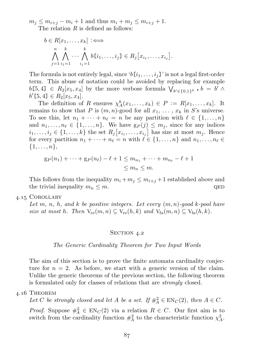$m_i \leq m_{i+j} - m_i + 1$  and thus  $m_i + m_j \leq m_{i+j} + 1$ . The relation  $R$  is defined as follows:

$$
b \in R[x_1, \ldots, x_k] : \iff
$$
  

$$
\bigwedge_{j=1}^n \bigwedge_{i_1=1}^k \cdots \bigwedge_{i_j=1}^k b[i_1, \ldots, i_j] \in R_j[x_{i_1}, \ldots, x_{i_j}].
$$

The formula is not entirely legal, since  $b[i_1, \ldots, i_j]$  is not a legal first-order term. This abuse of notation could be avoided by replacing for example  $b[5, 4] \in R_2[x_5, x_4]$  by the more verbose formula  $\bigvee_{b' \in \{0, 1\}^k} b = b' \land$  $b'$  [5, 4]  $\in R_2[x_5, x_4]$ .

The definition of R ensures  $\chi_A^k(x_1,\ldots,x_k) \in P := R[x_1,\ldots,x_k]$ . It remains to show that P is  $(m, n)$ -good for all  $x_1, \ldots, x_k$  in S's universe. To see this, let  $n_1 + \cdots + n_\ell = n$  be any partition with  $\ell \in \{1, \ldots, n\}$ and  $n_1, \ldots, n_\ell \in \{1, \ldots, n\}$ . We have  $g_P(j) \leq m_j$ , since for any indices  $i_1, \ldots, i_j \in \{1, \ldots, k\}$  the set  $R_j[x_{i_1}, \ldots, x_{i_j}]$  has size at most  $m_j$ . Hence for every partition  $n_1 + \cdots + n_\ell = n$  with  $\ell \in \{1, \ldots, n\}$  and  $n_1, \ldots, n_\ell \in$  $\{1, \ldots, n\},\$ 

$$
g_P(n_1) + \cdots + g_P(n_\ell) - \ell + 1 \le m_{n_1} + \cdots + m_{n_\ell} - \ell + 1
$$
  
 $\le m_n \le m$ .

This follows from the inequality  $m_i + m_j \leq m_{i+j} + 1$  established above and the trivial inequality  $m_n \leq m$ . QED

### 4.15 COROLLARY

Let m, n, h, and k be positive integers. Let every  $(m, n)$ -good k-pool have size at most h. Then  $V_{\text{re}}(m, n) \subseteq V_{\text{re}}(h, k)$  and  $V_{\text{fa}}(m, n) \subseteq V_{\text{fa}}(h, k)$ .

### SECTION 4.2

#### The Generic Cardinality Theorem for Two Input Words

<span id="page-88-0"></span>The aim of this section is to prove the finite automata cardinality conjecture for  $n = 2$ . As before, we start with a generic version of the claim. Unlike the generic theorems of the previous section, the following theorem is formulated only for classes of relations that are strongly closed.

### 4.16 THEOREM

Let C be strongly closed and let A be a set. If  $\#_{A}^{2} \in \text{EN}_{C}(2)$ , then  $A \in C$ .

<span id="page-88-1"></span>*Proof.* Suppose  $\#_{A}^{2} \in EN_{C}(2)$  via a relation  $R \in C$ . Our first aim is to switch from the cardinality function  $\#_{A}^{2}$  to the characteristic function  $\chi_{A}^{2}$ .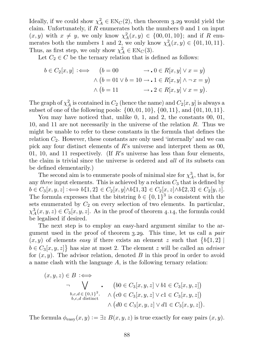Ideally, if we could show  $\chi_A^2 \in EN_C(2)$ , then [theorem](#page-74-0) 3.29 would yield the claim. Unfortunately, if  $R$  enumerates both the numbers 0 and 1 on input  $(x, y)$  with  $x \neq y$ , we only know  $\chi^2_A(x, y) \in \{00, 01, 10\}$ ; and if R enumerates both the numbers 1 and 2, we only know  $\chi^2_A(x,y) \in \{01,10,11\}.$ Thus, as first step, we only show  $\chi_A^2 \in \text{EN}_C(3)$ .

Let  $C_2 \in C$  be the ternary relation that is defined as follows:

$$
b \in C_2[x, y] \iff (b = 00 \rightarrow .0 \in R[x, y] \lor x = y)
$$

$$
\land (b = 01 \lor b = 10 \rightarrow .1 \in R[x, y] \land \neg x = y)
$$

$$
\land (b = 11 \rightarrow .2 \in R[x, y] \lor x = y).
$$

The graph of  $\chi^2_A$  is contained in  $C_2$  (hence the name) and  $C_2[x, y]$  is always a subset of one of the following pools:  $\{00, 01, 10\}$ ,  $\{00, 11\}$ , and  $\{01, 10, 11\}$ .

You may have noticed that, unlike 0, 1, and 2, the constants  $00, 01$ , 10, and 11 are not necessarily in the universe of the relation R. Thus we might be unable to refer to these constants in the formula that defines the relation  $C_2$ . However, these constants are only used 'internally' and we can pick any four distinct elements of R's universe and interpret them as 00, 01, 10, and 11 respectively. (If  $R$ 's universe has less than four elements, the claim is trivial since the universe is ordered and all of its subsets can be defined elementarily.)

The second aim is to enumerate pools of minimal size for  $\chi_A^3$ , that is, for any three input elements. This is achieved by a relation  $C_3$  that is defined by  $b \in C_3[x, y, z] : \iff b[1, 2] \in C_2[x, y] \wedge b[1, 3] \in C_2[x, z] \wedge b[2, 3] \in C_2[y, z].$ The formula expresses that the bitstring  $b \in \{0,1\}^3$  is consistent with the sets enumerated by  $C_2$  on every selection of two elements. In particular,  $\chi^3_A(x,y,z) \in C_3[x,y,z]$ . As in the proof of [theorem](#page-87-0) 4.14, the formula could be legalised if desired.

The next step is to employ an easy-hard argument similar to the argument used in the proof of [theorem](#page-74-0)  $3.29$ . This time, let us call a *pair*  $(x, y)$  of elements easy if there exists an element z such that  $\{b[1, 2] \mid$  $b \in C_3[x, y, z]$  has size at most 2. The element z will be called an *advisor* for  $(x, y)$ . The advisor relation, denoted B in this proof in order to avoid a name clash with the language A, is the following ternary relation:

$$
(x, y, z) \in B : \iff
$$
  
\n
$$
\begin{array}{ccc}\n & \nearrow & \cdot & (b0 \in C_3[x, y, z] \lor b1 \in C_3[x, y, z]) \\
 & b, c, d \in \{0, 1\}^2, & \land (c0 \in C_3[x, y, z] \lor c1 \in C_3[x, y, z]) \\
 & \land (d0 \in C_3[x, y, z] \lor d1 \in C_3[x, y, z]).\n\end{array}
$$

The formula  $\phi_{\text{easy}}(x, y) := \exists z \ B(x, y, z)$  is true exactly for easy pairs  $(x, y)$ .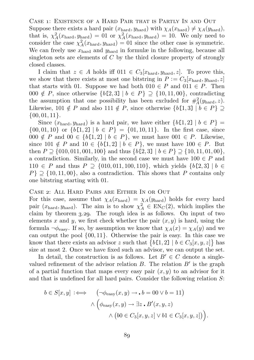CASE 1: EXISTENCE OF A HARD PAIR THAT IS PARTLY IN AND OUT Suppose there exists a hard pair  $(x_{\text{hard}}, y_{\text{hard}})$  with  $\chi_A(x_{\text{hard}}) \neq \chi_A(y_{\text{hard}})$ , that is,  $\chi^2_A(x_{\text{hard}}, y_{\text{hard}}) = 01$  or  $\chi^2_A(x_{\text{hard}}, y_{\text{hard}}) = 10$ . We only need to consider the case  $\chi^2_A(x_{\text{hard}}, y_{\text{hard}}) = 01$  since the other case is symmetric. We can freely use  $x<sub>hard</sub>$  and  $y<sub>hard</sub>$  in formulæ in the following, because all singleton sets are elements of  $C$  by the third closure property of strongly closed classes.

I claim that  $z \in A$  holds iff  $011 \in C_3[x_{\text{hard}}, y_{\text{hard}}, z]$ . To prove this, we show that there exists at most one bitstring in  $P := C_3[x_{\text{hard}}, y_{\text{hard}}, z]$ that starts with 01. Suppose we had both  $010 \in P$  and  $011 \in P$ . Then 000  $\notin$  P, since otherwise  $\{b[2,3] \mid b \in P\} \supseteq \{10,11,00\}$ , contradicting the assumption that one possibility has been excluded for  $\#_{A}^{2}(y_{\text{hard}}, z)$ . Likewise, 101 ∉ P and also 111 ∉ P, since otherwise  $\{b[1, 3] | b \in P\}$  ⊇  $\{00, 01, 11\}.$ 

Since  $(x_{\text{hard}}, y_{\text{hard}})$  is a hard pair, we have either  $\{b[1, 2] \mid b \in P\}$  $\{00, 01, 10\}$  or  $\{b[1, 2] \mid b \in P\} = \{01, 10, 11\}$ . In the first case, since 000  $\notin$  P and 00  $\in$  {b[1,2] | b  $\in$  P}, we must have 001  $\in$  P. Likewise, since  $101 \notin P$  and  $10 \in \{b[1,2] \mid b \in P\}$ , we must have  $100 \in P$ . But then  $P \supseteq \{010, 011, 001, 100\}$  and thus  $\{b[2, 3] \mid b \in P\} \supseteq \{10, 11, 01, 00\},$ a contradiction. Similarly, in the second case we must have  $100 \in P$  and 110 ∈ P and thus P  $\supset$  {010, 011, 100, 110}, which yields {b[2, 3] | b ∈  $P\} \supset \{10, 11, 00\}$ , also a contradiction. This shows that P contains only one bitstring starting with 01.

## CASE 2: ALL HARD PAIRS ARE EITHER IN OR OUT

For this case, assume that  $\chi_A(x_{\text{hard}}) = \chi_A(y_{\text{hard}})$  holds for every hard pair  $(x_{\text{hard}}, y_{\text{hard}})$ . The aim is to show  $\chi^2_A \in EN_C(2)$ , which implies the claim by [theorem](#page-74-0)  $3.29$ . The rough idea is as follows. On input of two elements x and y, we first check whether the pair  $(x, y)$  is hard, using the formula  $\neg \phi_{\text{easy}}$ . If so, by assumption we know that  $\chi_A(x) = \chi_A(y)$  and we can output the pool  $\{00, 11\}$ . Otherwise the pair is easy. In this case we know that there exists an advisor z such that  ${b[1, 2] | b \in C_3[x, y, z]}$  has size at most 2. Once we have fixed such an advisor, we can output the set.

In detail, the construction is as follows. Let  $B' \in C$  denote a singlevalued refinement of the advisor relation  $B$ . The relation  $B'$  is the graph of a partial function that maps every easy pair  $(x, y)$  to an advisor for it and that is undefined for all hard pairs. Consider the following relation S:

$$
b \in S[x, y] \iff \left(\neg \phi_{\text{easy}}(x, y) \to \bullet = 00 \lor b = 11\right) \\
\land \left(\phi_{\text{easy}}(x, y) \to \exists z \cdot B'(x, y, z)\right) \\
\land \left(b0 \in C_3[x, y, z] \lor b1 \in C_3[x, y, z]\right)\right).
$$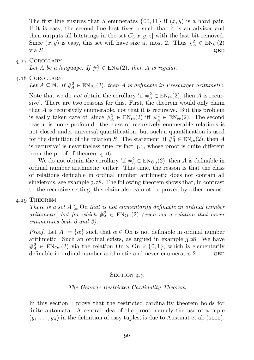The first line ensures that S enumerates  $\{00, 11\}$  if  $(x, y)$  is a hard pair. If it is easy, the second line first fixes  $z$  such that it is an advisor and then outputs all bitstrings in the set  $C_3[x, y, z]$  with the last bit removed. Since  $(x, y)$  is easy, this set will have size at most 2. Thus  $\chi_A^2 \in EN_C(2)$ via  $S$ . QED

## 4.17 COROLLARY

<span id="page-91-1"></span>Let A be a language. If  $\#_{A}^{2} \in EN_{fa}(2)$ , then A is regular.

4.18 COROLLARY

Let  $A \subseteq \mathbb{N}$ . If  $\#_A^2 \in \mathrm{EN}_{\mathrm{Pa}}(2)$ , then A is definable in Presburger arithmetic.

Note that we do *not* obtain the corollary 'if  $\#_{A}^{2} \in EN_{re}(2)$ , then A is recursive'. There are two reasons for this. First, the theorem would only claim that A is recursively enumerable, not that it is recursive. But this problem is easily taken care of, since  $\#_{A}^{2} \in EN_{re}(2)$  iff  $\#_{A}^{2} \in EN_{re}(2)$ . The second reason is more profound: the class of recursively enumerable relations is not closed under universal quantification, but such a quantification is used for the definition of the relation S. The statement 'if  $\#_{A}^{2} \in EN_{re}(2)$ , then A is recursive' is nevertheless true by [fact](#page-81-0)  $4.1$ , whose proof is quite different from the proof of [theorem](#page-88-1)  $4.16$ .

We do not obtain the corollary 'if  $\#_{A}^{2} \in EN_{On}(2)$ , then A is definable in ordinal number arithmetic' either. This time, the reason is that the class of relations definable in ordinal number arithmetic does not contain all singletons, see [example](#page-74-1)  $3.28$ . The following theorem shows that, in contrast to the recursive setting, this claim also cannot be proved by other means.

## 4.10 THEOREM

There is a set  $A \subseteq \Omega$  that is not elementarily definable in ordinal number arithmetic, but for which  $#_A^2 \in EN_{On}(2)$  (even via a relation that never enumerates both 0 and 2).

*Proof.* Let  $A := {\alpha}$  such that  $\alpha \in \mathcal{O}$  is not definable in ordinal number arithmetic. Such an ordinal exists, as argued in [example](#page-74-1)  $3.28$ . We have  $\#_{A}^{2} \in EN_{On}(2)$  via the relation On  $\times$  On  $\times \{0,1\}$ , which is elementarily definable in ordinal number arithmetic and never enumerates 2. QED

# SECTION 4.3

#### The Generic Restricted Cardinality Theorem

<span id="page-91-0"></span>In this section I prove that the restricted cardinality theorem holds for finite automata. A central idea of the proof, namely the use of a tuple  $(y_1, \ldots, y_n)$  in the definition of easy tuples, is due to [Austinat et al. \(](#page-162-3)2000).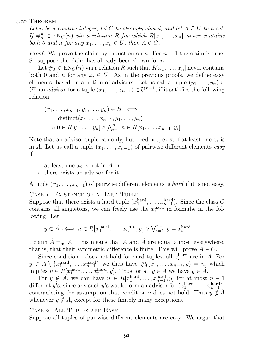### 4.20 THEOREM

<span id="page-92-0"></span>Let n be a positive integer, let C be strongly closed, and let  $A \subseteq U$  be a set. If  $\#_{A}^{n} \in \text{EN}_{C}(n)$  via a relation R for which  $R[x_1,\ldots,x_n]$  never contains both 0 and n for any  $x_1, \ldots, x_n \in U$ , then  $A \in C$ .

*Proof.* We prove the claim by induction on n. For  $n = 1$  the claim is true. So suppose the claim has already been shown for  $n - 1$ .

Let  $\#_{A}^{n} \in EN_C(n)$  via a relation R such that  $R[x_1, \ldots, x_n]$  never contains both 0 and n for any  $x_i \in U$ . As in the previous proofs, we define easy elements, based on a notion of advisors. Let us call a tuple  $(y_1, \ldots, y_n) \in$  $U<sup>n</sup>$  an *advisor* for a tuple  $(x_1, \ldots, x_{n-1}) \in U^{n-1}$ , if it satisfies the following relation:

$$
(x_1, \ldots, x_{n-1}, y_1, \ldots, y_n) \in B \iff
$$
  
distinct $(x_1, \ldots, x_{n-1}, y_1, \ldots, y_n)$   
 $\land 0 \in R[y_1, \ldots, y_n] \land \bigwedge_{i=1}^n n \in R[x_1, \ldots, x_{n-1}, y_i].$ 

Note that an advisor tuple can only, but need not, exist if at least one  $x_i$  is in A. Let us call a tuple  $(x_1, \ldots, x_{n-1})$  of pairwise different elements easy if

1. at least one  $x_i$  is not in A or

. there exists an advisor for it.

A tuple  $(x_1, \ldots, x_{n-1})$  of pairwise different elements is *hard* if it is not easy.

CASE 1: EXISTENCE OF A HARD TUPLE

Suppose that there exists a hard tuple  $(x_1^{\text{hard}}, \ldots, x_{n-1}^{\text{hard}})$ . Since the class C contains all singletons, we can freely use the  $x_i^{\text{hard}}$  in formulæ in the following. Let

$$
y \in \hat{A} : \iff n \in R[x_1^{\text{hard}}, \dots, x_{n-1}^{\text{hard}}, y] \vee \bigvee_{i=1}^{n-1} y = x_i^{\text{hard}}.
$$

I claim  $\hat{A} =_{ae} A$ . This means that A and  $\hat{A}$  are equal almost everywhere, that is, that their symmetric difference is finite. This will prove  $A \in C$ .

Since condition 1 does not hold for hard tuples, all  $x_i^{\text{hard}}$  are in A. For since condition 1 does not not for hard tuples, an  $x_i$  are in A. For  $y \in A \setminus \{x_1^{\text{hard}}, \dots, x_{n-1}^{\text{hard}}\}$  we thus have  $\#_A^n(x_1, \dots, x_{n-1}, y) = n$ , which implies  $n \in R[x_1^{\text{hard}}, \ldots, x_{n-1}^{\text{hard}}, y]$ . Thus for all  $y \in A$  we have  $y \in \hat{A}$ .

For  $y \notin A$ , we can have  $n \in R[x_1^{\text{hard}}, \ldots, x_{n-1}^{\text{hard}}, y]$  for at most  $n-1$ different y's, since any such y's would form an advisor for  $(x_1^{\text{hard}}, \ldots, x_{n-1}^{\text{hard}})$ , contradicting the assumption that condition 2 does not hold. Thus  $y \notin \hat{A}$ whenever  $y \notin A$ , except for these finitely many exceptions.

CASE 2: ALL TUPLES ARE EASY

Suppose all tuples of pairwise different elements are easy. We argue that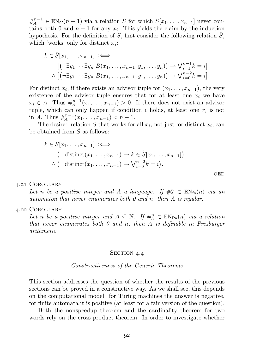$#_{A}^{n-1}$  ∈ EN $_C(n-1)$  via a relation S for which  $S[x_1, \ldots, x_{n-1}]$  never contains both 0 and  $n-1$  for any  $x_i$ . This yields the claim by the induction hypothesis. For the definition of S, first consider the following relation  $\tilde{S}$ , which 'works' only for distinct  $x_i$ :

$$
k \in \tilde{S}[x_1,\ldots,x_{n-1}] \Longleftrightarrow
$$
  
\n
$$
\left[ \left( \exists y_1 \cdots \exists y_n B(x_1,\ldots,x_{n-1},y_1,\ldots,y_n) \right) \rightarrow \bigvee_{i=1}^{n-1} k = i \right]
$$
  
\n
$$
\wedge \left[ \left( \neg \exists y_1 \cdots \exists y_n B(x_1,\ldots,x_{n-1},y_1,\ldots,y_n) \right) \rightarrow \bigvee_{i=0}^{n-2} k = i \right].
$$

For distinct  $x_i$ , if there exists an advisor tuple for  $(x_1, \ldots, x_{n-1})$ , the very existence of the advisor tuple ensures that for at least one  $x_i$  we have  $x_i \in A$ . Thus  $\#_A^{n-1}(x_1, \ldots, x_{n-1}) > 0$ . If there does not exist an advisor tuple, which can only happen if condition  $\alpha$  holds, at least one  $x_i$  is not in A. Thus  $\#_{A}^{n-1}(x_1,\ldots,x_{n-1}) < n-1$ .

The desired relation S that works for all  $x_i$ , not just for distinct  $x_i$ , can be obtained from  $S$  as follows:

$$
k \in S[x_1, \ldots, x_{n-1}] : \Longleftrightarrow
$$
  
\n(
$$
\text{distinct}(x_1, \ldots, x_{n-1}) \to k \in \tilde{S}[x_1, \ldots, x_{n-1}])
$$
  
\n
$$
\wedge (\neg \text{distinct}(x_1, \ldots, x_{n-1}) \to \bigvee_{i=0}^{n-2} k = i).
$$

#### . Corollary

<span id="page-93-0"></span>Let n be a positive integer and A a language. If  $\#_{A}^{n} \in EN_{fa}(n)$  via an automaton that never enumerates both  $\theta$  and  $n$ , then  $A$  is regular.

#### . Corollary

Let n be a positive integer and  $A \subseteq \mathbb{N}$ . If  $\#_{A}^{n} \in \mathrm{EN}_{\mathrm{Pa}}(n)$  via a relation that never enumerates both  $0$  and  $n$ , then  $A$  is definable in Presburger arithmetic.

#### SECTION 4.4

### Constructiveness of the Generic Theorems

<span id="page-93-1"></span>This section addresses the question of whether the results of the previous sections can be proved in a constructive way. As we shall see, this depends on the computational model: for Turing machines the answer is negative, for finite automata it is positive (at least for a fair version of the question).

Both the nonspeedup theorem and the cardinality theorem for two words rely on the cross product theorem. In order to investigate whether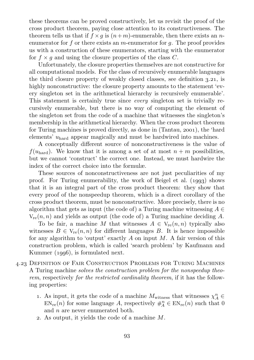these theorems can be proved constructively, let us revisit the proof of the cross product theorem, paying close attention to its constructiveness. The theorem tells us that if  $f \times g$  is  $(n+m)$ -enumerable, then there exists an nenumerator for f or there exists an m-enumerator for  $q$ . The proof provides us with a construction of these enumerators, starting with the enumerator for  $f \times g$  and using the closure properties of the class C.

Unfortunately, the closure properties themselves are not constructive for all computational models. For the class of recursively enumerable languages the third closure property of weakly closed classes, see [definition](#page-72-1)  $3.21$ , is highly nonconstructive: the closure property amounts to the statement 'every singleton set in the arithmetical hierarchy is recursively enumerable'. This statement is certainly true since every singleton set is trivially recursively enumerable, but there is no way of computing the element of the singleton set from the code of a machine that witnesses the singleton's membership in the arithmetical hierarchy. When the cross product theorem for Turing machines is proved directly, as done in  $(Tantau, 2001)$ , the 'hard elements' uhard appear magically and must be hardwired into machines.

A conceptually different source of nonconstructiveness is the value of  $f(u_{\text{hard}})$ . We know that it is among a set of at most  $n + m$  possibilities, but we cannot 'construct' the correct one. Instead, we must hardwire the index of the correct choice into the formulæ.

These sources of nonconstructiveness are not just peculiarities of my proof. For Turing enumerability, the work of Beigel et al.  $(1993)$  shows that it is an integral part of the cross product theorem: they show that every proof of the nonspeedup theorem, which is a direct corollary of the cross product theorem, must be nonconstructive. More precisely, there is no algorithm that gets as input (the code of) a Turing machine witnessing  $A \in$  $V_{\text{re}}(n, n)$  and yields as output (the code of) a Turing machine deciding A.

To be fair, a machine M that witnesses  $A \in V_{\text{re}}(n, n)$  typically also witnesses  $B \in V_{\text{re}}(n, n)$  for different languages B. It is hence impossible for any algorithm to 'output' exactly A on input  $M$ . A fair version of this construction problem, which is called 'search problem' by [Kaufmann and](#page-166-4) Kummer  $(1996)$ , is formulated next.

- 4.23 DEFINITION OF FAIR CONSTRUCTION PROBLEMS FOR TURING MACHINES A Turing machine solves the construction problem for the nonspeedup theorem, respectively for the restricted cardinality theorem, if it has the following properties:
	- 1. As input, it gets the code of a machine  $M_{\text{witness}}$  that witnesses  $\chi_A^n \in$  $EN_{\text{re}}(n)$  for some language A, respectively  $\#_{A}^{n} \in EN_{\text{re}}(n)$  such that 0 and  $n$  are never enumerated both.
	- . As output, it yields the code of a machine M.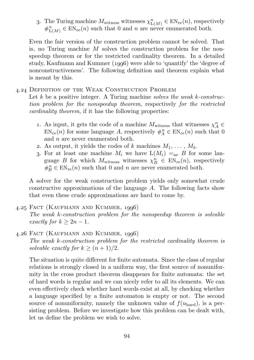3. The Turing machine  $M_{\text{witness}}$  witnesses  $\chi_{L(M)}^n \in EN_{\text{re}}(n)$ , respectively  $\#_{L(M)}^n \in EN_{re}(n)$  such that 0 and *n* are never enumerated both.

Even the fair version of the construction problem cannot be solved. That is, no Turing machine M solves the construction problem for the nonspeedup theorem or for the restricted cardinality theorem. In a detailed study, [Kaufmann and Kummer \(](#page-166-4)1996) were able to 'quantify' the 'degree of nonconstructiveness'. The following definition and theorem explain what is meant by this.

## . Definition of the Weak Construction Problem

Let k be a positive integer. A Turing machine solves the weak k-construction problem for the nonspeedup theorem, respectively for the restricted cardinality theorem, if it has the following properties:

- 1. As input, it gets the code of a machine  $M_{\text{witness}}$  that witnesses  $\chi_A^n \in$  $EN_{\text{re}}(n)$  for some language A, respectively  $\#_{A}^{n} \in EN_{\text{re}}(n)$  such that 0 and *n* are never enumerated both.
- 2. As output, it yields the codes of k machines  $M_1, \ldots, M_k$ .
- 3. For at least one machine  $M_i$  we have  $L(M_i) =_{ae} B$  for some language B for which  $M_{\text{witness}}$  witnesses  $\chi_B^n \in EN_{\text{re}}(n)$ , respectively  $#_{B}^{n} \in EN_{re}(n)$  such that 0 and n are never enumerated both.

A solver for the weak construction problem yields only somewhat crude constructive approximations of the language A. The following facts show that even these crude approximations are hard to come by.

# <span id="page-95-0"></span>4.25FACT (KAUFMANN AND KUMMER, 1996) The weak k-construction problem for the nonspeedup theorem is solvable exactly for  $k \geq 2n-1$ .

4.26FACT (KAUFMANN AND KUMMER, 1996) The weak k-construction problem for the restricted cardinality theorem is solvable exactly for  $k \geq (n+1)/2$ .

The situation is quite different for finite automata. Since the class of regular relations is strongly closed in a uniform way, the first source of nonuniformity in the cross product theorem disappears for finite automata: the set of hard words is regular and we can nicely refer to all its elements. We can even effectively check whether hard words exist at all, by checking whether a language specified by a finite automaton is empty or not. The second source of nonuniformity, namely the unknown value of  $f(u_{\text{hard}})$ , is a persisting problem. Before we investigate how this problem can be dealt with, let us define the problem we wish to solve.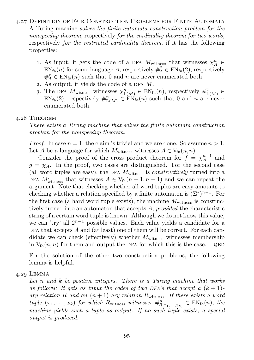- . Definition of Fair Construction Problems for Finite Automata A Turing machine solves the finite automata construction problem for the nonspeedup theorem, respectively for the cardinality theorem for two words, respectively for the restricted cardinality theorem, if it has the following properties:
	- 1. As input, it gets the code of a DFA  $M_{\text{witness}}$  that witnesses  $\chi_A^n$   $\in$  $EN<sub>fa</sub>(n)$  for some language A, respectively  $\#_{A}^{2} \in EN<sub>fa</sub>(2)$ , respectively  $#_A^n \in EN<sub>fa</sub>(n)$  such that 0 and n are never enumerated both.
	- 2. As output, it yields the code of a DFA  $M$ .
	- 3. The DFA  $M_{\text{witness}}$  witnesses  $\chi_{L(M)}^n \in EN_{fa}(n)$ , respectively  $\#_{L(M)}^2 \in$  $EN<sub>fa</sub>(2)$ , respectively  $\#_{L(M)}^n \in EN<sub>fa</sub>(n)$  such that 0 and *n* are never enumerated both.

## 4.28 THEOREM

<span id="page-96-1"></span>There exists a Turing machine that solves the finite automata construction problem for the nonspeedup theorem.

*Proof.* In case  $n = 1$ , the claim is trivial and we are done. So assume  $n > 1$ . Let A be a language for which  $M_{\text{witness}}$  witnesses  $A \in V_{fa}(n, n)$ .

Consider the proof of the cross product theorem for  $f = \chi_A^{n-1}$  and  $q = \chi_A$ . In the proof, two cases are distinguished. For the second case (all word tuples are easy), the DFA  $M_{\text{witness}}$  is *constructively* turned into a DFA  $M'_{\text{witness}}$  that witnesses  $A \in V_{fa}(n-1, n-1)$  and we can repeat the argument. Note that checking whether all word tuples are easy amounts to checking whether a relation specified by a finite automaton is  $(\Sigma^*)^{n-1}$ . For the first case (a hard word tuple exists), the machine  $M_{\text{witness}}$  is constructively turned into an automaton that accepts A, provided the characteristic string of a certain word tuple is known. Although we do not know this value, we can 'try' all  $2^{n-1}$  possible values. Each value yields a candidate for a DFA that accepts  $A$  and (at least) one of them will be correct. For each candidate we can check (effectively) whether  $M_{\text{witness}}$  witnesses membership in  $V_{fa}(n, n)$  for them and output the DFA for which this is the case. QED

For the solution of the other two construction problems, the following lemma is helpful.

## 4.29 LEMMA

<span id="page-96-0"></span>Let  $n$  and  $k$  be positive integers. There is a Turing machine that works as follows: It gets as input the codes of two DFA's that accept a  $(k + 1)$ ary relation R and an  $(n + 1)$ -ary relation R<sub>witness</sub>. If there exists a word tuple  $(x_1, \ldots, x_k)$  for which  $R_{\text{witness}}$  witnesses  $\#_{R[x_1,\ldots,x_k]}^n \in EN_{fa}(n)$ , the machine yields such a tuple as output. If no such tuple exists, a special output is produced.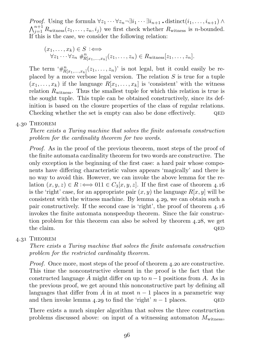*Proof.* Using the formula  $\forall z_1 \cdots \forall z_n \neg \exists i_1 \cdots \exists i_{n+1}$  distinct $(i_1, \ldots, i_{n+1}) \wedge$  $\bigwedge_{j=1}^{n+1} R_{\text{witness}}(z_1, \ldots, z_n, i_j)$  we first check whether  $R_{\text{witness}}$  is *n*-bounded. If this is the case, we consider the following relation:

$$
(x_1, \ldots, x_k) \in S \iff \forall z_1 \cdots \forall z_n \#_{R[x_1, \ldots, x_k]}^{n}(z_1, \ldots, z_n) \in R_{\text{witness}}[z_1, \ldots, z_n].
$$

The term  $\mathcal{H}_{R[x_1,...,x_k]}^{n}(z_1,...,z_n)$  is not legal, but it could easily be replaced by a more verbose legal version. The relation  $S$  is true for a tuple  $(x_1, \ldots, x_k)$  if the language  $R[x_1, \ldots, x_k]$  is 'consistent' with the witness relation  $R_{\text{witness}}$ . Thus the smallest tuple for which this relation is true is the sought tuple. This tuple can be obtained constructively, since its definition is based on the closure properties of the class of regular relations. Checking whether the set is empty can also be done effectively.  $QED$ 

## 4.30 THEOREM

There exists a Turing machine that solves the finite automata construction problem for the cardinality theorem for two words.

Proof. As in the proof of the previous theorem, most steps of the proof of the finite automata cardinality theorem for two words are constructive. The only exception is the beginning of the first case: a hard pair whose components have differing characteristic values appears 'magically' and there is no way to avoid this. However, we can invoke the above lemma for the relation  $(x, y, z) \in R : \iff 0.11 \in C_3[x, y, z]$ . If the first case of [theorem](#page-88-1) 4.16 is the 'right' case, for an appropriate pair  $(x, y)$  the language  $R[x, y]$  will be consistent with the witness machine. By [lemma](#page-96-0)  $4.29$ , we can obtain such a pair constructively. If the second case is 'right', the proof of [theorem](#page-88-1)  $4.16$ invokes the finite automata nonspeedup theorem. Since the fair construction problem for this [theorem](#page-96-1) can also be solved by theorem  $4.28$ , we get the claim.  $QED$ 

## 4.31 THEOREM

There exists a Turing machine that solves the finite automata construction problem for the restricted cardinality theorem.

*Proof.* Once more, most steps of the proof of [theorem](#page-92-0) 4.20 are constructive. This time the nonconstructive element in the proof is the fact that the constructed language  $\hat{A}$  might differ on up to  $n-1$  positions from A. As in the previous proof, we get around this nonconstructive part by defining all languages that differ from  $\hat{A}$  in at most  $n-1$  places in a parametric way and then invoke [lemma](#page-96-0)  $4.29$  to find the 'right'  $n - 1$  places.  $QED$ 

There exists a much simpler algorithm that solves the three construction problems discussed above: on input of a witnessing automaton  $M_{\text{witness}}$ ,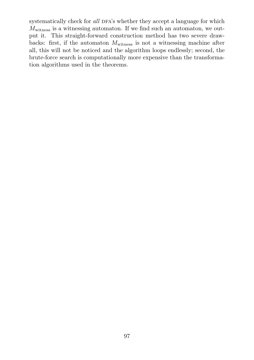systematically check for  $all$  DFA's whether they accept a language for which  $M_{\text{witness}}$  is a witnessing automaton. If we find such an automaton, we output it. This straight-forward construction method has two severe drawbacks: first, if the automaton  $M_{\text{witness}}$  is not a witnessing machine after all, this will not be noticed and the algorithm loops endlessly; second, the brute-force search is computationally more expensive than the transformation algorithms used in the theorems.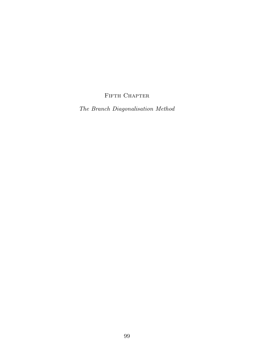# FIFTH CHAPTER

The Branch Diagonalisation Method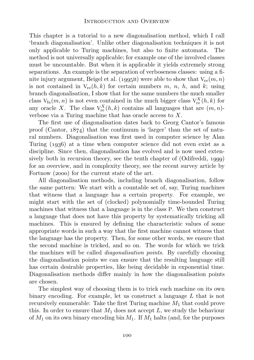This chapter is a tutorial to a new diagonalisation method, which I call 'branch diagonalisation'. Unlike other diagonalisation techniques it is not only applicable to Turing machines, but also to finite automata. The method is not universally applicable; for example one of the involved classes must be uncountable. But when it is applicable it yields extremely strong separations. An example is the separation of verboseness classes: using a fi-nite injury argument, [Beigel et al. \(](#page-163-1)1995B) were able to show that  $V_{re}(m, n)$ is not contained in  $V_{\text{re}}(h, k)$  for certain numbers m, n, h, and k; using branch diagonalisation, I show that for the same numbers the much smaller class  $V_{fa}(m, n)$  is not even contained in the much bigger class  $V_{re}^{X}(h, k)$  for any oracle X. The class  $V_{\text{re}}^{X}(h, k)$  contains all languages that are  $(m, n)$ verbose via a Turing machine that has oracle access to X.

The first use of diagonalisation dates back to Georg Cantor's famous proof([Cantor,](#page-163-3)  $1874$ ) that the continuum is 'larger' than the set of natural numbers. Diagonalisation was first used in computer science by Alan Turing  $(1936)$  at a time when computer science did not even exist as a discipline. Since then, diagonalisation has evolved and is now used extensivelyboth in recursion theory, see the tenth chapter of  $(Odifreddi, 1999)$  $(Odifreddi, 1999)$  $(Odifreddi, 1999)$ for an overview, and in complexity theory, see the recent survey article by Fortnow  $(2000)$  for the current state of the art.

All diagonalisation methods, including branch diagonalisation, follow the same pattern: We start with a countable set of, say, Turing machines that witness that a language has a certain property. For example, we might start with the set of (clocked) polynomially time-bounded Turing machines that witness that a language is in the class P. We then construct a language that does not have this property by systematically tricking all machines. This is ensured by defining the characteristic values of some appropriate words in such a way that the first machine cannot witness that the language has the property. Then, for some other words, we ensure that the second machine is tricked, and so on. The words for which we trick the machines will be called diagonalisation points. By carefully choosing the diagonalisation points we can ensure that the resulting language still has certain desirable properties, like being decidable in exponential time. Diagonalisation methods differ mainly in how the diagonalisation points are chosen.

The simplest way of choosing them is to trick each machine on its own binary encoding. For example, let us construct a language  $L$  that is not recursively enumerable: Take the first Turing machine  $M_1$  that could prove this. In order to ensure that  $M_1$  does not accept L, we study the behaviour of  $M_1$  on its own binary encoding bin  $M_1$ . If  $M_1$  halts (and, for the purposes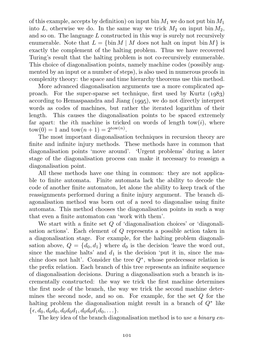of this example, accepts by definition) on input bin  $M_1$  we do not put bin  $M_1$ into L, otherwise we do. In the same way we trick  $M_2$  on input bin  $M_2$ , and so on. The language  $L$  constructed in this way is surely not recursively enumerable. Note that  $L = \{\sin M \mid M \text{ does not halt on input bin } M\}$  is exactly the complement of the halting problem. Thus we have recovered Turing's result that the halting problem is not co-recursively enumerable. This choice of diagonalisation points, namely machine codes (possibly augmented by an input or a number of steps), is also used in numerous proofs in complexity theory: the space and time hierarchy theorems use this method.

More advanced diagonalisation arguments use a more complicated approach. For the super-sparse set technique, first used by Kurtz  $(1983)$ according to Hemaspaandra and Jiang  $(1995)$ , we do not directly interpret words as codes of machines, but rather the iterated logarithm of their length. This causes the diagonalisation points to be spaced extremely far apart: the *i*th machine is tricked on words of length tow(*i*), where  $\text{tow}(0) = 1$  and  $\text{tow}(n + 1) = 2^{\text{tow}(n)}$ .

The most important diagonalisation techniques in recursion theory are finite and infinite injury methods. These methods have in common that diagonalisation points 'move around'. 'Urgent problems' during a later stage of the diagonalisation process can make it necessary to reassign a diagonalisation point.

All these methods have one thing in common: they are not applicable to finite automata. Finite automata lack the ability to decode the code of another finite automaton, let alone the ability to keep track of the reassignments performed during a finite injury argument. The branch diagonalisation method was born out of a need to diagonalise using finite automata. This method chooses the diagonalisation points in such a way that even a finite automaton can 'work with them'.

We start with a finite set  $Q$  of 'diagonalisation choices' or 'diagonalisation actions'. Each element of Q represents a possible action taken in a diagonalisation stage. For example, for the halting problem diagonalisation above,  $Q = \{d_0, d_1\}$  where  $d_0$  is the decision 'leave the word out, since the machine halts' and  $d_1$  is the decision 'put it in, since the machine does not halt'. Consider the tree  $Q^*$ , whose predecessor relation is the prefix relation. Each branch of this tree represents an infinite sequence of diagonalisation decisions. During a diagonalisation such a branch is incrementally constructed: the way we trick the first machine determines the first node of the branch, the way we trick the second machine determines the second node, and so on. For example, for the set Q for the halting problem the diagonalisation might result in a branch of  $Q^*$  like  $\{\epsilon, d_0, d_0d_0, d_0d_0d_1, d_0d_0d_1d_0, \ldots\}.$ 

The key idea of the branch diagonalisation method is to use a binary en-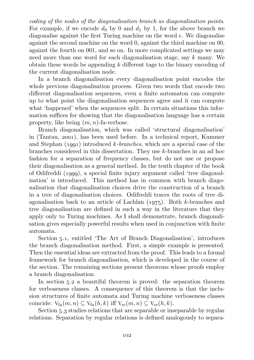coding of the nodes of the diagonalisation branch as diagonalisation points. For example, if we encode  $d_0$  by 0 and  $d_1$  by 1, for the above branch we diagonalise against the first Turing machine on the word  $\epsilon$ . We diagonalise against the second machine on the word 0, against the third machine on 00, against the fourth on 001, and so on. In more complicated settings we may need more than one word for each diagonalisation stage, say k many. We obtain these words be appending  $k$  different tags to the binary encoding of the current diagonalisation node.

In a branch diagonalisation every diagonalisation point encodes the whole previous diagonalisation process. Given two words that encode two different diagonalisation sequences, even a finite automaton can compute up to what point the diagonalisation sequences agree and it can compute what 'happened' when the sequences split. In certain situations this information suffices for showing that the diagonalisation language has a certain property, like being  $(m, n)$ -fa-verbose.

Branch diagonalisation, which was called 'structural diagonalisation' in [\(Tantau,](#page-170-3) 2001), has been used before. In a technical report, [Kummer](#page-167-5) and Stephan  $(1991)$  introduced k-branches, which are a special case of the branches considered in this dissertation. They use k-branches in an ad hoc fashion for a separation of frequency classes, but do not use or propose their diagonalisation as a general method. In the tenth chapter of the book of Odifreddi  $(1999)$ , a special finite injury argument called 'tree diagonalisation' is introduced. This method has in common with branch diagonalisation that diagonalisation choices drive the construction of a branch in a tree of diagonalisation choices. Odifreddi traces the roots of tree diagonalisation back to an article of Lachlan  $(1975)$ . Both k-branches and tree diagonalisation are defined in such a way in the literature that they apply only to Turing machines. As I shall demonstrate, branch diagonalisation gives especially powerful results when used in conjunction with finite automata.

[Section](#page-104-0) 5.1, entitled 'The Art of Branch Diagonalisation', introduces the branch diagonalisation method. First, a simple example is presented. Then the essential ideas are extracted from the proof. This leads to a formal framework for branch diagonalisation, which is developed in the course of the section. The remaining sections present theorems whose proofs employ a branch diagonalisation.

In [section](#page-111-0) 5.2 a beautiful theorem is proved: the separation theorem for verboseness classes. A consequence of this theorem is that the inclusion structures of finite automata and Turing machine verboseness classes coincide:  $V_{fa}(m, n) \subseteq V_{fa}(h, k)$  iff  $V_{re}(m, n) \subseteq V_{re}(h, k)$ .

[Section](#page-117-0) 5.3 studies relations that are separable or inseparable by regular relations. Separation by regular relations is defined analogously to separa-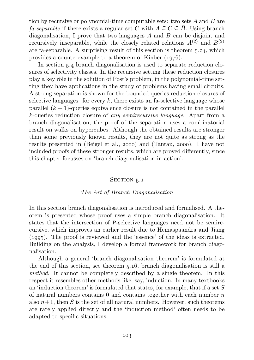tion by recursive or polynomial-time computable sets: two sets  $A$  and  $B$  are *fa-separable* if there exists a regular set C with  $A \subseteq C \subseteq \overline{B}$ . Using branch diagonalisation, I prove that two languages  $A$  and  $B$  can be disjoint and recursively inseparable, while the closely related relations  $A^{(2)}$  and  $B^{(2)}$ are fa-separable. A surprising result of this section is [theorem](#page-120-0)  $5.24$ , which provides a counterexample to a theorem of Kinber  $(1976)$ .

In [section](#page-123-0)  $5.4$  branch diagonalisation is used to separate reduction closures of selectivity classes. In the recursive setting these reduction closures play a key rôle in the solution of Post's problem, in the polynomial-time setting they have applications in the study of problems having small circuits. A strong separation is shown for the bounded queries reduction closures of selective languages: for every  $k$ , there exists an fa-selective language whose parallel  $(k + 1)$ -queries equivalence closure is not contained in the parallel k-queries reduction closure of any semirecursive language. Apart from a branch diagonalisation, the proof of the separation uses a combinatorial result on walks on hypercubes. Although the obtained results are stronger than some previously known results, they are not quite as strong as the results presented in [\(Beigel et al.,](#page-163-0)  $2000$ ) and [\(Tantau,](#page-170-4)  $2000$ ). I have not included proofs of these stronger results, which are proved differently, since this chapter focusses on 'branch diagonalisation in action'.

### SECTION 5.1

#### The Art of Branch Diagonalisation

<span id="page-104-0"></span>In this section branch diagonalisation is introduced and formalised. A theorem is presented whose proof uses a simple branch diagonalisation. It states that the intersection of P-selective languages need not be semirecursive, which improves an earlier result due to [Hemaspaandra and Jiang](#page-165-3) (). The proof is reviewed and the 'essence' of the ideas is extracted. Building on the analysis, I develop a formal framework for branch diagonalisation.

Although a general 'branch diagonalisation theorem' is formulated at the end of this section, see [theorem](#page-110-0)  $5.16$ , branch diagonalisation is still a method. It cannot be completely described by a single theorem. In this respect it resembles other methods like, say, induction. In many textbooks an 'induction theorem' is formulated that states, for example, that if a set S of natural numbers contains  $0$  and contains together with each number  $n$ also  $n+1$ , then S is the set of all natural numbers. However, such theorems are rarely applied directly and the 'induction method' often needs to be adapted to specific situations.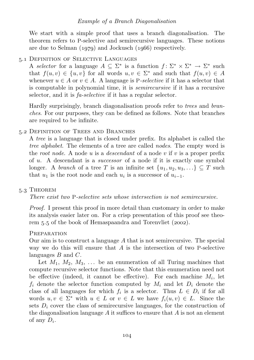## Example of a Branch Diagonalisation

We start with a simple proof that uses a branch diagonalisation. The theorem refers to P-selective and semirecursive languages. These notions are due to Selman  $(1979)$  and Jockusch  $(1966)$  respectively.

# . Definition of Selective Languages

A selector for a language  $A \subseteq \Sigma^*$  is a function  $f: \Sigma^* \times \Sigma^* \to \Sigma^*$  such that  $f(u, v) \in \{u, v\}$  for all words  $u, v \in \Sigma^*$  and such that  $f(u, v) \in A$ whenever  $u \in A$  or  $v \in A$ . A language is P-selective if it has a selector that is computable in polynomial time, it is semirecursive if it has a recursive selector, and it is *fa-selective* if it has a regular selector.

Hardly surprisingly, branch diagonalisation proofs refer to trees and branches. For our purposes, they can be defined as follows. Note that branches are required to be infinite.

# . Definition of Trees and Branches

A tree is a language that is closed under prefix. Its alphabet is called the tree alphabet. The elements of a tree are called nodes. The empty word is the root node. A node u is a descendant of a node v if v is a proper prefix of u. A descendant is a successor of a node if it is exactly one symbol longer. A *branch* of a tree T is an infinite set  $\{u_1, u_2, u_3, ...\} \subseteq T$  such that  $u_1$  is the root node and each  $u_i$  is a successor of  $u_{i-1}$ .

## . Theorem

<span id="page-105-0"></span>There exist two P-selective sets whose intersection is not semirecursive.

Proof. I present this proof in more detail than customary in order to make its analysis easier later on. For a crisp presentation of this proof see theorem  $5.5$  of the book of [Hemaspaandra and Torenvliet \(](#page-165-4)2002).

## **PREPARATION**

Our aim is to construct a language  $A$  that is not semirecursive. The special way we do this will ensure that  $A$  is the intersection of two P-selective languages  $B$  and  $C$ .

Let  $M_1, M_2, M_3, \ldots$  be an enumeration of all Turing machines that compute recursive selector functions. Note that this enumeration need not be effective (indeed, it cannot be effective). For each machine  $M_i$ , let  $f_i$  denote the selector function computed by  $M_i$  and let  $D_i$  denote the class of all languages for which  $f_i$  is a selector. Thus  $L \in D_i$  if for all words  $u, v \in \Sigma^*$  with  $u \in L$  or  $v \in L$  we have  $f_i(u, v) \in L$ . Since the sets  $D_i$  cover the class of semirecursive languages, for the construction of the diagonalisation language  $A$  it suffices to ensure that  $A$  is not an element of any  $D_i$ .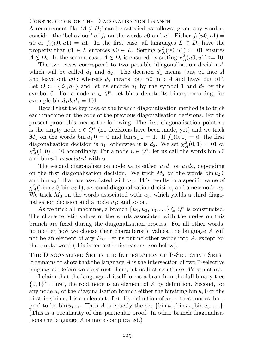#### Construction of the Diagonalisation Branch

A requirement like ' $A \notin D_i$ ' can be satisfied as follows: given any word u, consider the 'behaviour' of  $f_i$  on the words u0 and u1. Either  $f_i(u0, u1) =$ u0 or  $f_i(u0, u1) = u1$ . In the first case, all languages  $L \in D_i$  have the property that  $u1 \in L$  enforces  $u0 \in L$ . Setting  $\chi^2_A(u0, u1) := 01$  ensures  $A \notin D_i$ . In the second case,  $A \notin D_i$  is ensured by setting  $\chi^2_A(w0, u1) := 10$ .

The two cases correspond to two possible 'diagonalisation decisions', which will be called  $d_1$  and  $d_2$ . The decision  $d_1$  means 'put u1 into A and leave out  $u0$ '; whereas  $d_2$  means 'put  $u0$  into A and leave out  $u1$ '. Let  $Q := \{d_1, d_2\}$  and let us encode  $d_1$  by the symbol 1 and  $d_2$  by the symbol 0. For a node  $u \in Q^*$ , let bin u denote its binary encoding; for example bin  $d_1d_2d_1 = 101$ .

Recall that the key idea of the branch diagonalisation method is to trick each machine on the code of the previous diagonalisation decisions. For the present proof this means the following: The first diagonalisation point  $u_1$ is the empty node  $\epsilon \in Q^*$  (no decisions have been made, yet) and we trick  $M_1$  on the words bin  $u_1 0 = 0$  and bin  $u_1 1 = 1$ . If  $f_1(0, 1) = 0$ , the first diagonalisation decision is  $d_1$ , otherwise it is  $d_2$ . We set  $\chi^2_A(0,1) = 01$  or  $\chi^2_A(1,0) = 10$  accordingly. For a node  $u \in Q^*$ , let us call the words bin u 0 and  $\sin u 1$  *associated* with u.

The second diagonalisation node  $u_2$  is either  $u_1d_1$  or  $u_1d_2$ , depending on the first diagonalisation decision. We trick  $M_2$  on the words bin  $u_2$  0 and bin  $u_2$  1 that are associated with  $u_2$ . This results in a specific value of  $\chi^2_A(\text{bin }u_2 0, \text{bin }u_2 1),$  a second diagonalisation decision, and a new node  $u_3$ . We trick  $M_3$  on the words associated with  $u_3$ , which yields a third diagonalisation decision and a node  $u_4$ ; and so on.

As we trick all machines, a branch  $\{u_1, u_2, u_3, \ldots\} \subseteq Q^*$  is constructed. The characteristic values of the words associated with the nodes on this branch are fixed during the diagonalisation process. For all other words, no matter how we choose their characteristic values, the language A will not be an element of any  $D_i$ . Let us put no other words into A, except for the empty word (this is for æsthetic reasons, see below).

The Diagonalised Set is the Intersection of P-Selective Sets It remains to show that the language A is the intersection of two P-selective languages. Before we construct them, let us first scrutinise A's structure.

I claim that the language A itself forms a branch in the full binary tree  $\{0,1\}^*$ . First, the root node is an element of A by definition. Second, for any node  $u_i$  of the diagonalisation branch either the bitstring bin  $u_i$  0 or the bitstring bin  $u_i$  1 is an element of A. By definition of  $u_{i+1}$ , these nodes 'happen' to be bin  $u_{i+1}$ . Thus A is exactly the set  $\{\sin u_1, \sin u_2, \sin u_3, \ldots\}$ . (This is a peculiarity of this particular proof. In other branch diagonalisations the language A is more complicated.)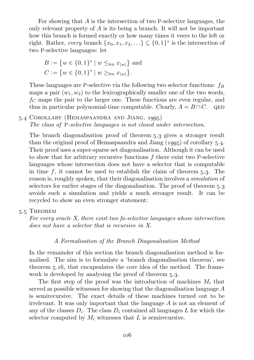For showing that A is the intersection of two P-selective languages, the only relevant property of  $A$  is its being a branch. It will not be important how this branch is formed exactly or how many times it veers to the left or right. Rather, every branch  $\{x_0, x_1, x_2, \ldots\} \subseteq \{0, 1\}^*$  is the intersection of two P-selective languages: let

$$
B := \{ w \in \{0, 1\}^* \mid w \leq_{\text{lex}} x_{|w|} \} \text{ and }
$$
  

$$
C := \{ w \in \{0, 1\}^* \mid w \geq_{\text{lex}} x_{|w|} \}.
$$

These languages are P-selective via the following two selector functions:  $f_B$ maps a pair  $(w_1, w_2)$  to the lexicographically smaller one of the two words,  $f<sub>C</sub>$  maps the pair to the larger one. These functions are even regular, and thus in particular polynomial-time computable. Clearly,  $A = B \cap C$ . QED

5.4 COROLLARY (HEMASPAANDRA AND JIANG, 1995)

<span id="page-107-0"></span>The class of P-selective languages is not closed under intersection.

The branch diagonalisation proof of [theorem](#page-105-0) 5.3 gives a stronger result than the original proof of Hemaspaandra and Jiang  $(1995)$  of [corollary](#page-107-0) 5.4. Their proof uses a super-sparse set diagonalisation. Although it can be used to show that for arbitrary recursive functions  $f$  there exist two P-selective languages whose intersection does not have a selector that is computable in time  $f$ , it cannot be used to establish the claim of [theorem](#page-105-0)  $5.3$ . The reason is, roughly spoken, that their diagonalisation involves a simulation of selectors for earlier stages of the diagonalisation. The proof of [theorem](#page-105-0)  $5.3$ avoids such a simulation and yields a much stronger result. It can be recycled to show an even stronger statement:

5.5 THEOREM

For every oracle X, there exist two fa-selective languages whose intersection does not have a selector that is recursive in X.

## A Formalisation of the Branch Diagonalisation Method

In the remainder of this section the branch diagonalisation method is formalised. The aim is to formulate a 'branch diagonalisation theorem', see [theorem](#page-110-0)  $5.16$ , that encapsulates the core idea of the method. The framework is developed by analysing the proof of [theorem](#page-105-0) 5.3.

The first step of the proof was the introduction of machines  $M_i$  that served as possible witnesses for showing that the diagonalisation language A is semirecursive. The exact details of these machines turned out to be irrelevant. It was only important that the language A is not an element of any of the classes  $D_i$ . The class  $D_i$  contained all languages L for which the selector computed by  $M_i$  witnesses that L is semirecursive.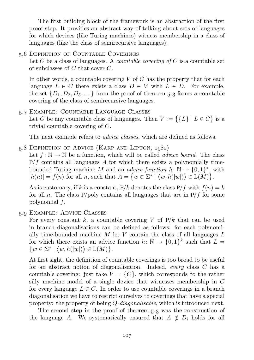The first building block of the framework is an abstraction of the first proof step. It provides an abstract way of talking about sets of languages for which devices (like Turing machines) witness membership in a class of languages (like the class of semirecursive languages).

5.6 DEFINITION OF COUNTABLE COVERINGS

Let C be a class of languages. A countable covering of C is a countable set of subclasses of C that cover C.

In other words, a countable covering  $V$  of  $C$  has the property that for each language  $L \in C$  there exists a class  $D \in V$  with  $L \in D$ . For example, the set  $\{D_1, D_2, D_3, \ldots\}$  from the proof of [theorem](#page-105-0) 5.3 forms a countable covering of the class of semirecursive languages.

. Example: Countable Language Classes

<span id="page-108-0"></span>Let C be any countable class of languages. Then  $V := \{ \{L\} \mid L \in C \}$  is a trivial countable covering of C.

The next example refers to advice classes, which are defined as follows.

5.8DEFINITION OF ADVICE (KARP AND LIPTON, 1980)

Let  $f: \mathbb{N} \to \mathbb{N}$  be a function, which will be called *advice bound*. The class  $P/f$  contains all languages A for which there exists a polynomially timebounded Turing machine M and an *advice function*  $h: \mathbb{N} \to \{0,1\}^*$ , with  $|h(n)| = f(n)$  for all n, such that  $A = \{w \in \Sigma^* \mid \langle w, h(|w|) \rangle \in L(M)\}.$ 

As is customary, if k is a constant,  $P/k$  denotes the class  $P/f$  with  $f(n) = k$ for all n. The class P/poly contains all languages that are in  $P/f$  for some polynomial f.

. Example: Advice Classes

<span id="page-108-1"></span>For every constant k, a countable covering V of  $P/k$  that can be used in branch diagonalisations can be defined as follows: for each polynomially time-bounded machine  $M$  let  $V$  contain the class of all languages  $L$ for which there exists an advice function  $h: \mathbb{N} \to \{0,1\}^k$  such that  $L =$  $\{w \in \Sigma^* \mid \langle w, h(|w|) \rangle \in L(M)\}.$ 

At first sight, the definition of countable coverings is too broad to be useful for an abstract notion of diagonalisation. Indeed, every class C has a countable covering: just take  $V = \{C\}$ , which corresponds to the rather silly machine model of a single device that witnesses membership in C for every language  $L \in \mathbb{C}$ . In order to use countable coverings in a branch diagonalisation we have to restrict ourselves to coverings that have a special property: the property of being Q-diagonalisable, which is introduced next.

The second step in the proof of [theorem](#page-105-0)  $5.3$  was the construction of the language A. We systematically ensured that  $A \notin D_i$  holds for all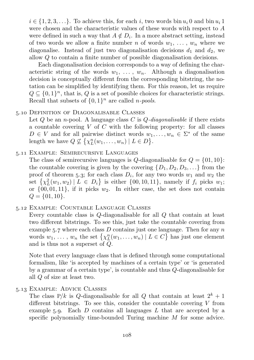$i \in \{1, 2, 3, \ldots\}$ . To achieve this, for each i, two words bin  $u_i$ , 0 and bin  $u_i$ , 1 were chosen and the characteristic values of these words with respect to A were defined in such a way that  $A \notin D_i$ . In a more abstract setting, instead of two words we allow a finite number n of words  $w_1, \ldots, w_n$  where we diagonalise. Instead of just two diagonalisation decisions  $d_1$  and  $d_2$ , we allow Q to contain a finite number of possible diagonalisation decisions.

Each diagonalisation decision corresponds to a way of defining the characteristic string of the words  $w_1, \ldots, w_n$ . Although a diagonalisation decision is conceptually different from the corresponding bitstring, the notation can be simplified by identifying them. For this reason, let us require  $Q \subseteq \{0,1\}^n$ , that is, Q is a set of possible choices for characteristic strings. Recall that subsets of  $\{0,1\}^n$  are called *n-pools*.

### 5.10 DEFINITION OF DIAGONALISABLE CLASSES

Let  $Q$  be an *n*-pool. A language class  $C$  is  $Q$ -diagonalisable if there exists a countable covering  $V$  of  $C$  with the following property: for all classes  $D \in V$  and for all pairwise distinct words  $w_1, \ldots, w_n \in \Sigma^*$  of the same length we have  $Q \nsubseteq \{ \chi_L^n(w_1, \ldots, w_n) \mid L \in D \}.$ 

# . Example: Semirecursive Languages

The class of semirecursive languages is  $Q$ -diagonalisable for  $Q = \{01, 10\}$ : the countable covering is given by the covering  $\{D_1, D_2, D_3, \ldots\}$  from the proof of [theorem](#page-105-0) 5.3; for each class  $D_i$ , for any two words  $w_1$  and  $w_2$  the set  $\{\chi^2_L(w_1, w_2) | L \in D_i\}$  is either  $\{00, 10, 11\}$ , namely if  $f_i$  picks  $w_1$ ; or  $\{00, 01, 11\}$ , if it picks  $w_2$ . In either case, the set does not contain  $Q = \{01, 10\}.$ 

## . Example: Countable Language Classes

Every countable class is Q-diagonalisable for all Q that contain at least two different bitstrings. To see this, just take the countable covering from [example](#page-108-0)  $5.7$  where each class D contains just one language. Then for any n words  $w_1, \ldots, w_n$  the set  $\{\chi_L^n(w_1, \ldots, w_n) \mid L \in C\}$  has just one element and is thus not a superset of Q.

Note that every language class that is defined through some computational formalism, like 'is accepted by machines of a certain type' or 'is generated by a grammar of a certain type', is countable and thus Q-diagonalisable for all Q of size at least two.

# . Example: Advice Classes

The class  $P/k$  is Q-diagonalisable for all Q that contain at least  $2^k + 1$ different bitstrings. To see this, consider the countable covering  $V$  from [example](#page-108-1)  $5.9$ . Each D contains all languages L that are accepted by a specific polynomially time-bounded Turing machine M for some advice.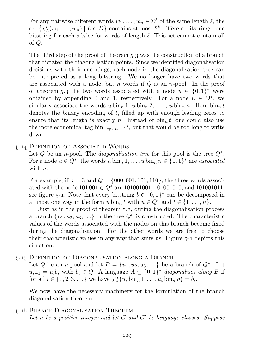For any pairwise different words  $w_1, \ldots, w_n \in \Sigma^{\ell}$  of the same length  $\ell$ , the set  $\{\chi_L^n(w_1,\ldots,w_n) \mid L \in D\}$  contains at most  $2^k$  different bitstrings: one bitstring for each advice for words of length  $\ell$ . This set cannot contain all of Q.

The third step of the proof of [theorem](#page-105-0)  $5.3$  was the construction of a branch that dictated the diagonalisation points. Since we identified diagonalisation decisions with their encodings, each node in the diagonalisation tree can be interpreted as a long bitstring. We no longer have two words that are associated with a node, but n words if  $Q$  is an n-pool. In the proof of [theorem](#page-105-0) 5.3 the two words associated with a node  $u \in \{0,1\}^*$  were obtained by appending 0 and 1, respectively. For a node  $u \in Q^*$ , we similarly associate the words  $u \, \text{bin}_n 1$ ,  $u \, \text{bin}_n 2$ , ...,  $u \, \text{bin}_n n$ . Here  $\text{bin}_n t$ denotes the binary encoding of  $t$ , filled up with enough leading zeros to ensure that its length is exactly n. Instead of  $\lim_{n \to \infty} t$ , one could also use the more economical tag bin<sub> $\left[ \log_{2} n \right] + 1$ </sub>, but that would be too long to write down.

### . Definition of Associated Words

Let Q be an n-pool. The *diagonalisation tree* for this pool is the tree  $Q^*$ . For a node  $u \in Q^*$ , the words  $u \operatorname{bin}_n 1, \ldots, u \operatorname{bin}_n n \in \{0,1\}^*$  are associated with u.

For example, if  $n = 3$  and  $Q = \{000, 001, 101, 110\}$ , the three words associated with the node  $101\,001 \in Q^*$  are 101001001, 101001010, and 101001011, see [figure](#page-112-0) 5-1. Note that every bitstring  $b \in \{0,1\}^*$  can be decomposed in at most one way in the form  $u \text{ bin}_n t$  with  $u \in Q^*$  and  $t \in \{1, \ldots, n\}$ .

Just as in the proof of [theorem](#page-105-0) 5.3, during the diagonalisation process a branch  $\{u_1, u_2, u_3, \ldots\}$  in the tree  $\tilde{Q}^*$  is constructed. The characteristic values of the words associated with the nodes on this branch become fixed during the diagonalisation. For the other words we are free to choose their characteristic values in any way that suits us. [Figure](#page-112-0)  $5-1$  depicts this situation.

#### . Definition of Diagonalisation along a Branch

Let Q be an *n*-pool and let  $B = \{u_1, u_2, u_3, \ldots\}$  be a branch of  $Q^*$ . Let  $u_{i+1} = u_i b_i$  with  $b_i \in Q$ . A language  $A \subseteq \{0,1\}^*$  diagonalises along B if for all  $i \in \{1, 2, 3, \ldots\}$  we have  $\chi_A^n(u_i \, \text{bin}_n 1, \ldots, u_i \, \text{bin}_n n) = b_i$ .

We now have the necessary machinery for the formulation of the branch diagonalisation theorem.

# <span id="page-110-0"></span>5.16 BRANCH DIAGONALISATION THEOREM Let n be a positive integer and let  $C$  and  $C'$  be language classes. Suppose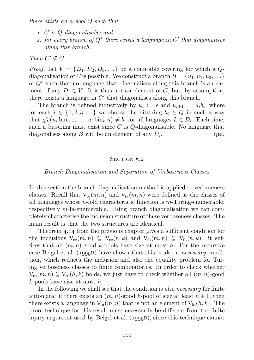there exists an n-pool Q such that

- <sup>1</sup>. C is Q-diagonalisable and
- 2. for every branch of  $Q^*$  there exists a language in  $C'$  that diagonalises along this branch.

# Then  $C' \nsubseteq C$ .

*Proof.* Let  $V = \{D_1, D_2, D_3, \ldots\}$  be a countable covering for which a  $Q$ diagonalisation of C is possible. We construct a branch  $B = \{u_1, u_2, u_3, \ldots\}$ of  $\tilde{Q}^*$  such that no language that diagonalises along this branch is an element of any  $D_i \in V$ . It is thus not an element of C, but, by assumption, there exists a language in  $C'$  that diagonalises along this branch.

The branch is defined inductively by  $u_1 := \epsilon$  and  $u_{i+1} := u_i b_i$ , where for each  $i \in \{1, 2, 3, ...\}$  we choose the bitstring  $b_i \in Q$  in such a way that  $\chi_L^n(u_i \, \text{bin}_n 1, \ldots, u_i \, \text{bin}_n n) \neq b_i$  for all languages  $L \in D_i$ . Each time, such a bitstring must exist since  $C$  is  $Q$ -diagonalisable. No language that diagonalises along B will be an element of any  $D_i$ . QED

### SECTION 5.2

#### Branch Diagonalisation and Separation of Verboseness Classes

In this section the branch diagonalisation method is applied to verboseness classes. Recall that  $V_{\text{re}}(m, n)$  and  $V_{\text{fa}}(m, n)$  were defined as the classes of all languages whose *n*-fold characteristic function is  $m$ -Turing-enumerable, respectively m-fa-enumerable. Using branch diagonalisation we can completely characterise the inclusion structure of these verboseness classes. The main result is that the two structures are identical.

[Theorem](#page-87-0) 4.14 from the previous chapter gives a sufficient condition for the inclusions  $V_{re}(m, n) \subseteq V_{re}(h, k)$  and  $V_{fa}(m, n) \subseteq V_{fa}(h, k)$ : it suffices that all  $(m, n)$ -good k-pools have size at most h. For the recursive case Beigel et al.  $(1995B)$  have shown that this is also a *necessary* condition, which reduces the inclusion and also the equality problem for Turing verboseness classes to finite combinatorics. In order to check whether  $V_{\text{re}}(m, n) \subseteq V_{\text{re}}(h, k)$  holds, we just have to check whether all  $(m, n)$ -good  $k$ -pools have size at most  $h$ .

In the following we shall see that the condition is also necessary for finite automata: if there exists an  $(m, n)$ -good k-pool of size at least  $h + 1$ , then there exists a language in  $V_{fa}(m, n)$  that is not an element of  $V_{fa}(h, k)$ . The proof technique for this result must necessarily be different from the finite injury argument used by Beigel et al.  $(1995B)$ , since this technique cannot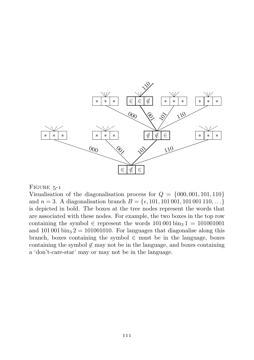

#### $FIGURE 5-1$

<span id="page-112-0"></span>Visualisation of the diagonalisation process for  $Q = \{000, 001, 101, 110\}$ and  $n = 3$ . A diagonalisation branch  $B = \{\epsilon, 101, 101, 001, 101, 001, 110, \ldots\}$ is depicted in bold. The boxes at the tree nodes represent the words that are associated with these nodes. For example, the two boxes in the top row containing the symbol  $\in$  represent the words 101 001 bin<sub>3</sub> 1 = 101001001 and  $101\,001\,\mathrm{bin}_3\,2=101001010$ . For languages that diagonalise along this branch, boxes containing the symbol  $\in$  must be in the language, boxes containing the symbol  $\notin$  may not be in the language, and boxes containing a 'don't-care-star' may or may not be in the language.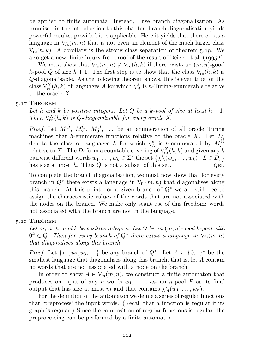be applied to finite automata. Instead, I use branch diagonalisation. As promised in the introduction to this chapter, branch diagonalisation yields powerful results, provided it is applicable. Here it yields that there exists a language in  $V_{fa}(m, n)$  that is not even an element of the much larger class  $V_{\text{re}}(h, k)$ . A corollary is the strong class separation of [theorem](#page-116-0) 5.19. We also get a new, finite-injury-free proof of the result of Beigel et al.  $(1995B)$ .

We must show that  $V_{fa}(m, n) \nsubseteq V_{re}(h, k)$  if there exists an  $(m, n)$ -good k-pool Q of size  $h + 1$ . The first step is to show that the class  $V_{re}(h, k)$  is Q-diagonalisable. As the following theorem shows, this is even true for the class  $V_{\text{re}}^{X}(h, k)$  of languages A for which  $\chi_A^k$  is h-Turing-enumerable relative to the oracle  $X$ .

### 5.17 THEOREM

<span id="page-113-0"></span>Let h and k be positive integers. Let Q be a k-pool of size at least  $h + 1$ . Then  $V_{\text{re}}^{X}(h, k)$  is Q-diagonalisable for every oracle X.

*Proof.* Let  $M_1^{(1)}$ ,  $M_2^{(1)}$ ,  $M_3^{(1)}$ , ... be an enumeration of all oracle Turing machines that h-enumerate functions relative to the oracle X. Let  $D_i$ denote the class of languages L for which  $\chi_L^k$  is h-enumerated by  $M_i^{()}$ relative to X. The  $D_i$  form a countable covering of  $V_{\text{re}}^{X}(h, k)$  and given any k pairwise different words  $w_1, \ldots, w_k \in \Sigma^*$  the set  $\{\chi_L^{\vec{k}}(w_1, \ldots, w_k) \mid L \in D_i\}$ has size at most  $h$ . Thus  $Q$  is not a subset of this set.  $QED$ 

To complete the branch diagonalisation, we must now show that for every branch in  $Q^*$  there exists a language in  $V_{fa}(m, n)$  that diagonalises along this branch. At this point, for a given branch of  $Q^*$  we are still free to assign the characteristic values of the words that are not associated with the nodes on the branch. We make only scant use of this freedom: words not associated with the branch are not in the language.

### 5.18 THEOREM

<span id="page-113-1"></span>Let m, n, h, and k be positive integers. Let  $Q$  be an  $(m, n)$ -good k-pool with  $0^k \in Q$ . Then for every branch of  $Q^*$  there exists a language in  $V_{fa}(m, n)$ that diagonalises along this branch.

*Proof.* Let  $\{u_1, u_2, u_3, \ldots\}$  be any branch of  $Q^*$ . Let  $A \subseteq \{0,1\}^*$  be the smallest language that diagonalises along this branch, that is, let A contain no words that are not associated with a node on the branch.

In order to show  $A \in V_{fa}(m, n)$ , we construct a finite automaton that produces on input of any n words  $w_1, \ldots, w_n$  an n-pool P as its final output that has size at most m and that contains  $\chi_A^n(w_1, \ldots, w_n)$ .

For the definition of the automaton we define a series of regular functions that 'preprocess' the input words. (Recall that a function is regular if its graph is regular.) Since the composition of regular functions is regular, the preprocessing can be performed by a finite automaton.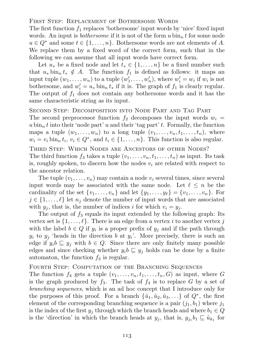### FIRST STEP: REPLACEMENT OF BOTHERSOME WORDS

The first function  $f_1$  replaces 'bothersome' input words by 'nice' fixed input words. An input is *bothersome* if it is not of the form  $u \, \text{bin}_n t$  for some node  $u \in Q^*$  and some  $t \in \{1, \ldots, n\}$ . Bothersome words are not elements of A. We replace them by a fixed word of the correct form, such that in the following we can assume that all input words have correct form.

Let  $u_*$  be a fixed node and let  $t_* \in \{1, \ldots, n\}$  be a fixed number such that  $u_* \text{bin}_t t_* \notin A$ . The function  $f_1$  is defined as follows: it maps an input tuple  $(w_1, \ldots, w_n)$  to a tuple  $(w'_1, \ldots, w'_n)$ , where  $w'_i = w_i$  if  $w_i$  is not bothersome, and  $w'_i = u_* \sinh t_*$  if it is. The graph of  $f_1$  is clearly regular. The output of  $f_1$  does not contain any bothersome words and it has the same characteristic string as its input.

### Second Step: Decomposition into Node Part and Tag Part

The second preprocessor function  $f_2$  decomposes the input words  $w_i =$  $u \, \text{bin}_n t$  into their 'node part' u and their 'tag part' t. Formally, the function maps a tuple  $(w_1, \ldots, w_n)$  to a long tuple  $(v_1, \ldots, v_n, t_1, \ldots, t_n)$ , where  $w_i = v_i \operatorname{bin}_n t_i, v_i \in Q^*$ , and  $t_i \in \{1, \ldots, n\}$ . This function is also regular. Third Step: Which Nodes are Ancestors of other Nodes?

The third function  $f_3$  takes a tuple  $(v_1, \ldots, v_n, t_1, \ldots, t_n)$  as input. Its task is, roughly spoken, to discern how the nodes  $v_i$  are related with respect to the ancestor relation.

The tuple  $(v_1, \ldots, v_n)$  may contain a node  $v_i$  several times, since several input words may be associated with the same node. Let  $\ell \leq n$  be the cardinality of the set  $\{v_1, \ldots, v_n\}$  and let  $\{y_1, \ldots, y_\ell\} = \{v_1, \ldots, v_n\}$ . For  $j \in \{1, \ldots, \ell\}$  let  $n_j$  denote the number of input words that are associated with  $y_i$ , that is, the number of indices i for which  $v_i = y_i$ .

The output of  $f_3$  equals its input extended by the following graph: Its vertex set is  $\{1, \ldots, \ell\}$ . There is an edge from a vertex i to another vertex j with the label  $b \in Q$  if  $y_i$  is a proper prefix of  $y_j$  and if the path through  $y_i$  to  $y_j$  'heads in the direction b at  $y_i$ '. More precisely, there is such an edge if  $y_i b \subseteq y_j$  with  $b \in Q$ . Since there are only finitely many possible edges and since checking whether  $y_i b \subseteq y_j$  holds can be done by a finite automaton, the function  $f_3$  is regular.

### FOURTH STEP: COMPUTATION OF THE BRANCHING SEQUENCES

The function  $f_4$  gets a tuple  $(v_1, \ldots, v_n, t_1, \ldots, t_n, G)$  as input, where G is the graph produced by  $f_3$ . The task of  $f_4$  is to replace G by a set of branching sequences, which is an ad hoc concept that I introduce only for the purposes of this proof. For a branch  $\{\tilde{u}_1, \tilde{u}_2, \tilde{u}_3, \ldots\}$  of  $Q^*$ , the first element of the corresponding branching sequence is a pair  $(j_1, b_1)$  where  $j_1$ is the index of the first  $y_j$  through which the branch heads and where  $b_1 \in Q$ is the 'direction' in which the branch heads at  $y_j$ , that is,  $y_{j1}b_1 \sqsubseteq \tilde{u}_{k_1}$  for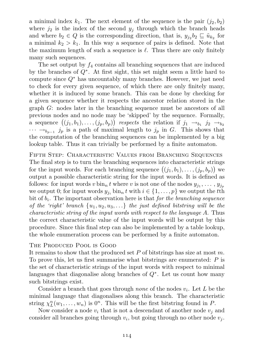a minimal index  $k_1$ . The next element of the sequence is the pair  $(j_2, b_2)$ where  $j_2$  is the index of the second  $y_j$  through which the branch heads and where  $b_2 \in Q$  is the corresponding direction, that is,  $y_{j_2}b_2 \sqsubseteq \tilde{u}_{k_2}$  for a minimal  $k_2 > k_1$ . In this way a sequence of pairs is defined. Note that the maximum length of such a sequence is  $\ell$ . Thus there are only finitely many such sequences.

The set output by  $f_4$  contains all branching sequences that are induced by the branches of  $Q^*$ . At first sight, this set might seem a little hard to compute since  $Q^*$  has uncountably many branches. However, we just need to check for every given sequence, of which there are only finitely many, whether it is induced by some branch. This can be done by checking for a given sequence whether it respects the ancestor relation stored in the graph G: nodes later in the branching sequence must be ancestors of all previous nodes and no node may be 'skipped' by the sequence. Formally, a sequence  $((j_1, b_1), \ldots, (j_p, b_p))$  respects the relation if  $j_1 \rightarrow_{b_1} j_2 \rightarrow_{b_2}$  $\cdots \rightarrow_{b_{p-1}} j_p$  is a path of maximal length to  $j_p$  in G. This shows that the computation of the branching sequences can be implemented by a big lookup table. Thus it can trivially be performed by a finite automaton.

FIFTH STEP: CHARACTERISTIC VALUES FROM BRANCHING SEQUENCES The final step is to turn the branching sequences into characteristic strings for the input words. For each branching sequence  $((j_1, b_1), \ldots, (j_p, b_p))$  we output a possible characteristic string for the input words. It is defined as follows: for input words  $v \, \text{bin}_n t$  where  $v$  is not one of the nodes  $y_{j_1}, \ldots, y_{j_p}$ we output 0; for input words  $y_{i_k}$  bin<sub>n</sub> t with  $i \in \{1, \ldots, p\}$  we output the tth bit of  $b_i$ . The important observation here is that *for the branching sequence* of the 'right' branch  $\{u_1, u_2, u_3, \ldots\}$  the just defined bitstring will be the characteristic string of the input words with respect to the language A. Thus the correct characteristic value of the input words will be output by this procedure. Since this final step can also be implemented by a table lookup, the whole enumeration process can be performed by a finite automaton.

### The Produced Pool is Good

It remains to show that the produced set  $P$  of bitstrings has size at most  $m$ . To prove this, let us first summarise what bitstrings are enumerated: P is the set of characteristic strings of the input words with respect to minimal languages that diagonalise along branches of  $Q^*$ . Let us count how many such bitstrings exist.

Consider a branch that goes through *none* of the nodes  $v_i$ . Let L be the minimal language that diagonalises along this branch. The characteristic string  $\chi_L^n(w_1, \ldots, w_n)$  is  $0^n$ . This will be the first bitstring found in P.

Now consider a node  $v_i$  that is not a descendant of another node  $v_j$  and consider all branches going through  $v_i$ , but going through no other node  $v_j$ .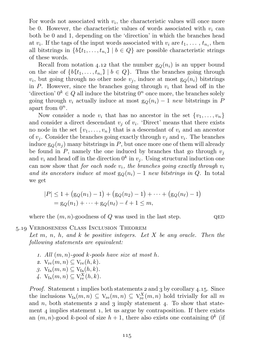For words not associated with  $v_i$ , the characteristic values will once more be 0. However, the characteristic values of words associated with  $v_i$  can both be 0 and 1, depending on the 'direction' in which the branches head at  $v_i$ . If the tags of the input words associated with  $v_i$  are  $t_1, \ldots, t_{n_i}$ , then all bitstrings in  $\{b[t_1, \ldots, t_{n_i}]\mid b \in Q\}$  are possible characteristic strings of these words.

Recall from [notation](#page-86-0) 4.12 that the number  $g_Q(n_i)$  is an upper bound on the size of  $\{b[t_1, \ldots, t_{n_i}] \mid b \in Q\}$ . Thus the branches going through  $v_i$ , but going through no other node  $v_j$ , induce at most  $g_Q(n_i)$  bitstrings in P. However, since the branches going through  $v_i$  that head off in the 'direction'  $0^k \in Q$  all induce the bitstring  $0^n$  once more, the branches solely going through  $v_i$  actually induce at most  $g_O(n_i) - 1$  new bitstrings in P apart from  $0^n$ .

Now consider a node  $v_i$  that has no ancestor in the set  $\{v_1, \ldots, v_n\}$ and consider a direct descendant  $v_j$  of  $v_i$ . 'Direct' means that there exists no node in the set  $\{v_1, \ldots, v_n\}$  that is a descendant of  $v_i$  and an ancestor of  $v_j$ . Consider the branches going exactly through  $v_j$  and  $v_i$ . The branches induce  $g_{\mathcal{O}}(n_i)$  many bitstrings in P, but once more one of them will already be found in P, namely the one induced by branches that go through  $v_i$ and  $v_i$  and head off in the direction  $0^k$  in  $v_j$ . Using structural induction one can now show that for each node  $v_i$ , the branches going exactly through  $v_i$ and its ancestors induce at most  $g_Q(n_i) - 1$  new bitstrings in Q. In total we get

$$
|P| \le 1 + (g_Q(n_1) - 1) + (g_Q(n_2) - 1) + \dots + (g_Q(n_\ell) - 1)
$$
  
=  $g_Q(n_1) + \dots + g_Q(n_\ell) - \ell + 1 \le m$ ,

where the  $(m, n)$ -goodness of Q was used in the last step.  $Q = Q$ 

#### . Verboseness Class Inclusion Theorem

<span id="page-116-0"></span>Let  $m, n, h$ , and  $k$  be positive integers. Let  $X$  be any oracle. Then the following statements are equivalent:

- 1. All  $(m, n)$ -good k-pools have size at most h.
- 2.  $V_{re}(m, n) \subseteq V_{re}(h, k)$ .
- 3.  $V_{fa}(m, n) \subseteq V_{fa}(h, k)$ .
- 4.  $V_{fa}(m, n) \subseteq V_{re}^X(h, k)$ .

*Proof.* Statement 1 implies both statements 2 and 3 by [corollary](#page-88-0) 4.15. Since the inclusions  $V_{fa}(m, n) \subseteq V_{re}(m, n) \subseteq V_{re}^X(m, n)$  hold trivially for all m and  $n$ , both statements 2 and 3 imply statement 4. To show that statement  $\ddot{a}$  implies statement  $\ddot{a}$ , let us argue by contraposition. If there exists an  $(m, n)$ -good k-pool of size  $h + 1$ , there also exists one containing  $0<sup>k</sup>$  (if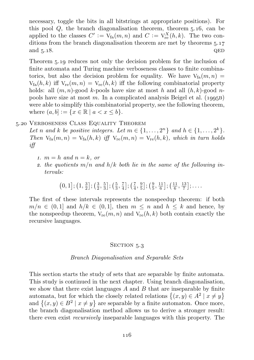necessary, toggle the bits in all bitstrings at appropriate positions). For this pool  $Q$ , the branch diagonalisation [theorem](#page-110-0), theorem  $5.16$ , can be applied to the classes  $C' := V_{fa}(m, n)$  and  $C := V_{re}^X(h, k)$ . The two conditions from the branch diagonalisation theorem are met by theorems  $5.17$ and  $5.18$ .

[Theorem](#page-116-0) 5.19 reduces not only the decision problem for the inclusion of finite automata and Turing machine verboseness classes to finite combinatorics, but also the decision problem for equality. We have  $V_{fa}(m, n) =$  $V_{fa}(h, k)$  iff  $V_{re}(m, n) = V_{re}(h, k)$  iff the following combinatorial property holds: all  $(m, n)$ -good k-pools have size at most h and all  $(h, k)$ -good npools have size at most m. In a complicated analysis Beigel et al.  $(1995B)$ were able to simplify this combinatorial property, see the following theorem, where  $(a, b] := \{x \in \mathbb{R} \mid a < x \leq b\}.$ 

#### 5.20 VERBOSENESS CLASS EQUALITY THEOREM

Let n and k be positive integers. Let  $m \in \{1, \ldots, 2^n\}$  and  $h \in \{1, \ldots, 2^k\}.$ Then  $V_{fa}(m, n) = V_{fa}(h, k)$  iff  $V_{re}(m, n) = V_{re}(h, k)$ , which in turn holds iff

- 1.  $m = h$  and  $n = k$ , or
- 2. the quotients  $m/n$  and  $h/k$  both lie in the same of the following intervals:
	- $(0, 1]; (1, \frac{3}{2}]; (\frac{3}{2}, \frac{5}{3}]; (\frac{5}{3}, \frac{7}{4}]; (\frac{7}{4}, \frac{9}{5}]; (\frac{9}{5}, \frac{11}{6}]; (\frac{11}{6}, \frac{13}{7}]; \ldots$

The first of these intervals represents the nonspeedup theorem: if both  $m/n \in (0,1]$  and  $h/k \in (0,1]$ , then  $m \leq n$  and  $h \leq k$  and hence, by the nonspeedup theorem,  $V_{re}(m, n)$  and  $V_{re}(h, k)$  both contain exactly the recursive languages.

### SECTION 5.3

#### Branch Diagonalisation and Separable Sets

<span id="page-117-0"></span>This section starts the study of sets that are separable by finite automata. This study is continued in the next chapter. Using branch diagonalisation, we show that there exist languages  $A$  and  $B$  that are inseparable by finite automata, but for which the closely related relations  $\{(x, y) \in A^2 \mid x \neq y\}$ and  $\{(x, y) \in B^2 \mid x \neq y\}$  are separable by a finite automaton. Once more, the branch diagonalisation method allows us to derive a stronger result: there even exist recursively inseparable languages with this property. The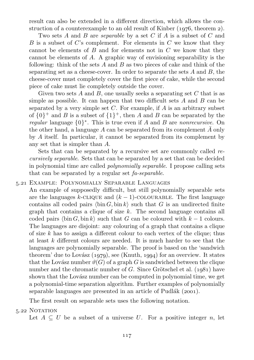result can also be extended in a different direction, which allows the construction of a counterexample to an old result of Kinber  $(1976, 1980)$ .

Two sets A and B are *separable* by a set C if A is a subset of C and  $B$  is a subset of  $C$ 's complement. For elements in  $C$  we know that they cannot be elements of  $B$  and for elements not in  $C$  we know that they cannot be elements of A. A graphic way of envisioning separability is the following: think of the sets  $A$  and  $B$  as two pieces of cake and think of the separating set as a cheese-cover. In order to separate the sets  $A$  and  $B$ , the cheese-cover must completely cover the first piece of cake, while the second piece of cake must lie completely outside the cover.

Given two sets A and B, one usually seeks a separating set C that is as simple as possible. It can happen that two difficult sets  $A$  and  $B$  can be separated by a very simple set  $C$ . For example, if  $A$  is an arbitrary subset of  $\{0\}^+$  and B is a subset of  $\{1\}^+$ , then A and B can be separated by the regular language  $\{0\}^*$ . This is true even if A and B are nonrecursive. On the other hand, a language A can be separated from its complement  $\bar{A}$  only by A itself. In particular, it cannot be separated from its complement by any set that is simpler than A.

Sets that can be separated by a recursive set are commonly called recursively separable. Sets that can be separated by a set that can be decided in polynomial time are called polynomially separable. I propose calling sets that can be separated by a regular set fa-separable.

### . Example: Polynomially Separable Languages

An example of supposedly difficult, but still polynomially separable sets are the languages k-CLIQUE and  $(k-1)$ -COLOURABLE. The first language contains all coded pairs  $\langle \text{bin } G, \text{bin } k \rangle$  such that G is an undirected finite graph that contains a clique of size  $k$ . The second language contains all coded pairs  $\langle \text{bin } G, \text{bin } k \rangle$  such that G can be coloured with  $k - 1$  colours. The languages are disjoint: any colouring of a graph that contains a clique of size  $k$  has to assign a different colour to each vertex of the clique; thus at least k different colours are needed. It is much harder to see that the languages are polynomially separable. The proof is based on the 'sandwich theorem'due to Lovász  $(1979)$ , see ([Knuth,](#page-166-2)  $1994$ ) for an overview. It states that the Lovász number  $\vartheta(G)$  of a graph G is sandwiched between the clique number and the chromatic number of  $G$ . Since Grötschel et al. (1981) have shown that the Lovász number can be computed in polynomial time, we get a polynomial-time separation algorithm. Further examples of polynomially separable languages are presented in an article of Pudlák  $(2001)$ .

The first result on separable sets uses the following notation.

5.22 NOTATION

Let  $A \subseteq U$  be a subset of a universe U. For a positive integer n, let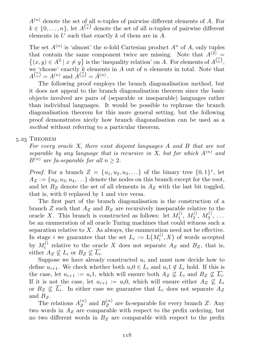$A^{(n)}$  denote the set of all *n*-tuples of pairwise different elements of A. For  $k \in \{0, \ldots, n\}$ , let  $A^{n \choose k}$  denote the set of all *n*-tuples of pairwise different elements in  $\hat{U}$  such that exactly  $k$  of them are in  $\hat{A}$ .

The set  $A^{(n)}$  is 'almost' the *n*-fold Cartesian product  $A^n$  of A, only tuples that contain the same component twice are missing. Note that  $A^{(2)} =$  $\{(x, y) \in A^2 \mid x \neq y\}$  is the 'inequality relation' on A. For elements of  $A^{n \choose k}$ , we 'choose' exactly  $k$  elements in A out of n elements in total. Note that  $A^{(n)} = A^{(n)}$  and  $A^{(n)} = \bar{A}^{(n)}$ .

The following proof employs the branch diagonalisation method, but it does not appeal to the branch diagonalisation theorem since the basic objects involved are pairs of (separable or inseparable) languages rather than individual languages. It would be possible to rephrase the branch diagonalisation theorem for this more general setting, but the following proof demonstrates nicely how branch diagonalisation can be used as a method without referring to a particular theorem.

### 5.23 THEOREM

<span id="page-119-0"></span>For every oracle X, there exist disjoint languages A and B that are not separable by any language that is recursive in X, but for which  $A^{(n)}$  and  $B^{(n)}$  are fa-separable for all  $n > 2$ .

*Proof.* For a branch  $Z = \{u_1, u_2, u_3, \ldots\}$  of the binary tree  $\{0, 1\}^*$ , let  $A_Z := \{u_2, u_3, u_4, \ldots\}$  denote the nodes on this branch except for the root, and let  $B_Z$  denote the set of all elements in  $A_Z$  with the last bit toggled, that is, with 0 replaced by 1 and vice versa.

The first part of the branch diagonalisation is the construction of a branch  $Z$  such that  $A_Z$  and  $B_Z$  are recursively inseparable relative to the oracle X. This branch is constructed as follows: let  $M_1^{(1)}$ ,  $M_2^{(1)}$ ,  $M_3^{(1)}$ , ... be an enumeration of all oracle Turing machines that could witness such a separation relative to  $X$ . As always, the enumeration need not be effective. In stage i we guarantee that the set  $L_i := L(M_i^{(i)}, X)$  of words accepted by  $M_i^{()}$  relative to the oracle X does not separate  $A_Z$  and  $B_Z$ , that is, either  $A_Z \nsubseteq L_i$  or  $B_Z \nsubseteq \overline{L_i}$ .

Suppose we have already constructed  $u_i$  and must now decide how to define  $u_{i+1}$ . We check whether both  $u_i0 \in L_i$  and  $u_i1 \notin L_i$  hold. If this is the case, let  $u_{i+1} := u_i 1$ , which will ensure both  $A_Z \nsubseteq L_i$  and  $B_Z \nsubseteq \overline{L_i}$ . If it is not the case, let  $u_{i+1} := u_i 0$ , which will ensure either  $A_Z \nsubseteq L_i$ or  $B_Z \nsubseteq \overline{L_i}$ . In either case we guarantee that  $L_i$  does not separate  $A_Z$ and  $B_Z$ .

The relations  $A_Z^{(n)}$  $Z^{(n)}$  and  $B_Z^{(n)}$  $Z^{(n)}$  are fa-separable for every branch Z: Any two words in  $A_Z$  are comparable with respect to the prefix ordering, but no two different words in  $B<sub>Z</sub>$  are comparable with respect to the prefix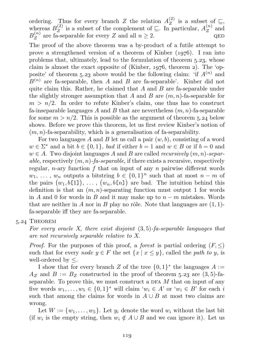ordering. Thus for every branch Z the relation  $A_Z^{(2)}$  $\mathcal{L}^{(2)}$  is a subset of  $\subseteq$ , whereas  $B_Z^{(2)}$  $Z_Z^{(2)}$  is a subset of the complement of  $\subseteq$ . In particular,  $A_Z^{(n)}$  $Z^{\mu}$  and  $B^{(n)}_Z$  $Z_Z^{(n)}$  are fa-separable for every Z and all  $n \geq 2$ . QED

The proof of the above theorem was a by-product of a futile attempt to prove a strengthened version of a theorem of Kinber  $(1976)$ . I ran into problems that, ultimately, lead to the formulation of [theorem](#page-119-0)  $5.23$ , whose claim is almost the exact opposite of [\(Kinber,](#page-166-1)  $1976$ , theorem 2). The 'opposite' of [theorem](#page-119-0) 5.23 above would be the following claim: 'if  $A^{(n)}$  and  $B^{(n)}$  are fa-separable, then A and B are fa-separable'. Kinber did not quite claim this. Rather, he claimed that  $A$  and  $B$  are fa-separable under the slightly stronger assumption that A and B are  $(m, n)$ -fa-separable for  $m > n/2$ . In order to refute Kinber's claim, one thus has to construct fa-inseparable languages A and B that are nevertheless  $(m, n)$ -fa-separable for some  $m > n/2$ . This is possible as the argument of [theorem](#page-120-0) 5.24 below shows. Before we prove this theorem, let us first review Kinber's notion of  $(m, n)$ -fa-separability, which is a generalisation of fa-separability.

For two languages A and B let us call a pair  $(w, b)$ , consisting of a word  $w \in \Sigma^*$  and a bit  $b \in \{0,1\}$ , bad if either  $b=1$  and  $w \in B$  or if  $b=0$  and  $w \in A$ . Two disjoint languages A and B are called *recursively*  $(m, n)$ -separable, respectively  $(m, n)$ -fa-separable, if there exists a recursive, respectively regular, *n*-ary function  $f$  that on input of any  $n$  pairwise different words  $w_1, \ldots, w_n$  outputs a bitstring  $b \in \{0,1\}^n$  such that at most  $n-m$  of the pairs  $(w_1, b[1]), \ldots, (w_n, b[n])$  are bad. The intuition behind this definition is that an  $(m, n)$ -separating function must output 1 for words in A and 0 for words in B and it may make up to  $n - m$  mistakes. Words that are neither in A nor in B play no rôle. Note that languages are  $(1, 1)$ fa-separable iff they are fa-separable.

### 5.24 THEOREM

<span id="page-120-0"></span>For every oracle X, there exist disjoint  $(3, 5)$ -fa-separable languages that are not recursively separable relative to X.

*Proof.* For the purposes of this proof, a *forest* is partial ordering  $(F, \leq)$ such that for every node  $y \in F$  the set  $\{x \mid x \leq y\}$ , called the path to y, is well-ordered by ≤.

I show that for every branch Z of the tree  $\{0,1\}^*$  the languages  $A :=$  $A_Z$  and  $B := B_Z$  constructed in the proof of [theorem](#page-119-0) 5.23 are  $(3, 5)$ -faseparable. To prove this, we must construct a DFA  $M$  that on input of any five words  $w_1, \ldots, w_5 \in \{0,1\}^*$  will claim  $w_i \in A$ ' or  $w_i \in B$ ' for each i such that among the claims for words in  $A \cup B$  at most two claims are wrong.

Let  $W := \{w_1, \ldots, w_5\}$ . Let  $y_i$  denote the word  $w_i$  without the last bit (if  $w_i$  is the empty string, then  $w_i \notin A \cup B$  and we can ignore it). Let us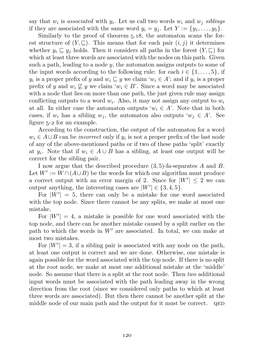say that  $w_i$  is associated with  $y_i$ . Let us call two words  $w_i$  and  $w_j$  siblings if they are associated with the same word  $y_i = y_j$ . Let  $Y := \{y_1, \ldots, y_5\}$ .

Similarly to the proof of [theorem](#page-113-1)  $5.18$ , the automaton scans the forest structure of  $(Y, \subseteq)$ . This means that for each pair  $(i, j)$  it determines whether  $y_i \subseteq y_j$  holds. Then it considers all paths in the forest  $(Y, \subseteq)$  for which at least three words are associated with the nodes on this path. Given such a path, leading to a node  $y$ , the automaton assigns outputs to some of the input words according to the following rule: for each  $i \in \{1, \ldots, 5\}$ , if  $y_i$  is a proper prefix of y and  $w_i \subseteq y$  we claim ' $w_i \in A$ '; and if  $y_i$  is a proper prefix of y and  $w_i \not\sqsubset y$  we claim ' $w_i \in B$ '. Since a word may be associated with a node that lies on more than one path, the just given rule may assign conflicting outputs to a word  $w_i$ . Also, it may not assign any output to  $w_i$ at all. In either case the automaton outputs ' $w_i \in A$ '. Note that in both cases, if  $w_i$  has a sibling  $w_i$ , the automaton also outputs ' $w_i \in A$ '. See [figure](#page-122-0)  $5-2$  for an example.

According to the construction, the output of the automaton for a word  $w_i \in A \cup B$  can be *incorrect* only if  $y_i$  is not a proper prefix of the last node of any of the above-mentioned paths or if two of these paths 'split' exactly at  $y_i$ . Note that if  $w_i \in A \cup B$  has a sibling, at least one output will be correct for the sibling pair.

I now argue that the described procedure  $(3, 5)$ -fa-separates A and B. Let  $W' := \tilde{W} \cap (A \cup B)$  be the words for which our algorithm must produce a correct output with an error margin of 2. Since for  $|W'| \leq 2$  we can output anything, the interesting cases are  $|W'| \in \{3, 4, 5\}.$ 

For  $|W'| = 5$ , there can only be a mistake for one word associated with the top node. Since there cannot be any splits, we make at most one mistake.

For  $|W'| = 4$ , a mistake is possible for one word associated with the top node, and there can be another mistake caused by a split earlier on the path to which the words in  $W'$  are associated. In total, we can make at most two mistakes.

For  $|W'| = 3$ , if a sibling pair is associated with any node on the path, at least one output is correct and we are done. Otherwise, one mistake is again possible for the word associated with the top node. If there is no split at the root node, we make at most one additional mistake at the 'middle' node. So assume that there is a split at the root node. Then *two* additional input words must be associated with the path leading away in the wrong direction from the root (since we considered only paths to which at least three words are associated). But then there cannot be another split at the middle node of our main path and the output for it must be correct. QED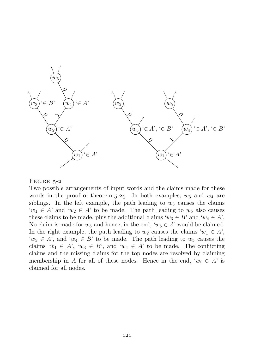

#### FIGURE  $5-2$

<span id="page-122-0"></span>Two possible arrangements of input words and the claims made for these words in the proof of [theorem](#page-120-0) 5.24. In both examples,  $w_3$  and  $w_4$  are siblings. In the left example, the path leading to  $w_3$  causes the claims  $w_1 \in A'$  and  $w_2 \in A'$  to be made. The path leading to  $w_5$  also causes these claims to be made, plus the additional claims ' $w_3 \in B$ ' and ' $w_4 \in A$ '. No claim is made for  $w_5$  and hence, in the end, ' $w_5 \in A$ ' would be claimed. In the right example, the path leading to  $w_2$  causes the claims ' $w_1 \in A$ ',  $w_3 \in A'$ , and  $w_4 \in B'$  to be made. The path leading to  $w_5$  causes the claims ' $w_1 \in A$ ', ' $w_3 \in B$ ', and ' $w_4 \in A$ ' to be made. The conflicting claims and the missing claims for the top nodes are resolved by claiming membership in A for all of these nodes. Hence in the end, ' $w_i \in A$ ' is claimed for all nodes.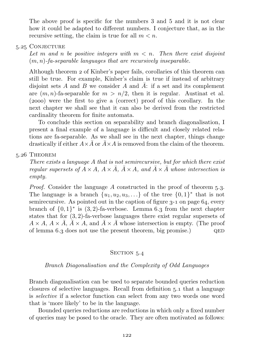The above proof is specific for the numbers 3 and 5 and it is not clear how it could be adapted to different numbers. I conjecture that, as in the recursive setting, the claim is true for all  $m < n$ .

### 5.25 CONJECTURE

Let m and n be positive integers with  $m < n$ . Then there exist disjoint  $(m, n)$ -fa-separable languages that are recursively inseparable.

Although theorem 2 of Kinber's paper fails, corollaries of this theorem can still be true. For example, Kinber's claim is true if instead of arbitrary disjoint sets A and B we consider A and  $\overline{A}$ : if a set and its complement are  $(m, n)$ -fa-separable for  $m > n/2$ , then it is regular. [Austinat et al.](#page-162-0)  $(2000)$  were the first to give a (correct) proof of this corollary. In the next chapter we shall see that it can also be derived from the restricted cardinality theorem for finite automata.

To conclude this section on separability and branch diagonalisation, I present a final example of a language is difficult and closely related relations are fa-separable. As we shall see in the next chapter, things change drastically if either  $A \times \overline{A}$  or  $\overline{A} \times A$  is removed from the claim of the theorem.

### 5.26 THEOREM

There exists a language A that is not semirecursive, but for which there exist regular supersets of  $A \times A$ ,  $A \times \overline{A}$ ,  $\overline{A} \times A$ , and  $\overline{A} \times \overline{A}$  whose intersection is empty.

*Proof.* Consider the language A constructed in the proof of [theorem](#page-105-0)  $5.3$ . The language is a branch  $\{u_1, u_2, u_3, \ldots\}$  of the tree  $\{0, 1\}^*$  that is not semirecursive. As pointed out in the caption of [figure](#page-65-0)  $3-1$  on [page](#page-65-0)  $64$ , every branch of  $\{0,1\}^*$  is  $(3,2)$ -fa-verbose. [Lemma](#page-135-0) 6.3 from the next chapter states that for (3, 2)-fa-verbose languages there exist regular supersets of  $A \times A$ ,  $A \times \overline{A}$ ,  $\overline{A} \times A$ , and  $\overline{A} \times \overline{A}$  whose intersection is empty. (The proof of [lemma](#page-135-0)  $6.3$  does not use the present theorem, big promise.)  $QED$ 

### SECTION 5.4

### Branch Diagonalisation and the Complexity of Odd Languages

Branch diagonalisation can be used to separate bounded queries reduction closures of selective languages. Recall from [definition](#page-105-1) 5.1 that a language is selective if a selector function can select from any two words one word that is 'more likely' to be in the language.

Bounded queries reductions are reductions in which only a fixed number of queries may be posed to the oracle. They are often motivated as follows: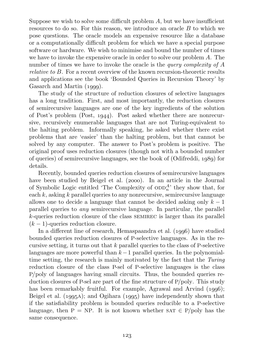Suppose we wish to solve some difficult problem  $A$ , but we have insufficient resources to do so. For this reason, we introduce an oracle B to which we pose questions. The oracle models an expensive resource like a database or a computationally difficult problem for which we have a special purpose software or hardware. We wish to minimise and bound the number of times we have to invoke the expensive oracle in order to solve our problem A. The number of times we have to invoke the oracle is the *query complexity of A* relative to B. For a recent overview of the known recursion-theoretic results and applications see the book 'Bounded Queries in Recursion Theory' by [Gasarch and Martin \(](#page-164-1)1999).

The study of the structure of reduction closures of selective languages has a long tradition. First, and most importantly, the reduction closures of semirecursive languages are one of the key ingredients of the solution of Post's problem [\(Post,](#page-168-0)  $1944$ ). Post asked whether there are nonrecursive, recursively enumerable languages that are not Turing-equivalent to the halting problem. Informally speaking, he asked whether there exist problems that are 'easier' than the halting problem, but that cannot be solved by any computer. The answer to Post's problem is positive. The original proof uses reduction closures (though not with a bounded number of queries) of semirecursive languages, see the book of  $(Odifreddi, 1089)$  for details.

Recently, bounded queries reduction closures of semirecursive languages have been studied by Beigel et al.  $(2000)$ . In an article in the Journal of Symbolic Logic entitled 'The Complexity of  $\text{ODD}_n^{A}$ ' they show that, for each  $k$ , asking  $k$  parallel queries to any nonrecursive, semirecursive language allows one to decide a language that cannot be decided asking only  $k - 1$ parallel queries to any semirecursive language. In particular, the parallel k-queries reduction closure of the class semirec is larger than its parallel  $(k-1)$ -queries reduction closure.

In a different line of research, Hemaspaandra et al.  $(1996)$  have studied bounded queries reduction closures of P-selective languages. As in the recursive setting, it turns out that  $k$  parallel queries to the class of P-selective languages are more powerful than  $k-1$  parallel queries. In the polynomialtime setting, the research is mainly motivated by the fact that the Turing reduction closure of the class P-sel of P-selective languages is the class P/poly of languages having small circuits. Thus, the bounded queries reduction closures of P-sel are part of the fine structure of P/poly. This study has been remarkably fruitful. For example, Agrawal and Arvind  $(1996)$ ; Beigel et al.  $(1995A)$ ; and Ogihara  $(1995)$  have independently shown that if the satisfiability problem is bounded queries reducible to a P-selective language, then P = NP. It is not known whether  $SAT \in P/poly$  has the same consequence.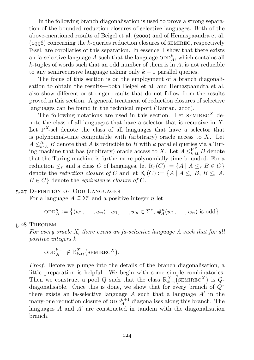In the following branch diagonalisation is used to prove a strong separation of the bounded reduction closures of selective languages. Both of the above-mentioned results of [Beigel et al. \(](#page-163-1)2000) and of [Hemaspaandra et al.](#page-165-0)  $(1996)$  concerning the k-queries reduction closures of SEMIREC, respectively P-sel, are corollaries of this separation. In essence, I show that there exists an fa-selective language  $A$  such that the language  $ODD_A^k$ , which contains all  $k$ -tuples of words such that an odd number of them is in  $A$ , is not reducible to any semirecursive language asking only  $k - 1$  parallel queries.

The focus of this section is on the employment of a branch diagonalisation to obtain the results—both [Beigel et al.](#page-163-1) and [Hemaspaandra et al.](#page-165-0) also show different or stronger results that do not follow from the results proved in this section. A general treatment of reduction closures of selective languages can be found in the technical report [\(Tantau,](#page-170-0)  $2000$ ).

The following notations are used in this section. Let  $\mathsf{semineC}^X$  denote the class of all languages that have a selector that is recursive in  $X$ . Let  $P<sup>X</sup>$ -sel denote the class of all languages that have a selector that is polynomial-time computable with (arbitrary) oracle access to  $X$ . Let  $A \leq_{k$ -tt B denote that A is reducible to B with k parallel queries via a Turing machine that has (arbitrary) oracle access to X. Let  $A \leq_{k$ -tt B denote that the Turing machine is furthermore polynomially time-bounded. For a reduction  $\leq_r$  and a class C of languages, let  $R_r(C) := \{ A \mid A \leq_r B \in C \}$ denote the *reduction closure of* C and let  $E_r(C) := \{A \mid A \leq_r B, B \leq_r A,$  $B \in C$  denote the *equivalence closure of C*.

### 5.27 DEFINITION OF ODD LANGUAGES

For a language  $A \subseteq \Sigma^*$  and a positive integer n let

$$
ODD_A^n := \{ \langle w_1, \ldots, w_n \rangle \mid w_1, \ldots, w_n \in \Sigma^*, \#_A^n(w_1, \ldots, w_n) \text{ is odd} \}.
$$

### 5.28 THEOREM

<span id="page-125-0"></span>For every oracle X, there exists an fa-selective language A such that for all positive integers k

 $\mathrm{ODD}^{k+1}_{A} \notin \mathrm{R}_{k\text{-}tt}^X(\mathrm{SEMREC}^X).$ 

Proof. Before we plunge into the details of the branch diagonalisation, a little preparation is helpful. We begin with some simple combinatorics. Then we construct a pool Q such that the class  $R_{k\text{-}tt}^X(\text{semiRec}^X)$  is Qdiagonalisable. Once this is done, we show that for every branch of  $Q^*$ there exists an fa-selective language  $A$  such that a language  $A'$  in the many-one reduction closure of  $\mathrm{ODD}^{k+1}_A$  diagonalises along this branch. The languages  $\tilde{A}$  and  $\tilde{A}'$  are constructed in tandem with the diagonalisation branch.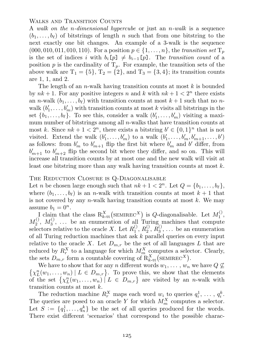#### Walks and Transition Counts

A walk on the n-dimensional hypercube or just an  $n$ -walk is a sequence  $(b_1, \ldots, b_\ell)$  of bitstrings of length n such that from one bitstring to the next exactly one bit changes. An example of a 3-walk is the sequence  $(000, 010, 011, 010, 110)$ . For a position  $p \in \{1, ..., n\}$ , the transition set  $T_p$ is the set of indices i with  $b_i[p] \neq b_{i-1}[p]$ . The transition count of a position p is the cardinality of  $T_p$ . For example, the transition sets of the above walk are  $T_1 = \{5\}$ ,  $T_2 = \{2\}$ , and  $T_3 = \{3, 4\}$ ; its transition counts are 1, 1, and 2.

The length of an *n*-walk having transition counts at most  $k$  is bounded by  $nk + 1$ . For any positive integers n and k with  $nk + 1 < 2<sup>n</sup>$  there exists an n-walk  $(b_1, \ldots, b_\ell)$  with transition counts at most  $k + 1$  such that no nwalk  $(b'_1, \ldots, b'_m)$  with transition counts at most k visits all bitstrings in the set  $\{b_1, \ldots, b_\ell\}$ . To see this, consider a walk  $(b'_1, \ldots, b'_m)$  visiting a maximum number of bitstrings among all  $n$ -walks that have transition counts at most k. Since  $nk + 1 < 2<sup>n</sup>$ , there exists a bitstring  $b' \in \{0, 1\}<sup>n</sup>$  that is not visited. Extend the walk  $(b'_1, \ldots, b'_m)$  to a walk  $(b'_1, \ldots, b'_m, b'_{m+1}, \ldots, b')$ as follows: from  $b'_m$  to  $b'_{m+1}$  flip the first bit where  $b'_m$  and b' differ, from  $b'_{m+1}$  to  $b'_{m+2}$  flip the second bit where they differ, and so on. This will increase all transition counts by at most one and the new walk will visit at least one bitstring more than any walk having transition counts at most  $k$ .

#### The Reduction Closure is Q-Diagonalisable

Let *n* be chosen large enough such that  $nk + 1 < 2<sup>n</sup>$ . Let  $Q = \{b_1, \ldots, b_\ell\}$ , where  $(b_1, \ldots, b_\ell)$  is an n-walk with transition counts at most  $k + 1$  that is not covered by any n-walk having transition counts at most  $k$ . We may assume  $b_1 = 0^n$ .

I claim that the class  $R_{k\text{-}tt}^X(\text{seminec}^X)$  is Q-diagonalisable. Let  $M_1^{\text{()}}$ ,  $M_2^{\left(\right)}, M_3^{\left(\right)}, \ldots$  be an enumeration of all Turing machines that compute selectors relative to the oracle X. Let  $R_1^{(1)}, R_2^{(1)}, R_3^{(1)}, \ldots$  be an enumeration of all Turing reduction machines that ask  $k$  parallel queries on every input relative to the oracle X. Let  $D_{m,r}$  be the set of all languages L that are reduced by  $R_r^X$  to a language for which  $M_m^X$  computes a selector. Clearly, the sets  $D_{m,r}$  form a countable covering of  $R_{k\text{-}tt}^X(\text{seminec}^X)$ .

We have to show that for any n different words  $w_1, \ldots, w_n$  we have  $Q \nsubseteq$  $\{\chi_L^n(w_1,\ldots,w_n) \mid L \in D_{m,r}\}\.$  To prove this, we show that the elements of the set  $\{\chi_L^n(w_1,\ldots,w_n) \mid L \in D_{m,r}\}\$  are visited by an *n*-walk with transition counts at most k.

The reduction machine  $R_r^X$  maps each word  $w_i$  to queries  $q_i^1, \ldots, q_i^k$ . The queries are posed to an oracle Y for which  $M_m^X$  computes a selector. Let  $S := \{q_1^1, \ldots, q_n^k\}$  be the set of all queries produced for the words. There exist different 'scenarios' that correspond to the possible charac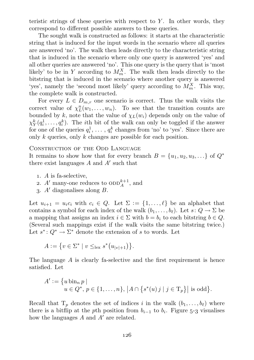teristic strings of these queries with respect to  $Y$ . In other words, they correspond to different possible answers to these queries.

The sought walk is constructed as follows: it starts at the characteristic string that is induced for the input words in the scenario where all queries are answered 'no'. The walk then leads directly to the characteristic string that is induced in the scenario where only one query is answered 'yes' and all other queries are answered 'no'. This one query is the query that is 'most likely' to be in Y according to  $M_m^X$ . The walk then leads directly to the bitstring that is induced in the scenario where another query is answered 'yes', namely the 'second most likely' query according to  $M_m^X$ . This way, the complete walk is constructed.

For every  $L \in D_{m,r}$  one scenario is correct. Thus the walk visits the correct value of  $\chi_L^n(w_1,\ldots,w_n)$ . To see that the transition counts are bounded by k, note that the value of  $\chi_L(w_i)$  depends only on the value of  $\chi_Y^k(q_i^1,\ldots,q_i^k)$ . The *i*th bit of the walk can only be toggled if the answer for one of the queries  $q_i^1, \ldots, q_i^k$  changes from 'no' to 'yes'. Since there are only k queries, only k changes are possible for each position.

CONSTRUCTION OF THE ODD LANGUAGE

It remains to show how that for every branch  $B = \{u_1, u_2, u_3, \ldots\}$  of  $Q^*$ there exist languages  $A$  and  $A'$  such that

- . A is fa-selective,
- 2. A' many-one reduces to  $ODD_A^{k+1}$ , and
- 3.  $A'$  diagonalises along  $B$ .

Let  $u_{i+1} = u_i c_i$  with  $c_i \in Q$ . Let  $\Sigma := \{1, \ldots, \ell\}$  be an alphabet that contains a symbol for each index of the walk  $(b_1, \ldots, b_\ell)$ . Let  $s: Q \to \Sigma$  be a mapping that assigns an index  $i \in \Sigma$  with  $b = b_i$  to each bitstring  $b \in Q$ . (Several such mappings exist if the walk visits the same bitstring twice.) Let  $s^*: Q^* \to \Sigma^*$  denote the extension of s to words. Let

$$
A := \{ v \in \Sigma^* \mid v \leq_{\text{lex}} s^* (u_{|v|+1}) \}.
$$

The language  $\tilde{A}$  is clearly fa-selective and the first requirement is hence satisfied. Let

$$
A' := \{ u \operatorname{bin}_n p \mid u \in Q^*, p \in \{1, ..., n\}, \, |A \cap \{ s^*(u) \, j \mid j \in \mathcal{T}_p \} | \text{ is odd} \}.
$$

Recall that  $T_p$  denotes the set of indices i in the walk  $(b_1, \ldots, b_\ell)$  where there is a bitflip at the pth position from  $b_{i-1}$  to  $b_i$ . [Figure](#page-128-0) 5-3 visualises how the languages  $A$  and  $A'$  are related.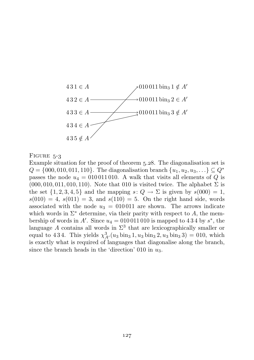

 $FIGURE 5-3$ 

<span id="page-128-0"></span>Example situation for the proof of [theorem](#page-125-0)  $5.28$ . The diagonalisation set is  $Q = \{000, 010, 011, 110\}$ . The diagonalisation branch  $\{u_1, u_2, u_3, ...\} \subseteq Q^*$ passes the node  $u_4 = 010011010$ . A walk that visits all elements of O is  $(000, 010, 011, 010, 110)$ . Note that 010 is visited twice. The alphabet  $\Sigma$  is the set  $\{1, 2, 3, 4, 5\}$  and the mapping  $s: Q \to \Sigma$  is given by  $s(000) = 1$ ,  $s(010) = 4$ ,  $s(011) = 3$ , and  $s(110) = 5$ . On the right hand side, words associated with the node  $u_3 = 010011$  are shown. The arrows indicate which words in  $\Sigma^*$  determine, via their parity with respect to A, the membership of words in A'. Since  $u_4 = 010011010$  is mapped to 434 by  $s^*$ , the language A contains all words in  $\Sigma^3$  that are lexicographically smaller or equal to 434. This yields  $\chi^3_{A'}(u_3 \text{ bin}_3 1, u_3 \text{ bin}_3 2, u_3 \text{ bin}_3 3) = 010$ , which is exactly what is required of languages that diagonalise along the branch, since the branch heads in the 'direction' 010 in  $u_3$ .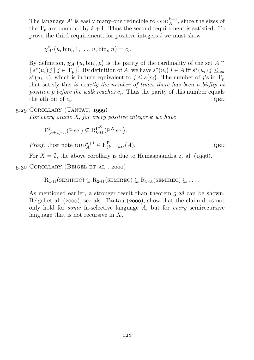The language  $A'$  is easily many-one reducible to  $\text{ODD}_A^{k+1}$ , since the sizes of the  $T_p$  are bounded by  $k+1$ . Thus the second requirement is satisfied. To prove the third requirement, for positive integers  $i$  we must show

$$
\chi_{A'}^n(u_i\operatorname{bin}_n 1,\ldots,u_i\operatorname{bin}_n n)=c_i.
$$

By definition,  $\chi_{A'}(u_i \sin_n p)$  is the parity of the cardinality of the set  $A \cap$  $\{s^*(u_i) \, j \mid j \in \mathrm{T}_p\}$ . By definition of A, we have  $s^*(u_i) \, j \in A$  iff  $s^*(u_i) \, j \leq_{\mathrm{lex}}$  $s^*(u_{i+1})$ , which is in turn equivalent to  $j \leq s(c_i)$ . The number of j's in  $T_p$ that satisfy this is exactly the number of times there has been a bitflip at position p before the walk reaches  $c_i$ . Thus the parity of this number equals the pth bit of  $c_i$ . . <br>  $\label{eq:QED} \text{QED}$ 

 $5.29$  COROLLARY (TANTAU, 1999) For every oracle  $X$ , for every positive integer  $k$  we have

$$
\mathbf{E}_{(k+1)\text{-}tt}^{\mathbf{P}}(\mathbf{P}\text{-}\mathbf{sel}) \nsubseteq \mathbf{R}_{k\text{-}tt}^{\mathbf{P}^X}(\mathbf{P}^X\text{-}\mathbf{sel}).
$$

Proof. Just note  $\text{OD}_A^{k+1} \in E^P_{(k+1)\text{-}tt}(A)$ . QED

For  $X = \emptyset$ , the above corollary is due to [Hemaspaandra et al. \(](#page-165-0)1996).

5.30 COROLLARY (BEIGEL ET AL., 2000)

 $R_{1-tt}(\text{SEMREC}) \subset R_{2-tt}(\text{SEMREC}) \subset R_{3-tt}(\text{SEMREC}) \subset \ldots$ .

As mentioned earlier, a stronger result than [theorem](#page-125-0)  $5.28$  can be shown. Beigel et al.  $(2000)$ , see also Tantau  $(2000)$ , show that the claim does not only hold for *some* fa-selective language  $A$ , but for *every* semirecursive language that is not recursive in X.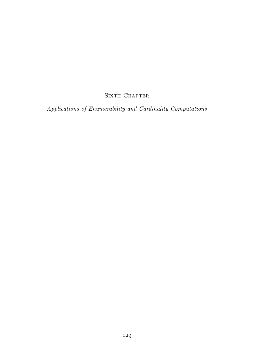# SIXTH CHAPTER

Applications of Enumerability and Cardinality Computations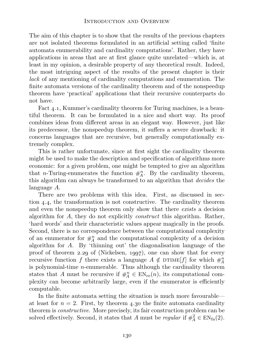The aim of this chapter is to show that the results of the previous chapters are not isolated theorems formulated in an artificial setting called 'finite automata enumerability and cardinality computations'. Rather, they have applications in areas that are at first glance quite unrelated—which is, at least in my opinion, a desirable property of any theoretical result. Indeed, the most intriguing aspect of the results of the present chapter is their lack of any mentioning of cardinality computations and enumeration. The finite automata versions of the cardinality theorem and of the nonspeedup theorem have 'practical' applications that their recursive counterparts do not have.

[Fact](#page-81-0) 4.1, Kummer's cardinality theorem for Turing machines, is a beautiful theorem. It can be formulated in a nice and short way. Its proof combines ideas from different areas in an elegant way. However, just like its predecessor, the nonspeedup theorem, it suffers a severe drawback: it concerns languages that are recursive, but generally computationally extremely complex.

This is rather unfortunate, since at first sight the cardinality theorem might be used to make the description and specification of algorithms more economic: for a given problem, one might be tempted to give an algorithm that *n*-Turing-enumerates the function  $\#_{A}^{n}$ . By the cardinality theorem, this algorithm can always be transformed to an algorithm that decides the language A.

There are two problems with this idea. First, as discussed in [sec](#page-93-0)[tion](#page-93-0) 4.4, the transformation is not constructive. The cardinality theorem and even the nonspeedup theorem only show that there exists a decision algorithm for A, they do not explicitly construct this algorithm. Rather, 'hard words' and their characteristic values appear magically in the proofs. Second, there is no correspondence between the computational complexity of an enumerator for  $#_A^n$  and the computational complexity of a decision algorithm for A. By 'thinning out' the diagonalisation language of the proof of theorem 2.29 of [\(Nickelsen,](#page-167-1) 1997), one can show that for every recursive function f there exists a language  $A \notin \text{DTIME}[f]$  for which  $\#_A^n$ is polynomial-time n-enumerable. Thus although the cardinality theorem states that A must be recursive if  $\#_{A}^{n} \in EN_{re}(n)$ , its computational complexity can become arbitrarily large, even if the enumerator is efficiently computable.

In the finite automata setting the situation is much more favourable at least for  $n = 2$ . First, by [theorem](#page-97-0) 4.30 the finite automata cardinality theorem is constructive. More precisely, its fair construction problem can be solved effectively. Second, it states that A must be regular if  $\#_{A}^{2} \in EN_{fa}(2)$ .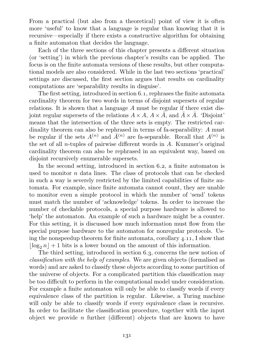From a practical (but also from a theoretical) point of view it is often more 'useful' to know that a language is regular than knowing that it is recursive—especially if there exists a constructive algorithm for obtaining a finite automaton that decides the language.

Each of the three sections of this chapter presents a different situation (or 'setting') in which the previous chapter's results can be applied. The focus is on the finite automata versions of these results, but other computational models are also considered. While in the last two sections 'practical' settings are discussed, the first section argues that results on cardinality computations are 'separability results in disguise'.

The first setting, introduced in [section](#page-133-0)  $6.1$ , rephrases the finite automata cardinality theorem for two words in terms of disjoint supersets of regular relations. It is shown that a language A must be regular if there exist disjoint regular supersets of the relations  $A \times A$ ,  $A \times \overline{A}$ , and  $\overline{A} \times \overline{A}$ . 'Disjoint' means that the intersection of the three sets is empty. The restricted cardinality theorem can also be rephrased in terms of fa-separability: A must be regular if the sets  $A^{(n)}$  and  $\bar{A}^{(n)}$  are fa-separable. Recall that  $A^{(n)}$  is the set of all n-tuples of pairwise different words in A. Kummer's original cardinality theorem can also be rephrased in an equivalent way, based on disjoint recursively enumerable supersets.

In the second setting, introduced in [section](#page-138-0)  $6.2$ , a finite automaton is used to monitor  $n$  data lines. The class of protocols that can be checked in such a way is severely restricted by the limited capabilities of finite automata. For example, since finite automata cannot count, they are unable to monitor even a simple protocol in which the number of 'send' tokens must match the number of 'acknowledge' tokens. In order to increase the number of checkable protocols, a special purpose hardware is allowed to 'help' the automaton. An example of such a hardware might be a counter. For this setting, it is discussed how much information must flow from the special purpose hardware to the automaton for nonregular protocols. Using the nonspeedup theorem for finite automata, [corollary](#page-86-1)  $4.11$ , I show that  $\log_2 n + 1$  bits is a lower bound on the amount of this information.

The third setting, introduced in [section](#page-141-0)  $6.3$ , concerns the new notion of classification with the help of examples. We are given objects (formalised as words) and are asked to classify these objects according to some partition of the universe of objects. For a complicated partition this classification may be too difficult to perform in the computational model under consideration. For example a finite automaton will only be able to classify words if every equivalence class of the partition is regular. Likewise, a Turing machine will only be able to classify words if every equivalence class is recursive. In order to facilitate the classification procedure, together with the input object we provide *n* further (different) objects that are known to have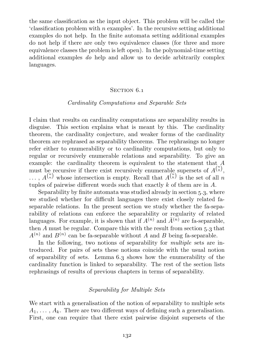the same classification as the input object. This problem will be called the 'classification problem with n examples'. In the recursive setting additional examples do not help. In the finite automata setting additional examples do not help if there are only two equivalence classes (for three and more equivalence classes the problem is left open). In the polynomial-time setting additional examples do help and allow us to decide arbitrarily complex languages.

### SECTION 6.1

#### Cardinality Computations and Separable Sets

<span id="page-133-0"></span>I claim that results on cardinality computations are separability results in disguise. This section explains what is meant by this. The cardinality theorem, the cardinality conjecture, and weaker forms of the cardinality theorem are rephrased as separability theorems. The rephrasings no longer refer either to enumerability or to cardinality computations, but only to regular or recursively enumerable relations and separability. To give an example: the cardinality theorem is equivalent to the statement that A must be recursive if there exist recursively enumerable supersets of  $A^{(n)}$ ,  $\ldots$ ,  $A^{(n)}$  whose intersection is empty. Recall that  $A^{(n)}$  is the set of all n tuples of pairwise different words such that exactly k of them are in A.

Separability by finite automata was studied already in [section](#page-117-0) 5.3, where we studied whether for difficult languages there exist closely related faseparable relations. In the present section we study whether the fa-separability of relations can enforce the separability or regularity of related languages. For example, it is shown that if  $A^{(n)}$  and  $\bar{A}^{(n)}$  are fa-separable, then  $\overline{A}$  must be regular. Compare this with the result from [section](#page-117-0) 5.3 that  $A^{(n)}$  and  $B^{(n)}$  can be fa-separable without A and B being fa-separable.

In the following, two notions of separability for *multiple* sets are introduced. For pairs of sets these notions coincide with the usual notion of separability of sets. [Lemma](#page-135-0)  $6.3$  shows how the enumerability of the cardinality function is linked to separability. The rest of the section lists rephrasings of results of previous chapters in terms of separability.

### Separability for Multiple Sets

We start with a generalisation of the notion of separability to multiple sets  $A_1, \ldots, A_k$ . There are two different ways of defining such a generalisation. First, one can require that there exist pairwise disjoint supersets of the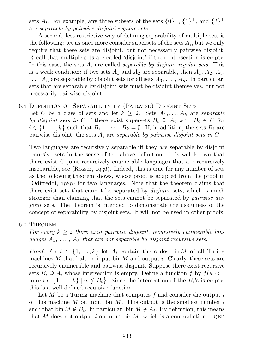sets  $A_i$ . For example, any three subsets of the sets  $\{0\}^+$ ,  $\{1\}^+$ , and  $\{2\}^+$ are separable by pairwise disjoint regular sets.

A second, less restrictive way of defining separability of multiple sets is the following: let us once more consider supersets of the sets  $A_i$ , but we only require that these sets are disjoint, but not necessarily pairwise disjoint. Recall that multiple sets are called 'disjoint' if their intersection is empty. In this case, the sets  $A_i$  are called *separable by disjoint regular sets*. This is a weak condition: if two sets  $A_1$  and  $A_2$  are separable, then  $A_1$ ,  $A_2$ ,  $A_3$ ,  $\ldots$ ,  $A_n$  are separable by disjoint sets for all sets  $A_3, \ldots, A_n$ . In particular, sets that are separable by disjoint sets must be disjoint themselves, but not necessarily pairwise disjoint.

### . Definition of Separability by (Pairwise) Disjoint Sets

Let C be a class of sets and let  $k \geq 2$ . Sets  $A_1, \ldots, A_k$  are separable by disjoint sets in C if there exist supersets  $B_i \supseteq A_i$  with  $B_i \in C$  for  $i \in \{1, \ldots, k\}$  such that  $B_1 \cap \cdots \cap B_k = \emptyset$ . If, in addition, the sets  $B_i$  are pairwise disjoint, the sets  $A_i$  are separable by pairwise disjoint sets in C.

Two languages are recursively separable iff they are separable by disjoint recursive sets in the sense of the above definition. It is well-known that there exist disjoint recursively enumerable languages that are recursively inseparable,see  $(Rosser, 1936)$  $(Rosser, 1936)$  $(Rosser, 1936)$ . Indeed, this is true for any number of sets as the following theorem shows, whose proof is adapted from the proof in  $(Odifreddi, 1989)$  $(Odifreddi, 1989)$  for two languages. Note that the theorem claims that there exist sets that cannot be separated by *disjoint* sets, which is much stronger than claiming that the sets cannot be separated by *pairwise* disjoint sets. The theorem is intended to demonstrate the usefulness of the concept of separability by disjoint sets. It will not be used in other proofs.

### 6.2 THEOREM

For every  $k \geq 2$  there exist pairwise disjoint, recursively enumerable languages  $A_1, \ldots, A_k$  that are not separable by disjoint recursive sets.

*Proof.* For  $i \in \{1, \ldots, k\}$  let  $A_i$  contain the codes bin M of all Turing machines M that halt on input bin M and output i. Clearly, these sets are recursively enumerable and pairwise disjoint. Suppose there exist recursive sets  $B_i \supseteq A_i$  whose intersection is empty. Define a function f by  $f(w) :=$  $\min\{i \in \{1,\ldots,k\} \mid w \notin B_i\}.$  Since the intersection of the  $B_i$ 's is empty, this is a well-defined recursive function.

Let M be a Turing machine that computes f and consider the output  $i$ of this machine  $M$  on input bin  $M$ . This output is the smallest number  $i$ such that bin  $M \notin B_i$ . In particular, bin  $M \notin A_i$ . By definition, this means that M does not output i on input bin M, which is a contradiction. QED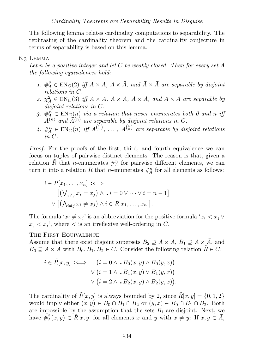The following lemma relates cardinality computations to separability. The rephrasing of the cardinality theorem and the cardinality conjecture in terms of separability is based on this lemma.

### 6.3 LEMMA

<span id="page-135-0"></span>Let  $n$  be a positive integer and let  $C$  be weakly closed. Then for every set  $A$ the following equivalences hold:

- 1.  $\#\n<sub>A</sub><sup>2</sup> \in \text{EN}_C(2)$  iff  $A \times A$ ,  $A \times \overline{A}$ , and  $\overline{A} \times \overline{A}$  are separable by disjoint relations in C.
- 2.  $\chi_A^2 \in \text{EN}_C(3)$  iff  $A \times A$ ,  $A \times \overline{A}$ ,  $\overline{A} \times A$ , and  $\overline{A} \times \overline{A}$  are separable by disjoint relations in C.
- 3.  $\#_{\mathcal{A}}^n \in \text{EN}_C(n)$  via a relation that never enumerates both 0 and n if  $\tilde{A}^{(n)}$  and  $\tilde{A}^{(n)}$  are separable by disjoint relations in C.
- 4.  $\#_{A}^{n} \in \text{EN}_{C}(n)$  iff  $A^{n \choose 0}, \ldots, A^{n \choose n}$  are separable by disjoint relations in C.

Proof. For the proofs of the first, third, and fourth equivalence we can focus on tuples of pairwise distinct elements. The reason is that, given a relation  $\tilde{R}$  that *n*-enumerates  $\#_{A}^{n}$  for pairwise different elements, we can turn it into a relation R that n-enumerates  $\#_{A}^{n}$  for all elements as follows:

$$
i \in R[x_1, \dots, x_n] \iff [(\bigvee_{i \neq j} x_i = x_j) \land \bullet i = 0 \lor \dots \lor i = n - 1] \lor [(\bigwedge_{i \neq j} x_i \neq x_j) \land i \in \tilde{R}[x_1, \dots, x_n]].
$$

The formula ' $x_i \neq x_j$ ' is an abbreviation for the positive formula ' $x_i < x_j \vee$  $x_j < x_i$ ', where  $\lt$  is an irreflexive well-ordering in C.

THE FIRST EQUIVALENCE

Assume that there exist disjoint supersets  $B_2 \supseteq A \times A$ ,  $B_1 \supseteq A \times \overline{A}$ , and  $B_0 \supseteq \overline{A} \times \overline{A}$  with  $B_0, B_1, B_2 \in C$ . Consider the following relation  $\widetilde{R} \in C$ :

$$
i \in \tilde{R}[x, y] \iff (i = 0 \land \mathbf{B}_0(x, y) \land B_0(y, x))
$$
  
 
$$
\lor (i = 1 \land \mathbf{B}_1(x, y) \lor B_1(y, x))
$$
  
 
$$
\lor (i = 2 \land \mathbf{B}_2(x, y) \land B_2(y, x)).
$$

The cardinality of  $R[x, y]$  is always bounded by 2, since  $R[x, y] = \{0, 1, 2\}$ would imply either  $(x, y) \in B_0 \cap B_1 \cap B_2$  or  $(y, x) \in B_0 \cap B_1 \cap B_2$ . Both are impossible by the assumption that the sets  $B_i$  are disjoint. Next, we have  $\#\nvert^2_A(x,y) \in \tilde{R}[x,y]$  for all elements x and y with  $x \neq y$ : If  $x, y \in \bar{A}$ ,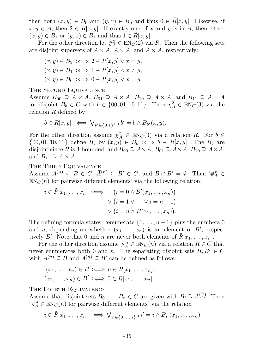then both  $(x, y) \in B_0$  and  $(y, x) \in B_0$  and thus  $0 \in \tilde{R}[x, y]$ . Likewise, if  $x, y \in A$ , then  $2 \in \tilde{R}[x, y]$ . If exactly one of x and y is in A, then either  $(x, y) \in B_1$  or  $(y, x) \in B_1$  and thus  $1 \in \tilde{R}[x, y]$ .

For the other direction let  $#_A^2 \in E_{\text{C}}(2)$  via R. Then the following sets are disjoint supersets of  $A \times A$ ,  $A \times \overline{A}$ , and  $\overline{A} \times \overline{A}$ , respectively:

$$
(x, y) \in B_2 \iff 2 \in R[x, y] \lor x = y,
$$
  
\n
$$
(x, y) \in B_1 \iff 1 \in R[x, y] \land x \neq y,
$$
  
\n
$$
(x, y) \in B_0 \iff 0 \in R[x, y] \lor x = y.
$$

The Second Equivalence

Assume  $B_{00} \supseteq \overline{A} \times \overline{A}$ ,  $B_{01} \supseteq \overline{A} \times A$ ,  $B_{10} \supseteq A \times \overline{A}$ , and  $B_{11} \supseteq A \times A$ for disjoint  $B_b \in C$  with  $b \in \{00, 01, 10, 11\}$ . Then  $\chi_A^2 \in EN_C(3)$  via the relation R defined by

$$
b\in R[x,y]\,:\Longleftrightarrow\,\bigvee_{b'\in\{0,1\}^2}\centerdot b'=b\wedge B_{b'}(x,y).
$$

For the other direction assume  $\chi_A^2 \in EN_C(3)$  via a relation R. For  $b \in$  $\{00, 01, 10, 11\}$  define  $B_b$  by  $(x, y) \in B_b \iff b \in R[x, y]$ . The  $B_b$  are disjoint since R is 3-bounded, and  $B_{00} \supseteq \bar{A} \times \bar{A}$ ,  $B_{01} \supseteq \bar{A} \times A$ ,  $B_{10} \supseteq A \times \bar{A}$ , and  $B_{11} \supseteq A \times A$ .

The Third Equivalence

Assume  $A^{(n)} \subseteq B \in C$ ,  $\bar{A}^{(n)} \subseteq B' \in C$ , and  $B \cap B' = \emptyset$ . Then ' $\#_{A}^{n} \in$  $EN<sub>C</sub>(n)$  for pairwise different elements' via the following relation:

$$
i \in \tilde{R}[x_1, \dots, x_n] \iff (i = 0 \land B'(x_1, \dots, x_n))
$$

$$
\lor (i = 1 \lor \dots \lor i = n - 1)
$$

$$
\lor (i = n \land B(x_1, \dots, x_n)).
$$

The defining formula states: 'enumerate  $\{1, \ldots, n-1\}$  plus the numbers 0 and n, depending on whether  $(x_1, \ldots, x_n)$  is an element of B', respectively B'. Note that 0 and n are never both elements of  $R[x_1, \ldots, x_n]$ .

For the other direction assume  $\#_{A}^{n} \in EN_{C}(n)$  via a relation  $R \in C$  that never enumerates both 0 and n. The separating disjoint sets  $B, B' \in C$ with  $A^{(n)} \subseteq B$  and  $\bar{A}^{(n)} \subseteq B'$  can be defined as follows:

$$
(x_1, \ldots, x_n) \in B \iff n \in R[x_1, \ldots, x_n],
$$
  

$$
(x_1, \ldots, x_n) \in B' \iff 0 \in R[x_1, \ldots, x_n].
$$

The Fourth Equivalence

Assume that disjoint sets  $B_0, \ldots, B_n \in C$  are given with  $B_i \supseteq A^{n \choose i}$ . Then  $A^* \# A^* \in EN_C(n)$  for pairwise different elements' via the relation

$$
i \in \tilde{R}[x_1,\ldots,x_n] \iff \bigvee_{i' \in \{0,\ldots,n\}} \cdot i' = i \wedge B_{i'}(x_1,\ldots,x_n).
$$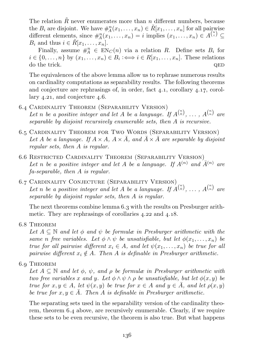The relation  $\tilde{R}$  never enumerates more than n different numbers, because the  $B_i$  are disjoint. We have  $\#_A^n(x_1,\ldots,x_n) \in \tilde{R}[x_1,\ldots,x_n]$  for all pairwise different elements, since  $\#_A^n(x_1, \ldots, x_n) = i$  implies  $(x_1, \ldots, x_n) \in A^{n \choose i} \subseteq$  $B_i$  and thus  $i \in R[x_1, \ldots, x_n]$ .

Finally, assume  $#_A^n \in EN_C(n)$  via a relation R. Define sets  $B_i$  for  $i \in \{0, \ldots, n\}$  by  $(x_1, \ldots, x_n) \in B_i : \iff i \in R[x_1, \ldots, x_n]$ . These relations do the trick. QED

The equivalences of the above lemma allow us to rephrase numerous results on cardinality computations as separability results. The following theorems and conjecture are rephrasings of, in order, [fact](#page-81-0)  $4.1$ , [corollary](#page-91-0)  $4.17$ , [corol](#page-93-1)[lary](#page-93-1)  $4.21$ , and [conjecture](#page-82-0)  $4.6$ .

- <span id="page-137-0"></span>. Cardinality Theorem (Separability Version) Let n be a positive integer and let A be a language. If  $A^{(n)}$ , ...,  $A^{(n)}$  are separable by disjoint recursively enumerable sets, then A is recursive.
- . Cardinality Theorem for Two Words (Separability Version) Let A be a language. If  $A \times A$ ,  $A \times \overline{A}$ , and  $\overline{A} \times \overline{A}$  are separable by disjoint regular sets, then A is regular.
- <span id="page-137-1"></span>6.6 RESTRICTED CARDINALITY THEOREM (SEPARABILITY VERSION) Let n be a positive integer and let A be a language. If  $A^{(n)}$  and  $\overline{A}^{(n)}$  are fa-separable, then A is regular.
- . Cardinality Conjecture (Separability Version) Let n be a positive integer and let A be a language. If  $A^{(n)}$ , ...,  $A^{(n)}$  are separable by disjoint regular sets, then A is regular.

The next theorems combine [lemma](#page-135-0)  $6.3$  with the results on Presburger arithmetic. They are rephrasings of corollaries  $4.22$  and  $4.18$ .

6.8 THEOREM

Let  $A \subseteq \mathbb{N}$  and let  $\phi$  and  $\psi$  be formulæ in Presburger arithmetic with the same n free variables. Let  $\phi \wedge \psi$  be unsatisfiable, but let  $\phi(x_1, \ldots, x_n)$  be true for all pairwise different  $x_i \in A$ , and let  $\psi(x_1, \ldots, x_n)$  be true for all pairwise different  $x_i \notin A$ . Then A is definable in Presburger arithmetic.

6.9 THEOREM

Let  $A \subseteq \mathbb{N}$  and let  $\phi$ ,  $\psi$ , and  $\rho$  be formulæ in Presburger arithmetic with two free variables x and y. Let  $\phi \wedge \psi \wedge \rho$  be unsatisfiable, but let  $\phi(x, y)$  be true for  $x, y \in A$ , let  $\psi(x, y)$  be true for  $x \in A$  and  $y \in \overline{A}$ , and let  $\rho(x, y)$ be true for  $x, y \in A$ . Then A is definable in Presburger arithmetic.

The separating sets used in the separability version of the cardinality theorem, [theorem](#page-137-0) 6.4 above, are recursively enumerable. Clearly, if we require these sets to be even recursive, the theorem is also true. But what happens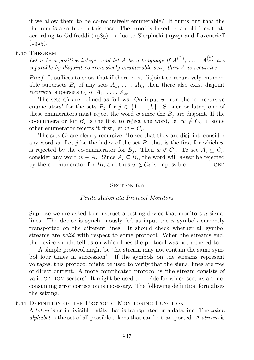if we allow them to be co-recursively enumerable? It turns out that the theorem is also true in this case. The proof is based on an old idea that, according to [Odifreddi \(](#page-168-1) $1989$ ), is due to [Sierpinski \(](#page-170-2) $1924$ ) and [Laventrieff](#page-167-2)  $(1925).$ 

### 6.10 THEOREM

Let n be a positive integer and let A be a language. If  $A^{(\binom{n}{0})}$ , ...,  $A^{(\binom{n}{n})}$  are separable by disjoint co-recursively enumerable sets, then A is recursive.

Proof. It suffices to show that if there exist disjoint co-recursively enumerable supersets  $B_i$  of any sets  $A_1, \ldots, A_k$ , then there also exist disjoint recursive supersets  $C_i$  of  $A_1, \ldots, A_k$ .

The sets  $C_i$  are defined as follows: On input w, run the 'co-recursive enumerators' for the sets  $B_j$  for  $j \in \{1, ..., k\}$ . Sooner or later, one of these enumerators must reject the word  $w$  since the  $B_i$  are disjoint. If the co-enumerator for  $B_i$  is the first to reject the word, let  $w \notin C_i$ , if some other enumerator rejects it first, let  $w \in C_i$ .

The sets  $C_i$  are clearly recursive. To see that they are disjoint, consider any word w. Let j be the index of the set  $B_j$  that is the first for which w is rejected by the co-enumerator for  $B_j$ . Then  $w \notin C_j$ . To see  $A_i \subseteq C_i$ , consider any word  $w \in A_i$ . Since  $A_i \subseteq B_i$ , the word will never be rejected by the co-enumerator for  $B_i$ , and thus  $w \notin C_i$  is impossible. QED

#### SECTION 6.2

#### Finite Automata Protocol Monitors

<span id="page-138-0"></span>Suppose we are asked to construct a testing device that monitors  $n$  signal lines. The device is synchronously fed as input the  $n$  symbols currently transported on the different lines. It should check whether all symbol streams are valid with respect to some protocol. When the streams end, the device should tell us on which lines the protocol was not adhered to.

A simple protocol might be 'the stream may not contain the same symbol four times in succession'. If the symbols on the streams represent voltages, this protocol might be used to verify that the signal lines are free of direct current. A more complicated protocol is 'the stream consists of valid CD-ROM sectors'. It might be used to decide for which sectors a timeconsuming error correction is necessary. The following definition formalises the setting.

### . Definition of the Protocol Monitoring Function

A token is an indivisible entity that is transported on a data line. The token alphabet is the set of all possible tokens that can be transported. A stream is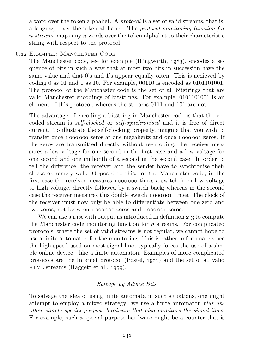a word over the token alphabet. A protocol is a set of valid streams, that is, a language over the token alphabet. The protocol monitoring function for  $n$  streams maps any  $n$  words over the token alphabet to their characteristic string with respect to the protocol.

# 6.12 EXAMPLE: MANCHESTER CODE

The Manchester code, see for example [\(Illingworth,](#page-165-1)  $1083$ ), encodes a sequence of bits in such a way that at most two bits in succession have the same value and that 0's and 1's appear equally often. This is achieved by coding 0 as 01 and 1 as 10. For example,  $00110$  is encoded as  $0101101001$ . The protocol of the Manchester code is the set of all bitstrings that are valid Manchester encodings of bitstrings. For example, 0101101001 is an element of this protocol, whereas the streams 0111 and 101 are not.

The advantage of encoding a bitstring in Manchester code is that the encoded stream is self-clocked or self-synchronised and it is free of direct current. To illustrate the self-clocking property, imagine that you wish to transfer once  $1000000$  zeros at one megahertz and once  $1000001$  zeros. If the zeros are transmitted directly without reencoding, the receiver measures a low voltage for one second in the first case and a low voltage for one second and one millionth of a second in the second case. In order to tell the difference, the receiver and the sender have to synchronise their clocks extremely well. Opposed to this, for the Manchester code, in the first case the receiver measures 1,000,000 times a switch from low voltage to high voltage, directly followed by a switch back; whereas in the second case the receiver measures this double switch 1 000 001 times. The clock of the receiver must now only be able to differentiate between one zero and two zeros, not between 1000000 zeros and 1000001 zeros.

We can use a DFA with output as introduced in [definition](#page-33-0)  $2.3$  to compute the Manchester code monitoring function for  $n$  streams. For complicated protocols, where the set of valid streams is not regular, we cannot hope to use a finite automaton for the monitoring. This is rather unfortunate since the high speed used on most signal lines typically forces the use of a simple online device—like a finite automaton. Examples of more complicated protocols are the Internet protocol [\(Postel,](#page-169-2)  $1981$ ) and the set of all valid HTMLstreams ([Raggett et al.,](#page-169-3)  $1999$ ).

# Salvage by Advice Bits

To salvage the idea of using finite automata in such situations, one might attempt to employ a mixed strategy: we use a finite automaton plus another simple special purpose hardware that also monitors the signal lines. For example, such a special purpose hardware might be a counter that is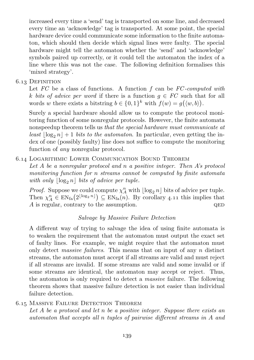increased every time a 'send' tag is transported on some line, and decreased every time an 'acknowledge' tag is transported. At some point, the special hardware device could communicate some information to the finite automaton, which should then decide which signal lines were faulty. The special hardware might tell the automaton whether the 'send' and 'acknowledge' symbols paired up correctly, or it could tell the automaton the index of a line where this was not the case. The following definition formalises this 'mixed strategy'.

# 6.13 DEFINITION

Let  $FC$  be a class of functions. A function f can be  $FC\text{-}computed with$ k bits of advice per word if there is a function  $q \in FC$  such that for all words w there exists a bitstring  $b \in \{0,1\}^k$  with  $f(w) = g(\langle w, b \rangle)$ .

Surely a special hardware should allow us to compute the protocol monitoring function of some nonregular protocols. However, the finite automata nonspeedup theorem tells us that the special hardware must communicate at least  $\log_2 n + 1$  bits to the automaton. In particular, even getting the index of one (possibly faulty) line does not suffice to compute the monitoring function of any nonregular protocol.

# . Logarithmic Lower Communication Bound Theorem

Let  $A$  be a nonregular protocol and  $n$  a positive integer. Then  $A$ 's protocol monitoring function for n streams cannot be computed by finite automata with only  $\log_2 n$  bits of advice per tuple.

*Proof.* Suppose we could compute  $\chi_A^n$  with  $\lfloor \log_2 n \rfloor$  bits of advice per tuple. Then  $\chi_A^n \in EN_{fa}(2^{\lfloor \log_2 n \rfloor}) \subseteq EN_{fa}(n)$ . By [corollary](#page-86-1) 4.11 this implies that  $A$  is regular, contrary to the assumption.  $QED$ 

# Salvage by Massive Failure Detection

A different way of trying to salvage the idea of using finite automata is to weaken the requirement that the automaton must output the exact set of faulty lines. For example, we might require that the automaton must only detect *massive failures*. This means that on input of any  $n$  distinct streams, the automaton must accept if all streams are valid and must reject if all streams are invalid. If some streams are valid and some invalid or if some streams are identical, the automaton may accept or reject. Thus, the automaton is only required to detect a massive failure. The following theorem shows that massive failure detection is not easier than individual failure detection.

# . Massive Failure Detection Theorem

Let A be a protocol and let  $n$  be a positive integer. Suppose there exists an automaton that accepts all n tuples of pairwise different streams in A and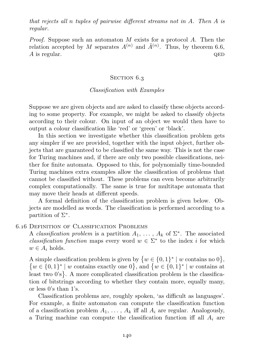that rejects all n tuples of pairwise different streams not in A. Then A is regular.

*Proof.* Suppose such an automaton  $M$  exists for a protocol  $A$ . Then the relation accepted by M separates  $A^{(n)}$  and  $\bar{A}^{(n)}$ . Thus, by [theorem](#page-137-1) 6.6,  $A$  is regular.  $QED$ 

### SECTION 6.3

#### Classification with Examples

<span id="page-141-0"></span>Suppose we are given objects and are asked to classify these objects according to some property. For example, we might be asked to classify objects according to their colour. On input of an object we would then have to output a colour classification like 'red' or 'green' or 'black'.

In this section we investigate whether this classification problem gets any simpler if we are provided, together with the input object, further objects that are guaranteed to be classified the same way. This is not the case for Turing machines and, if there are only two possible classifications, neither for finite automata. Opposed to this, for polynomially time-bounded Turing machines extra examples allow the classification of problems that cannot be classified without. These problems can even become arbitrarily complex computationally. The same is true for multitape automata that may move their heads at different speeds.

A formal definition of the classification problem is given below. Objects are modelled as words. The classification is performed according to a partition of  $\Sigma^*$ .

### 6.16 DEFINITION OF CLASSIFICATION PROBLEMS

A classification problem is a partition  $A_1, \ldots, A_k$  of  $\Sigma^*$ . The associated classification function maps every word  $w \in \Sigma^*$  to the index *i* for which  $w \in A_i$  holds.

A simple classification problem is given by  $\{w \in \{0,1\}^* \mid w \text{ contains no } 0\},\$  $\{w \in \{0,1\}^* \mid w \text{ contains exactly one } 0\}, \text{ and } \{w \in \{0,1\}^* \mid w \text{ contains at } 0\}$ least two  $0's$ . A more complicated classification problem is the classification of bitstrings according to whether they contain more, equally many, or less 0's than 1's.

Classification problems are, roughly spoken, 'as difficult as languages'. For example, a finite automaton can compute the classification function of a classification problem  $A_1, \ldots, A_k$  iff all  $A_i$  are regular. Analogously, a Turing machine can compute the classification function iff all  $A_i$  are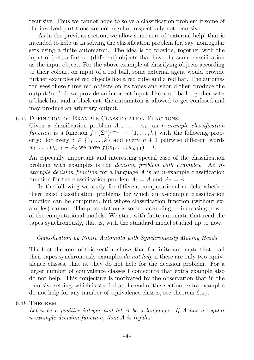recursive. Thus we cannot hope to solve a classification problem if some of the involved partitions are not regular, respectively not recursive.

As in the previous section, we allow some sort of 'external help' that is intended to help us in solving the classification problem for, say, nonregular sets using a finite automaton. The idea is to provide, together with the input object,  $n$  further (different) objects that have the same classification as the input object. For the above example of classifying objects according to their colour, on input of a red ball, some external agent would provide further examples of red objects like a red cube and a red hat. The automaton sees these three red objects on its tapes and should then produce the output 'red'. If we provide an incorrect input, like a red ball together with a black hat and a black cat, the automaton is allowed to get confused and may produce an arbitrary output.

# . Definition of Example Classification Functions

Given a classification problem  $A_1, \ldots, A_k$ , an *n*-example classification function is a function  $f: (\Sigma^*)^{n+1} \to \{1, \ldots, k\}$  with the following property: for every  $i \in \{1, ..., k\}$  and every  $n + 1$  pairwise different words  $w_1, \ldots, w_{n+1} \in A_i$  we have  $f(w_1, \ldots, w_{n+1}) = i$ .

An especially important and interesting special case of the classification problem with examples is the decision problem with examples. An nexample decision function for a language  $A$  is an *n*-example classification function for the classification problem  $A_1 = A$  and  $A_2 = \overline{A}$ .

In the following we study, for different computational models, whether there exist classification problems for which an  $n$ -example classification function can be computed, but whose classification function (without examples) cannot. The presentation is sorted according to increasing power of the computational models. We start with finite automata that read the tapes synchronously, that is, with the standard model studied up to now.

## Classification by Finite Automata with Synchronously Moving Heads

The first theorem of this section shows that for finite automata that read their tapes synchronously examples do not help if there are only two equivalence classes, that is, they do not help for the decision problem. For a larger number of equivalence classes I conjecture that extra example also do not help. This conjecture is motivated by the observation that in the recursive setting, which is studied at the end of this section, extra examples do not help for any number of equivalence classes, see [theorem](#page-147-0)  $6.27$ .

# 6.18 THEOREM

Let  $n$  be a positive integer and let  $A$  be a language. If  $A$  has a regular n-example decision function, then A is regular.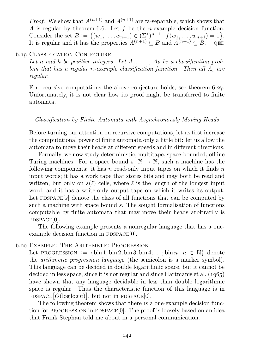*Proof.* We show that  $A^{(n+1)}$  and  $\overline{A}^{(n+1)}$  are fa-separable, which shows that A is regular by [theorem](#page-137-1) 6.6. Let f be the *n*-example decision function. Consider the set  $B := \{(w_1, \ldots, w_{n+1}) \in (\Sigma^*)^{n+1} \mid f(w_1, \ldots, w_{n+1}) = 1\}.$ It is regular and it has the properties  $A^{(n+1)} \subseteq B$  and  $\overline{A}^{(n+1)} \subseteq \overline{B}$ . QED

#### . Classification Conjecture

Let n and k be positive integers. Let  $A_1, \ldots, A_k$  be a classification problem that has a regular n-example classification function. Then all  $A_i$  are regular.

For recursive computations the above conjecture holds, see [theorem](#page-147-0) 6.27. Unfortunately, it is not clear how its proof might be transferred to finite automata.

### Classification by Finite Automata with Asynchronously Moving Heads

Before turning our attention on recursive computations, let us first increase the computational power of finite automata only a little bit: let us allow the automata to move their heads at different speeds and in different directions.

Formally, we now study deterministic, multitape, space-bounded, offline Turing machines. For a space bound  $s: \mathbb{N} \to \mathbb{N}$ , such a machine has the following components: it has  $n$  read-only input tapes on which it finds  $n$ input words; it has a work tape that stores bits and may both be read and written, but only on  $s(\ell)$  cells, where  $\ell$  is the length of the longest input word; and it has a write-only output tape on which it writes its output. Let  $FDSPACE[s]$  denote the class of all functions that can be computed by such a machine with space bound s. The sought formalisation of functions computable by finite automata that may move their heads arbitrarily is  $FDSPACE[0]$ .

The following example presents a nonregular language that has a oneexample decision function in  $FDSpace[0]$ .

### . Example: The Arithmetic Progression

Let PROGRESSION := {bin 1; bin 2; bin 3; bin 4; ...; bin  $n \mid n \in \mathbb{N}$ } denote the arithmetic progression language (the semicolon is a marker symbol). This language can be decided in double logarithmic space, but it cannot be decided in less space, since it is not regular and since Hartmanis et al.  $(1065)$ have shown that any language decidable in less than double logarithmic space is regular. Thus the characteristic function of this language is in FDSPACE  $[O(\log \log n)]$ , but not in FDSPACE [0].

The following theorem shows that there is a one-example decision function for PROGRESSION in  $FDSpace[0]$ . The proof is loosely based on an idea that Frank Stephan told me about in a personal communication.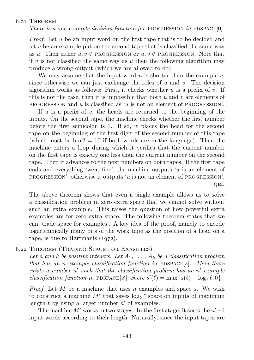#### 6.21 THEOREM

There is a one-example decision function for PROGRESSION in FDSPACE[0].

Proof. Let u be an input word on the first tape that is to be decided and let  $v$  be an example put on the second tape that is classified the same way as u. Then either  $u, v \in \text{PROGRESSON}$  or  $u, v \notin \text{PROGRESSON}$ . Note that if v is not classified the same way as u then the following algorithm may produce a wrong output (which we are allowed to do).

We may assume that the input word  $u$  is shorter than the example  $v$ , since otherwise we can just exchange the rôles of u and v. The decision algorithm works as follows: First, it checks whether  $u$  is a prefix of  $v$ . If this is not the case, then it is impossible that both  $u$  and  $v$  are elements of **PROGRESSION** and u is classified as 'u is not an element of PROGRESSION'.

If u is a prefix of v, the heads are returned to the beginning of the inputs. On the second tape, the machine checks whether the first number before the first semicolon is 1. If so, it places the head for the second tape on the beginning of the first digit of the second number of this tape (which must be  $\sin 2 = 10$  if both words are in the language). Then the machine enters a loop during which it verifies that the current number on the first tape is exactly one less than the current number on the second tape. Then it advances to the next numbers on both tapes. If the first tape ends and everything 'went fine', the machine outputs  $u$  is an element of progression'; otherwise it outputs 'u is not an element of progression'. QED

The above theorem shows that even a single example allows us to solve a classification problem in zero extra space that we cannot solve without such an extra example. This raises the question of how powerful extra examples are for zero extra space. The following theorem states that we can 'trade space for examples'. A key idea of the proof, namely to encode logarithmically many bits of the work tape as the position of a head on a tape, is due to Hartmanis  $(1972)$ .

## . Theorem (Trading Space for Examples)

Let n and k be positive integers. Let  $A_1, \ldots, A_k$  be a classification problem that has an n-example classification function in  $FDSPACE[s]$ . Then there  $exists a number n' such that the classification problem has an n'-example$ classification function in FDSPACE[s'] where  $s'(\ell) = \max\{s(\ell) - \log_2 \ell, 0\}.$ 

*Proof.* Let  $M$  be a machine that uses  $n$  examples and space  $s$ . We wish to construct a machine  $M'$  that saves  $\log_2 \ell$  space on inputs of maximum length  $\ell$  by using a larger number  $n'$  of examples.

The machine  $M'$  works in two stages. In the first stage, it sorts the  $n'+1$ input words according to their length. Naturally, since the input tapes are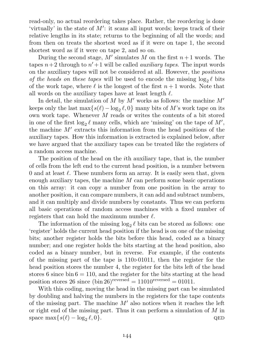read-only, no actual reordering takes place. Rather, the reordering is done 'virtually' in the state of  $M'$ : it scans all input words; keeps track of their relative lengths in its state; returns to the beginning of all the words; and from then on treats the shortest word as if it were on tape 1, the second shortest word as if it were on tape 2, and so on.

During the second stage,  $M'$  simulates M on the first  $n+1$  words. The tapes  $n+2$  through to  $n'+1$  will be called *auxiliary tapes*. The input words on the auxiliary tapes will not be considered at all. However, the positions *of the heads on these tapes* will be used to encode the missing  $\log_2 \ell$  bits of the work tape, where  $\ell$  is the longest of the first  $n + 1$  words. Note that all words on the auxiliary tapes have at least length  $\ell$ .

In detail, the simulation of M by  $M'$  works as follows: the machine  $M'$ keeps only the last  $\max\{s(\ell) - \log_2 \ell, 0\}$  many bits of M's work tape on its own work tape. Whenever  $M$  reads or writes the contents of a bit stored in one of the first  $\log_2 \ell$  many cells, which are 'missing' on the tape of  $M',$ the machine  $M'$  extracts this information from the head positions of the auxiliary tapes. How this information is extracted is explained below, after we have argued that the auxiliary tapes can be treated like the registers of a random access machine.

The position of the head on the ith auxiliary tape, that is, the number of cells from the left end to the current head position, is a number between 0 and at least  $\ell$ . These numbers form an array. It is easily seen that, given enough auxiliary tapes, the machine  $M$  can perform some basic operations on this array: it can copy a number from one position in the array to another position, it can compare numbers, it can add and subtract numbers, and it can multiply and divide numbers by constants. Thus we can perform all basic operations of random access machines with a fixed number of registers that can hold the maximum number  $\ell$ .

The information of the missing  $\log_2 \ell$  bits can be stored as follows: one 'register' holds the current head position if the head is on one of the missing bits; another register holds the bits before this head, coded as a binary number; and one register holds the bits starting at the head position, also coded as a binary number, but in reverse. For example, if the contents of the missing part of the tape is  $110 \triangleright 01011$ , then the register for the head position stores the number 4, the register for the bits left of the head stores 6 since bin  $6 = 110$ , and the register for the bits starting at the head position stores 26 since  $(bin 26)$ <sup>reversed</sup> = 11010<sup>reversed</sup> = 01011.

With this coding, moving the head in the missing part can be simulated by doubling and halving the numbers in the registers for the tape contents of the missing part. The machine  $M'$  also notices when it reaches the left or right end of the missing part. Thus it can perform a simulation of  $M$  in space  $\max\{s(\ell) - \log_2 \ell, 0\}.$  $\ell, 0$ .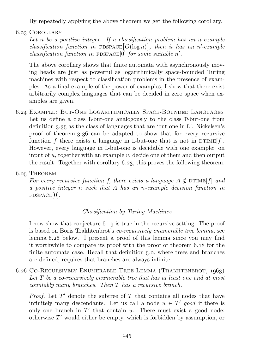By repeatedly applying the above theorem we get the following corollary.

6.23 COROLLARY

<span id="page-146-0"></span>Let  $n$  be a positive integer. If a classification problem has an n-example classification function in  $FDSPACE[O(\log n)]$ , then it has an n'-example  $classification\ function\ in\ \ \text{FDSPACE}[0]\ for\ some\ suitable\ n'.$ 

The above corollary shows that finite automata with asynchronously moving heads are just as powerful as logarithmically space-bounded Turing machines with respect to classification problems in the presence of examples. As a final example of the power of examples, I show that there exist arbitrarily complex languages that can be decided in zero space when examples are given.

- . Example: But-One Logarithmically Space-Bounded Languages Let us define a class L-but-one analogously to the class P-but-one from [definition](#page-79-0) 3.35 as the class of languages that are 'but one in  $L'$ . Nickelsen's proof of [theorem](#page-79-1) 3.36 can be adapted to show that for every recursive function f there exists a language in L-but-one that is not in  $DTIME[f]$ . However, every language in L-but-one is decidable with one example: on input of  $u$ , together with an example  $v$ , decide one of them and then output the result. Together with [corollary](#page-146-0)  $6.23$ , this proves the following theorem.
- 6.25 THEOREM

For every recursive function f, there exists a language  $A \notin \text{DTIME}[f]$  and a positive integer n such that A has an n-example decision function in  $FDSPACE[0]$ .

# Classification by Turing Machines

I now show that [conjecture](#page-143-0) 6.19 is true in the recursive setting. The proof is based on Boris Trakhtenbrot's co-recursively enumerable tree lemma, see [lemma](#page-146-1)  $6.26$  below. I present a proof of this lemma since you may find it worthwhile to compare its proof with the proof of [theorem](#page-142-0)  $6.18$  for the finite automata case. Recall that [definition](#page-105-0)  $5.2$ , where trees and branches are defined, requires that branches are always infinite.

6.26 CO-RECURSIVELY ENUMERABLE TREE LEMMA (TRAKHTENBROT, 1963) Let  $T$  be a co-recursively enumerable tree that has at least one and at most countably many branches. Then T has a recursive branch.

<span id="page-146-1"></span>*Proof.* Let  $T'$  denote the subtree of  $T$  that contains all nodes that have infinitely many descendants. Let us call a node  $u \in T'$  good if there is only one branch in  $T'$  that contain u. There must exist a good node: otherwise  $T'$  would either be empty, which is forbidden by assumption, or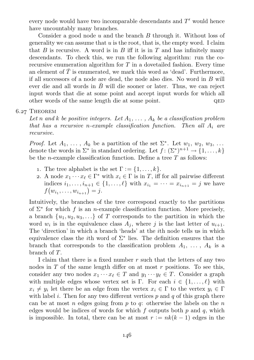every node would have two incomparable descendants and  $T'$  would hence have uncountably many branches.

Consider a good node u and the branch  $B$  through it. Without loss of generality we can assume that  $u$  is the root, that is, the empty word. I claim that  $B$  is recursive. A word is in  $B$  iff it is in  $T$  and has infinitely many descendants. To check this, we run the following algorithm: run the corecursive enumeration algorithm for  $T$  in a dovetailed fashion. Every time an element of  $\overline{T}$  is enumerated, we mark this word as 'dead'. Furthermore, if all successors of a node are dead, the node also dies. No word in  $B$  will ever die and all words in  $\bar{B}$  will die sooner or later. Thus, we can reject input words that die at some point and accept input words for which all other words of the same length die at some point.  $QED$ 

#### 6.27 THEOREM

Let n and k be positive integers. Let  $A_1, \ldots, A_k$  be a classification problem that has a recursive n-example classification function. Then all  $A_i$  are recursive.

*Proof.* Let  $A_1, \ldots, A_k$  be a partition of the set  $\Sigma^*$ . Let  $w_1, w_2, w_3, \ldots$ denote the words in  $\Sigma^*$  in standard ordering. Let  $f: (\Sigma^*)^{n+1} \to \{1, \ldots, k\}$ be the *n*-example classification function. Define a tree  $T$  as follows:

- 1. The tree alphabet is the set  $\Gamma := \{1, \ldots, k\}.$
- 2. A node  $x_1 \cdots x_\ell \in \Gamma^*$  with  $x_i \in \Gamma$  is in T, iff for all pairwise different indices  $i_1, ..., i_{n+1} \in \{1, ..., \ell\}$  with  $x_{i_1} = \cdots = x_{i_{n+1}} = j$  we have  $f(w_{i_1}, \ldots, w_{i_{n+1}}) = j.$

Intuitively, the branches of the tree correspond exactly to the partitions of  $\Sigma^*$  for which f is an n-example classification function. More precisely, a branch  $\{u_1, u_2, u_3, \ldots\}$  of T corresponds to the partition in which the word  $w_i$  is in the equivalence class  $A_j$ , where j is the last letter of  $u_{i+1}$ . The 'direction' in which a branch 'heads' at the ith node tells us in which equivalence class the *i*th word of  $\Sigma^*$  lies. The definition ensures that the branch that corresponds to the classification problem  $A_1, \ldots, A_k$  is a branch of T.

I claim that there is a fixed number r such that the letters of any two nodes in  $T$  of the same length differ on at most  $r$  positions. To see this, consider any two nodes  $x_1 \cdots x_{\ell} \in T$  and  $y_1 \cdots y_{\ell} \in T$ . Consider a graph with multiple edges whose vertex set is Γ. For each  $i \in \{1, \ldots, \ell\}$  with  $x_i \neq y_i$  let there be an edge from the vertex  $x_i \in \Gamma$  to the vertex  $y_i \in \Gamma$ with label i. Then for any two different vertices  $p$  and  $q$  of this graph there can be at most n edges going from  $p$  to  $q$ : otherwise the labels on the  $n$ edges would be indices of words for which f outputs both  $p$  and  $q$ , which is impossible. In total, there can be at most  $r := nk(k-1)$  edges in the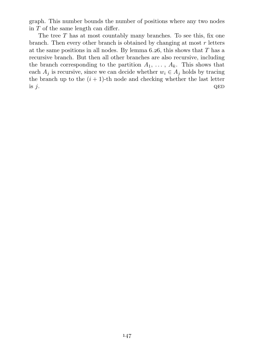graph. This number bounds the number of positions where any two nodes in  $T$  of the same length can differ.

The tree  $T$  has at most countably many branches. To see this, fix one branch. Then every other branch is obtained by changing at most  $r$  letters at the same positions in all nodes. By [lemma](#page-146-1)  $6.26$ , this shows that T has a recursive branch. But then all other branches are also recursive, including the branch corresponding to the partition  $A_1, \ldots, A_k$ . This shows that each  $A_j$  is recursive, since we can decide whether  $w_i \in A_j$  holds by tracing the branch up to the  $(i + 1)$ -th node and checking whether the last letter is  $j$ . QED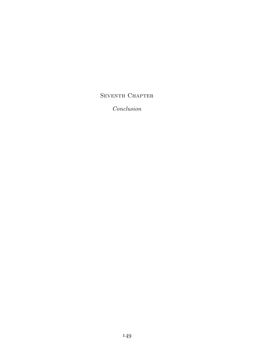# SEVENTH CHAPTER

Conclusion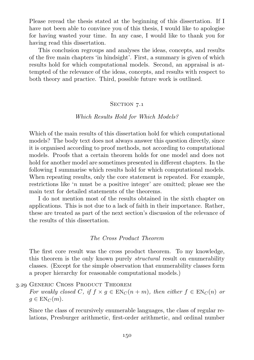Please reread the thesis stated at the beginning of this dissertation. If I have not been able to convince you of this thesis, I would like to apologise for having wasted your time. In any case, I would like to thank you for having read this dissertation.

This conclusion regroups and analyses the ideas, concepts, and results of the five main chapters 'in hindsight'. First, a summary is given of which results hold for which computational models. Second, an appraisal is attempted of the relevance of the ideas, concepts, and results with respect to both theory and practice. Third, possible future work is outlined.

#### SECTION 7.1

#### Which Results Hold for Which Models?

Which of the main results of this dissertation hold for which computational models? The body text does not always answer this question directly, since it is organised according to proof methods, not according to computational models. Proofs that a certain theorem holds for one model and does not hold for another model are sometimes presented in different chapters. In the following I summarise which results hold for which computational models. When repeating results, only the core statement is repeated. For example, restrictions like 'n must be a positive integer' are omitted; please see the main text for detailed statements of the theorems.

I do not mention most of the results obtained in the sixth chapter on applications. This is not due to a lack of faith in their importance. Rather, these are treated as part of the next section's discussion of the relevance of the results of this dissertation.

#### The Cross Product Theorem

The first core result was the cross product theorem. To my knowledge, this theorem is the only known purely *structural* result on enumerability classes. (Except for the simple observation that enumerability classes form a proper hierarchy for reasonable computational models.)

. Generic Cross Product Theorem

For weakly closed C, if  $f \times g \in EN_C(n+m)$ , then either  $f \in EN_C(n)$  or  $q \in \mathrm{EN}_C(m)$ .

Since the class of recursively enumerable languages, the class of regular relations, Presburger arithmetic, first-order arithmetic, and ordinal number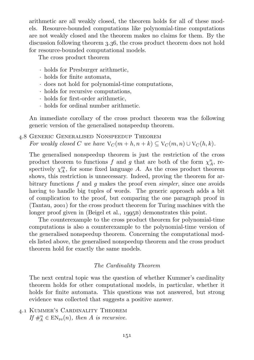arithmetic are all weakly closed, the theorem holds for all of these models. Resource-bounded computations like polynomial-time computations are not weakly closed and the theorem makes no claims for them. By the discussion following [theorem](#page-79-1) 3.36, the cross product theorem does not hold for resource-bounded computational models.

The cross product theorem

- · holds for Presburger arithmetic,
- · holds for finite automata,
- · does not hold for polynomial-time computations,
- · holds for recursive computations,
- · holds for first-order arithmetic,
- · holds for ordinal number arithmetic.

An immediate corollary of the cross product theorem was the following generic version of the generalised nonspeedup theorem.

## . Generic Generalised Nonspeedup Theorem For weakly closed C we have  $V_C(m+h, n+k) \subseteq V_C(m,n) \cup V_C(h,k)$ .

The generalised nonspeedup theorem is just the restriction of the cross product theorem to functions f and g that are both of the form  $\chi_A^n$ , respectively  $\chi_A^m$ , for some fixed language A. As the cross product theorem shows, this restriction is unnecessary. Indeed, proving the theorem for arbitrary functions  $f$  and  $g$  makes the proof even *simpler*, since one avoids having to handle big tuples of words. The generic approach adds a bit of complication to the proof, but comparing the one paragraph proof in  $(Tantau, 2001)$  $(Tantau, 2001)$  for the cross product theorem for Turing machines with the longerproof given in ([Beigel et al.,](#page-163-0) 1995B) demonstrates this point.

The counterexample to the cross product theorem for polynomial-time computations is also a counterexample to the polynomial-time version of the generalised nonspeedup theorem. Concerning the computational models listed above, the generalised nonspeedup theorem and the cross product theorem hold for exactly the same models.

#### The Cardinality Theorem

The next central topic was the question of whether Kummer's cardinality theorem holds for other computational models, in particular, whether it holds for finite automata. This questions was not answered, but strong evidence was collected that suggests a positive answer.

. Kummer's Cardinality Theorem If  $\#_{A}^{n} \in \mathrm{EN}_{\mathrm{re}}(n)$ , then A is recursive.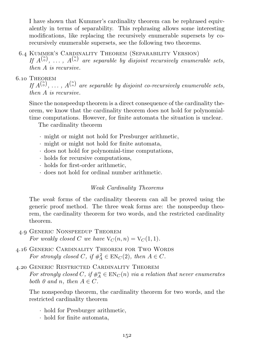I have shown that Kummer's cardinality theorem can be rephrased equivalently in terms of separability. This rephrasing allows some interesting modifications, like replacing the recursively enumerable supersets by corecursively enumerable supersets, see the following two theorems.

- . Kummer's Cardinality Theorem (Separability Version) If  $A^{(\binom{n}{0})}$ , ...,  $A^{(\binom{n}{n})}$  are separable by disjoint recursively enumerable sets, then A is recursive.
- 6.10 THEOREM

If  $A^{(\binom{n}{0}}, \ldots, A^{(\binom{n}{n})}$  are separable by disjoint co-recursively enumerable sets, then A is recursive.

Since the nonspeedup theorem is a direct consequence of the cardinality theorem, we know that the cardinality theorem does not hold for polynomialtime computations. However, for finite automata the situation is unclear.

The cardinality theorem

- · might or might not hold for Presburger arithmetic,
- · might or might not hold for finite automata,
- · does not hold for polynomial-time computations,
- · holds for recursive computations,
- · holds for first-order arithmetic,
- · does not hold for ordinal number arithmetic.

# Weak Cardinality Theorems

The weak forms of the cardinality theorem can all be proved using the generic proof method. The three weak forms are: the nonspeedup theorem, the cardinality theorem for two words, and the restricted cardinality theorem.

- . Generic Nonspeedup Theorem For weakly closed C we have  $V_C(n,n) = V_C(1, 1)$ .
- . Generic Cardinality Theorem for Two Words For strongly closed C, if  $\#_{A}^{2} \in \text{EN}_{C}(2)$ , then  $A \in C$ .
- . Generic Restricted Cardinality Theorem For strongly closed C, if  $\#_{A}^{n} \in EN_C(n)$  via a relation that never enumerates both 0 and n, then  $A \in C$ .

The nonspeedup theorem, the cardinality theorem for two words, and the restricted cardinality theorem

- · hold for Presburger arithmetic,
- · hold for finite automata,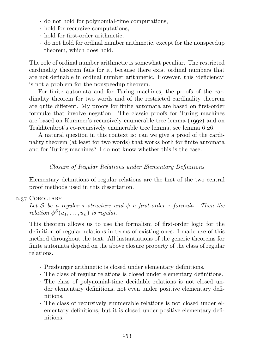- · do not hold for polynomial-time computations,
- · hold for recursive computations,
- · hold for first-order arithmetic,
- · do not hold for ordinal number arithmetic, except for the nonspeedup theorem, which does hold.

The rôle of ordinal number arithmetic is somewhat peculiar. The restricted cardinality theorem fails for it, because there exist ordinal numbers that are not definable in ordinal number arithmetic. However, this 'deficiency' is not a problem for the nonspeedup theorem.

For finite automata and for Turing machines, the proofs of the cardinality theorem for two words and of the restricted cardinality theorem are quite different. My proofs for finite automata are based on first-order formulæ that involve negation. The classic proofs for Turing machines are based on Kummer's recursively enumerable tree lemma  $(1992)$  and on Trakhtenbrot's co-recursively enumerable tree [lemma](#page-146-1), see lemma 6.26.

A natural question in this context is: can we give a proof of the cardinality theorem (at least for two words) that works both for finite automata and for Turing machines? I do not know whether this is the case.

## Closure of Regular Relations under Elementary Definitions

Elementary definitions of regular relations are the first of the two central proof methods used in this dissertation.

## 2.37 COROLLARY

Let S be a regular  $\tau$ -structure and  $\phi$  a first-order  $\tau$ -formula. Then the relation  $\phi^{\mathcal{S}}(u_1,\ldots,u_n)$  is regular.

This theorem allows us to use the formalism of first-order logic for the definition of regular relations in terms of existing ones. I made use of this method throughout the text. All instantiations of the generic theorems for finite automata depend on the above closure property of the class of regular relations.

- · Presburger arithmetic is closed under elementary definitions.
- · The class of regular relations is closed under elementary definitions.
- · The class of polynomial-time decidable relations is not closed under elementary definitions, not even under positive elementary definitions.
- · The class of recursively enumerable relations is not closed under elementary definitions, but it is closed under positive elementary definitions.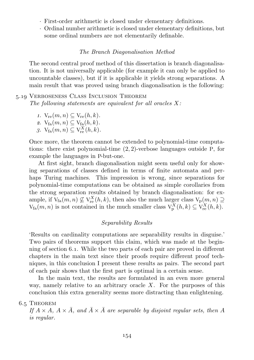- · First-order arithmetic is closed under elementary definitions.
- · Ordinal number arithmetic is closed under elementary definitions, but some ordinal numbers are not elementarily definable.

#### The Branch Diagonalisation Method

The second central proof method of this dissertation is branch diagonalisation. It is not universally applicable (for example it can only be applied to uncountable classes), but if it is applicable it yields strong separations. A main result that was proved using branch diagonalisation is the following:

## . Verboseness Class Inclusion Theorem The following statements are equivalent for all oracles  $X$ :

- 1.  $V_{re}(m, n) \subseteq V_{re}(h, k)$ .
- 2.  $V_{fa}(m, n) \subseteq V_{fa}(h, k)$ .
- 3.  $V_{fa}(m, n) \subseteq V_{re}^X(h, k)$ .

Once more, the theorem cannot be extended to polynomial-time computations: there exist polynomial-time (2, 2)-verbose languages outside P, for example the languages in P-but-one.

At first sight, branch diagonalisation might seem useful only for showing separations of classes defined in terms of finite automata and perhaps Turing machines. This impression is wrong, since separations for polynomial-time computations can be obtained as simple corollaries from the strong separation results obtained by branch diagonalisation: for example, if  $V_{fa}(m, n) \nsubseteq V_{re}^X(h, k)$ , then also the much larger class  $V_p(m, n) \supseteq$  $V_{fa}(m, n)$  is not contained in the much smaller class  $V_p^X(h, k) \subseteq V_{re}^X(h, k)$ .

#### Separability Results

'Results on cardinality computations are separability results in disguise.' Two pairs of theorems support this claim, which was made at the beginning of [section](#page-133-0)  $6.1$ . While the two parts of each pair are proved in different chapters in the main text since their proofs require different proof techniques, in this conclusion I present these results as pairs. The second part of each pair shows that the first part is optimal in a certain sense.

In the main text, the results are formulated in an even more general way, namely relative to an arbitrary oracle  $X$ . For the purposes of this conclusion this extra generality seems more distracting than enlightening.

#### 6.5 THEOREM

If  $A \times A$ ,  $A \times \overline{A}$ , and  $\overline{A} \times \overline{A}$  are separable by disjoint regular sets, then A is regular.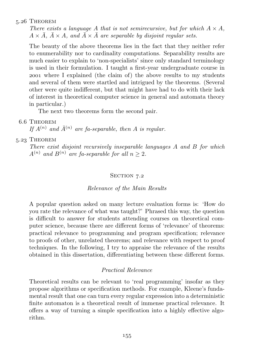#### 5.26 THEOREM

There exists a language A that is not semirecursive, but for which  $A \times A$ .  $A \times \overline{A}$ ,  $\overline{A} \times A$ , and  $\overline{A} \times \overline{A}$  are separable by disjoint regular sets.

The beauty of the above theorems lies in the fact that they neither refer to enumerability nor to cardinality computations. Separability results are much easier to explain to 'non-specialists' since only standard terminology is used in their formulation. I taught a first-year undergraduate course in where I explained (the claim of) the above results to my students and several of them were startled and intrigued by the theorems. (Several other were quite indifferent, but that might have had to do with their lack of interest in theoretical computer science in general and automata theory in particular.)

The next two theorems form the second pair.

## 6.6 THEOREM

If  $A^{(n)}$  and  $\bar{A}^{(n)}$  are fa-separable, then A is regular.

## 5.23 THEOREM

There exist disjoint recursively inseparable languages A and B for which  $A^{(n)}$  and  $B^{(n)}$  are fa-separable for all  $n \geq 2$ .

## SECTION 7.2

#### Relevance of the Main Results

A popular question asked on many lecture evaluation forms is: 'How do you rate the relevance of what was taught?' Phrased this way, the question is difficult to answer for students attending courses on theoretical computer science, because there are different forms of 'relevance' of theorems: practical relevance to programming and program specification; relevance to proofs of other, unrelated theorems; and relevance with respect to proof techniques. In the following, I try to appraise the relevance of the results obtained in this dissertation, differentiating between these different forms.

## Practical Relevance

Theoretical results can be relevant to 'real programming' insofar as they propose algorithms or specification methods. For example, Kleene's fundamental result that one can turn every regular expression into a deterministic finite automaton is a theoretical result of immense practical relevance. It offers a way of turning a simple specification into a highly effective algorithm.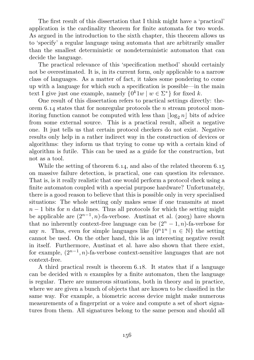The first result of this dissertation that I think might have a 'practical' application is the cardinality theorem for finite automata for two words. As argued in the introduction to the sixth chapter, this theorem allows us to 'specify' a regular language using automata that are arbitrarily smaller than the smallest deterministic or nondeterministic automaton that can decide the language.

The practical relevance of this 'specification method' should certainly not be overestimated. It is, in its current form, only applicable to a narrow class of languages. As a matter of fact, it takes some pondering to come up with a language for which such a specification is possible—in the main text I give just one example, namely  $\{0^k 1w \mid w \in \Sigma^*\}$  for fixed k.

One result of this dissertation refers to practical settings directly: [the](#page-140-0)[orem](#page-140-0)  $6.14$  states that for nonregular protocols the n stream protocol monitoring function cannot be computed with less than  $\log_2 n$  bits of advice from some external source. This is a practical result, albeit a negative one. It just tells us that certain protocol checkers do not exist. Negative results only help in a rather indirect way in the construction of devices or algorithms: they inform us that trying to come up with a certain kind of algorithm is futile. This can be used as a guide for the construction, but not as a tool.

While the setting of [theorem](#page-140-1)  $6.14$ , and also of the related theorem  $6.15$ on massive failure detection, is practical, one can question its relevance. That is, is it really realistic that one would perform a protocol check using a finite automaton coupled with a special purpose hardware? Unfortunately, there is a good reason to believe that this is possible only in very specialised situations: The whole setting only makes sense if one transmits at most  $n-1$  bits for n data lines. Thus all protocols for which the setting might be applicable are  $(2^{n-1}, n)$ -fa-verbose. [Austinat et al. \(](#page-162-0)2003) have shown that no inherently context-free language can be  $(2<sup>n</sup> - 1, n)$ -fa-verbose for any *n*. Thus, even for simple languages like  $\{0^n1^n \mid n \in \mathbb{N}\}\)$  the setting cannot be used. On the other hand, this is an interesting negative result in itself. Furthermore, [Austinat et al.](#page-162-0) have also shown that there exist, for example,  $(2^{n-1}, n)$ -fa-verbose context-sensitive languages that are not context-free.

A third practical result is [theorem](#page-142-0)  $6.18$ . It states that if a language can be decided with  $n$  examples by a finite automaton, then the language is regular. There are numerous situations, both in theory and in practice, where we are given a bunch of objects that are known to be classified in the same way. For example, a biometric access device might make numerous measurements of a fingerprint or a voice and compute a set of short signatures from them. All signatures belong to the same person and should all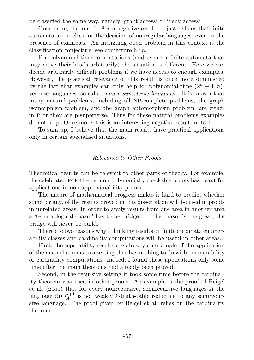be classified the same way, namely 'grant access' or 'deny access'.

Once more, [theorem](#page-142-0)  $6.18$  is a negative result. It just tells us that finite automata are useless for the decision of nonregular languages, even in the presence of examples. An intriguing open problem in this context is the classification [conjecture](#page-143-0), see conjecture 6.19.

For polynomial-time computations (and even for finite automata that may move their heads arbitrarily) the situation is different. Here we can decide arbitrarily difficult problems if we have access to enough examples. However, the practical relevance of this result is once more diminished by the fact that examples can only help for polynomial-time  $(2<sup>n</sup> - 1, n)$ verbose languages, so-called non-p-superterse languages. It is known that many natural problems, including all NP-complete problems, the graph isomorphism problem, and the graph automorphism problem, are either in P or they are p-superterse. Thus for these natural problems examples do not help. Once more, this is an interesting negative result in itself.

To sum up, I believe that the main results have practical applications only in certain specialised situations.

### Relevance to Other Proofs

Theoretical results can be relevant to other parts of theory. For example, the celebrated pcp-theorem on polynomially checkable proofs has beautiful applications in non-approximability proofs.

The nature of mathematical progress makes it hard to predict whether some, or any, of the results proved in this dissertation will be used in proofs in unrelated areas. In order to apply results from one area in another area a 'terminological chasm' has to be bridged. If the chasm is too great, the bridge will never be build.

There are two reasons why I think my results on finite automata enumerability classes and cardinality computations will be useful in other areas.

First, the separability results are already an example of the application of the main theorems to a setting that has nothing to do with enumerability or cardinality computations. Indeed, I found these applications only some time after the main theorems had already been proved.

Second, in the recursive setting it took some time before the cardinality theorem was used in other proofs. An example is the proof of [Beigel](#page-163-1) [et al. \(](#page-163-1)2000) that for every nonrecursive, semirecursive languages  $A$  the language  $ODD_A^{k+1}$  is not weakly k-truth-table reducible to any semirecursive language. The proof given by [Beigel et al.](#page-163-1) relies on the cardinality theorem.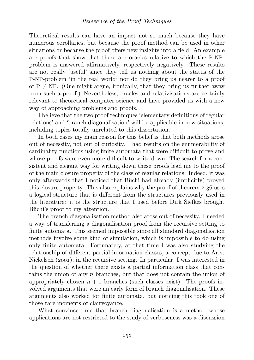Theoretical results can have an impact not so much because they have numerous corollaries, but because the proof method can be used in other situations or because the proof offers new insights into a field. An example are proofs that show that there are oracles relative to which the P-NPproblem is answered affirmatively, respectively negatively. These results are not really 'useful' since they tell us nothing about the status of the P-NP-problem 'in the real world' nor do they bring us nearer to a proof of  $P \neq NP$ . (One might argue, ironically, that they bring us further away from such a proof.) Nevertheless, oracles and relativisations are certainly relevant to theoretical computer science and have provided us with a new way of approaching problems and proofs.

I believe that the two proof techniques 'elementary definitions of regular relations' and 'branch diagonalisation' will be applicable in new situations, including topics totally unrelated to this dissertation.

In both cases my main reason for this belief is that both methods arose out of necessity, not out of curiosity. I had results on the enumerability of cardinality functions using finite automata that were difficult to prove and whose proofs were even more difficult to write down. The search for a consistent and elegant way for writing down these proofs lead me to the proof of the main closure property of the class of regular relations. Indeed, it was only afterwards that I noticed that Büchi had already (implicitly) proved this closure property. This also explains why the proof of [theorem](#page-47-0)  $2.36$  uses a logical structure that is different from the structures previously used in the literature: it is the structure that I used before Dirk Siefkes brought Büchi's proof to my attention.

The branch diagonalisation method also arose out of necessity. I needed a way of transferring a diagonalisation proof from the recursive setting to finite automata. This seemed impossible since all standard diagonalisation methods involve some kind of simulation, which is impossible to do using only finite automata. Fortunately, at that time I was also studying the relationship of different partial information classes, a concept due to Arfst Nickelsen  $(2001)$ , in the recursive setting. In particular, I was interested in the question of whether there exists a partial information class that contains the union of any n branches, but that does not contain the union of appropriately chosen  $n + 1$  branches (such classes exist). The proofs involved arguments that were an early form of branch diagonalisation. These arguments also worked for finite automata, but noticing this took one of those rare moments of clairvoyance.

What convinced me that branch diagonalisation is a method whose applications are not restricted to the study of verboseness was a discussion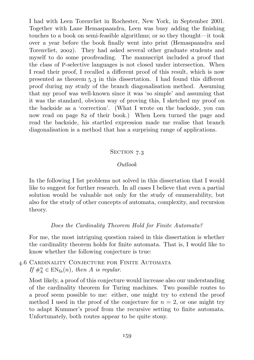I had with Leen Torenvliet in Rochester, New York, in September 2001. Together with Lane Hemaspaandra, Leen was busy adding the finishing touches to a book on semi-feasible algorithms; or so they thought—it took over a year before the book finally went into print [\(Hemaspaandra and](#page-165-0) [Torenvliet,](#page-165-0) 2002). They had asked several other graduate students and myself to do some proofreading. The manuscript included a proof that the class of P-selective languages is not closed under intersection. When I read their proof, I recalled a different proof of this result, which is now presented as [theorem](#page-105-1)  $5.3$  in this dissertation. I had found this different proof during my study of the branch diagonalisation method. Assuming that my proof was well-known since it was 'so simple' and assuming that it was the standard, obvious way of proving this, I sketched my proof on the backside as a 'correction'. (What I wrote on the backside, you can now read on page 82 of their book.) When Leen turned the page and read the backside, his startled expression made me realise that branch diagonalisation is a method that has a surprising range of applications.

#### SECTION 7.3

## Outlook

In the following I list problems not solved in this dissertation that I would like to suggest for further research. In all cases I believe that even a partial solution would be valuable not only for the study of enumerability, but also for the study of other concepts of automata, complexity, and recursion theory.

## Does the Cardinality Theorem Hold for Finite Automata?

For me, the most intriguing question raised in this dissertation is whether the cardinality theorem holds for finite automata. That is, I would like to know whether the following conjecture is true:

# . Cardinality Conjecture for Finite Automata If  $\#_{A}^{n} \in EN_{fa}(n)$ , then A is regular.

Most likely, a proof of this conjecture would increase also our understanding of the cardinality theorem for Turing machines. Two possible routes to a proof seem possible to me: either, one might try to extend the proof method I used in the proof of the conjecture for  $n = 2$ , or one might try to adapt Kummer's proof from the recursive setting to finite automata. Unfortunately, both routes appear to be quite stony.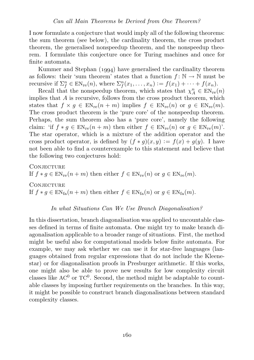I now formulate a conjecture that would imply all of the following theorems: the sum theorem (see below), the cardinality theorem, the cross product theorem, the generalised nonspeedup theorem, and the nonspeedup theorem. I formulate this conjecture once for Turing machines and once for finite automata.

Kummer and Stephan  $(1994)$  have generalised the cardinality theorem as follows: their 'sum theorem' states that a function  $f: \mathbb{N} \to \mathbb{N}$  must be recursive if  $\Sigma_f^n \in EN_{\text{re}}(n)$ , where  $\Sigma_f^n(x_1, \ldots, x_n) := f(x_1) + \cdots + f(x_n)$ .

Recall that the nonspeedup theorem, which states that  $\chi_A^n \in EN_{re}(n)$ implies that  $A$  is recursive, follows from the cross product theorem, which states that  $f \times q \in EN_{re}(n+m)$  implies  $f \in EN_{re}(n)$  or  $q \in EN_{re}(m)$ . The cross product theorem is the 'pure core' of the nonspeedup theorem. Perhaps, the sum theorem also has a 'pure core', namely the following claim: 'if  $f * q \in EN_{re}(n+m)$  then either  $f \in EN_{re}(n)$  or  $q \in EN_{re}(m)$ '. The star operator, which is a mixture of the addition operator and the cross product operator, is defined by  $(f * g)(x, y) := f(x) + g(y)$ . I have not been able to find a counterexample to this statement and believe that the following two conjectures hold:

**CONJECTURE** If  $f * g \in EN_{\text{re}}(n+m)$  then either  $f \in EN_{\text{re}}(n)$  or  $g \in EN_{\text{re}}(m)$ . **CONJECTURE** If  $f * g \in EN_{fa}(n+m)$  then either  $f \in EN_{fa}(n)$  or  $g \in EN_{fa}(m)$ .

#### In what Situations Can We Use Branch Diagonalisation?

In this dissertation, branch diagonalisation was applied to uncountable classes defined in terms of finite automata. One might try to make branch diagonalisation applicable to a broader range of situations. First, the method might be useful also for computational models below finite automata. For example, we may ask whether we can use it for star-free languages (languages obtained from regular expressions that do not include the Kleenestar) or for diagonalisation proofs in Presburger arithmetic. If this works, one might also be able to prove new results for low complexity circuit classes like  $AC^0$  or  $TC^0$ . Second, the method might be adaptable to countable classes by imposing further requirements on the branches. In this way, it might be possible to construct branch diagonalisations between standard complexity classes.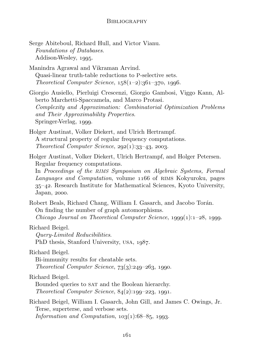#### **BIBLIOGRAPHY**

- Serge Abiteboul, Richard Hull, and Victor Vianu. Foundations of Databases. Addison-Wesley, 1995.
- Manindra Agrawal and Vikraman Arvind. Quasi-linear truth-table reductions to P-selective sets. Theoretical Computer Science,  $158(1-2):361-370, 1996.$
- Giorgio Ausiello, Pierluigi Crescenzi, Giorgio Gambosi, Viggo Kann, Alberto Marchetti-Spaccamela, and Marco Protasi. Complexity and Approximation: Combinatorial Optimization Problems and Their Approximability Properties. Springer-Verlag, 1999.
- <span id="page-162-0"></span>Holger Austinat, Volker Diekert, and Ulrich Hertrampf. A structural property of regular frequency computations. Theoretical Computer Science,  $292(1):33-43$ , 2003.

Holger Austinat, Volker Diekert, Ulrich Hertrampf, and Holger Petersen. Regular frequency computations. In Proceedings of the RIMS Symposium on Algebraic Systems, Formal Languages and Computation, volume 1166 of RIMS Kokyuroku, pages  $35-42$ . Research Institute for Mathematical Sciences, Kyoto University, Japan, 2000.

Robert Beals, Richard Chang, William I. Gasarch, and Jacobo Torán. On finding the number of graph automorphisms. Chicago Journal on Theoretical Computer Science,  $1999(1):1-28$ , 1999.

Richard Beigel.

Query-Limited Reducibilities. PhD thesis, Stanford University, USA, 1987.

Richard Beigel.

Bi-immunity results for cheatable sets. Theoretical Computer Science,  $73(3):249-263$ , 1990.

Richard Beigel.

Bounded queries to sat and the Boolean hierarchy. Theoretical Computer Science,  $84(2):199-223, 1991.$ 

Richard Beigel, William I. Gasarch, John Gill, and James C. Owings, Jr. Terse, superterse, and verbose sets. Information and Computation,  $103(1):68-85$ , 1993.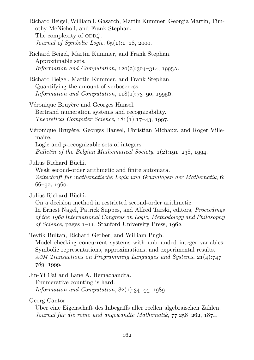<span id="page-163-1"></span>Richard Beigel, William I. Gasarch, Martin Kummer, Georgia Martin, Timothy McNicholl, and Frank Stephan. The complexity of  $\mathrm{ODD}_n^A$ . Journal of Symbolic Logic,  $65(1):1-18$ , 2000.

Richard Beigel, Martin Kummer, and Frank Stephan. Approximable sets. Information and Computation,  $120(2):304-314$ ,  $1995A$ .

<span id="page-163-0"></span>Richard Beigel, Martin Kummer, and Frank Stephan. Quantifying the amount of verboseness. Information and Computation,  $118(1):73-90$ ,  $1995B$ .

Véronique Bruyère and Georges Hansel. Bertrand numeration systems and recognizability. Theoretical Computer Science,  $181(1):17-43$ , 1997.

Véronique Bruyère, Georges Hansel, Christian Michaux, and Roger Villemaire.

Logic and p-recognizable sets of integers. Bulletin of the Belgian Mathematical Society,  $1(2):191-238$ ,  $1994$ .

Julius Richard Büchi.

Weak second-order arithmetic and finite automata.  $Zeitschrift für mathematische Logik und Grundlagen der Mathematik, 6:$  $66 - 92, 1960.$ 

<span id="page-163-2"></span>Julius Richard Büchi.

On a decision method in restricted second-order arithmetic. In Ernest Nagel, Patrick Suppes, and Alfred Tarski, editors, Proceedings of the <sup>1</sup>96<sup>0</sup> International Congress on Logic, Methodology and Philosophy of Science, pages  $1-11$ . Stanford University Press,  $1062$ .

Tevfik Bultan, Richard Gerber, and William Pugh. Model checking concurrent systems with unbounded integer variables: Symbolic representations, approximations, and experimental results. ACM Transactions on Programming Languages and Systems,  $21(4):747 789, 1999.$ 

Jin-Yi Cai and Lane A. Hemachandra. Enumerative counting is hard. Information and Computation,  $82(1):34-44$ , 1989.

Georg Cantor.

Uber eine Eigenschaft des Inbegriffs aller reellen algebraischen Zahlen. ¨ Journal für die reine und angewandte Mathematik,  $77:258-262$ ,  $1874$ .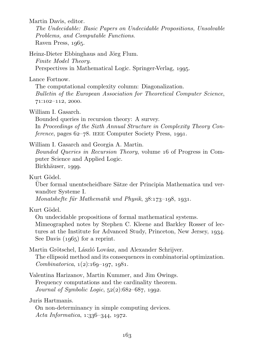<span id="page-164-1"></span>Martin Davis, editor.

The Undecidable: Basic Papers on Undecidable Propositions, Unsolvable Problems, and Computable Functions. Raven Press,  $1065$ .

Heinz-Dieter Ebbinghaus and Jörg Flum. Finite Model Theory. Perspectives in Mathematical Logic. Springer-Verlag, 1995.

Lance Fortnow.

The computational complexity column: Diagonalization. Bulletin of the European Association for Theoretical Computer Science,  $71:102 - 112, 2000.$ 

William I. Gasarch.

Bounded queries in recursion theory: A survey. In Proceedings of the Sixth Annual Structure in Complexity Theory Con $ference$ , pages  $62-78$ . IEEE Computer Society Press, 1991.

William I. Gasarch and Georgia A. Martin.

Bounded Queries in Recursion Theory, volume 16 of Progress in Computer Science and Applied Logic. Birkhäuser, 1999.

Kurt Gödel.

Über formal unentscheidbare Sätze der Principia Mathematica und verwandter Systeme I.

Monatshefte für Mathematik und Physik,  $38:173-198$ ,  $1931$ .

Kurt Gödel.

On undecidable propositions of formal mathematical systems. Mimeographed notes by Stephen C. Kleene and Barkley Rosser of lec-

tures at the Institute for Advanced Study, Princeton, New Jersey, 1934. See Davis  $(1065)$  for a reprint.

- Martin Grötschel, László Lovász, and Alexander Schrijver. The ellipsoid method and its consequences in combinatorial optimization.  $Combinatorica, 1(2):169-197, 1981.$
- Valentina Harizanov, Martin Kummer, and Jim Owings. Frequency computations and the cardinality theorem. Journal of Symbolic Logic,  $52(2):682-687, 1992.$

<span id="page-164-0"></span>Juris Hartmanis.

On non-determinancy in simple computing devices. Acta Informatica,  $1:336-344$ ,  $1972$ .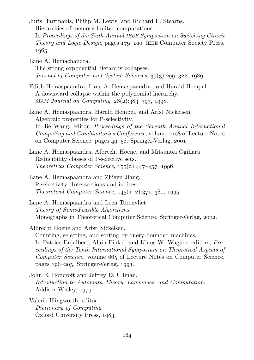Juris Hartmanis, Philip M. Lewis, and Richard E. Stearns.

Hierarchies of memory-limited computations.

In Proceedings of the Sixth Annual IEEE Symposium on Switching Circuit Theory and Logic Design, pages  $179-190$ . IEEE Computer Society Press, 1965.

Lane A. Hemachandra.

The strong exponential hierarchy collapses. Journal of Computer and System Sciences,  $39(3):299-322$ ,  $1989$ .

Edith Hemaspaandra, Lane A. Hemaspaandra, and Harald Hempel. A downward collapse within the polynomial hierarchy. SIAM Journal on Computing,  $28(2):383-393, 1998.$ 

Lane A. Hemaspaandra, Harald Hempel, and Arfst Nickelsen. Algebraic properties for P-selectivity. In Jie Wang, editor, Proceedings of the Seventh Annual International Computing and Combinatorics Conference, volume 2108 of Lecture Notes on Computer Science, pages  $49 - 58$ . Springer-Verlag,  $2001$ .

Lane A. Hemaspaandra, Albrecht Hoene, and Mitsunori Ogihara. Reducibility classes of P-selective sets. Theoretical Computer Science,  $155(2):447-457$ ,  $1996$ .

- Lane A. Hemaspaandra and Zhigen Jiang. P-selectivity: Intersections and indices. Theoretical Computer Science,  $145(1-2):371-380, 1995.$
- <span id="page-165-0"></span>Lane A. Hemaspaandra and Leen Torenvliet. Theory of Semi-Feasible Algorithms. Monographs in Theoretical Computer Science. Springer-Verlag, 2002.

Albrecht Hoene and Arfst Nickelsen. Counting, selecting, and sorting by query-bounded machines. In Patrice Enjalbert, Alain Finkel, and Klaus W. Wagner, editors, Proceedings of the Tenth International Symposium on Theoretical Aspects of Computer Science, volume 665 of Lecture Notes on Computer Science, pages  $196-205$ . Springer-Verlag,  $1993$ .

John E. Hopcroft and Jeffrey D. Ullman. Introduction to Automata Theory, Languages, and Computation. Addison-Wesley, 1979.

Valerie Illingworth, editor. Dictionary of Computing. Oxford University Press, 1983.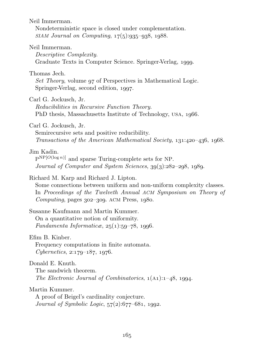Neil Immerman.

Nondeterministic space is closed under complementation. SIAM Journal on Computing,  $17(5):935-938$ ,  $1988$ .

Neil Immerman.

Descriptive Complexity. Graduate Texts in Computer Science. Springer-Verlag, 1999.

Thomas Jech.

Set Theory, volume  $97$  of Perspectives in Mathematical Logic. Springer-Verlag, second edition, 1997.

Carl G. Jockusch, Jr.

Reducibilities in Recursive Function Theory. PhD thesis, Massachusetts Institute of Technology, USA, 1966.

Carl G. Jockusch, Jr.

Semirecursive sets and positive reducibility. Transactions of the American Mathematical Society,  $131:420-436$ ,  $1968$ .

Jim Kadin.

 $P^{NP[O(\log n)]}$  and sparse Turing-complete sets for NP. Journal of Computer and System Sciences,  $39(3):282-298$ ,  $1989$ .

#### Richard M. Karp and Richard J. Lipton.

Some connections between uniform and non-uniform complexity classes. In Proceedings of the Twelveth Annual ACM Symposium on Theory of *Computing, pages 302-300, ACM Press,*  $1080$ *.* 

Susanne Kaufmann and Martin Kummer. On a quantitative notion of uniformity. Fundamenta Informaticæ,  $25(1):59-78$ , 1996.

Efim B. Kinber.

Frequency computations in finite automata.  $Cybernetics, 2:179-187, 1976.$ 

Donald E. Knuth.

The sandwich theorem.

The Electronic Journal of Combinatorics,  $1(A1):1-48$ , 1994.

<span id="page-166-0"></span>Martin Kummer.

A proof of Beigel's cardinality conjecture. Journal of Symbolic Logic,  $57(2):677-681$ , 1992.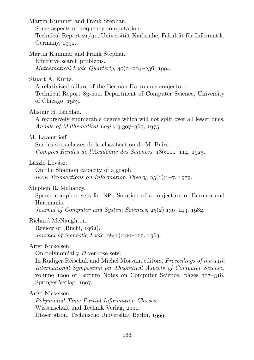<span id="page-167-1"></span><span id="page-167-0"></span>Martin Kummer and Frank Stephan. Some aspects of frequency computation. Technical Report  $21/q1$ , Universität Karlsruhe, Fakultät für Informatik, Germany,  $1991.$ Martin Kummer and Frank Stephan. Effecitive search problems. Mathematical Logic Quarterly,  $40(2):224-236$ , 1994. Stuart A. Kurtz. A relativized failure of the Berman-Hartmanis conjecture. Technical Report 83-001, Department of Computer Science, University of Chicago,  $1983$ . Alistair H. Lachlan. A recursively enumerable degree which will not split over all lesser ones. Annals of Mathematical Logic,  $9:307-365$ ,  $1975$ . M. Laventrieff. Sur les sous-classes de la classification de M. Baire. Comptes Rendus de l'Académie des Sciences,  $180:111-114$ ,  $1925$ . László Lovász. On the Shannon capacity of a graph. IEEE Transactions on Information Theory,  $25(1):1-7$ , 1979. Stephen R. Mahaney. Sparse complete sets for NP: Solution of a conjecture of Berman and Hartmanis. Journal of Computer and System Sciences,  $25(2):130-143, 1982$ . Richard McNaughton. Review of  $(B\ddot{u}chi, 1962)$ . *Journal of Symbolic Logic*,  $28(1):100-102$ ,  $1963$ . Arfst Nickelsen. On polynomially D-verbose sets. In Rüdiger Reischuk and Michel Morvan, editors, *Proceedings of the*  $14$ *th* International Symposium on Theoretical Aspects of Computer Science, volume  $1200$  of Lecture Notes on Computer Science, pages  $307-318$ . Springer-Verlag, 1997. Arfst Nickelsen. Polynomial Time Partial Information Classes. Wissenschaft und Technik Verlag, 2001. Dissertation, Technische Universität Berlin, 1999.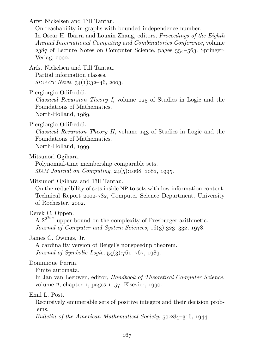Arfst Nickelsen and Till Tantau.

On reachability in graphs with bounded independence number. In Oscar H. Ibarra and Louxin Zhang, editors, Proceedings of the Eighth Annual International Computing and Combinatorics Conference, volume  $2387$  of Lecture Notes on Computer Science, pages  $554-563$ . Springer-Verlag, 2002.

Arfst Nickelsen and Till Tantau. Partial information classes.  $SIGACT News, 34(1):32–46, 2003.$ 

Piergiorgio Odifreddi.

*Classical Recursion Theory I*, volume  $125$  of Studies in Logic and the Foundations of Mathematics.

North-Holland, 1989.

Piergiorgio Odifreddi.

Classical Recursion Theory II, volume  $143$  of Studies in Logic and the Foundations of Mathematics.

North-Holland, 1999.

Mitsunori Ogihara.

Polynomial-time membership comparable sets.  $SIAM\ Journal\ on\ Computing,\ 24(5):1068-1081,\ 1995.$ 

Mitsunori Ogihara and Till Tantau.

On the reducibility of sets inside NP to sets with low information content. Technical Report 2002-782, Computer Science Department, University of Rochester, 2002.

Derek C. Oppen.

A  $2^{2^{2pn}}$  upper bound on the complexity of Presburger arithmetic. Journal of Computer and System Sciences,  $16(3):323-332$ ,  $1978$ .

James C. Owings, Jr.

A cardinality version of Beigel's nonspeedup theorem. Journal of Symbolic Logic,  $54(3):761-767$ ,  $1989$ .

Dominique Perrin.

Finite automata.

In Jan van Leeuwen, editor, Handbook of Theoretical Computer Science, volume B, chapter 1, pages  $1-57$ . Elsevier, 1990.

#### Emil L. Post.

Recursively enumerable sets of positive integers and their decision problems.

Bulletin of the American Mathematical Society,  $50:284-316$ ,  $1944$ .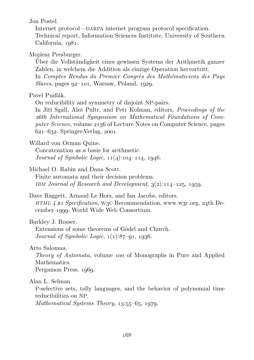Jon Postel.

Internet protocol—DARPA internet program protocol specification. Technical report, Information Sciences Institute, University of Southern California, 1981.

Mojżesz Presburger.

Uber die Vollständigkeit eines gewissen Systems der Arithmetik ganzer Zahlen, in welchem die Addition als einzige Operation hervortritt. In Comptes Rendus du Premier Congrès des Mathématiciens des Pays  $Slaves$ , pages  $92-101$ , Warsaw, Poland, 1929.

## Pavel Pudlák.

On reducibility and symmetry of disjoint NP-pairs.

In Jiří Sgall, Aleš Pultr, and Petr Kolman, editors, *Proceedings of the* 26th International Symposium on Mathematical Foundations of Computer  $Science$ , volume  $2136$  of Lecture Notes on Computer Science, pages  $621 - 632$ . Springer-Verlag, 2001.

Willard von Orman Quine.

Concatenation as a basis for arithmetic. Journal of Symbolic Logic,  $11(4):104-114$ ,  $1946$ .

Michael O. Rabin and Dana Scott.

Finite automata and their decision problems. IBM Journal of Research and Development,  $3(2):114-125$ , 1959.

Dave Raggett, Arnaud Le Hors, and Ian Jacobs, editors. HTML  $\angle$  01 Specification, W<sub>3</sub>C Recommendation, www.w3c.org, 24th December . World Wide Web Consortium.

#### Barkley J. Rosser.

Extensions of some theorems of Gödel and Church. Journal of Symbolic Logic,  $1(1):87-91$ ,  $1936$ .

Arto Salomaa.

Theory of Automata, volume 100 of Monographs in Pure and Applied Mathematics.

Pergamon Press, 1969.

Alan L. Selman.

P-selective sets, tally languages, and the behavior of polynomial time reducibilities on NP.

Mathematical Systems Theory,  $13:55-65$ ,  $1979$ .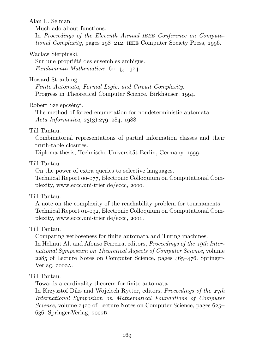Alan L. Selman.

Much ado about functions.

In Proceedings of the Eleventh Annual IEEE Conference on Computational Complexity, pages  $198-212$ . IEEE Computer Society Press,  $1996$ .

Waclaw Sierpinski.

Sur une propriété des ensembles ambigus. Fundamenta Mathematicæ,  $6:1-5$ ,  $1924$ .

Howard Straubing.

Finite Automata, Formal Logic, and Circuit Complexity. Progress in Theoretical Computer Science. Birkhäuser, 1994.

Robert Szelepcsényi.

The method of forced enumeration for nondeterministic automata. Acta Informatica,  $23(3):279-284$ ,  $1988$ .

Till Tantau.

Combinatorial representations of partial information classes and their truth-table closures.

Diploma thesis, Technische Universität Berlin, Germany, 1999.

Till Tantau.

On the power of extra queries to selective languages.

Technical Report 00-077, Electronic Colloquium on Computational Complexity, www.eccc.uni-trier.de/eccc, 2000.

<span id="page-170-0"></span>Till Tantau.

A note on the complexity of the reachability problem for tournaments. Technical Report 01-092, Electronic Colloquium on Computational Complexity, www.eccc.uni-trier.de/eccc, 2001.

Till Tantau.

Comparing verboseness for finite automata and Turing machines. In Helmut Alt and Afonso Ferreira, editors, Proceedings of the <sup>1</sup>9th International Symposium on Theoretical Aspects of Computer Science, volume 2285 of Lecture Notes on Computer Science, pages  $465-476$ . Springer-Verlag,  $2002A$ .

Till Tantau.

Towards a cardinality theorem for finite automata.

In Krzysztof Diks and Wojciech Rytter, editors, Proceedings of the <sup>2</sup>7th International Symposium on Mathematical Foundations of Computer Science, volume  $2420$  of Lecture Notes on Computer Science, pages  $625$ 636. Springer-Verlag, 2002B.